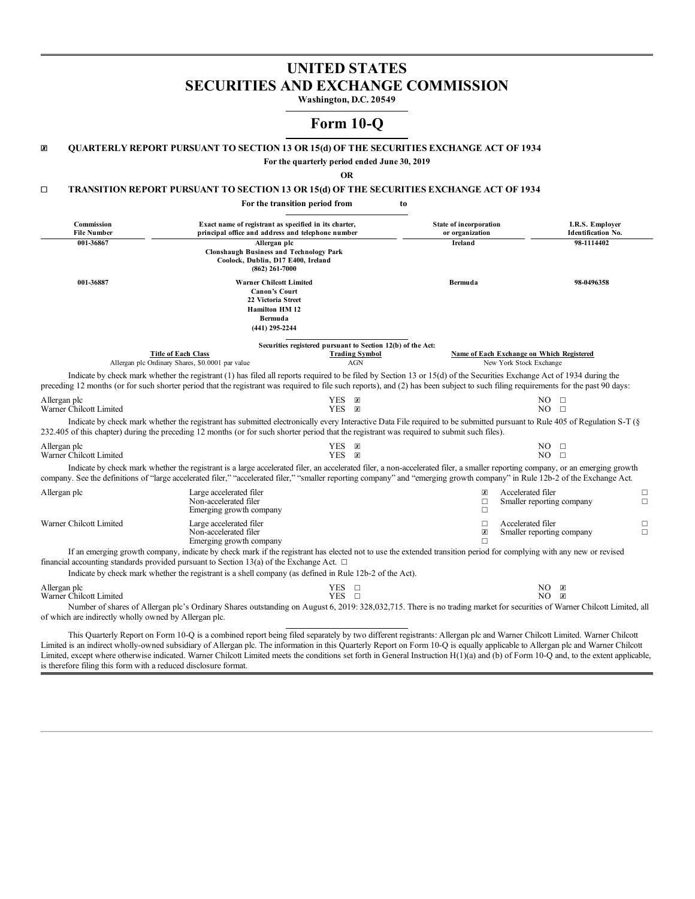# **UNITED STATES SECURITIES AND EXCHANGE COMMISSION**

**Washington, D.C. 20549**

# **Form 10-Q**

# ☒ **QUARTERLY REPORT PURSUANT TO SECTION 13 OR 15(d) OF THE SECURITIES EXCHANGE ACT OF 1934**

**For the quarterly period ended June 30, 2019**

**OR**

# ☐ **TRANSITION REPORT PURSUANT TO SECTION 13 OR 15(d) OF THE SECURITIES EXCHANGE ACT OF 1934**

**For the transition period from to**

| Commission<br><b>File Number</b>                      | Exact name of registrant as specified in its charter,<br>principal office and address and telephone number                                                                                                                                                                                                                                                    |                                                                                      | State of incorporation<br>or organization                            | I.R.S. Employer<br><b>Identification No.</b>   |                  |
|-------------------------------------------------------|---------------------------------------------------------------------------------------------------------------------------------------------------------------------------------------------------------------------------------------------------------------------------------------------------------------------------------------------------------------|--------------------------------------------------------------------------------------|----------------------------------------------------------------------|------------------------------------------------|------------------|
| 001-36867                                             | Allergan plc<br><b>Clonshaugh Business and Technology Park</b><br>Coolock, Dublin, D17 E400, Ireland<br>$(862)$ 261-7000                                                                                                                                                                                                                                      |                                                                                      | Ireland                                                              | 98-1114402                                     |                  |
| 001-36887                                             | <b>Warner Chilcott Limited</b><br><b>Canon's Court</b><br>22 Victoria Street<br><b>Hamilton HM 12</b><br>Bermuda<br>(441) 295-2244                                                                                                                                                                                                                            |                                                                                      | Bermuda                                                              | 98-0496358                                     |                  |
|                                                       |                                                                                                                                                                                                                                                                                                                                                               | Securities registered pursuant to Section 12(b) of the Act:<br><b>Trading Symbol</b> |                                                                      |                                                |                  |
|                                                       | <b>Title of Each Class</b><br>Allergan plc Ordinary Shares, \$0.0001 par value                                                                                                                                                                                                                                                                                |                                                                                      | Name of Each Exchange on Which Registered<br>New York Stock Exchange |                                                |                  |
|                                                       | Indicate by check mark whether the registrant (1) has filed all reports required to be filed by Section 13 or 15(d) of the Securities Exchange Act of 1934 during the<br>preceding 12 months (or for such shorter period that the registrant was required to file such reports), and (2) has been subject to such filing requirements for the past 90 days:   |                                                                                      |                                                                      |                                                |                  |
| Allergan plc<br>Warner Chilcott Limited               |                                                                                                                                                                                                                                                                                                                                                               | <b>YES</b><br>$\overline{\mathbf{x}}$<br><b>YES</b><br>$\overline{x}$                |                                                                      | NO.<br>$\Box$<br>$NO \quad \Box$               |                  |
|                                                       | Indicate by check mark whether the registrant has submitted electronically every Interactive Data File required to be submitted pursuant to Rule 405 of Regulation S-T $(\S$<br>232.405 of this chapter) during the preceding 12 months (or for such shorter period that the registrant was required to submit such files).                                   |                                                                                      |                                                                      |                                                |                  |
| Allergan plc<br>Warner Chilcott Limited               |                                                                                                                                                                                                                                                                                                                                                               | <b>YES</b><br>$\overline{\mathbf{x}}$<br><b>YES</b><br>$\overline{x}$                |                                                                      | NO<br>$\Box$<br>NO.<br>$\Box$                  |                  |
|                                                       | Indicate by check mark whether the registrant is a large accelerated filer, an accelerated filer, a non-accelerated filer, a smaller reporting company, or an emerging growth<br>company. See the definitions of "large accelerated filer," "accelerated filer," "smaller reporting company" and "emerging growth company" in Rule 12b-2 of the Exchange Act. |                                                                                      |                                                                      |                                                |                  |
| Allergan plc                                          | Large accelerated filer<br>Non-accelerated filer<br>Emerging growth company                                                                                                                                                                                                                                                                                   |                                                                                      | 図<br>$\Box$<br>$\Box$                                                | Accelerated filer<br>Smaller reporting company | $\Box$<br>$\Box$ |
| Warner Chilcott Limited                               | Large accelerated filer<br>Non-accelerated filer<br>Emerging growth company                                                                                                                                                                                                                                                                                   |                                                                                      | $\Box$<br>$\boxed{\textbf{X}}$<br>П                                  | Accelerated filer<br>Smaller reporting company | $\Box$<br>$\Box$ |
|                                                       | If an emerging growth company, indicate by check mark if the registrant has elected not to use the extended transition period for complying with any new or revised                                                                                                                                                                                           |                                                                                      |                                                                      |                                                |                  |
|                                                       | financial accounting standards provided pursuant to Section 13(a) of the Exchange Act. $\Box$<br>Indicate by check mark whether the registrant is a shell company (as defined in Rule 12b-2 of the Act).                                                                                                                                                      |                                                                                      |                                                                      |                                                |                  |
| Allergan plc                                          |                                                                                                                                                                                                                                                                                                                                                               | <b>YES</b><br>$\Box$                                                                 |                                                                      | NO.<br>$\boxed{\mathbf{X}}$                    |                  |
| Warner Chilcott Limited                               |                                                                                                                                                                                                                                                                                                                                                               | <b>YES</b><br>$\Box$                                                                 |                                                                      | $\overline{x}$<br>NO.                          |                  |
| of which are indirectly wholly owned by Allergan plc. | Number of shares of Allergan plc's Ordinary Shares outstanding on August 6, 2019: 328,032,715. There is no trading market for securities of Warner Chilcott Limited, all                                                                                                                                                                                      |                                                                                      |                                                                      |                                                |                  |

This Quarterly Report on Form 10-Q is a combined report being filed separately by two different registrants: Allergan plc and Warner Chilcott Limited. Warner Chilcott Limited is an indirect wholly-owned subsidiary of Allergan plc. The information in this Quarterly Report on Form 10-Q is equally applicable to Allergan plc and Warner Chilcott Limited, except where otherwise indicated. Warner Chilcott Limited meets the conditions set forth in General Instruction  $H(1)(a)$  and (b) of Form 10-Q and, to the extent applicable, is therefore filing this form with a reduced disclosure format.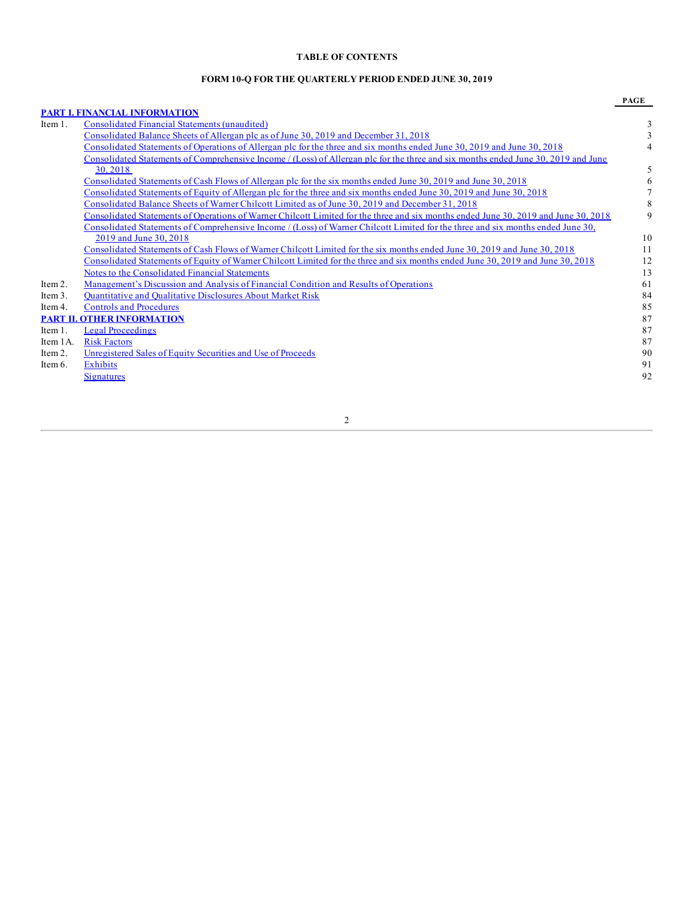# **TABLE OF CONTENTS**

# **FORM 10-Q FOR THE QUARTERLY PERIOD ENDED JUNE 30, 2019**

|          |                                                                                                                                     | <b>PAGE</b> |
|----------|-------------------------------------------------------------------------------------------------------------------------------------|-------------|
|          | <b>PART I. FINANCIAL INFORMATION</b>                                                                                                |             |
| Item 1.  | <b>Consolidated Financial Statements (unaudited)</b>                                                                                | 3           |
|          | Consolidated Balance Sheets of Allergan plc as of June 30, 2019 and December 31, 2018                                               | 3           |
|          | Consolidated Statements of Operations of Allergan plc for the three and six months ended June 30, 2019 and June 30, 2018            |             |
|          | Consolidated Statements of Comprehensive Income / (Loss) of Allergan plc for the three and six months ended June 30, 2019 and June  |             |
|          | 30,2018                                                                                                                             | 5           |
|          | Consolidated Statements of Cash Flows of Allergan plc for the six months ended June 30, 2019 and June 30, 2018                      | 6           |
|          | Consolidated Statements of Equity of Allergan plc for the three and six months ended June 30, 2019 and June 30, 2018                |             |
|          | Consolidated Balance Sheets of Warner Chilcott Limited as of June 30, 2019 and December 31, 2018                                    | 8           |
|          | Consolidated Statements of Operations of Warner Chilcott Limited for the three and six months ended June 30, 2019 and June 30, 2018 | 9           |
|          | Consolidated Statements of Comprehensive Income / (Loss) of Warner Chilcott Limited for the three and six months ended June 30,     |             |
|          | 2019 and June 30, 2018                                                                                                              | 10          |
|          | Consolidated Statements of Cash Flows of Warner Chilcott Limited for the six months ended June 30, 2019 and June 30, 2018           | 11          |
|          | Consolidated Statements of Equity of Warner Chilcott Limited for the three and six months ended June 30, 2019 and June 30, 2018     | 12          |
|          | Notes to the Consolidated Financial Statements                                                                                      | 13          |
| Item 2.  | Management's Discussion and Analysis of Financial Condition and Results of Operations                                               | 61          |
| Item 3.  | <b>Quantitative and Qualitative Disclosures About Market Risk</b>                                                                   | 84          |
| Item 4.  | <b>Controls and Procedures</b>                                                                                                      | 85          |
|          | <b>PART II. OTHER INFORMATION</b>                                                                                                   | 87          |
| Item 1.  | <b>Legal Proceedings</b>                                                                                                            | 87          |
| Item 1A. | <b>Risk Factors</b>                                                                                                                 | 87          |
| Item 2.  | Unregistered Sales of Equity Securities and Use of Proceeds                                                                         | 90          |
| Item 6.  | Exhibits                                                                                                                            | 91          |
|          | <b>Signatures</b>                                                                                                                   | 92          |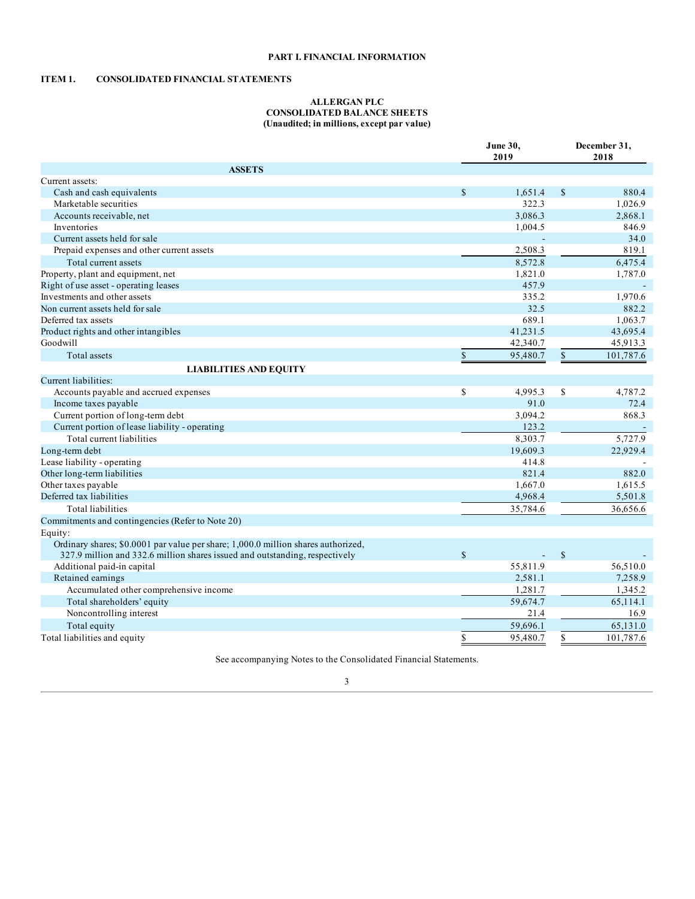# **PART I. FINANCIAL INFORMATION**

# **ITEM 1. CONSOLIDATED FINANCIAL STATEMENTS**

# **ALLERGAN PLC CONSOLIDATED BALANCE SHEETS (Unaudited; in millions, except par value)**

|                                                                                   |               | June 30,<br>2019 | December 31,<br>2018 |           |  |  |
|-----------------------------------------------------------------------------------|---------------|------------------|----------------------|-----------|--|--|
| <b>ASSETS</b>                                                                     |               |                  |                      |           |  |  |
| Current assets:                                                                   |               |                  |                      |           |  |  |
| Cash and cash equivalents                                                         | $\mathbf S$   | 1,651.4          | $\mathbb{S}$         | 880.4     |  |  |
| Marketable securities                                                             |               | 322.3            |                      | 1,026.9   |  |  |
| Accounts receivable, net                                                          |               | 3,086.3          |                      | 2,868.1   |  |  |
| Inventories                                                                       |               | 1,004.5          |                      | 846.9     |  |  |
| Current assets held for sale                                                      |               |                  |                      | 34.0      |  |  |
| Prepaid expenses and other current assets                                         |               | 2,508.3          |                      | 819.1     |  |  |
| Total current assets                                                              |               | 8,572.8          |                      | 6,475.4   |  |  |
| Property, plant and equipment, net                                                |               | 1,821.0          |                      | 1,787.0   |  |  |
| Right of use asset - operating leases                                             |               | 457.9            |                      |           |  |  |
| Investments and other assets                                                      |               | 335.2            |                      | 1,970.6   |  |  |
| Non current assets held for sale                                                  |               | 32.5             |                      | 882.2     |  |  |
| Deferred tax assets                                                               |               | 689.1            |                      | 1,063.7   |  |  |
| Product rights and other intangibles                                              |               | 41,231.5         |                      | 43,695.4  |  |  |
| Goodwill                                                                          |               | 42,340.7         |                      | 45,913.3  |  |  |
| Total assets                                                                      | $\mathbb{S}$  | 95,480.7         | \$                   | 101,787.6 |  |  |
| <b>LIABILITIES AND EQUITY</b>                                                     |               |                  |                      |           |  |  |
| Current liabilities:                                                              |               |                  |                      |           |  |  |
| Accounts payable and accrued expenses                                             | $\mathbf S$   | 4,995.3          | \$                   | 4,787.2   |  |  |
| Income taxes payable                                                              |               | 91.0             |                      | 72.4      |  |  |
| Current portion of long-term debt                                                 |               | 3,094.2          |                      | 868.3     |  |  |
| Current portion of lease liability - operating                                    |               | 123.2            |                      |           |  |  |
| Total current liabilities                                                         |               | 8,303.7          |                      | 5,727.9   |  |  |
| Long-term debt                                                                    |               | 19,609.3         |                      | 22,929.4  |  |  |
| Lease liability - operating                                                       |               | 414.8            |                      |           |  |  |
| Other long-term liabilities                                                       |               | 821.4            |                      | 882.0     |  |  |
| Other taxes payable                                                               |               | 1,667.0          |                      | 1,615.5   |  |  |
| Deferred tax liabilities                                                          |               | 4,968.4          |                      | 5,501.8   |  |  |
| <b>Total liabilities</b>                                                          |               | 35,784.6         |                      | 36,656.6  |  |  |
| Commitments and contingencies (Refer to Note 20)                                  |               |                  |                      |           |  |  |
| Equity:                                                                           |               |                  |                      |           |  |  |
| Ordinary shares; \$0.0001 par value per share; 1,000.0 million shares authorized, |               |                  |                      |           |  |  |
| 327.9 million and 332.6 million shares issued and outstanding, respectively       | $\mathcal{S}$ | L,               | $\mathbb{S}$         |           |  |  |
| Additional paid-in capital                                                        |               | 55,811.9         |                      | 56,510.0  |  |  |
| Retained earnings                                                                 |               | 2,581.1          |                      | 7,258.9   |  |  |
| Accumulated other comprehensive income                                            |               | 1,281.7          |                      | 1,345.2   |  |  |
| Total shareholders' equity                                                        |               | 59,674.7         |                      | 65,114.1  |  |  |
| Noncontrolling interest                                                           |               | 21.4             |                      | 16.9      |  |  |
| Total equity                                                                      |               | 59,696.1         |                      | 65,131.0  |  |  |
| Total liabilities and equity                                                      | \$            | 95,480.7         | \$                   | 101,787.6 |  |  |

See accompanying Notes to the Consolidated Financial Statements.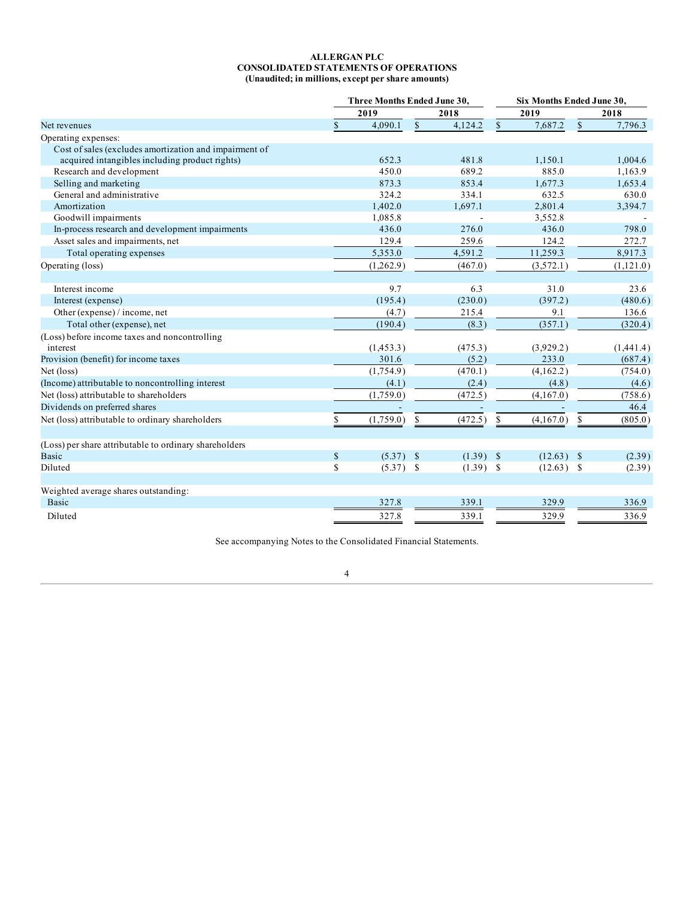# **ALLERGAN PLC CONSOLIDATED STATEMENTS OF OPERATIONS (Unaudited; in millions, except per share amounts)**

|                                                        |              | Three Months Ended June 30, |              |             | Six Months Ended June 30, |              |              |           |  |  |
|--------------------------------------------------------|--------------|-----------------------------|--------------|-------------|---------------------------|--------------|--------------|-----------|--|--|
|                                                        |              | 2019                        |              | 2018        |                           | 2019         |              | 2018      |  |  |
| Net revenues                                           | $\mathbb{S}$ | 4,090.1                     | $\mathbb{S}$ | 4,124.2     | $\mathbb{S}$              | 7,687.2      | $\mathbb{S}$ | 7,796.3   |  |  |
| Operating expenses:                                    |              |                             |              |             |                           |              |              |           |  |  |
| Cost of sales (excludes amortization and impairment of |              |                             |              |             |                           |              |              |           |  |  |
| acquired intangibles including product rights)         |              | 652.3                       |              | 481.8       |                           | 1,150.1      |              | 1,004.6   |  |  |
| Research and development                               |              | 450.0                       |              | 689.2       |                           | 885.0        |              | 1,163.9   |  |  |
| Selling and marketing                                  |              | 873.3                       |              | 853.4       |                           | 1,677.3      |              | 1,653.4   |  |  |
| General and administrative                             |              | 324.2                       |              | 334.1       |                           | 632.5        |              | 630.0     |  |  |
| Amortization                                           |              | 1,402.0                     |              | 1,697.1     |                           | 2,801.4      |              | 3,394.7   |  |  |
| Goodwill impairments                                   |              | 1,085.8                     |              |             |                           | 3,552.8      |              |           |  |  |
| In-process research and development impairments        |              | 436.0                       |              | 276.0       |                           | 436.0        |              | 798.0     |  |  |
| Asset sales and impairments, net                       |              | 129.4                       |              | 259.6       |                           | 124.2        |              | 272.7     |  |  |
| Total operating expenses                               |              | 5,353.0                     |              | 4,591.2     |                           | 11,259.3     |              | 8,917.3   |  |  |
| Operating (loss)                                       |              | (1,262.9)                   |              | (467.0)     |                           | (3,572.1)    |              | (1,121.0) |  |  |
|                                                        |              |                             |              |             |                           |              |              |           |  |  |
| Interest income                                        |              | 9.7                         |              | 6.3         |                           | 31.0         |              | 23.6      |  |  |
| Interest (expense)                                     |              | (195.4)                     |              | (230.0)     |                           | (397.2)      |              | (480.6)   |  |  |
| Other (expense) / income, net                          |              | (4.7)                       |              | 215.4       |                           | 9.1          |              | 136.6     |  |  |
| Total other (expense), net                             |              | (190.4)                     |              | (8.3)       |                           | (357.1)      |              | (320.4)   |  |  |
| (Loss) before income taxes and noncontrolling          |              |                             |              |             |                           |              |              |           |  |  |
| interest                                               |              | (1,453.3)                   |              | (475.3)     |                           | (3,929.2)    |              | (1,441.4) |  |  |
| Provision (benefit) for income taxes                   |              | 301.6                       |              | (5.2)       |                           | 233.0        |              | (687.4)   |  |  |
| Net (loss)                                             |              | (1,754.9)                   |              | (470.1)     |                           | (4,162.2)    |              | (754.0)   |  |  |
| (Income) attributable to noncontrolling interest       |              | (4.1)                       |              | (2.4)       |                           | (4.8)        |              | (4.6)     |  |  |
| Net (loss) attributable to shareholders                |              | (1,759.0)                   |              | (472.5)     |                           | (4,167.0)    |              | (758.6)   |  |  |
| Dividends on preferred shares                          |              |                             |              |             |                           |              |              | 46.4      |  |  |
| Net (loss) attributable to ordinary shareholders       | \$           | (1,759.0)                   | \$           | (472.5)     | $\mathbb{S}$              | (4,167.0)    | $\mathbb{S}$ | (805.0)   |  |  |
|                                                        |              |                             |              |             |                           |              |              |           |  |  |
| (Loss) per share attributable to ordinary shareholders |              |                             |              |             |                           |              |              |           |  |  |
| <b>Basic</b>                                           | $\mathbb{S}$ | $(5.37)$ \$                 |              | $(1.39)$ \$ |                           | $(12.63)$ \$ |              | (2.39)    |  |  |
| Diluted                                                | $\mathbb S$  | $(5.37)$ \$                 |              | $(1.39)$ \$ |                           | $(12.63)$ \$ |              | (2.39)    |  |  |
|                                                        |              |                             |              |             |                           |              |              |           |  |  |
| Weighted average shares outstanding:                   |              |                             |              |             |                           |              |              |           |  |  |
| <b>Basic</b>                                           |              | 327.8                       |              | 339.1       |                           | 329.9        |              | 336.9     |  |  |
| Diluted                                                |              | 327.8                       |              | 339.1       |                           | 329.9        |              | 336.9     |  |  |
|                                                        |              |                             |              |             |                           |              |              |           |  |  |

See accompanying Notes to the Consolidated Financial Statements.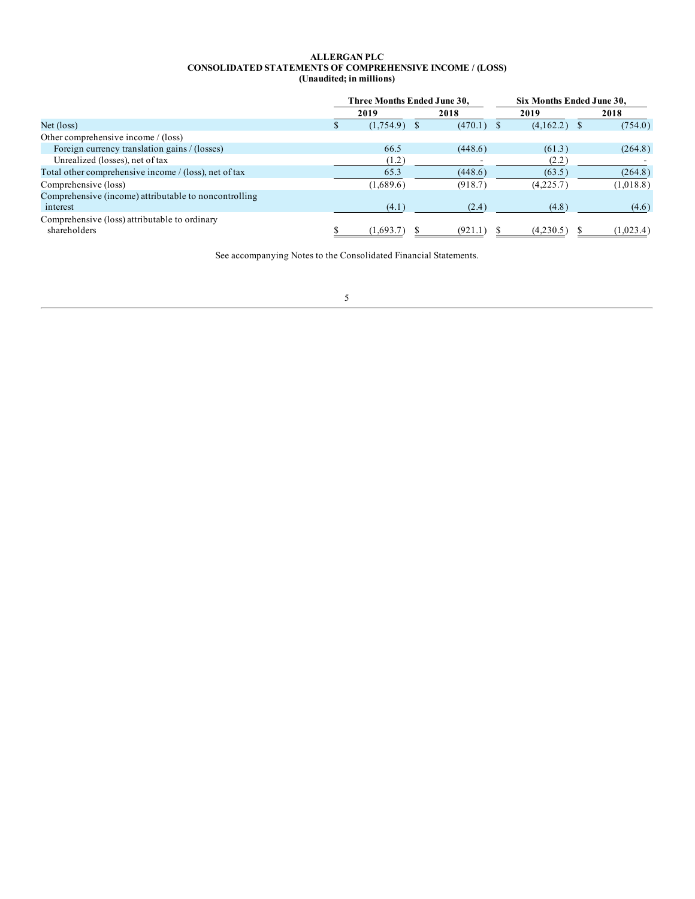#### **ALLERGAN PLC CONSOLIDATED STATEMENTS OF COMPREHENSIVE INCOME / (LOSS) (Unaudited; in millions)**

|                                                               |              |           | Three Months Ended June 30, | Six Months Ended June 30, |                |  |           |  |  |
|---------------------------------------------------------------|--------------|-----------|-----------------------------|---------------------------|----------------|--|-----------|--|--|
|                                                               |              | 2019      | 2018                        |                           | 2019           |  | 2018      |  |  |
| Net (loss)                                                    | $\mathbf{D}$ | (1,754.9) | (470.1)                     |                           | $(4,162.2)$ \$ |  | (754.0)   |  |  |
| Other comprehensive income / (loss)                           |              |           |                             |                           |                |  |           |  |  |
| Foreign currency translation gains / (losses)                 |              | 66.5      | (448.6)                     |                           | (61.3)         |  | (264.8)   |  |  |
| Unrealized (losses), net of tax                               |              | (1.2)     |                             |                           | (2.2)          |  |           |  |  |
| Total other comprehensive income / (loss), net of tax         |              | 65.3      | (448.6)                     |                           | (63.5)         |  | (264.8)   |  |  |
| Comprehensive (loss)                                          |              | (1,689.6) | (918.7)                     |                           | (4,225.7)      |  | (1,018.8) |  |  |
| Comprehensive (income) attributable to noncontrolling         |              |           |                             |                           |                |  |           |  |  |
| interest                                                      |              | (4.1)     | (2.4)                       |                           | (4.8)          |  | (4.6)     |  |  |
| Comprehensive (loss) attributable to ordinary<br>shareholders |              | (1,693.7) | (921.1)                     |                           | (4,230.5)      |  | (1,023.4) |  |  |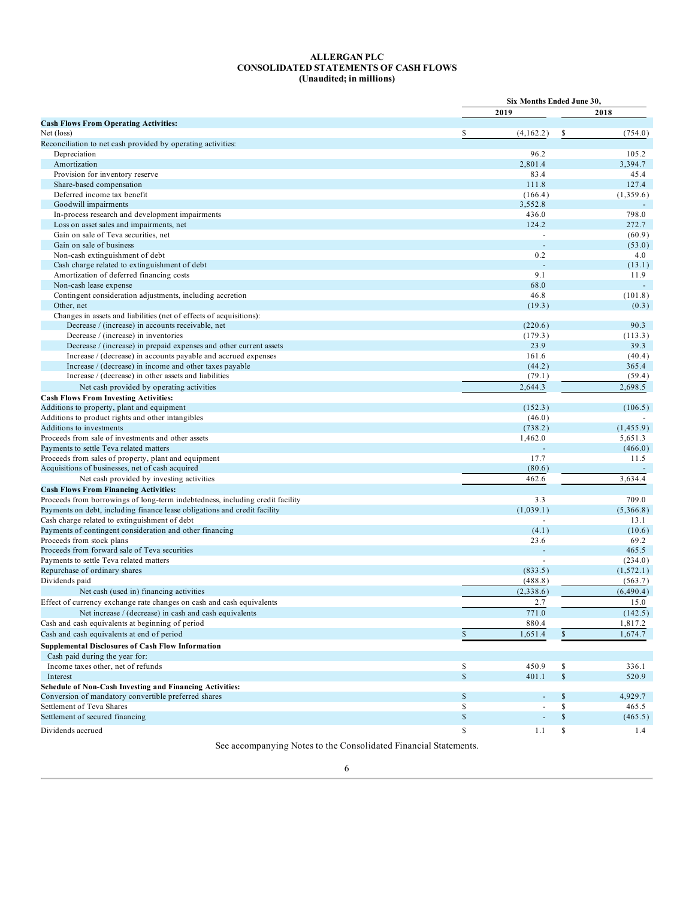# **ALLERGAN PLC CONSOLIDATED STATEMENTS OF CASH FLOWS (Unaudited; in millions)**

|                                                                               |              | <b>Six Months Ended June 30.</b> |              |                  |
|-------------------------------------------------------------------------------|--------------|----------------------------------|--------------|------------------|
|                                                                               | 2019         |                                  |              | 2018             |
| <b>Cash Flows From Operating Activities:</b>                                  |              |                                  |              |                  |
| Net (loss)                                                                    | \$           | (4,162.2)                        | \$           | (754.0)          |
| Reconciliation to net cash provided by operating activities:                  |              |                                  |              |                  |
| Depreciation<br>Amortization                                                  |              | 96.2                             |              | 105.2<br>3.394.7 |
|                                                                               |              | 2,801.4<br>83.4                  |              | 45.4             |
| Provision for inventory reserve<br>Share-based compensation                   |              | 111.8                            |              | 127.4            |
| Deferred income tax benefit                                                   |              | (166.4)                          |              | (1,359.6)        |
| Goodwill impairments                                                          |              | 3,552.8                          |              |                  |
| In-process research and development impairments                               |              | 436.0                            |              | 798.0            |
| Loss on asset sales and impairments, net                                      |              | 124.2                            |              | 272.7            |
| Gain on sale of Teva securities, net                                          |              |                                  |              | (60.9)           |
| Gain on sale of business                                                      |              | ÷,                               |              | (53.0)           |
| Non-cash extinguishment of debt                                               |              | 0.2                              |              | 4.0              |
| Cash charge related to extinguishment of debt                                 |              |                                  |              | (13.1)           |
| Amortization of deferred financing costs                                      |              | 9.1                              |              | 11.9             |
| Non-cash lease expense                                                        |              | 68.0                             |              |                  |
| Contingent consideration adjustments, including accretion                     |              | 46.8                             |              | (101.8)          |
| Other, net                                                                    |              | (19.3)                           |              | (0.3)            |
| Changes in assets and liabilities (net of effects of acquisitions):           |              |                                  |              |                  |
| Decrease / (increase) in accounts receivable, net                             |              | (220.6)                          |              | 90.3             |
| Decrease / (increase) in inventories                                          |              | (179.3)                          |              | (113.3)          |
| Decrease / (increase) in prepaid expenses and other current assets            |              | 23.9                             |              | 39.3             |
| Increase / (decrease) in accounts payable and accrued expenses                |              | 161.6                            |              | (40.4)           |
| Increase / (decrease) in income and other taxes payable                       |              | (44.2)                           |              | 365.4            |
| Increase / (decrease) in other assets and liabilities                         |              | (79.1)                           |              | (59.4)           |
| Net cash provided by operating activities                                     |              | 2,644.3                          |              | 2,698.5          |
| <b>Cash Flows From Investing Activities:</b>                                  |              |                                  |              |                  |
| Additions to property, plant and equipment                                    |              | (152.3)                          |              | (106.5)          |
| Additions to product rights and other intangibles                             |              | (46.0)                           |              |                  |
| Additions to investments                                                      |              | (738.2)                          |              | (1,455.9)        |
| Proceeds from sale of investments and other assets                            |              | 1,462.0                          |              | 5,651.3          |
| Payments to settle Teva related matters                                       |              |                                  |              | (466.0)          |
| Proceeds from sales of property, plant and equipment                          |              | 17.7                             |              | 11.5             |
| Acquisitions of businesses, net of cash acquired                              |              | (80.6)                           |              |                  |
| Net cash provided by investing activities                                     |              | 462.6                            |              | 3,634.4          |
| <b>Cash Flows From Financing Activities:</b>                                  |              |                                  |              |                  |
| Proceeds from borrowings of long-term indebtedness, including credit facility |              | 3.3                              |              | 709.0            |
| Payments on debt, including finance lease obligations and credit facility     |              | (1,039.1)                        |              | (5,366.8)        |
| Cash charge related to extinguishment of debt                                 |              | ÷.                               |              | 13.1             |
| Payments of contingent consideration and other financing                      |              | (4.1)                            |              | (10.6)           |
| Proceeds from stock plans                                                     |              | 23.6                             |              | 69.2             |
| Proceeds from forward sale of Teva securities                                 |              |                                  |              | 465.5            |
| Payments to settle Teva related matters                                       |              |                                  |              | (234.0)          |
| Repurchase of ordinary shares                                                 |              | (833.5)                          |              | (1,572.1)        |
| Dividends paid                                                                |              | (488.8)                          |              | (563.7)          |
| Net cash (used in) financing activities                                       |              | (2,338.6)                        |              | (6,490.4)        |
| Effect of currency exchange rate changes on cash and cash equivalents         |              | 2.7                              |              | 15.0             |
| Net increase / (decrease) in cash and cash equivalents                        |              | 771.0                            |              | (142.5)          |
| Cash and cash equivalents at beginning of period                              |              | 880.4                            |              | 1,817.2          |
| Cash and cash equivalents at end of period                                    | $\mathbb{S}$ | 1,651.4                          | \$           | 1,674.7          |
| <b>Supplemental Disclosures of Cash Flow Information</b>                      |              |                                  |              |                  |
| Cash paid during the year for:                                                |              |                                  |              |                  |
| Income taxes other, net of refunds                                            | \$           | 450.9                            | \$           | 336.1            |
| Interest                                                                      | $\mathbb{S}$ | 401.1                            | $\mathbb{S}$ | 520.9            |
| Schedule of Non-Cash Investing and Financing Activities:                      |              |                                  |              |                  |
| Conversion of mandatory convertible preferred shares                          | $\mathbb{S}$ |                                  | $\mathbb{S}$ | 4,929.7          |
| Settlement of Teva Shares                                                     | \$           |                                  | \$           | 465.5            |
| Settlement of secured financing                                               | $\mathbb{S}$ |                                  | $\mathbb{S}$ | (465.5)          |
| Dividends accrued                                                             | \$           | 1.1                              | \$           | 1.4              |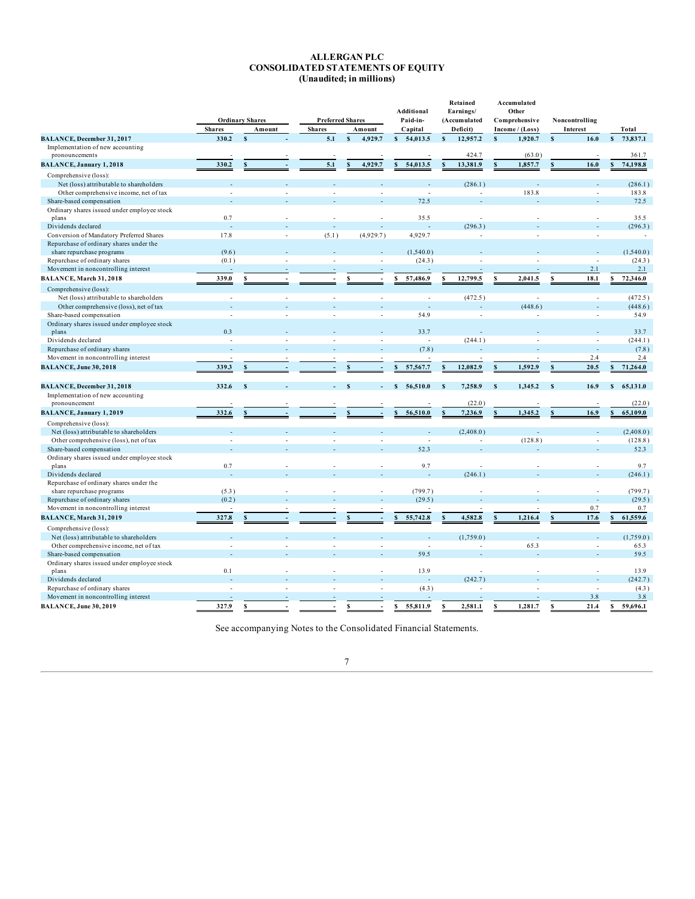#### **ALLERGAN PLC CONSOLIDATED STATEMENTS OF EQUITY (Unaudited; in millions)**

|                                                                         |               | <b>Ordinary Shares</b> |               | <b>Preferred Shares</b> |                          |    | Additional<br>Paid-in- |              | Retained<br>Earnings/<br>(Accumulated |              | Accumulated<br>Other<br>Comprehensive |              | Noncontrolling |              |              |
|-------------------------------------------------------------------------|---------------|------------------------|---------------|-------------------------|--------------------------|----|------------------------|--------------|---------------------------------------|--------------|---------------------------------------|--------------|----------------|--------------|--------------|
|                                                                         | <b>Shares</b> | Amount                 | <b>Shares</b> |                         | Amount                   |    | Capital                |              | Deficit)                              |              | Income / (Loss)                       |              | Interest       |              | Total        |
| BALANCE, December 31, 2017                                              | 330.2         | $\mathbf{s}$           | 5.1           | $\mathbf{s}$            | 4,929.7                  | \$ | 54,013.5               | $\mathbf{s}$ | 12,957.2                              | $\mathbf{s}$ | 1,920.7                               | $\mathbf{s}$ | 16.0           | $\mathbf{s}$ | 73,837.1     |
| Implementation of new accounting<br>pronouncements                      |               |                        |               |                         |                          |    |                        |              | 424.7                                 |              | (63.0)                                |              |                |              | 361.7        |
| BALANCE, January 1, 2018                                                | 330.2         | S                      | 5.1           |                         | 4,929.7                  | S  | 54,013.5               |              | 13,381.9                              |              | 1,857.7                               |              | 16.0           |              | 74,198.8     |
| Comprehensive (loss):                                                   |               |                        |               |                         |                          |    |                        |              |                                       |              |                                       |              |                |              |              |
| Net (loss) attributable to shareholders                                 |               |                        |               |                         |                          |    |                        |              | (286.1)                               |              |                                       |              |                |              | (286.1)      |
| Other comprehensive income, net of tax                                  |               |                        |               |                         |                          |    | $\overline{a}$         |              |                                       |              | 183.8                                 |              |                |              | 183.8        |
| Share-based compensation                                                |               |                        |               |                         |                          |    | 72.5                   |              |                                       |              |                                       |              |                |              | 72.5         |
| Ordinary shares issued under employee stock                             | 0.7           |                        | ä,            |                         |                          |    | 35.5                   |              | $\overline{a}$                        |              |                                       |              | ä,             |              | 35.5         |
| plans<br>Dividends declared                                             |               |                        |               |                         |                          |    |                        |              | (296.3)                               |              |                                       |              |                |              | (296.3)      |
| Conversion of Mandatory Preferred Shares                                | 17.8          |                        | (5.1)         |                         | (4.929.7)                |    | 4,929.7                |              |                                       |              |                                       |              |                |              |              |
| Repurchase of ordinary shares under the                                 |               |                        |               |                         |                          |    |                        |              |                                       |              |                                       |              |                |              |              |
| share repurchase programs                                               | (9.6)         |                        |               |                         |                          |    | (1,540.0)              |              |                                       |              |                                       |              |                |              | (1,540.0)    |
| Repurchase of ordinary shares                                           | (0.1)         |                        | ÷.            |                         | ÷.                       |    | (24.3)                 |              |                                       |              |                                       |              | $\overline{a}$ |              | (24.3)       |
| Movement in noncontrolling interest                                     |               |                        |               |                         |                          |    |                        |              |                                       |              |                                       |              | 2.1            |              | 2.1          |
| BALANCE, March 31, 2018                                                 | 339.0         |                        |               | S                       | $\overline{\phantom{a}}$ | S  | 57,486.9               |              | 12.799.5                              |              | 2.041.5                               |              | 18.1           |              | 72.346.0     |
| Comprehensive (loss):                                                   |               |                        |               |                         |                          |    |                        |              |                                       |              |                                       |              |                |              |              |
| Net (loss) attributable to shareholders                                 |               |                        |               |                         |                          |    | $\bar{a}$              |              | (472.5)                               |              |                                       |              | $\sim$         |              | (472.5)      |
| Other comprehensive (loss), net of tax                                  |               |                        |               |                         |                          |    |                        |              |                                       |              | (448.6)                               |              |                |              | (448.6)      |
| Share-based compensation                                                |               |                        |               |                         |                          |    | 54.9                   |              | $\overline{a}$                        |              |                                       |              | $\overline{a}$ |              | 54.9         |
| Ordinary shares issued under employee stock<br>plans                    | 0.3           |                        |               |                         |                          |    | 33.7                   |              |                                       |              |                                       |              |                |              | 33.7         |
| Dividends declared                                                      | ÷.            |                        |               |                         | ÷,                       |    | $\sim$                 |              | (244.1)                               |              |                                       |              | ÷,             |              | (244.1)      |
| Repurchase of ordinary shares                                           |               |                        |               |                         |                          |    | (7.8)                  |              |                                       |              |                                       |              |                |              | (7.8)        |
| Movement in noncontrolling interest                                     |               |                        |               |                         |                          |    |                        |              |                                       |              |                                       |              | 2.4            |              | 2.4          |
| BALANCE, June 30, 2018                                                  | 339.3         |                        |               |                         |                          |    | 57,567.7               |              | 12,082.9                              |              | 1,592.9                               |              | 20.5           |              | 71,264.0     |
| BALANCE, December 31, 2018                                              | 332.6         | $\mathbf{s}$           |               | $\mathbf{s}$            |                          | s  | 56,510.0               | $\mathbf{s}$ | 7.258.9                               | S            | 1.345.2                               | S            | 16.9           | s            | 65,131.0     |
| Implementation of new accounting                                        |               |                        |               |                         |                          |    |                        |              |                                       |              |                                       |              |                |              |              |
| pronouncement                                                           |               |                        |               |                         |                          |    |                        |              | (22.0)                                |              |                                       |              |                |              | (22.0)       |
| BALANCE, January 1, 2019                                                | 332.6         | S                      |               |                         | $\overline{\phantom{a}}$ | S  | 56,510.0               |              | 7,236.9                               | S            | 1,345.2                               |              | 16.9           |              | 65,109.0     |
| Comprehensive (loss):                                                   |               |                        |               |                         |                          |    |                        |              |                                       |              |                                       |              |                |              |              |
| Net (loss) attributable to shareholders                                 |               |                        |               |                         |                          |    |                        |              | (2,408.0)                             |              |                                       |              |                |              | (2,408.0)    |
| Other comprehensive (loss), net of tax                                  |               |                        |               |                         |                          |    | $\sim$                 |              |                                       |              | (128.8)                               |              |                |              | (128.8)      |
| Share-based compensation                                                |               |                        |               |                         |                          |    | 52.3                   |              |                                       |              |                                       |              |                |              | 52.3         |
| Ordinary shares issued under employee stock                             |               |                        |               |                         |                          |    |                        |              |                                       |              |                                       |              |                |              |              |
| plans                                                                   | 0.7           |                        |               |                         | ÷,                       |    | 9.7                    |              |                                       |              |                                       |              | ÷,             |              | 9.7          |
| Dividends declared                                                      |               |                        |               |                         |                          |    |                        |              | (246.1)                               |              |                                       |              |                |              | (246.1)      |
| Repurchase of ordinary shares under the                                 |               |                        |               |                         |                          |    |                        |              |                                       |              |                                       |              |                |              |              |
| share repurchase programs                                               | (5.3)         |                        |               |                         | $\overline{a}$           |    | (799.7)                |              |                                       |              |                                       |              | ÷,             |              | (799.7)      |
| Repurchase of ordinary shares                                           | (0.2)         |                        |               |                         |                          |    | (29.5)                 |              |                                       |              |                                       |              |                |              | (29.5)       |
| Movement in noncontrolling interest                                     |               |                        |               |                         |                          |    |                        |              |                                       |              |                                       |              | 0.7            |              | 0.7          |
| BALANCE, March 31, 2019                                                 | 327.8         |                        |               |                         |                          |    | 55,742.8               |              | 4,582.8                               |              | 1,216.4                               |              | 17.6           |              | 61,559.6     |
| Comprehensive (loss):                                                   |               |                        |               |                         |                          |    |                        |              |                                       |              |                                       |              |                |              |              |
| Net (loss) attributable to shareholders                                 |               |                        |               |                         |                          |    |                        |              | (1,759.0)                             |              |                                       |              |                |              | (1,759.0)    |
| Other comprehensive income, net of tax                                  |               |                        |               |                         |                          |    | 59.5                   |              |                                       |              | 65.3                                  |              |                |              | 65.3<br>59.5 |
| Share-based compensation<br>Ordinary shares issued under employee stock |               |                        |               |                         |                          |    |                        |              |                                       |              |                                       |              |                |              |              |
| plans                                                                   | 0.1           |                        |               |                         |                          |    | 13.9                   |              |                                       |              |                                       |              |                |              | 13.9         |
| Dividends declared                                                      |               |                        |               |                         |                          |    |                        |              | (242.7)                               |              |                                       |              |                |              | (242.7)      |
| Repurchase of ordinary shares                                           |               |                        |               |                         | $\overline{a}$           |    | (4.3)                  |              | $\sim$                                |              |                                       |              | ÷.             |              | (4.3)        |
| Movement in noncontrolling interest                                     |               |                        |               |                         |                          |    |                        |              |                                       |              |                                       |              | 3.8            |              | 3.8          |
| BALANCE, June 30, 2019                                                  | 327.9         | S                      |               | s                       |                          | S  | 55,811.9               |              | 2,581.1                               |              | 1,281.7                               | S            | 21.4           | S            | 59.696.1     |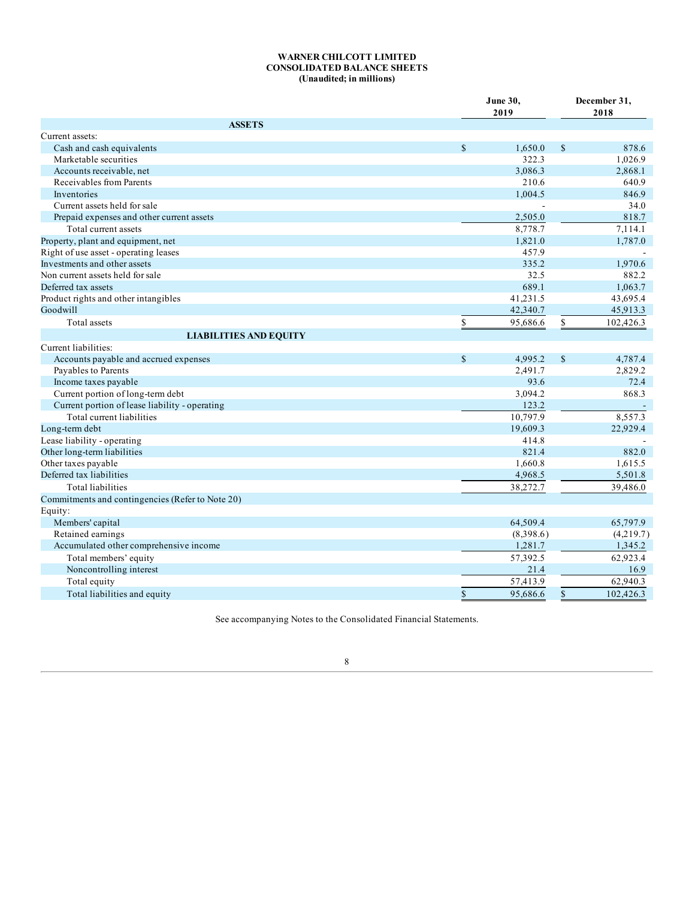#### **WARNER CHILCOTT LIMITED CONSOLIDATED BALANCE SHEETS (Unaudited; in millions)**

|                                                  |              | June 30,<br>2019 | December 31,<br>2018 |           |  |
|--------------------------------------------------|--------------|------------------|----------------------|-----------|--|
| <b>ASSETS</b>                                    |              |                  |                      |           |  |
| Current assets:                                  |              |                  |                      |           |  |
| Cash and cash equivalents                        | $\mathbf S$  | 1.650.0          | $\mathbf{s}$         | 878.6     |  |
| Marketable securities                            |              | 322.3            |                      | 1,026.9   |  |
| Accounts receivable, net                         |              | 3,086.3          |                      | 2,868.1   |  |
| Receivables from Parents                         |              | 210.6            |                      | 640.9     |  |
| Inventories                                      |              | 1,004.5          |                      | 846.9     |  |
| Current assets held for sale                     |              |                  |                      | 34.0      |  |
| Prepaid expenses and other current assets        |              | 2,505.0          |                      | 818.7     |  |
| Total current assets                             |              | 8,778.7          |                      | 7,114.1   |  |
| Property, plant and equipment, net               |              | 1,821.0          |                      | 1,787.0   |  |
| Right of use asset - operating leases            |              | 457.9            |                      |           |  |
| Investments and other assets                     |              | 335.2            |                      | 1,970.6   |  |
| Non current assets held for sale                 |              | 32.5             |                      | 882.2     |  |
| Deferred tax assets                              |              | 689.1            |                      | 1,063.7   |  |
| Product rights and other intangibles             |              | 41,231.5         |                      | 43,695.4  |  |
| Goodwill                                         |              | 42,340.7         |                      | 45,913.3  |  |
| Total assets                                     | \$           | 95,686.6         | \$                   | 102,426.3 |  |
| <b>LIABILITIES AND EQUITY</b>                    |              |                  |                      |           |  |
| Current liabilities:                             |              |                  |                      |           |  |
| Accounts payable and accrued expenses            | $\mathbf S$  | 4,995.2          | \$                   | 4,787.4   |  |
| Payables to Parents                              |              | 2,491.7          |                      | 2,829.2   |  |
| Income taxes payable                             |              | 93.6             |                      | 72.4      |  |
| Current portion of long-term debt                |              | 3,094.2          |                      | 868.3     |  |
| Current portion of lease liability - operating   |              | 123.2            |                      |           |  |
| Total current liabilities                        |              | 10,797.9         |                      | 8,557.3   |  |
| Long-term debt                                   |              | 19,609.3         |                      | 22,929.4  |  |
| Lease liability - operating                      |              | 414.8            |                      |           |  |
| Other long-term liabilities                      |              | 821.4            |                      | 882.0     |  |
| Other taxes payable                              |              | 1,660.8          |                      | 1.615.5   |  |
| Deferred tax liabilities                         |              | 4,968.5          |                      | 5,501.8   |  |
| Total liabilities                                |              | 38,272.7         |                      | 39,486.0  |  |
| Commitments and contingencies (Refer to Note 20) |              |                  |                      |           |  |
| Equity:                                          |              |                  |                      |           |  |
| Members' capital                                 |              | 64,509.4         |                      | 65,797.9  |  |
| Retained earnings                                |              | (8,398.6)        |                      | (4,219.7) |  |
| Accumulated other comprehensive income           |              | 1,281.7          |                      | 1,345.2   |  |
| Total members' equity                            |              | 57,392.5         |                      | 62,923.4  |  |
| Noncontrolling interest                          |              | 21.4             |                      | 16.9      |  |
| Total equity                                     |              | 57,413.9         |                      | 62,940.3  |  |
| Total liabilities and equity                     | $\mathbb{S}$ | 95,686.6         | \$                   | 102,426.3 |  |

See accompanying Notes to the Consolidated Financial Statements.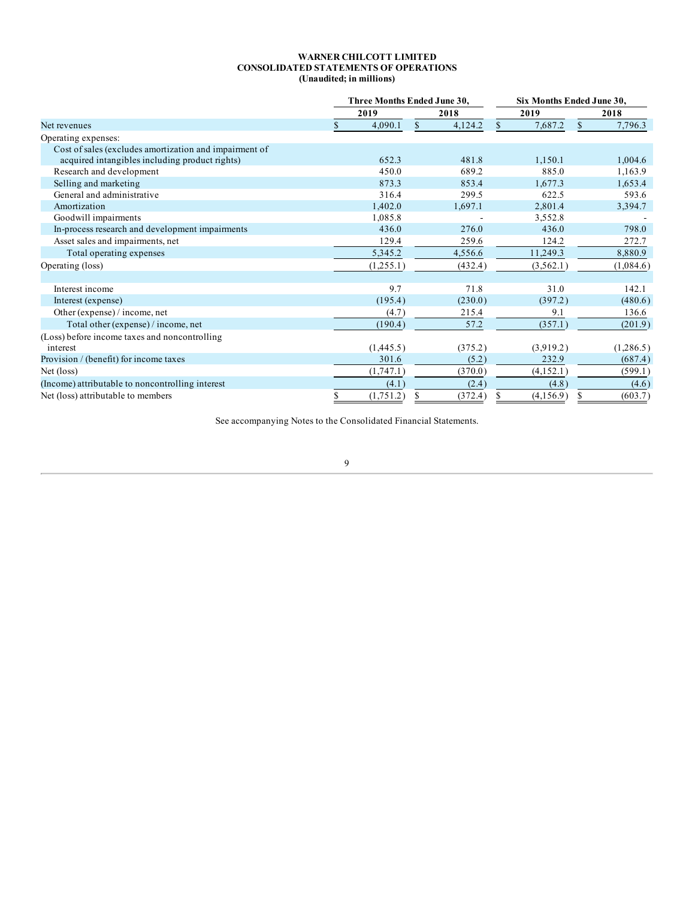#### **WARNER CHILCOTT LIMITED CONSOLIDATED STATEMENTS OF OPERATIONS (Unaudited; in millions)**

|                                                        | Three Months Ended June 30, |               | Six Months Ended June 30, |            |    |           |  |  |
|--------------------------------------------------------|-----------------------------|---------------|---------------------------|------------|----|-----------|--|--|
|                                                        | 2019                        | 2018          |                           | 2019       |    | 2018      |  |  |
| Net revenues                                           | 4,090.1                     | \$<br>4,124.2 | $\mathbb{S}$              | 7,687.2    | \$ | 7,796.3   |  |  |
| Operating expenses:                                    |                             |               |                           |            |    |           |  |  |
| Cost of sales (excludes amortization and impairment of |                             |               |                           |            |    |           |  |  |
| acquired intangibles including product rights)         | 652.3                       | 481.8         |                           | 1,150.1    |    | 1,004.6   |  |  |
| Research and development                               | 450.0                       | 689.2         |                           | 885.0      |    | 1,163.9   |  |  |
| Selling and marketing                                  | 873.3                       | 853.4         |                           | 1,677.3    |    | 1,653.4   |  |  |
| General and administrative                             | 316.4                       | 299.5         |                           | 622.5      |    | 593.6     |  |  |
| Amortization                                           | 1,402.0                     | 1,697.1       |                           | 2,801.4    |    | 3,394.7   |  |  |
| Goodwill impairments                                   | 1,085.8                     |               |                           | 3,552.8    |    |           |  |  |
| In-process research and development impairments        | 436.0                       | 276.0         |                           | 436.0      |    | 798.0     |  |  |
| Asset sales and impairments, net                       | 129.4                       | 259.6         |                           | 124.2      |    | 272.7     |  |  |
| Total operating expenses                               | 5,345.2                     | 4,556.6       |                           | 11,249.3   |    | 8,880.9   |  |  |
| Operating (loss)                                       | (1,255.1)                   | (432.4)       |                           | (3, 562.1) |    | (1,084.6) |  |  |
|                                                        |                             |               |                           |            |    |           |  |  |
| Interest income                                        | 9.7                         | 71.8          |                           | 31.0       |    | 142.1     |  |  |
| Interest (expense)                                     | (195.4)                     | (230.0)       |                           | (397.2)    |    | (480.6)   |  |  |
| Other (expense) / income, net                          | (4.7)                       | 215.4         |                           | 9.1        |    | 136.6     |  |  |
| Total other (expense) / income, net                    | (190.4)                     | 57.2          |                           | (357.1)    |    | (201.9)   |  |  |
| (Loss) before income taxes and noncontrolling          |                             |               |                           |            |    |           |  |  |
| interest                                               | (1,445.5)                   | (375.2)       |                           | (3,919.2)  |    | (1,286.5) |  |  |
| Provision / (benefit) for income taxes                 | 301.6                       | (5.2)         |                           | 232.9      |    | (687.4)   |  |  |
| Net (loss)                                             | (1,747.1)                   | (370.0)       |                           | (4,152.1)  |    | (599.1)   |  |  |
| (Income) attributable to noncontrolling interest       | (4.1)                       | (2.4)         |                           | (4.8)      |    | (4.6)     |  |  |
| Net (loss) attributable to members                     | \$<br>(1,751.2)             | \$<br>(372.4) | \$                        | (4,156.9)  | \$ | (603.7)   |  |  |

See accompanying Notes to the Consolidated Financial Statements.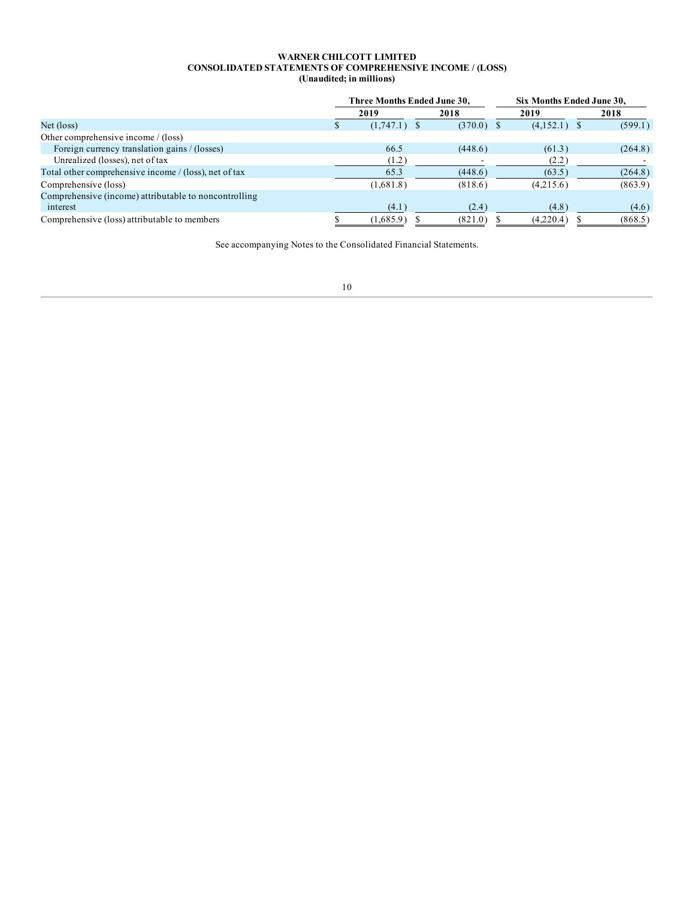# **WARNER CHILCOTT LIMITED CONSOLIDATED STATEMENTS OF COMPREHENSIVE INCOME / (LOSS) (Unaudited; in millions)**

|                                                       |  | Three Months Ended June 30, |         |                | Six Months Ended June 30, |         |  |  |
|-------------------------------------------------------|--|-----------------------------|---------|----------------|---------------------------|---------|--|--|
|                                                       |  | 2019                        | 2018    | 2019           |                           | 2018    |  |  |
| Net (loss)                                            |  | $(1,747.1)$ \$              | (370.0) | $(4,152.1)$ \$ |                           | (599.1) |  |  |
| Other comprehensive income / (loss)                   |  |                             |         |                |                           |         |  |  |
| Foreign currency translation gains / (losses)         |  | 66.5                        | (448.6) | (61.3)         |                           | (264.8) |  |  |
| Unrealized (losses), net of tax                       |  | (1.2)                       |         | (2.2)          |                           |         |  |  |
| Total other comprehensive income / (loss), net of tax |  | 65.3                        | (448.6) | (63.5)         |                           | (264.8) |  |  |
| Comprehensive (loss)                                  |  | (1,681.8)                   | (818.6) | (4,215.6)      |                           | (863.9) |  |  |
| Comprehensive (income) attributable to noncontrolling |  |                             |         |                |                           |         |  |  |
| interest                                              |  | (4.1)                       | (2.4)   | (4.8)          |                           | (4.6)   |  |  |
| Comprehensive (loss) attributable to members          |  | (1,685.9)                   | (821.0) | (4,220.4)      |                           | (868.5) |  |  |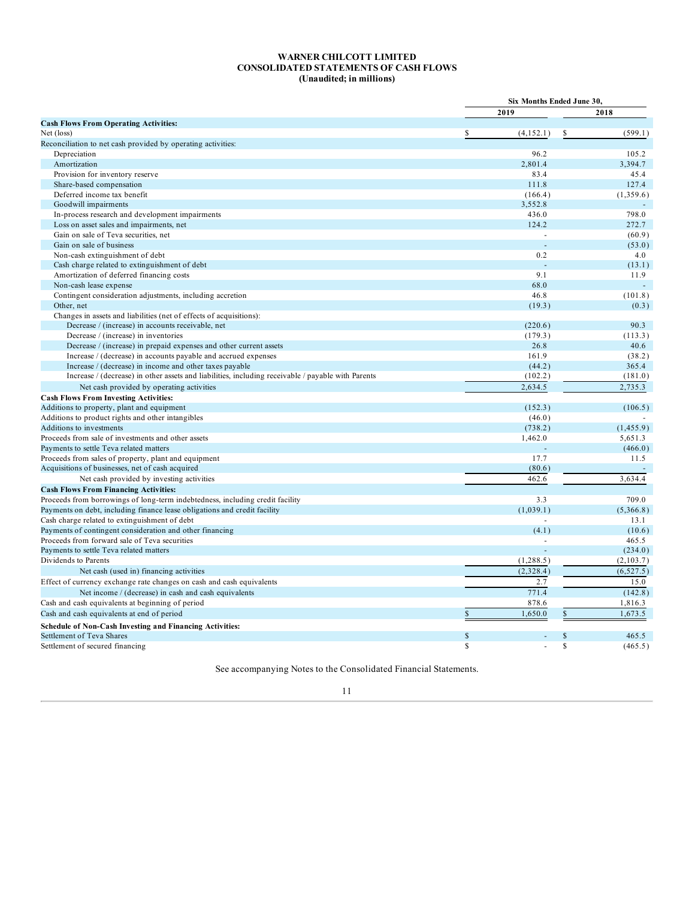#### **WARNER CHILCOTT LIMITED CONSOLIDATED STATEMENTS OF CASH FLOWS (Unaudited; in millions)**

|                                                                                                    |             | <b>Six Months Ended June 30.</b> |    |           |
|----------------------------------------------------------------------------------------------------|-------------|----------------------------------|----|-----------|
|                                                                                                    |             | 2019                             |    | 2018      |
| <b>Cash Flows From Operating Activities:</b>                                                       |             |                                  |    |           |
| Net (loss)                                                                                         | \$          | (4, 152.1)                       | \$ | (599.1)   |
| Reconciliation to net cash provided by operating activities:                                       |             |                                  |    |           |
| Depreciation                                                                                       |             | 96.2                             |    | 105.2     |
| Amortization                                                                                       |             | 2,801.4                          |    | 3,394.7   |
| Provision for inventory reserve                                                                    |             | 83.4                             |    | 45.4      |
| Share-based compensation                                                                           |             | 111.8                            |    | 127.4     |
| Deferred income tax benefit                                                                        |             | (166.4)                          |    | (1,359.6) |
| Goodwill impairments                                                                               |             | 3,552.8                          |    |           |
| In-process research and development impairments                                                    |             | 436.0                            |    | 798.0     |
| Loss on asset sales and impairments, net                                                           |             | 124.2                            |    | 272.7     |
| Gain on sale of Teva securities, net                                                               |             |                                  |    | (60.9)    |
| Gain on sale of business                                                                           |             |                                  |    | (53.0)    |
| Non-cash extinguishment of debt                                                                    |             | 0.2                              |    | 4.0       |
| Cash charge related to extinguishment of debt                                                      |             |                                  |    | (13.1)    |
| Amortization of deferred financing costs                                                           |             | 9.1                              |    | 11.9      |
| Non-cash lease expense                                                                             |             | 68.0                             |    |           |
| Contingent consideration adjustments, including accretion                                          |             | 46.8                             |    | (101.8)   |
| Other, net                                                                                         |             | (19.3)                           |    | (0.3)     |
| Changes in assets and liabilities (net of effects of acquisitions):                                |             |                                  |    |           |
| Decrease / (increase) in accounts receivable, net                                                  |             | (220.6)                          |    | 90.3      |
| Decrease / (increase) in inventories                                                               |             | (179.3)                          |    | (113.3)   |
| Decrease / (increase) in prepaid expenses and other current assets                                 |             | 26.8                             |    | 40.6      |
| Increase / (decrease) in accounts payable and accrued expenses                                     |             | 161.9                            |    | (38.2)    |
| Increase / (decrease) in income and other taxes payable                                            |             | (44.2)                           |    | 365.4     |
| Increase / (decrease) in other assets and liabilities, including receivable / payable with Parents |             | (102.2)                          |    | (181.0)   |
| Net cash provided by operating activities                                                          |             | 2,634.5                          |    | 2,735.3   |
| <b>Cash Flows From Investing Activities:</b>                                                       |             |                                  |    |           |
| Additions to property, plant and equipment                                                         |             | (152.3)                          |    | (106.5)   |
| Additions to product rights and other intangibles                                                  |             | (46.0)                           |    |           |
| Additions to investments                                                                           |             | (738.2)                          |    | (1,455.9) |
| Proceeds from sale of investments and other assets                                                 |             | 1,462.0                          |    | 5,651.3   |
| Payments to settle Teva related matters                                                            |             |                                  |    | (466.0)   |
| Proceeds from sales of property, plant and equipment                                               |             | 17.7                             |    | 11.5      |
| Acquisitions of businesses, net of cash acquired                                                   |             | (80.6)                           |    |           |
|                                                                                                    |             | 462.6                            |    | 3,634.4   |
| Net cash provided by investing activities                                                          |             |                                  |    |           |
| <b>Cash Flows From Financing Activities:</b>                                                       |             |                                  |    |           |
| Proceeds from borrowings of long-term indebtedness, including credit facility                      |             | 3.3                              |    | 709.0     |
| Payments on debt, including finance lease obligations and credit facility                          |             | (1,039.1)                        |    | (5,366.8) |
| Cash charge related to extinguishment of debt                                                      |             |                                  |    | 13.1      |
| Payments of contingent consideration and other financing                                           |             | (4.1)                            |    | (10.6)    |
| Proceeds from forward sale of Teva securities                                                      |             | $\overline{\phantom{a}}$         |    | 465.5     |
| Payments to settle Teva related matters                                                            |             |                                  |    | (234.0)   |
| Dividends to Parents                                                                               |             | (1,288.5)                        |    | (2,103.7) |
| Net cash (used in) financing activities                                                            |             | (2,328.4)                        |    | (6,527.5) |
| Effect of currency exchange rate changes on cash and cash equivalents                              |             | 2.7                              |    | 15.0      |
| Net income / (decrease) in cash and cash equivalents                                               |             | 771.4                            |    | (142.8)   |
| Cash and cash equivalents at beginning of period                                                   |             | 878.6                            |    | 1,816.3   |
| Cash and cash equivalents at end of period                                                         | \$          | 1,650.0                          | \$ | 1,673.5   |
| Schedule of Non-Cash Investing and Financing Activities:                                           |             |                                  |    |           |
| Settlement of Teva Shares                                                                          | \$          |                                  | \$ | 465.5     |
| Settlement of secured financing                                                                    | $\mathsf S$ | ÷,                               | \$ | (465.5)   |
|                                                                                                    |             |                                  |    |           |

See accompanying Notes to the Consolidated Financial Statements.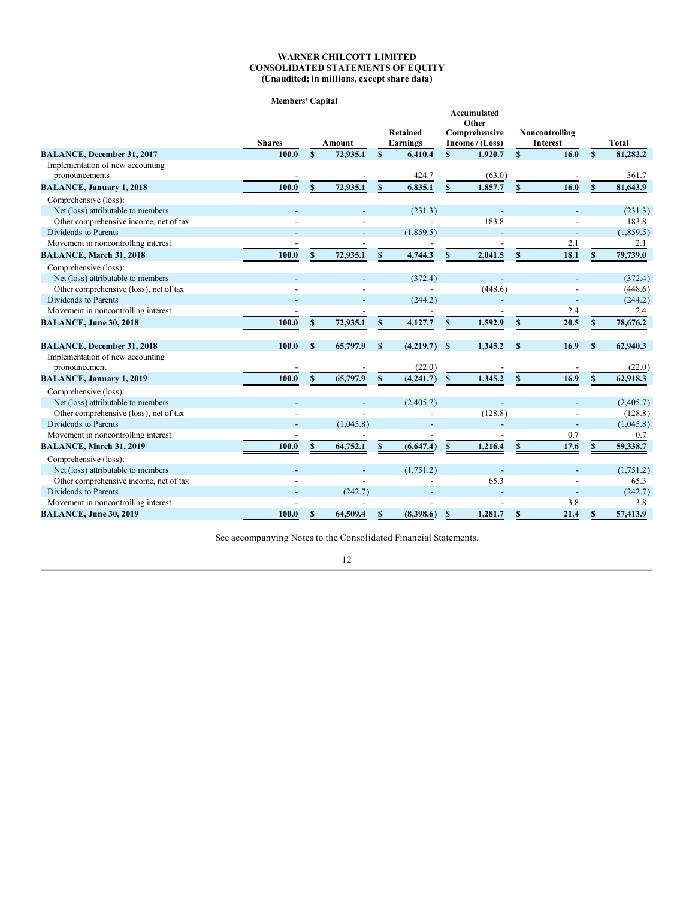# **WARNER CHILCOTT LIMITED CONSOLIDATED STATEMENTS OF EQUITY (Unaudited; in millions, except share data)**

|                                                    | <b>Members' Capital</b>  |              |                |                             |           |                                                          |                |                            |                |              |              |
|----------------------------------------------------|--------------------------|--------------|----------------|-----------------------------|-----------|----------------------------------------------------------|----------------|----------------------------|----------------|--------------|--------------|
|                                                    | <b>Shares</b>            | Amount       |                | <b>Retained</b><br>Earnings |           | Accumulated<br>Other<br>Comprehensive<br>Income / (Loss) |                | Noncontrolling<br>Interest |                |              | <b>Total</b> |
| <b>BALANCE, December 31, 2017</b>                  | 100.0                    | S            | 72,935.1       | S                           | 6,410.4   | S                                                        | 1,920.7        | $\mathbf{s}$               | 16.0           | $\mathbf{s}$ | 81,282.2     |
| Implementation of new accounting<br>pronouncements |                          |              |                |                             | 424.7     |                                                          | (63.0)         |                            |                |              | 361.7        |
| <b>BALANCE, January 1, 2018</b>                    | 100.0                    | \$           | 72,935.1       | $\pmb{\mathbb{S}}$          | 6,835.1   | $\boldsymbol{\mathsf{s}}$                                | 1,857.7        | \$                         | 16.0           | \$           | 81,643.9     |
| Comprehensive (loss):                              |                          |              |                |                             |           |                                                          |                |                            |                |              |              |
| Net (loss) attributable to members                 |                          |              |                |                             | (231.3)   |                                                          |                |                            |                |              | (231.3)      |
| Other comprehensive income, net of tax             |                          |              |                |                             |           |                                                          | 183.8          |                            |                |              | 183.8        |
| Dividends to Parents                               |                          |              |                |                             | (1,859.5) |                                                          |                |                            |                |              | (1,859.5)    |
| Movement in noncontrolling interest                |                          |              |                |                             |           |                                                          |                |                            | 2.1            |              | 2.1          |
| BALANCE, March 31, 2018                            | 100.0                    | \$           | 72,935.1       | \$                          | 4,744.3   | \$                                                       | 2,041.5        | \$                         | 18.1           | \$           | 79,739.0     |
| Comprehensive (loss):                              |                          |              |                |                             |           |                                                          |                |                            |                |              |              |
| Net (loss) attributable to members                 |                          |              |                |                             | (372.4)   |                                                          | L.             |                            |                |              | (372.4)      |
| Other comprehensive (loss), net of tax             |                          |              |                |                             |           |                                                          | (448.6)        |                            |                |              | (448.6)      |
| Dividends to Parents                               |                          |              |                |                             | (244.2)   |                                                          | $\overline{a}$ |                            |                |              | (244.2)      |
| Movement in noncontrolling interest                |                          |              |                |                             |           |                                                          |                |                            | 2.4            |              | 2.4          |
| BALANCE, June 30, 2018                             | 100.0                    | $\mathbf{s}$ | 72,935.1       | \$                          | 4,127.7   | $\mathbf{s}$                                             | 1,592.9        | \$                         | 20.5           | \$           | 78,676.2     |
|                                                    |                          |              |                |                             |           |                                                          |                |                            |                |              |              |
| <b>BALANCE, December 31, 2018</b>                  | 100.0                    | $\mathbf{s}$ | 65,797.9       | $\mathbf{s}$                | (4,219.7) | $\mathbf{s}$                                             | 1,345.2        | \$                         | 16.9           | S            | 62,940.3     |
| Implementation of new accounting                   |                          |              |                |                             |           |                                                          |                |                            |                |              |              |
| pronouncement                                      |                          |              |                |                             | (22.0)    |                                                          |                |                            |                |              | (22.0)       |
| <b>BALANCE, January 1, 2019</b>                    | 100.0                    | $\mathbf{s}$ | 65,797.9       | \$                          | (4,241.7) | $\mathbf{s}$                                             | 1,345.2        | \$                         | 16.9           | \$           | 62,918.3     |
| Comprehensive (loss):                              |                          |              |                |                             |           |                                                          |                |                            |                |              |              |
| Net (loss) attributable to members                 | $\overline{\phantom{a}}$ |              | $\overline{a}$ |                             | (2,405.7) |                                                          | $\overline{a}$ |                            |                |              | (2,405.7)    |
| Other comprehensive (loss), net of tax             |                          |              |                |                             |           |                                                          | (128.8)        |                            |                |              | (128.8)      |
| Dividends to Parents                               |                          |              | (1,045.8)      |                             |           |                                                          |                |                            | $\overline{a}$ |              | (1,045.8)    |
| Movement in noncontrolling interest                |                          |              |                |                             |           |                                                          |                |                            | 0.7            |              | 0.7          |
| <b>BALANCE, March 31, 2019</b>                     | 100.0                    | $\mathbb S$  | 64,752.1       | \$                          | (6,647.4) | \$                                                       | 1,216.4        | \$                         | 17.6           | \$           | 59,338.7     |
| Comprehensive (loss):                              |                          |              |                |                             |           |                                                          |                |                            |                |              |              |
| Net (loss) attributable to members                 |                          |              |                |                             | (1,751.2) |                                                          |                |                            |                |              | (1,751.2)    |
| Other comprehensive income, net of tax             |                          |              |                |                             |           |                                                          | 65.3           |                            |                |              | 65.3         |
| Dividends to Parents                               | $\overline{a}$           |              | (242.7)        |                             |           |                                                          | L,             |                            | $\overline{a}$ |              | (242.7)      |
| Movement in noncontrolling interest                |                          |              |                |                             |           |                                                          |                |                            | 3.8            |              | 3.8          |
| <b>BALANCE, June 30, 2019</b>                      | 100.0                    | $\mathbf{s}$ | 64,509.4       | $\mathbf{s}$                | (8,398.6) | $\mathbf{s}$                                             | 1,281.7        | \$                         | 21.4           | $\mathbf{s}$ | 57,413.9     |

See accompanying Notes to the Consolidated Financial Statements.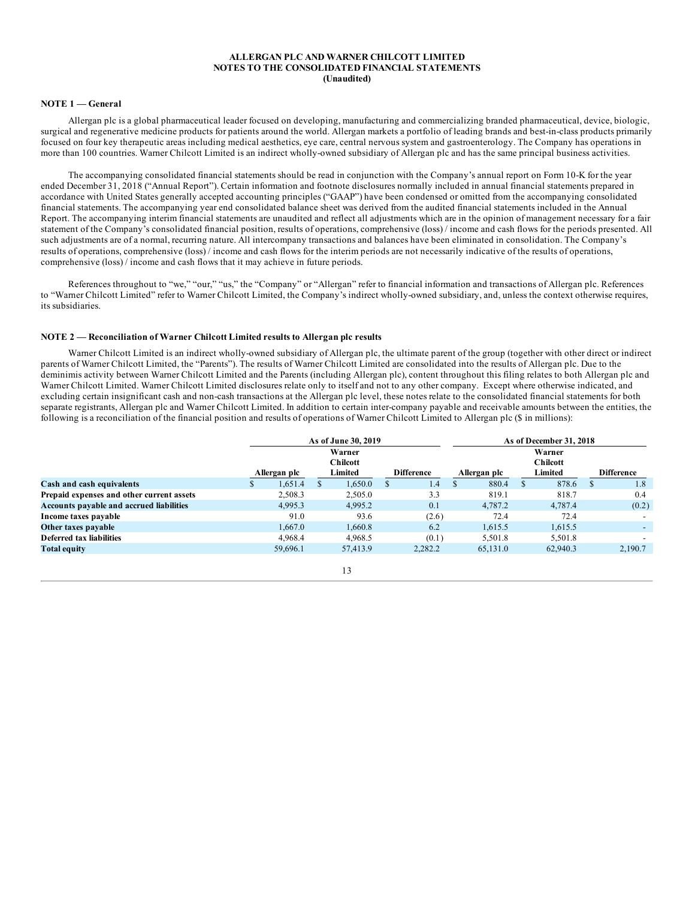### **ALLERGAN PLC AND WARNER CHILCOTT LIMITED NOTES TO THE CONSOLIDATED FINANCIAL STATEMENTS (Unaudited)**

#### **NOTE 1 — General**

Allergan plc is a global pharmaceutical leader focused on developing, manufacturing and commercializing branded pharmaceutical, device, biologic, surgical and regenerative medicine products for patients around the world. Allergan markets a portfolio of leading brands and best-in-class products primarily focused on four key therapeutic areas including medical aesthetics, eye care, central nervous system and gastroenterology. The Company has operations in more than 100 countries. Warner Chilcott Limited is an indirect wholly-owned subsidiary of Allergan plc and has the same principal business activities.

The accompanying consolidated financial statements should be read in conjunction with the Company's annual report on Form 10-K for the year ended December 31, 2018 ("Annual Report"). Certain information and footnote disclosures normally included in annual financial statements prepared in accordance with United States generally accepted accounting principles ("GAAP") have been condensed or omitted from the accompanying consolidated financial statements. The accompanying year end consolidated balance sheet was derived from the audited financial statements included in the Annual Report. The accompanying interim financial statements are unaudited and reflect all adjustments which are in the opinion of management necessary for a fair statement of the Company's consolidated financial position, results of operations, comprehensive (loss) / income and cash flows for the periods presented. All such adjustments are of a normal, recurring nature. All intercompany transactions and balances have been eliminated in consolidation. The Company's results of operations, comprehensive (loss) / income and cash flows for the interim periods are not necessarily indicative of the results of operations, comprehensive (loss) / income and cash flows that it may achieve in future periods.

References throughout to "we," "our," "us," the "Company" or "Allergan" refer to financial information and transactions of Allergan plc. References to "Warner Chilcott Limited" refer to Warner Chilcott Limited, the Company's indirect wholly-owned subsidiary, and, unless the context otherwise requires, its subsidiaries.

### **NOTE 2 — Reconciliation of Warner Chilcott Limited results to Allergan plc results**

Warner Chilcott Limited is an indirect wholly-owned subsidiary of Allergan plc, the ultimate parent of the group (together with other direct or indirect parents of Warner Chilcott Limited, the "Parents"). The results of Warner Chilcott Limited are consolidated into the results of Allergan plc. Due to the deminimis activity between Warner Chilcott Limited and the Parents (including Allergan plc), content throughout this filing relates to both Allergan plc and Warner Chilcott Limited. Warner Chilcott Limited disclosures relate only to itself and not to any other company. Except where otherwise indicated, and excluding certain insignificant cash and non-cash transactions at the Allergan plc level, these notes relate to the consolidated financial statements for both separate registrants, Allergan plc and Warner Chilcott Limited. In addition to certain inter-company payable and receivable amounts between the entities, the following is a reconciliation of the financial position and results of operations of Warner Chilcott Limited to Allergan plc (\$ in millions):

|                                           |              | As of June 30, 2019       |                   | As of December 31, 2018   |          |                   |  |  |  |  |  |
|-------------------------------------------|--------------|---------------------------|-------------------|---------------------------|----------|-------------------|--|--|--|--|--|
|                                           |              | Warner<br><b>Chilcott</b> |                   | Warner<br><b>Chilcott</b> |          |                   |  |  |  |  |  |
|                                           | Allergan plc | Limited                   | <b>Difference</b> | Allergan plc              | Limited  | <b>Difference</b> |  |  |  |  |  |
| Cash and cash equivalents                 | 1.651.4      | 1.650.0                   | 1.4<br>S          | 880.4<br>æ                | 878.6    | 1.8               |  |  |  |  |  |
| Prepaid expenses and other current assets | 2,508.3      | 2,505.0                   | 3.3               | 819.1                     | 818.7    | 0.4               |  |  |  |  |  |
| Accounts payable and accrued liabilities  | 4.995.3      | 4,995.2                   | 0.1               | 4.787.2                   | 4.787.4  | (0.2)             |  |  |  |  |  |
| Income taxes payable                      | 91.0         | 93.6                      | (2.6)             | 72.4                      | 72.4     |                   |  |  |  |  |  |
| Other taxes payable                       | 1,667.0      | 1,660.8                   | 6.2               | 1.615.5                   | 1.615.5  |                   |  |  |  |  |  |
| <b>Deferred tax liabilities</b>           | 4.968.4      | 4.968.5                   | (0.1)             | 5,501.8                   | 5,501.8  |                   |  |  |  |  |  |
| <b>Total equity</b>                       | 59,696.1     | 57,413.9                  | 2,282.2           | 65,131.0                  | 62,940.3 | 2,190.7           |  |  |  |  |  |
|                                           |              |                           |                   |                           |          |                   |  |  |  |  |  |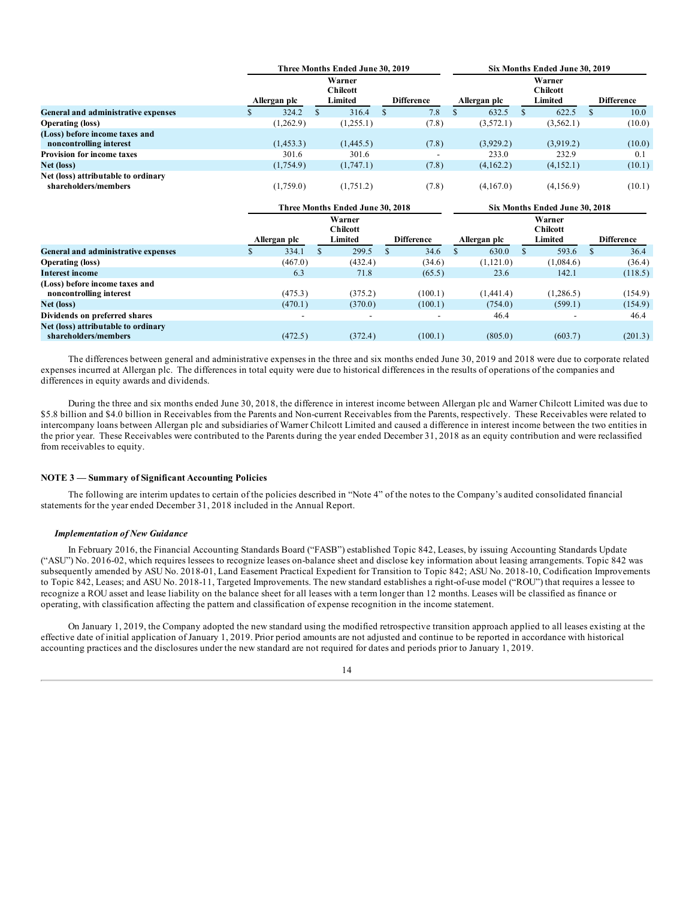|                                                             |              |  | Three Months Ended June 30, 2019     |    |                          | Six Months Ended June 30, 2019 |              |  |                                      |                   |        |  |  |  |
|-------------------------------------------------------------|--------------|--|--------------------------------------|----|--------------------------|--------------------------------|--------------|--|--------------------------------------|-------------------|--------|--|--|--|
|                                                             | Allergan plc |  | Warner<br><b>Chilcott</b><br>Limited |    | <b>Difference</b>        |                                | Allergan plc |  | Warner<br><b>Chilcott</b><br>Limited | <b>Difference</b> |        |  |  |  |
| General and administrative expenses                         | 324.2        |  | 316.4                                | S. | 7.8                      |                                | 632.5        |  | 622.5                                | S                 | 10.0   |  |  |  |
| <b>Operating (loss)</b>                                     | (1,262.9)    |  | (1,255.1)                            |    | (7.8)                    |                                | (3,572.1)    |  | (3,562.1)                            |                   | (10.0) |  |  |  |
| (Loss) before income taxes and                              |              |  |                                      |    |                          |                                |              |  |                                      |                   |        |  |  |  |
| noncontrolling interest                                     | (1, 453.3)   |  | (1,445.5)                            |    | (7.8)                    |                                | (3,929.2)    |  | (3,919.2)                            |                   | (10.0) |  |  |  |
| <b>Provision for income taxes</b>                           | 301.6        |  | 301.6                                |    | $\overline{\phantom{a}}$ |                                | 233.0        |  | 232.9                                |                   | 0.1    |  |  |  |
| Net (loss)                                                  | (1,754.9)    |  | (1,747.1)                            |    | (7.8)                    |                                | (4,162.2)    |  | (4,152,1)                            |                   | (10.1) |  |  |  |
| Net (loss) attributable to ordinary<br>shareholders/members | (1,759.0)    |  | (1,751.2)                            |    | (7.8)                    |                                | (4,167.0)    |  | (4,156.9)                            |                   | (10.1) |  |  |  |

|                                                             |              |                          |  | Three Months Ended June 30, 2018     |  |                          | Six Months Ended June 30, 2018 |              |  |                                      |                   |         |  |  |
|-------------------------------------------------------------|--------------|--------------------------|--|--------------------------------------|--|--------------------------|--------------------------------|--------------|--|--------------------------------------|-------------------|---------|--|--|
|                                                             | Allergan plc |                          |  | Warner<br><b>Chilcott</b><br>Limited |  | <b>Difference</b>        |                                | Allergan plc |  | Warner<br><b>Chilcott</b><br>Limited | <b>Difference</b> |         |  |  |
| General and administrative expenses                         |              | 334.1                    |  | 299.5                                |  | 34.6                     |                                | 630.0        |  | 593.6                                |                   | 36.4    |  |  |
| <b>Operating (loss)</b>                                     |              | (467.0)                  |  | (432.4)                              |  | (34.6)                   |                                | (1,121.0)    |  | (1,084.6)                            |                   | (36.4)  |  |  |
| <b>Interest income</b>                                      |              | 6.3                      |  | 71.8                                 |  | (65.5)                   |                                | 23.6         |  | 142.1                                |                   | (118.5) |  |  |
| (Loss) before income taxes and<br>noncontrolling interest   |              | (475.3)                  |  | (375.2)                              |  | (100.1)                  |                                | (1,441.4)    |  | (1,286.5)                            |                   | (154.9) |  |  |
| Net (loss)                                                  |              | (470.1)                  |  | (370.0)                              |  | (100.1)                  |                                | (754.0)      |  | (599.1)                              |                   | (154.9) |  |  |
| Dividends on preferred shares                               |              | $\overline{\phantom{a}}$ |  | $\overline{\phantom{a}}$             |  | $\overline{\phantom{a}}$ |                                | 46.4         |  | $\overline{\phantom{a}}$             |                   | 46.4    |  |  |
| Net (loss) attributable to ordinary<br>shareholders/members |              | (472.5)                  |  | (372.4)                              |  | (100.1)                  |                                | (805.0)      |  | (603.7)                              |                   | (201.3) |  |  |

The differences between general and administrative expenses in the three and six months ended June 30, 2019 and 2018 were due to corporate related expenses incurred at Allergan plc. The differences in total equity were due to historical differences in the results of operations of the companies and differences in equity awards and dividends.

During the three and six months ended June 30, 2018, the difference in interest income between Allergan plc and Warner Chilcott Limited was due to \$5.8 billion and \$4.0 billion in Receivables from the Parents and Non-current Receivables from the Parents, respectively. These Receivables were related to intercompany loans between Allergan plc and subsidiaries of Warner Chilcott Limited and caused a difference in interest income between the two entities in the prior year. These Receivables were contributed to the Parents during the year ended December 31, 2018 as an equity contribution and were reclassified from receivables to equity.

#### **NOTE 3 — Summary of Significant Accounting Policies**

The following are interim updates to certain of the policies described in "Note 4" of the notes to the Company's audited consolidated financial statements for the year ended December 31, 2018 included in the Annual Report.

#### *Implementation of New Guidance*

In February 2016, the Financial Accounting Standards Board ("FASB") established Topic 842, Leases, by issuing Accounting Standards Update ("ASU") No. 2016-02, which requires lessees to recognize leases on-balance sheet and disclose key information about leasing arrangements. Topic 842 was subsequently amended by ASU No. 2018-01, Land Easement Practical Expedient for Transition to Topic 842; ASU No. 2018-10, Codification Improvements to Topic 842, Leases; and ASU No. 2018-11, Targeted Improvements. The new standard establishes a right-of-use model ("ROU") that requires a lessee to recognize a ROU asset and lease liability on the balance sheet for all leases with a term longer than 12 months. Leases will be classified as finance or operating, with classification affecting the pattern and classification of expense recognition in the income statement.

On January 1, 2019, the Company adopted the new standard using the modified retrospective transition approach applied to all leases existing at the effective date of initial application of January 1, 2019. Prior period amounts are not adjusted and continue to be reported in accordance with historical accounting practices and the disclosures under the new standard are not required for dates and periods prior to January 1, 2019.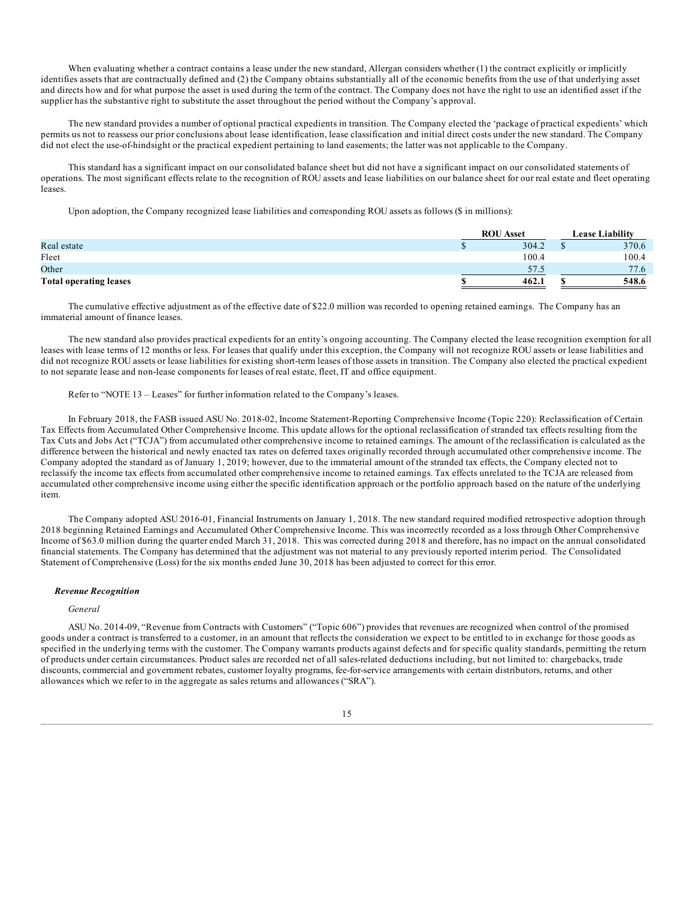When evaluating whether a contract contains a lease under the new standard, Allergan considers whether (1) the contract explicitly or implicitly identifies assets that are contractually defined and (2) the Company obtains substantially all of the economic benefits from the use of that underlying asset and directs how and for what purpose the asset is used during the term of the contract. The Company does not have the right to use an identified asset if the supplier has the substantive right to substitute the asset throughout the period without the Company's approval.

The new standard provides a number of optional practical expedients in transition. The Company elected the 'package of practical expedients' which permits us not to reassess our prior conclusions about lease identification, lease classification and initial direct costs under the new standard. The Company did not elect the use-of-hindsight or the practical expedient pertaining to land easements; the latter was not applicable to the Company.

This standard has a significant impact on our consolidated balance sheet but did not have a significant impact on our consolidated statements of operations. The most significant effects relate to the recognition of ROU assets and lease liabilities on our balance sheet for our real estate and fleet operating leases.

Upon adoption, the Company recognized lease liabilities and corresponding ROU assets as follows (\$ in millions):

|                               | <b>ROU</b> Asset | <b>Lease Liability</b> |
|-------------------------------|------------------|------------------------|
| Real estate                   | 304.2            | 370.6                  |
| Fleet                         | 100.4            | 100.4                  |
| Other                         | 57.5             | 77.6                   |
| <b>Total operating leases</b> | 462.1            | 548.6                  |

The cumulative effective adjustment as of the effective date of \$22.0 million was recorded to opening retained earnings. The Company has an immaterial amount of finance leases.

The new standard also provides practical expedients for an entity's ongoing accounting. The Company elected the lease recognition exemption for all leases with lease terms of 12 months or less. For leases that qualify under this exception, the Company will not recognize ROU assets or lease liabilities and did not recognize ROU assets or lease liabilities for existing short-term leases of those assets in transition. The Company also elected the practical expedient to not separate lease and non-lease components for leases of real estate, fleet, IT and office equipment.

### Refer to "NOTE 13 – Leases" for further information related to the Company's leases.

In February 2018, the FASB issued ASU No. 2018-02, Income Statement-Reporting Comprehensive Income (Topic 220): Reclassification of Certain Tax Effects from Accumulated Other Comprehensive Income. This update allows for the optional reclassification of stranded tax effects resulting from the Tax Cuts and Jobs Act ("TCJA") from accumulated other comprehensive income to retained earnings. The amount of the reclassification is calculated as the difference between the historical and newly enacted tax rates on deferred taxes originally recorded through accumulated other comprehensive income. The Company adopted the standard as of January 1, 2019; however, due to the immaterial amount of the stranded tax effects, the Company elected not to reclassify the income tax effects from accumulated other comprehensive income to retained earnings. Tax effects unrelated to the TCJA are released from accumulated other comprehensive income using either the specific identification approach or the portfolio approach based on the nature of the underlying item.

The Company adopted ASU 2016-01, Financial Instruments on January 1, 2018. The new standard required modified retrospective adoption through 2018 beginning Retained Earnings and Accumulated Other Comprehensive Income. This was incorrectly recorded as a loss through Other Comprehensive Income of \$63.0 million during the quarter ended March 31, 2018. This was corrected during 2018 and therefore, has no impact on the annual consolidated financial statements. The Company has determined that the adjustment was not material to any previously reported interim period. The Consolidated Statement of Comprehensive (Loss) for the six months ended June 30, 2018 has been adjusted to correct for this error.

#### *Revenue Recognition*

#### *General*

ASU No. 2014-09, "Revenue from Contracts with Customers" ("Topic 606") provides that revenues are recognized when control of the promised goods under a contract is transferred to a customer, in an amount that reflects the consideration we expect to be entitled to in exchange for those goods as specified in the underlying terms with the customer. The Company warrants products against defects and for specific quality standards, permitting the return of products under certain circumstances. Product sales are recorded net of all sales-related deductions including, but not limited to: chargebacks, trade discounts, commercial and government rebates, customer loyalty programs, fee-for-service arrangements with certain distributors, returns, and other allowances which we refer to in the aggregate as sales returns and allowances ("SRA").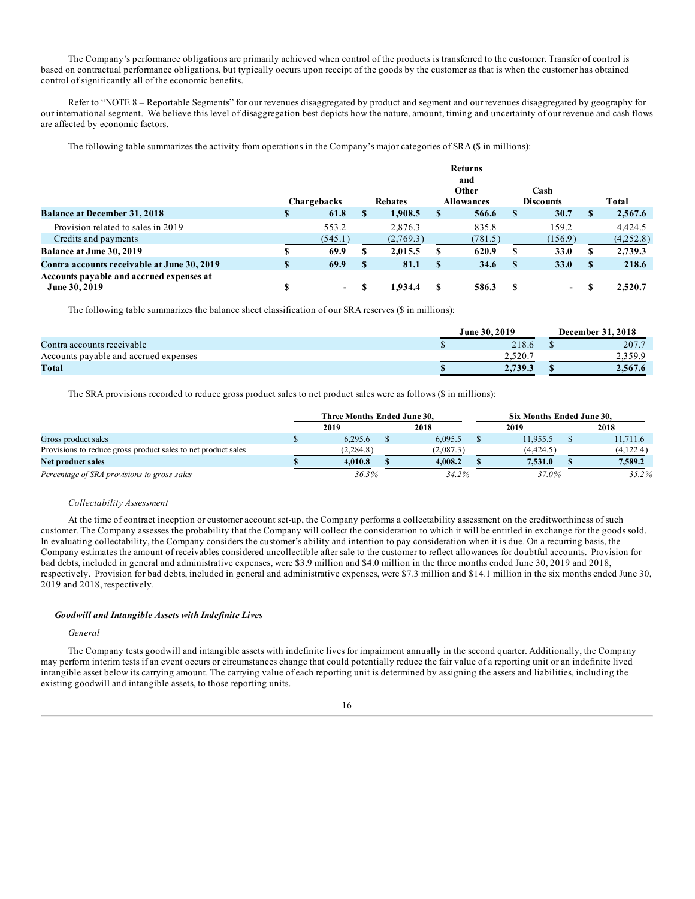The Company's performance obligations are primarily achieved when control of the products is transferred to the customer. Transfer of control is based on contractual performance obligations, but typically occurs upon receipt of the goods by the customer as that is when the customer has obtained control of significantly all of the economic benefits.

Refer to "NOTE 8 – Reportable Segments" for our revenues disaggregated by product and segment and our revenues disaggregated by geography for our international segment. We believe this level of disaggregation best depicts how the nature, amount, timing and uncertainty of our revenue and cash flows are affected by economic factors.

The following table summarizes the activity from operations in the Company's major categories of SRA (\$ in millions):

|                                                           |                          |  |                |       | <b>Returns</b>    |      |                  |           |  |
|-----------------------------------------------------------|--------------------------|--|----------------|-------|-------------------|------|------------------|-----------|--|
|                                                           |                          |  |                |       | and               |      |                  |           |  |
|                                                           |                          |  |                | Other |                   | Cash |                  |           |  |
|                                                           | Chargebacks              |  | <b>Rebates</b> |       | <b>Allowances</b> |      | <b>Discounts</b> | Total     |  |
| <b>Balance at December 31, 2018</b>                       | 61.8                     |  | 1,908.5        |       | 566.6             |      | 30.7             | 2,567.6   |  |
| Provision related to sales in 2019                        | 553.2                    |  | 2.876.3        |       | 835.8             |      | 159.2            | 4,424.5   |  |
| Credits and payments                                      | (545.1)                  |  | (2,769.3)      |       | (781.5)           |      | (156.9)          | (4,252.8) |  |
| Balance at June 30, 2019                                  | 69.9                     |  | 2,015.5        |       | 620.9             |      | 33.0             | 2,739.3   |  |
| Contra accounts receivable at June 30, 2019               | 69.9                     |  | 81.1           |       | 34.6              | S    | 33.0             | 218.6     |  |
| Accounts payable and accrued expenses at<br>June 30, 2019 | $\overline{\phantom{a}}$ |  | 1.934.4        |       | 586.3             | £.   | $\blacksquare$   | 2,520.7   |  |

The following table summarizes the balance sheet classification of our SRA reserves (\$ in millions):

|                                       | June 30, 2019 | <b>December 31, 2018</b> |
|---------------------------------------|---------------|--------------------------|
| Contra accounts receivable            | 218.6         | 207.7                    |
| Accounts payable and accrued expenses | 2.520.        | 2,359.9                  |
| Total                                 | 2.739.3       | 2.567.6                  |

The SRA provisions recorded to reduce gross product sales to net product sales were as follows (\$ in millions):

|                                                               | Three Months Ended June 30. |  |           | Six Months Ended June 30. |  |           |  |  |  |
|---------------------------------------------------------------|-----------------------------|--|-----------|---------------------------|--|-----------|--|--|--|
|                                                               | 2019                        |  | 2018      | 2019                      |  | 2018      |  |  |  |
| Gross product sales                                           | 6.295.6                     |  | 6.095.5   | 11.955.5                  |  | 11,711.6  |  |  |  |
| Provisions to reduce gross product sales to net product sales | (2.284.8)                   |  | (2,087.3) | (4.424.5)                 |  | (4,122.4) |  |  |  |
| Net product sales                                             | 4.010.8                     |  | 4.008.2   | 7.531.0                   |  | 7.589.2   |  |  |  |
| Percentage of SRA provisions to gross sales                   | 36.3%                       |  | 34.2%     | 37.0%                     |  | 35.2%     |  |  |  |

#### *Collectability Assessment*

At the time of contract inception or customer account set-up, the Company performs a collectability assessment on the creditworthiness of such customer. The Company assesses the probability that the Company will collect the consideration to which it will be entitled in exchange for the goods sold. In evaluating collectability, the Company considers the customer's ability and intention to pay consideration when it is due. On a recurring basis, the Company estimates the amount of receivables considered uncollectible after sale to the customer to reflect allowances for doubtful accounts. Provision for bad debts, included in general and administrative expenses, were \$3.9 million and \$4.0 million in the three months ended June 30, 2019 and 2018, respectively. Provision for bad debts, included in general and administrative expenses, were \$7.3 million and \$14.1 million in the six months ended June 30, 2019 and 2018, respectively.

### *Goodwill and Intangible Assets with Indefinite Lives*

#### *General*

The Company tests goodwill and intangible assets with indefinite lives for impairment annually in the second quarter. Additionally, the Company may perform interim tests if an event occurs or circumstances change that could potentially reduce the fair value of a reporting unit or an indefinite lived intangible asset below its carrying amount. The carrying value of each reporting unit is determined by assigning the assets and liabilities, including the existing goodwill and intangible assets, to those reporting units.

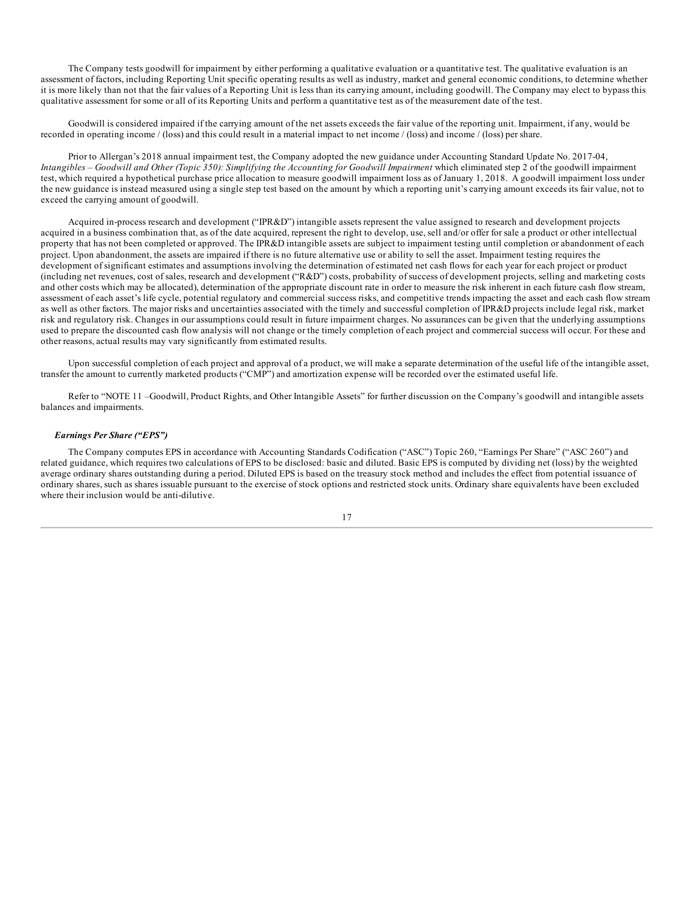The Company tests goodwill for impairment by either performing a qualitative evaluation or a quantitative test. The qualitative evaluation is an assessment of factors, including Reporting Unit specific operating results as well as industry, market and general economic conditions, to determine whether it is more likely than not that the fair values of a Reporting Unit is less than its carrying amount, including goodwill. The Company may elect to bypass this qualitative assessment for some or all of its Reporting Units and perform a quantitative test as of the measurement date of the test.

Goodwill is considered impaired if the carrying amount of the net assets exceeds the fair value of the reporting unit. Impairment, if any, would be recorded in operating income / (loss) and this could result in a material impact to net income / (loss) and income / (loss) per share.

Prior to Allergan's 2018 annual impairment test, the Company adopted the new guidance under Accounting Standard Update No. 2017-04, Intangibles - Goodwill and Other (Topic 350): Simplifying the Accounting for Goodwill Impairment which eliminated step 2 of the goodwill impairment test, which required a hypothetical purchase price allocation to measure goodwill impairment loss as of January 1, 2018. A goodwill impairment loss under the new guidance is instead measured using a single step test based on the amount by which a reporting unit's carrying amount exceeds its fair value, not to exceed the carrying amount of goodwill.

Acquired in-process research and development ("IPR&D") intangible assets represent the value assigned to research and development projects acquired in a business combination that, as of the date acquired, represent the right to develop, use, sell and/or offer for sale a product or other intellectual property that has not been completed or approved. The IPR&D intangible assets are subject to impairment testing until completion or abandonment of each project. Upon abandonment, the assets are impaired if there is no future alternative use or ability to sell the asset. Impairment testing requires the development of significant estimates and assumptions involving the determination of estimated net cash flows for each year for each project or product (including net revenues, cost of sales, research and development ("R&D") costs, probability of success of development projects, selling and marketing costs and other costs which may be allocated), determination of the appropriate discount rate in order to measure the risk inherent in each future cash flow stream, assessment of each asset's life cycle, potential regulatory and commercial success risks, and competitive trends impacting the asset and each cash flow stream as well as other factors. The major risks and uncertainties associated with the timely and successful completion of IPR&D projects include legal risk, market risk and regulatory risk. Changes in our assumptions could result in future impairment charges. No assurances can be given that the underlying assumptions used to prepare the discounted cash flow analysis will not change or the timely completion of each project and commercial success will occur. For these and other reasons, actual results may vary significantly from estimated results.

Upon successful completion of each project and approval of a product, we will make a separate determination of the useful life of the intangible asset, transfer the amount to currently marketed products ("CMP") and amortization expense will be recorded over the estimated useful life.

Refer to "NOTE 11 –Goodwill, Product Rights, and Other Intangible Assets" for further discussion on the Company's goodwill and intangible assets balances and impairments.

#### *Earnings Per Share ("EPS")*

The Company computes EPS in accordance with Accounting Standards Codification ("ASC") Topic 260, "Earnings Per Share" ("ASC 260") and related guidance, which requires two calculations of EPS to be disclosed: basic and diluted. Basic EPS is computed by dividing net (loss) by the weighted average ordinary shares outstanding during a period. Diluted EPS is based on the treasury stock method and includes the effect from potential issuance of ordinary shares, such as shares issuable pursuant to the exercise of stock options and restricted stock units. Ordinary share equivalents have been excluded where their inclusion would be anti-dilutive.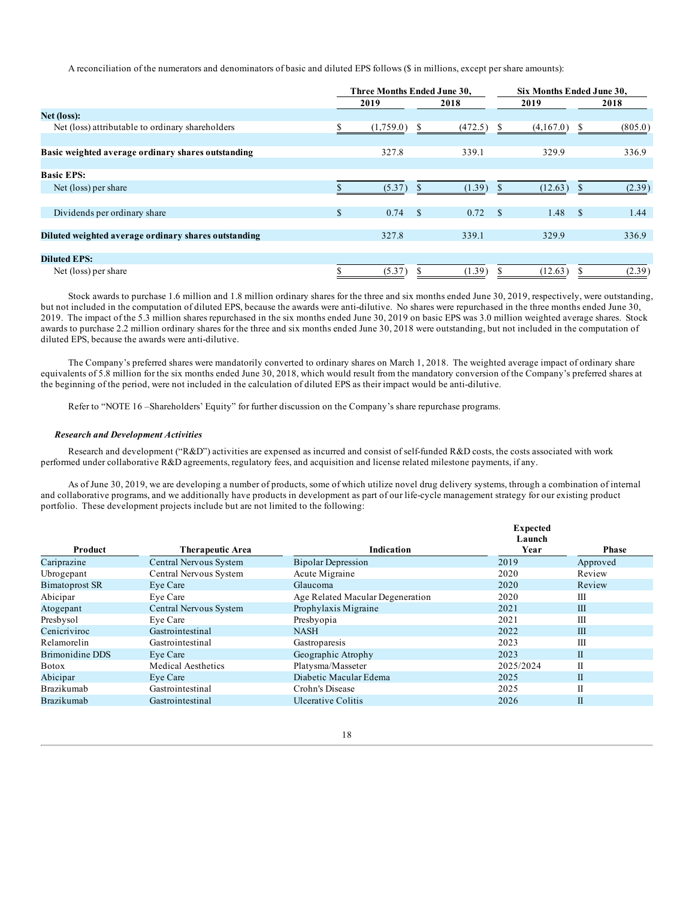A reconciliation of the numerators and denominators of basic and diluted EPS follows (\$ in millions, except per share amounts):

|                                                      |              | Three Months Ended June 30, |               |         | Six Months Ended June 30, |           |     |         |  |
|------------------------------------------------------|--------------|-----------------------------|---------------|---------|---------------------------|-----------|-----|---------|--|
|                                                      |              | 2019                        | 2018          |         |                           | 2019      |     | 2018    |  |
| Net (loss):                                          |              |                             |               |         |                           |           |     |         |  |
| Net (loss) attributable to ordinary shareholders     | S            | (1,759.0)                   | S             | (472.5) |                           | (4,167.0) | S   | (805.0) |  |
| Basic weighted average ordinary shares outstanding   |              | 327.8                       |               | 339.1   |                           | 329.9     |     | 336.9   |  |
| <b>Basic EPS:</b>                                    |              |                             |               |         |                           |           |     |         |  |
| Net (loss) per share                                 |              | (5.37)                      | ъ             | (1.39)  |                           | (12.63)   | S.  | (2.39)  |  |
| Dividends per ordinary share                         | $\mathbb{S}$ | 0.74                        | <sup>\$</sup> | 0.72    | $\mathbb{S}$              | 1.48      | - S | 1.44    |  |
| Diluted weighted average ordinary shares outstanding |              | 327.8                       |               | 339.1   |                           | 329.9     |     | 336.9   |  |
| <b>Diluted EPS:</b>                                  |              |                             |               |         |                           |           |     |         |  |
| Net (loss) per share                                 |              | (5.37)                      |               | (1.39)  |                           | (12.63)   |     | (2.39)  |  |

Stock awards to purchase 1.6 million and 1.8 million ordinary shares for the three and six months ended June 30, 2019, respectively, were outstanding, but not included in the computation of diluted EPS, because the awards were anti-dilutive. No shares were repurchased in the three months ended June 30, 2019. The impact of the 5.3 million shares repurchased in the six months ended June 30, 2019 on basic EPS was 3.0 million weighted average shares. Stock awards to purchase 2.2 million ordinary shares for the three and six months ended June 30, 2018 were outstanding, but not included in the computation of diluted EPS, because the awards were anti-dilutive.

The Company's preferred shares were mandatorily converted to ordinary shares on March 1, 2018. The weighted average impact of ordinary share equivalents of 5.8 million for the six months ended June 30, 2018, which would result from the mandatory conversion of the Company's preferred shares at the beginning of the period, were not included in the calculation of diluted EPS as their impact would be anti-dilutive.

Refer to "NOTE 16 –Shareholders' Equity" for further discussion on the Company's share repurchase programs.

#### *Research and Development Activities*

Research and development ("R&D") activities are expensed as incurred and consist of self-funded R&D costs, the costs associated with work performed under collaborative R&D agreements, regulatory fees, and acquisition and license related milestone payments, if any.

As of June 30, 2019, we are developing a number of products, some of which utilize novel drug delivery systems, through a combination of internal and collaborative programs, and we additionally have products in development as part of our life-cycle management strategy for our existing product portfolio. These development projects include but are not limited to the following:

|                        |                         |                                  | <b>Expected</b><br>Launch |              |
|------------------------|-------------------------|----------------------------------|---------------------------|--------------|
| <b>Product</b>         | <b>Therapeutic Area</b> | Indication                       | Year                      | <b>Phase</b> |
| Cariprazine            | Central Nervous System  | <b>Bipolar Depression</b>        | 2019                      | Approved     |
| Ubrogepant             | Central Nervous System  | Acute Migraine                   | 2020                      | Review       |
| <b>Bimatoprost SR</b>  | Eye Care                | Glaucoma                         | 2020                      | Review       |
| Abicipar               | Eye Care                | Age Related Macular Degeneration | 2020                      | Ш            |
| Atogepant              | Central Nervous System  | Prophylaxis Migraine             | 2021                      | III          |
| Presbysol              | Eye Care                | Presbyopia                       | 2021                      | Ш            |
| Cenicriviroc           | Gastrointestinal        | <b>NASH</b>                      | 2022                      | III          |
| Relamorelin            | Gastrointestinal        | Gastroparesis                    | 2023                      | Ш            |
| <b>Brimonidine DDS</b> | Eye Care                | Geographic Atrophy               | 2023                      | $\mathbf{I}$ |
| <b>Botox</b>           | Medical Aesthetics      | Platysma/Masseter                | 2025/2024                 | П            |
| Abicipar               | Eye Care                | Diabetic Macular Edema           | 2025                      | $\mathbf{I}$ |
| Brazikumab             | Gastrointestinal        | Crohn's Disease                  | 2025                      | П            |
| Brazikumab             | Gastrointestinal        | Ulcerative Colitis               | 2026                      | $\mathbf{I}$ |
|                        |                         |                                  |                           |              |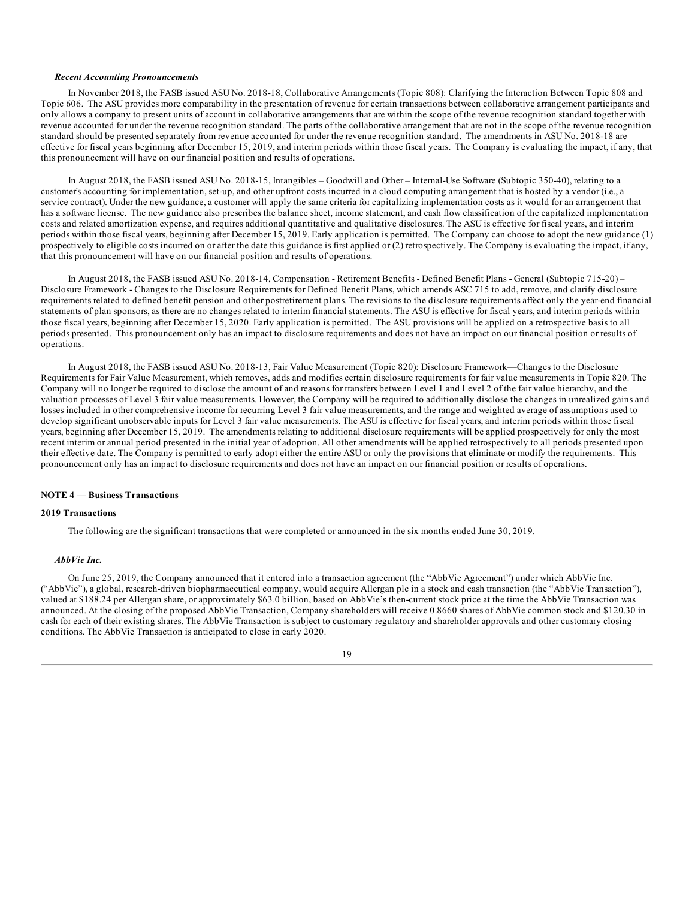#### *Recent Accounting Pronouncements*

In November 2018, the FASB issued ASU No. 2018-18, Collaborative Arrangements (Topic 808): Clarifying the Interaction Between Topic 808 and Topic 606. The ASU provides more comparability in the presentation of revenue for certain transactions between collaborative arrangement participants and only allows a company to present units of account in collaborative arrangements that are within the scope of the revenue recognition standard together with revenue accounted for under the revenue recognition standard. The parts of the collaborative arrangement that are not in the scope of the revenue recognition standard should be presented separately from revenue accounted for under the revenue recognition standard. The amendments in ASU No. 2018-18 are effective for fiscal years beginning after December 15, 2019, and interim periods within those fiscal years. The Company is evaluating the impact, if any, that this pronouncement will have on our financial position and results of operations.

In August 2018, the FASB issued ASU No. 2018-15, Intangibles – Goodwill and Other – Internal-Use Software (Subtopic 350-40), relating to a customer's accounting for implementation, set-up, and other upfront costs incurred in a cloud computing arrangement that is hosted by a vendor (i.e., a service contract). Under the new guidance, a customer will apply the same criteria for capitalizing implementation costs as it would for an arrangement that has a software license. The new guidance also prescribes the balance sheet, income statement, and cash flow classification of the capitalized implementation costs and related amortization expense, and requires additional quantitative and qualitative disclosures. The ASU is effective for fiscal years, and interim periods within those fiscal years, beginning after December 15, 2019. Early application is permitted. The Company can choose to adopt the new guidance (1) prospectively to eligible costs incurred on or after the date this guidance is first applied or (2) retrospectively. The Company is evaluating the impact, if any, that this pronouncement will have on our financial position and results of operations.

In August 2018, the FASB issued ASU No. 2018-14, Compensation - Retirement Benefits - Defined Benefit Plans - General (Subtopic 715-20) – Disclosure Framework - Changes to the Disclosure Requirements for Defined Benefit Plans, which amends ASC 715 to add, remove, and clarify disclosure requirements related to defined benefit pension and other postretirement plans. The revisions to the disclosure requirements affect only the year-end financial statements of plan sponsors, as there are no changes related to interim financial statements. The ASU is effective for fiscal years, and interim periods within those fiscal years, beginning after December 15, 2020. Early application is permitted. The ASU provisions will be applied on a retrospective basis to all periods presented. This pronouncement only has an impact to disclosure requirements and does not have an impact on our financial position or results of operations.

In August 2018, the FASB issued ASU No. 2018-13, Fair Value Measurement (Topic 820): Disclosure Framework—Changes to the Disclosure Requirements for Fair Value Measurement, which removes, adds and modifies certain disclosure requirements for fair value measurements in Topic 820. The Company will no longer be required to disclose the amount of and reasons for transfers between Level 1 and Level 2 of the fair value hierarchy, and the valuation processes of Level 3 fair value measurements. However, the Company will be required to additionally disclose the changes in unrealized gains and losses included in other comprehensive income for recurring Level 3 fair value measurements, and the range and weighted average of assumptions used to develop significant unobservable inputs for Level 3 fair value measurements. The ASU is effective for fiscal years, and interim periods within those fiscal years, beginning after December 15, 2019. The amendments relating to additional disclosure requirements will be applied prospectively for only the most recent interim or annual period presented in the initial year of adoption. All other amendments will be applied retrospectively to all periods presented upon their effective date. The Company is permitted to early adopt either the entire ASU or only the provisions that eliminate or modify the requirements. This pronouncement only has an impact to disclosure requirements and does not have an impact on our financial position or results of operations.

### **NOTE 4 — Business Transactions**

### **2019 Transactions**

The following are the significant transactions that were completed or announced in the six months ended June 30, 2019.

# *AbbVie Inc.*

On June 25, 2019, the Company announced that it entered into a transaction agreement (the "AbbVie Agreement") under which AbbVie Inc. ("AbbVie"), a global, research-driven biopharmaceutical company, would acquire Allergan plc in a stock and cash transaction (the "AbbVie Transaction"), valued at \$188.24 per Allergan share, or approximately \$63.0 billion, based on AbbVie's then-current stock price at the time the AbbVie Transaction was announced. At the closing of the proposed AbbVie Transaction, Company shareholders will receive 0.8660 shares of AbbVie common stock and \$120.30 in cash for each of their existing shares. The AbbVie Transaction is subject to customary regulatory and shareholder approvals and other customary closing conditions. The AbbVie Transaction is anticipated to close in early 2020.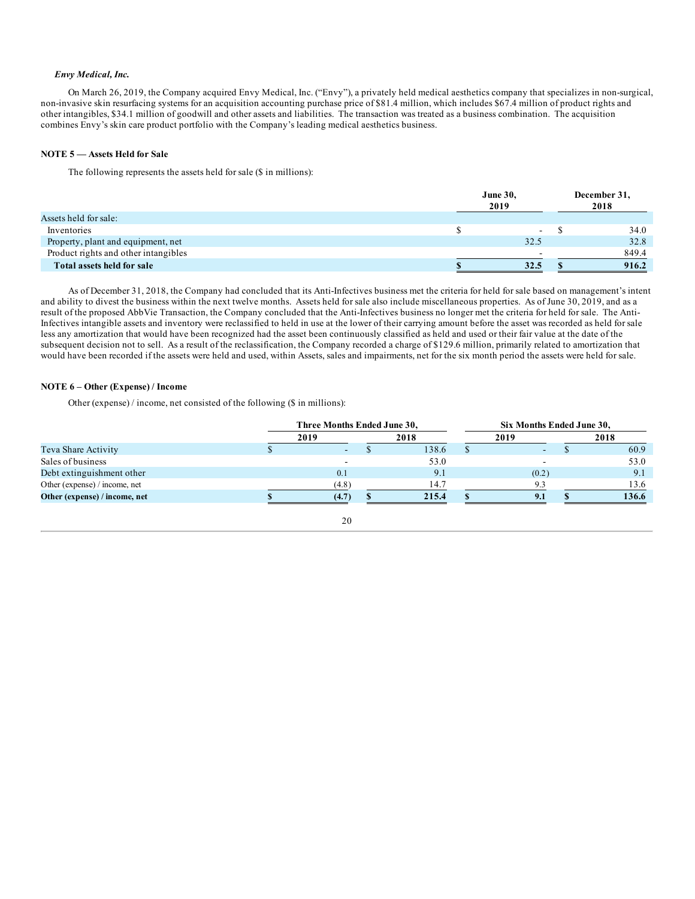### *Envy Medical, Inc.*

On March 26, 2019, the Company acquired Envy Medical, Inc. ("Envy"), a privately held medical aesthetics company that specializes in non-surgical, non-invasive skin resurfacing systems for an acquisition accounting purchase price of \$81.4 million, which includes \$67.4 million of product rights and other intangibles, \$34.1 million of goodwill and other assets and liabilities. The transaction was treated as a business combination. The acquisition combines Envy's skin care product portfolio with the Company's leading medical aesthetics business.

#### **NOTE 5 — Assets Held for Sale**

The following represents the assets held for sale (\$ in millions):

|                                      | <b>June 30,</b><br>2019 |        | December 31,<br>2018 |
|--------------------------------------|-------------------------|--------|----------------------|
| Assets held for sale:                |                         |        |                      |
| Inventories                          |                         | $\sim$ | 34.0                 |
| Property, plant and equipment, net   |                         | 32.5   | 32.8                 |
| Product rights and other intangibles |                         |        | 849.4                |
| Total assets held for sale           |                         | 32.5   | 916.2                |

As of December 31, 2018, the Company had concluded that its Anti-Infectives business met the criteria for held for sale based on management's intent and ability to divest the business within the next twelve months. Assets held for sale also include miscellaneous properties. As of June 30, 2019, and as a result of the proposed AbbVie Transaction, the Company concluded that the Anti-Infectives business no longer met the criteria for held for sale. The Anti-Infectives intangible assets and inventory were reclassified to held in use at the lower of their carrying amount before the asset was recorded as held for sale less any amortization that would have been recognized had the asset been continuously classified as held and used or their fair value at the date of the subsequent decision not to sell. As a result of the reclassification, the Company recorded a charge of \$129.6 million, primarily related to amortization that would have been recorded if the assets were held and used, within Assets, sales and impairments, net for the six month period the assets were held for sale.

## **NOTE 6 – Other (Expense) / Income**

Other (expense) / income, net consisted of the following (\$ in millions):

|                               | Three Months Ended June 30, |  | Six Months Ended June 30, |  |       |  |       |  |  |  |
|-------------------------------|-----------------------------|--|---------------------------|--|-------|--|-------|--|--|--|
|                               | 2019                        |  | 2018                      |  | 2019  |  | 2018  |  |  |  |
| Teva Share Activity           | $\overline{\phantom{0}}$    |  | 138.6                     |  |       |  | 60.9  |  |  |  |
| Sales of business             | -                           |  | 53.0                      |  |       |  | 53.0  |  |  |  |
| Debt extinguishment other     | 0.1                         |  | 9.1                       |  | (0.2) |  | 9.1   |  |  |  |
| Other (expense) / income, net | (4.8)                       |  | 14.7                      |  | 9.3   |  | 13.6  |  |  |  |
| Other (expense) / income, net | (4.7)                       |  | 215.4                     |  | 9.1   |  | 136.6 |  |  |  |
|                               |                             |  |                           |  |       |  |       |  |  |  |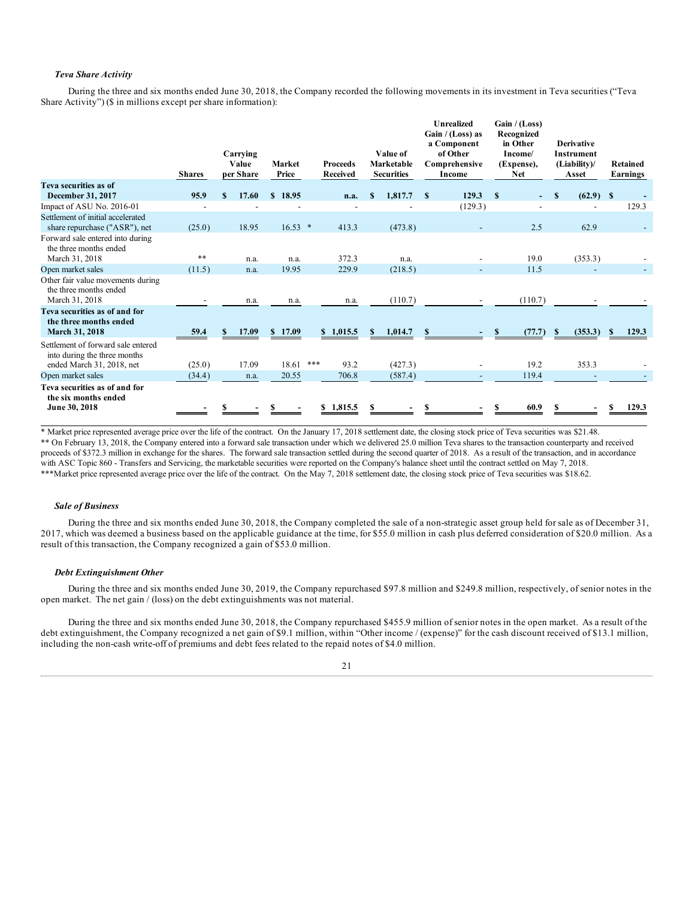### *Teva Share Activity*

During the three and six months ended June 30, 2018, the Company recorded the following movements in its investment in Teva securities ("Teva Share Activity") (\$ in millions except per share information):

|                                                                                                 | <b>Shares</b> | Carrying<br>Value<br>per Share |       | Market<br>Price |       | <b>Proceeds</b><br><b>Received</b> |    | Value of<br>Marketable<br><b>Securities</b> |               | <b>Unrealized</b><br>Gain / $(Loss)$ as<br>a Component<br>of Other<br>Comprehensive<br>Income |      | Gain / (Loss)<br>Recognized<br>in Other<br>Income/<br>(Expense),<br><b>Net</b> |    |              |  |       |  |  |  |  |  |  |  |  |  |  |  |  |  |  |  |  |  |  |  |  |  |  |  |  |  |  |  | <b>Derivative</b><br>Instrument<br>(Liability)/<br>Asset | Retained<br>Earnings |  |
|-------------------------------------------------------------------------------------------------|---------------|--------------------------------|-------|-----------------|-------|------------------------------------|----|---------------------------------------------|---------------|-----------------------------------------------------------------------------------------------|------|--------------------------------------------------------------------------------|----|--------------|--|-------|--|--|--|--|--|--|--|--|--|--|--|--|--|--|--|--|--|--|--|--|--|--|--|--|--|--|--|----------------------------------------------------------|----------------------|--|
| Teva securities as of<br>December 31, 2017                                                      | 95.9          | \$                             | 17.60 | \$18.95         |       | n.a.                               |    | 1,817.7                                     | $\mathbf{s}$  | 129.3                                                                                         | - \$ | ÷.                                                                             | S  | $(62.9)$ \$  |  |       |  |  |  |  |  |  |  |  |  |  |  |  |  |  |  |  |  |  |  |  |  |  |  |  |  |  |  |                                                          |                      |  |
| Impact of ASU No. 2016-01                                                                       |               |                                |       |                 |       |                                    |    |                                             |               | (129.3)                                                                                       |      |                                                                                |    |              |  | 129.3 |  |  |  |  |  |  |  |  |  |  |  |  |  |  |  |  |  |  |  |  |  |  |  |  |  |  |  |                                                          |                      |  |
| Settlement of initial accelerated<br>share repurchase ("ASR"), net                              | (25.0)        |                                | 18.95 | $16.53$ *       |       | 413.3                              |    | (473.8)                                     |               |                                                                                               |      | 2.5                                                                            |    | 62.9         |  |       |  |  |  |  |  |  |  |  |  |  |  |  |  |  |  |  |  |  |  |  |  |  |  |  |  |  |  |                                                          |                      |  |
| Forward sale entered into during<br>the three months ended<br>March 31, 2018                    | **            |                                | n.a.  | n.a.            |       | 372.3                              |    | n.a.                                        |               |                                                                                               |      | 19.0                                                                           |    | (353.3)      |  |       |  |  |  |  |  |  |  |  |  |  |  |  |  |  |  |  |  |  |  |  |  |  |  |  |  |  |  |                                                          |                      |  |
| Open market sales                                                                               | (11.5)        |                                | n.a.  | 19.95           |       | 229.9                              |    | (218.5)                                     |               |                                                                                               |      | 11.5                                                                           |    |              |  |       |  |  |  |  |  |  |  |  |  |  |  |  |  |  |  |  |  |  |  |  |  |  |  |  |  |  |  |                                                          |                      |  |
| Other fair value movements during<br>the three months ended<br>March 31, 2018                   |               |                                | n.a.  | n.a.            |       | n.a.                               |    | (110.7)                                     |               |                                                                                               |      | (110.7)                                                                        |    |              |  |       |  |  |  |  |  |  |  |  |  |  |  |  |  |  |  |  |  |  |  |  |  |  |  |  |  |  |  |                                                          |                      |  |
| Teva securities as of and for<br>the three months ended<br>March 31, 2018                       | 59.4          |                                | 17.09 | \$17.09         |       | \$1,015.5                          | \$ | 1,014.7                                     | <sup>\$</sup> |                                                                                               |      | (77.7)                                                                         | \$ | $(353.3)$ \$ |  | 129.3 |  |  |  |  |  |  |  |  |  |  |  |  |  |  |  |  |  |  |  |  |  |  |  |  |  |  |  |                                                          |                      |  |
| Settlement of forward sale entered<br>into during the three months<br>ended March 31, 2018, net | (25.0)        |                                | 17.09 | 18.61           | $***$ | 93.2                               |    | (427.3)                                     |               |                                                                                               |      | 19.2                                                                           |    | 353.3        |  |       |  |  |  |  |  |  |  |  |  |  |  |  |  |  |  |  |  |  |  |  |  |  |  |  |  |  |  |                                                          |                      |  |
| Open market sales                                                                               | (34.4)        |                                | n.a.  | 20.55           |       | 706.8                              |    | (587.4)                                     |               | ۰.                                                                                            |      | 119.4                                                                          |    |              |  |       |  |  |  |  |  |  |  |  |  |  |  |  |  |  |  |  |  |  |  |  |  |  |  |  |  |  |  |                                                          |                      |  |
| Teva securities as of and for<br>the six months ended<br>June 30, 2018                          |               |                                |       |                 |       | 1.815.5                            |    |                                             |               |                                                                                               |      | 60.9                                                                           |    |              |  | 129.3 |  |  |  |  |  |  |  |  |  |  |  |  |  |  |  |  |  |  |  |  |  |  |  |  |  |  |  |                                                          |                      |  |

\* Market price represented average price over the life of the contract. On the January 17, 2018 settlement date, the closing stock price of Teva securities was \$21.48. \*\* On February 13, 2018, the Company entered into a forward sale transaction under which we delivered 25.0 million Teva shares to the transaction counterparty and received proceeds of \$372.3 million in exchange for the shares. The forward sale transaction settled during the second quarter of 2018. As a result of the transaction, and in accordance with ASC Topic 860 - Transfers and Servicing, the marketable securities were reported on the Company's balance sheet until the contract settled on May 7, 2018. \*\*\*Market price represented average price over the life of the contract. On the May 7, 2018 settlement date, the closing stock price of Teva securities was \$18.62.

#### *Sale of Business*

During the three and six months ended June 30, 2018, the Company completed the sale of a non-strategic asset group held for sale as of December 31, 2017, which was deemed a business based on the applicable guidance at the time, for \$55.0 million in cash plus deferred consideration of \$20.0 million. As a result of this transaction, the Company recognized a gain of \$53.0 million.

#### *Debt Extinguishment Other*

During the three and six months ended June 30, 2019, the Company repurchased \$97.8 million and \$249.8 million, respectively, of senior notes in the open market. The net gain / (loss) on the debt extinguishments was not material.

During the three and six months ended June 30, 2018, the Company repurchased \$455.9 million of senior notes in the open market. As a result of the debt extinguishment, the Company recognized a net gain of \$9.1 million, within "Other income / (expense)" for the cash discount received of \$13.1 million, including the non-cash write-off of premiums and debt fees related to the repaid notes of \$4.0 million.

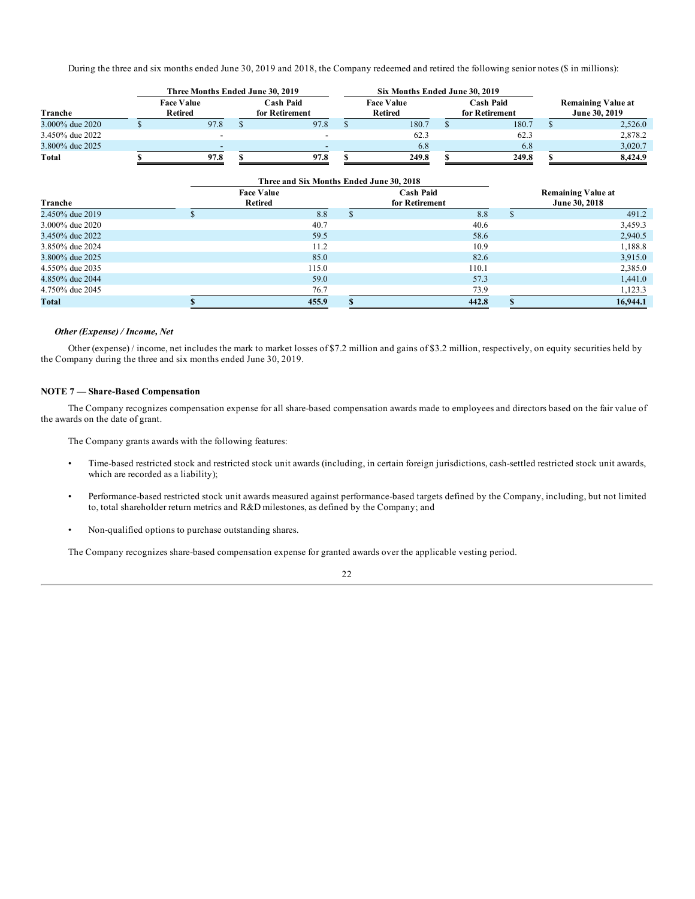During the three and six months ended June 30, 2019 and 2018, the Company redeemed and retired the following senior notes (\$ in millions):

|                 | Three Months Ended June 30, 2019    |  |                             | Six Months Ended June 30, 2019 |                                     |                             |       |  |                                            |  |  |
|-----------------|-------------------------------------|--|-----------------------------|--------------------------------|-------------------------------------|-----------------------------|-------|--|--------------------------------------------|--|--|
| Tranche         | <b>Face Value</b><br><b>Retired</b> |  | Cash Paid<br>for Retirement |                                | <b>Face Value</b><br><b>Retired</b> | Cash Paid<br>for Retirement |       |  | <b>Remaining Value at</b><br>June 30, 2019 |  |  |
| 3.000% due 2020 | 97.8                                |  | 97.8                        |                                | 180.7                               |                             | 180.7 |  | 2,526.0                                    |  |  |
| 3.450% due 2022 |                                     |  |                             |                                | 62.3                                |                             | 62.3  |  | 2,878.2                                    |  |  |
| 3.800% due 2025 |                                     |  |                             |                                | 6.8                                 |                             | 6.8   |  | 3,020.7                                    |  |  |
| <b>Total</b>    | 97.8                                |  | 97.8                        |                                | 249.8                               |                             | 249.8 |  | 8.424.9                                    |  |  |

|                 |                   | Three and Six Months Ended June 30, 2018 |  |                  |                           |
|-----------------|-------------------|------------------------------------------|--|------------------|---------------------------|
|                 | <b>Face Value</b> |                                          |  | <b>Cash Paid</b> | <b>Remaining Value at</b> |
| Tranche         |                   | <b>Retired</b>                           |  | for Retirement   | June 30, 2018             |
| 2.450% due 2019 |                   | 8.8                                      |  | 8.8              | 491.2                     |
| 3.000% due 2020 |                   | 40.7                                     |  | 40.6             | 3,459.3                   |
| 3.450% due 2022 |                   | 59.5                                     |  | 58.6             | 2,940.5                   |
| 3.850% due 2024 |                   | 11.2                                     |  | 10.9             | 1,188.8                   |
| 3.800% due 2025 |                   | 85.0                                     |  | 82.6             | 3,915.0                   |
| 4.550% due 2035 |                   | 115.0                                    |  | 110.1            | 2,385.0                   |
| 4.850% due 2044 |                   | 59.0                                     |  | 57.3             | 1,441.0                   |
| 4.750% due 2045 |                   | 76.7                                     |  | 73.9             | 1,123.3                   |
| <b>Total</b>    |                   | 455.9                                    |  | 442.8            | 16.944.1                  |

#### *Other (Expense) / Income, Net*

Other (expense) / income, net includes the mark to market losses of \$7.2 million and gains of \$3.2 million, respectively, on equity securities held by the Company during the three and six months ended June 30, 2019.

# **NOTE 7 — Share-Based Compensation**

The Company recognizes compensation expense for all share-based compensation awards made to employees and directors based on the fair value of the awards on the date of grant.

The Company grants awards with the following features:

- Time-based restricted stock and restricted stock unit awards (including, in certain foreign jurisdictions, cash-settled restricted stock unit awards, which are recorded as a liability);
- Performance-based restricted stock unit awards measured against performance-based targets defined by the Company, including, but not limited to, total shareholder return metrics and R&D milestones, as defined by the Company; and
- Non-qualified options to purchase outstanding shares.

The Company recognizes share-based compensation expense for granted awards over the applicable vesting period.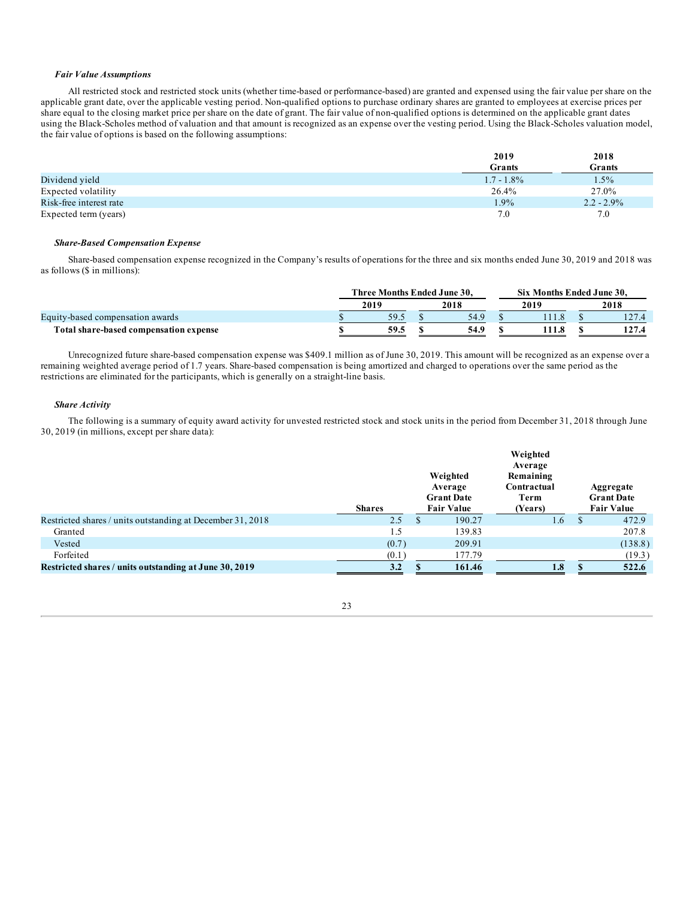#### *Fair Value Assumptions*

All restricted stock and restricted stock units (whether time-based or performance-based) are granted and expensed using the fair value per share on the applicable grant date, over the applicable vesting period. Non-qualified options to purchase ordinary shares are granted to employees at exercise prices per share equal to the closing market price per share on the date of grant. The fair value of non-qualified options is determined on the applicable grant dates using the Black-Scholes method of valuation and that amount is recognized as an expense over the vesting period. Using the Black-Scholes valuation model, the fair value of options is based on the following assumptions:

|                         | 2019          | 2018          |
|-------------------------|---------------|---------------|
|                         | <b>Grants</b> | Grants        |
| Dividend yield          | $1.7 - 1.8\%$ | $1.5\%$       |
| Expected volatility     | 26.4%         | 27.0%         |
| Risk-free interest rate | 1.9%          | $2.2 - 2.9\%$ |
| Expected term (years)   | 7.0           | 7.0           |

#### *Share-Based Compensation Expense*

Share-based compensation expense recognized in the Company's results of operations for the three and six months ended June 30, 2019 and 2018 was as follows (\$ in millions):

|                                        |      | Three Months Ended June 30. |      |      |  | Six Months Ended June 30. |  |       |
|----------------------------------------|------|-----------------------------|------|------|--|---------------------------|--|-------|
|                                        | 2019 |                             | 2018 |      |  | 2019                      |  | 2018  |
| Equity-based compensation awards       |      | 59.5                        |      | 54.9 |  |                           |  | 127.4 |
| Total share-based compensation expense |      | 59.5                        |      | 54.9 |  | 11.8                      |  | 127.4 |

Unrecognized future share-based compensation expense was \$409.1 million as of June 30, 2019. This amount will be recognized as an expense over a remaining weighted average period of 1.7 years. Share-based compensation is being amortized and charged to operations over the same period as the restrictions are eliminated for the participants, which is generally on a straight-line basis.

#### *Share Activity*

The following is a summary of equity award activity for unvested restricted stock and stock units in the period from December 31, 2018 through June 30, 2019 (in millions, except per share data):

|                                                            | <b>Shares</b> | Weighted<br>Average<br><b>Grant Date</b><br><b>Fair Value</b> | Weighted<br>Average<br>Remaining<br>Contractual<br>Term<br>(Years) | Aggregate<br><b>Grant Date</b><br><b>Fair Value</b> |
|------------------------------------------------------------|---------------|---------------------------------------------------------------|--------------------------------------------------------------------|-----------------------------------------------------|
| Restricted shares / units outstanding at December 31, 2018 | 2.5           | 190.27                                                        | 1.6                                                                | 472.9                                               |
| Granted                                                    | 1.5           | 139.83                                                        |                                                                    | 207.8                                               |
| Vested                                                     | (0.7)         | 209.91                                                        |                                                                    | (138.8)                                             |
| Forfeited                                                  | (0.1)         | 177.79                                                        |                                                                    | (19.3)                                              |
| Restricted shares / units outstanding at June 30, 2019     | 3.2           | 161.46                                                        | 1.8                                                                | 522.6                                               |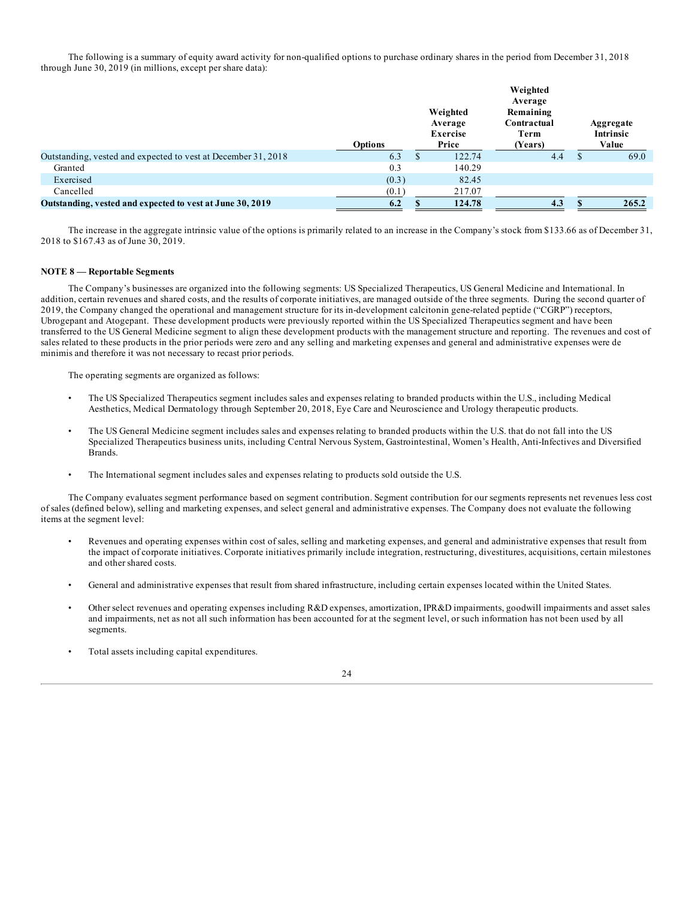The following is a summary of equity award activity for non-qualified options to purchase ordinary shares in the period from December 31, 2018 through June 30, 2019 (in millions, except per share data):

|                                                               | <b>Options</b> |    | Weighted<br>Average<br>Exercise<br>Price | Weighted<br>Average<br>Remaining<br>Contractual<br>Term<br>(Years) | Aggregate<br>Intrinsic<br>Value |
|---------------------------------------------------------------|----------------|----|------------------------------------------|--------------------------------------------------------------------|---------------------------------|
| Outstanding, vested and expected to vest at December 31, 2018 | 6.3            | .D | 122.74                                   | 4.4                                                                | 69.0                            |
| Granted                                                       | 0.3            |    | 140.29                                   |                                                                    |                                 |
| Exercised                                                     | (0.3)          |    | 82.45                                    |                                                                    |                                 |
| Cancelled                                                     | (0.1)          |    | 217.07                                   |                                                                    |                                 |
| Outstanding, vested and expected to vest at June 30, 2019     | 6.2            |    | 124.78                                   | 4.3                                                                | 265.2                           |

The increase in the aggregate intrinsic value of the options is primarily related to an increase in the Company's stock from \$133.66 as of December 31, 2018 to \$167.43 as of June 30, 2019.

#### **NOTE 8 — Reportable Segments**

The Company's businesses are organized into the following segments: US Specialized Therapeutics, US General Medicine and International. In addition, certain revenues and shared costs, and the results of corporate initiatives, are managed outside of the three segments. During the second quarter of 2019, the Company changed the operational and management structure for its in-development calcitonin gene-related peptide ("CGRP") receptors, Ubrogepant and Atogepant. These development products were previously reported within the US Specialized Therapeutics segment and have been transferred to the US General Medicine segment to align these development products with the management structure and reporting. The revenues and cost of sales related to these products in the prior periods were zero and any selling and marketing expenses and general and administrative expenses were de minimis and therefore it was not necessary to recast prior periods.

The operating segments are organized as follows:

- The US Specialized Therapeutics segment includes sales and expenses relating to branded products within the U.S., including Medical Aesthetics, Medical Dermatology through September 20, 2018, Eye Care and Neuroscience and Urology therapeutic products.
- The US General Medicine segment includes sales and expenses relating to branded products within the U.S. that do not fall into the US Specialized Therapeutics business units, including Central Nervous System, Gastrointestinal, Women's Health, Anti-Infectives and Diversified Brands.
- The International segment includes sales and expenses relating to products sold outside the U.S.

The Company evaluates segment performance based on segment contribution. Segment contribution for our segments represents net revenues less cost of sales (defined below), selling and marketing expenses, and select general and administrative expenses. The Company does not evaluate the following items at the segment level:

- Revenues and operating expenses within cost of sales, selling and marketing expenses, and general and administrative expenses that result from the impact of corporate initiatives. Corporate initiatives primarily include integration, restructuring, divestitures, acquisitions, certain milestones and other shared costs.
- General and administrative expenses that result from shared infrastructure, including certain expenses located within the United States.
- Other select revenues and operating expenses including R&D expenses, amortization, IPR&D impairments, goodwill impairments and asset sales and impairments, net as not all such information has been accounted for at the segment level, or such information has not been used by all segments.
- Total assets including capital expenditures.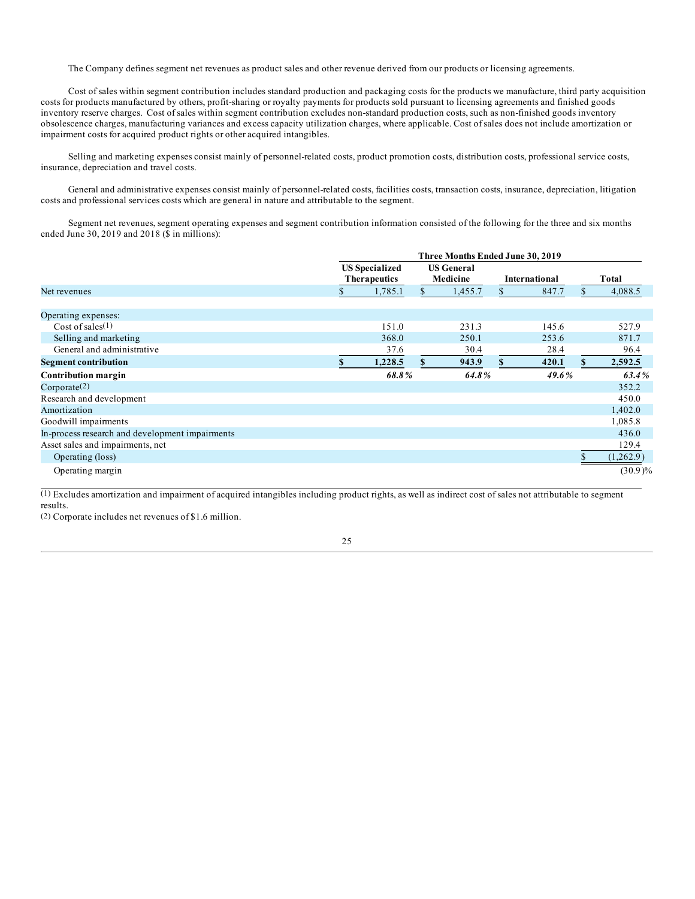The Company defines segment net revenues as product sales and other revenue derived from our products or licensing agreements.

Cost of sales within segment contribution includes standard production and packaging costs for the products we manufacture, third party acquisition costs for products manufactured by others, profit-sharing or royalty payments for products sold pursuant to licensing agreements and finished goods inventory reserve charges. Cost of sales within segment contribution excludes non-standard production costs, such as non-finished goods inventory obsolescence charges, manufacturing variances and excess capacity utilization charges, where applicable. Cost of sales does not include amortization or impairment costs for acquired product rights or other acquired intangibles.

Selling and marketing expenses consist mainly of personnel-related costs, product promotion costs, distribution costs, professional service costs, insurance, depreciation and travel costs.

General and administrative expenses consist mainly of personnel-related costs, facilities costs, transaction costs, insurance, depreciation, litigation costs and professional services costs which are general in nature and attributable to the segment.

Segment net revenues, segment operating expenses and segment contribution information consisted of the following for the three and six months ended June 30, 2019 and 2018 (\$ in millions):

|                                                 | Three Months Ended June 30, 2019             |                               |         |               |       |     |            |  |  |  |
|-------------------------------------------------|----------------------------------------------|-------------------------------|---------|---------------|-------|-----|------------|--|--|--|
|                                                 | <b>US Specialized</b><br><b>Therapeutics</b> | <b>US General</b><br>Medicine |         | International |       |     | Total      |  |  |  |
| Net revenues                                    | 1,785.1                                      | \$                            | 1,455.7 | \$            | 847.7 | \$. | 4,088.5    |  |  |  |
|                                                 |                                              |                               |         |               |       |     |            |  |  |  |
| Operating expenses:                             |                                              |                               |         |               |       |     |            |  |  |  |
| Cost of sales $(1)$                             | 151.0                                        |                               | 231.3   |               | 145.6 |     | 527.9      |  |  |  |
| Selling and marketing                           | 368.0                                        |                               | 250.1   |               | 253.6 |     | 871.7      |  |  |  |
| General and administrative                      | 37.6                                         |                               | 30.4    |               | 28.4  |     | 96.4       |  |  |  |
| <b>Segment contribution</b>                     | 1,228.5                                      | S                             | 943.9   | \$            | 420.1 | S.  | 2,592.5    |  |  |  |
| Contribution margin                             | 68.8%                                        |                               | 64.8%   |               | 49.6% |     | 63.4%      |  |  |  |
| Coporate(2)                                     |                                              |                               |         |               |       |     | 352.2      |  |  |  |
| Research and development                        |                                              |                               |         |               |       |     | 450.0      |  |  |  |
| Amortization                                    |                                              |                               |         |               |       |     | 1,402.0    |  |  |  |
| Goodwill impairments                            |                                              |                               |         |               |       |     | 1,085.8    |  |  |  |
| In-process research and development impairments |                                              |                               |         |               |       |     | 436.0      |  |  |  |
| Asset sales and impairments, net                |                                              |                               |         |               |       |     | 129.4      |  |  |  |
| Operating (loss)                                |                                              |                               |         |               |       |     | (1,262.9)  |  |  |  |
| Operating margin                                |                                              |                               |         |               |       |     | $(30.9)\%$ |  |  |  |

(1) Excludes amortization and impairment of acquired intangibles including product rights, as well as indirect cost of sales not attributable to segment results.

(2) Corporate includes net revenues of \$1.6 million.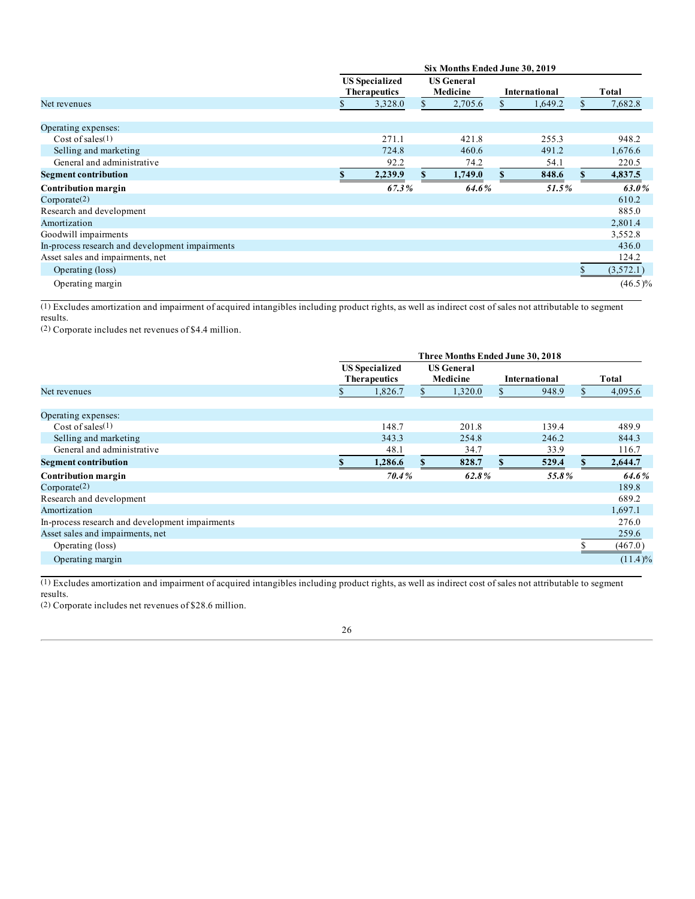|                                                 | Six Months Ended June 30, 2019                                                |    |         |    |               |     |            |  |  |  |
|-------------------------------------------------|-------------------------------------------------------------------------------|----|---------|----|---------------|-----|------------|--|--|--|
|                                                 | <b>US Specialized</b><br><b>US General</b><br><b>Therapeutics</b><br>Medicine |    |         |    | International |     | Total      |  |  |  |
| Net revenues                                    | 3,328.0                                                                       |    | 2,705.6 |    | 1,649.2       | \$. | 7,682.8    |  |  |  |
|                                                 |                                                                               |    |         |    |               |     |            |  |  |  |
| Operating expenses:                             |                                                                               |    |         |    |               |     |            |  |  |  |
| Cost of sales $(1)$                             | 271.1                                                                         |    | 421.8   |    | 255.3         |     | 948.2      |  |  |  |
| Selling and marketing                           | 724.8                                                                         |    | 460.6   |    | 491.2         |     | 1,676.6    |  |  |  |
| General and administrative                      | 92.2                                                                          |    | 74.2    |    | 54.1          |     | 220.5      |  |  |  |
| <b>Segment contribution</b>                     | 2,239.9                                                                       | \$ | 1,749.0 | \$ | 848.6         | \$. | 4,837.5    |  |  |  |
| <b>Contribution margin</b>                      | 67.3%                                                                         |    | 64.6%   |    | 51.5%         |     | 63.0%      |  |  |  |
| Corporate(2)                                    |                                                                               |    |         |    |               |     | 610.2      |  |  |  |
| Research and development                        |                                                                               |    |         |    |               |     | 885.0      |  |  |  |
| Amortization                                    |                                                                               |    |         |    |               |     | 2,801.4    |  |  |  |
| Goodwill impairments                            |                                                                               |    |         |    |               |     | 3,552.8    |  |  |  |
| In-process research and development impairments |                                                                               |    |         |    |               |     | 436.0      |  |  |  |
| Asset sales and impairments, net                |                                                                               |    |         |    |               |     | 124.2      |  |  |  |
| Operating (loss)                                |                                                                               |    |         |    |               |     | (3,572.1)  |  |  |  |
| Operating margin                                |                                                                               |    |         |    |               |     | $(46.5)\%$ |  |  |  |

(1) Excludes amortization and impairment of acquired intangibles including product rights, as well as indirect cost of sales not attributable to segment results.

(2) Corporate includes net revenues of \$4.4 million.

|                                                 | Three Months Ended June 30, 2018             |                               |         |               |       |    |            |  |  |  |  |
|-------------------------------------------------|----------------------------------------------|-------------------------------|---------|---------------|-------|----|------------|--|--|--|--|
|                                                 | <b>US</b> Specialized<br><b>Therapeutics</b> | <b>US General</b><br>Medicine |         | International |       |    | Total      |  |  |  |  |
| Net revenues                                    | 1,826.7                                      | \$                            | 1,320.0 | S             | 948.9 | S. | 4,095.6    |  |  |  |  |
| Operating expenses:                             |                                              |                               |         |               |       |    |            |  |  |  |  |
| Cost of sales(1)                                | 148.7                                        |                               | 201.8   |               | 139.4 |    | 489.9      |  |  |  |  |
| Selling and marketing                           | 343.3                                        |                               | 254.8   |               | 246.2 |    | 844.3      |  |  |  |  |
| General and administrative                      | 48.1                                         |                               | 34.7    |               | 33.9  |    | 116.7      |  |  |  |  |
| <b>Segment contribution</b>                     | 1,286.6                                      |                               | 828.7   | \$            | 529.4 |    | 2,644.7    |  |  |  |  |
| Contribution margin                             | 70.4%                                        |                               | 62.8%   |               | 55.8% |    | 64.6%      |  |  |  |  |
| Corporate(2)                                    |                                              |                               |         |               |       |    | 189.8      |  |  |  |  |
| Research and development                        |                                              |                               |         |               |       |    | 689.2      |  |  |  |  |
| Amortization                                    |                                              |                               |         |               |       |    | 1,697.1    |  |  |  |  |
| In-process research and development impairments |                                              |                               |         |               |       |    | 276.0      |  |  |  |  |
| Asset sales and impairments, net                |                                              |                               |         |               |       |    | 259.6      |  |  |  |  |
| Operating (loss)                                |                                              |                               |         |               |       |    | (467.0)    |  |  |  |  |
| Operating margin                                |                                              |                               |         |               |       |    | $(11.4)\%$ |  |  |  |  |

(1) Excludes amortization and impairment of acquired intangibles including product rights, as well as indirect cost of sales not attributable to segment results.

(2) Corporate includes net revenues of \$28.6 million.

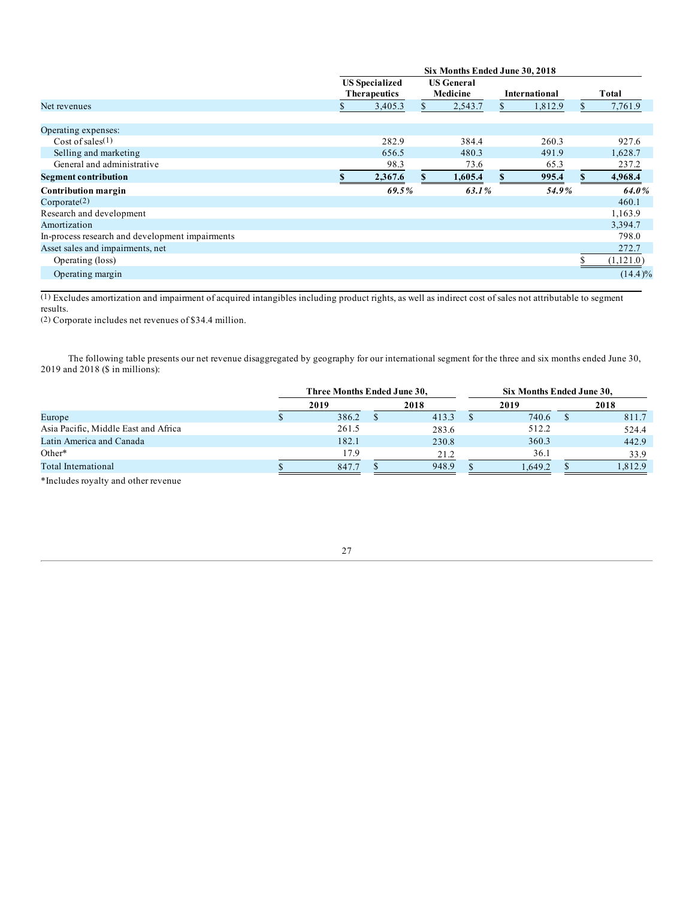|                                                 | Six Months Ended June 30, 2018 |                                              |  |                               |  |               |  |            |  |  |
|-------------------------------------------------|--------------------------------|----------------------------------------------|--|-------------------------------|--|---------------|--|------------|--|--|
|                                                 |                                | <b>US Specialized</b><br><b>Therapeutics</b> |  | <b>US General</b><br>Medicine |  | International |  | Total      |  |  |
| Net revenues                                    |                                | 3,405.3                                      |  | 2,543.7                       |  | 1,812.9       |  | 7,761.9    |  |  |
| Operating expenses:                             |                                |                                              |  |                               |  |               |  |            |  |  |
| Cost of sales(1)                                |                                | 282.9                                        |  | 384.4                         |  | 260.3         |  | 927.6      |  |  |
| Selling and marketing                           |                                | 656.5                                        |  | 480.3                         |  | 491.9         |  | 1,628.7    |  |  |
| General and administrative                      |                                | 98.3                                         |  | 73.6                          |  | 65.3          |  | 237.2      |  |  |
| <b>Segment contribution</b>                     |                                | 2,367.6                                      |  | 1,605.4                       |  | 995.4         |  | 4,968.4    |  |  |
| Contribution margin                             |                                | 69.5%                                        |  | 63.1%                         |  | 54.9%         |  | 64.0%      |  |  |
| Coporate(2)                                     |                                |                                              |  |                               |  |               |  | 460.1      |  |  |
| Research and development                        |                                |                                              |  |                               |  |               |  | 1,163.9    |  |  |
| Amortization                                    |                                |                                              |  |                               |  |               |  | 3,394.7    |  |  |
| In-process research and development impairments |                                |                                              |  |                               |  |               |  | 798.0      |  |  |
| Asset sales and impairments, net                |                                |                                              |  |                               |  |               |  | 272.7      |  |  |
| Operating (loss)                                |                                |                                              |  |                               |  |               |  | (1,121.0)  |  |  |
| Operating margin                                |                                |                                              |  |                               |  |               |  | $(14.4)\%$ |  |  |

(1) Excludes amortization and impairment of acquired intangibles including product rights, as well as indirect cost of sales not attributable to segment results.

(2) Corporate includes net revenues of \$34.4 million.

The following table presents our net revenue disaggregated by geography for our international segment for the three and six months ended June 30, 2019 and 2018 (\$ in millions):

|                                      | Three Months Ended June 30, |  | Six Months Ended June 30, |  |         |  |         |
|--------------------------------------|-----------------------------|--|---------------------------|--|---------|--|---------|
|                                      | 2019                        |  | 2018                      |  | 2019    |  | 2018    |
| Europe                               | 386.2                       |  | 413.3                     |  | 740.6   |  | 811.7   |
| Asia Pacific, Middle East and Africa | 261.5                       |  | 283.6                     |  | 512.2   |  | 524.4   |
| Latin America and Canada             | 182.1                       |  | 230.8                     |  | 360.3   |  | 442.9   |
| $Other*$                             | 17.9                        |  | 21.2                      |  | 36.1    |  | 33.9    |
| Total International                  | 847.7                       |  | 948.9                     |  | 1.649.2 |  | 1.812.9 |
| *Includes royalty and other revenue  |                             |  |                           |  |         |  |         |

Includes royalty and other revenue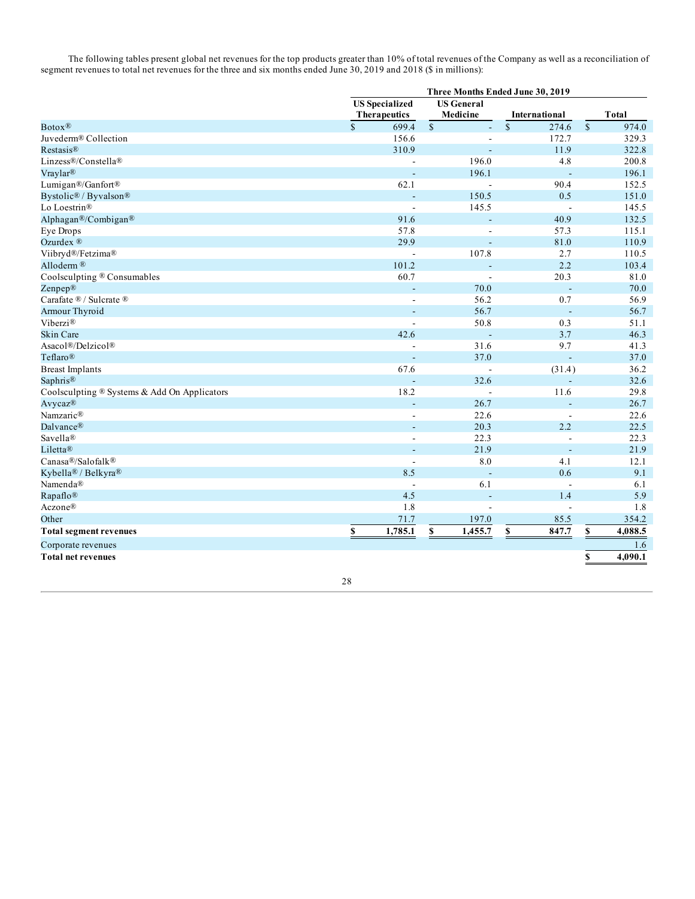The following tables present global net revenues for the top products greater than 10% of total revenues of the Company as well as a reconciliation of segment revenues to total net revenues for the three and six months ended June 30, 2019 and 2018 (\$ in millions):

|                                              |    |                                              |              | Three Months Ended June 30, 2019 |             |                |               |         |
|----------------------------------------------|----|----------------------------------------------|--------------|----------------------------------|-------------|----------------|---------------|---------|
|                                              |    | <b>US</b> Specialized<br><b>Therapeutics</b> |              | <b>US General</b><br>Medicine    |             | International  |               | Total   |
| <b>Botox®</b>                                | \$ | 699.4                                        | $\mathbb{S}$ | $\Box$                           | $\mathbb S$ | 274.6          | $\mathcal{S}$ | 974.0   |
| Juvederm <sup>®</sup> Collection             |    | 156.6                                        |              |                                  |             | 172.7          |               | 329.3   |
| Restasis@                                    |    | 310.9                                        |              | ÷                                |             | 11.9           |               | 322.8   |
| Linzess®/Constella®                          |    | $\overline{\phantom{a}}$                     |              | 196.0                            |             | 4.8            |               | 200.8   |
| Vraylar <sup>®</sup>                         |    |                                              |              | 196.1                            |             | $\sim$         |               | 196.1   |
| Lumigan <sup>®</sup> /Ganfort <sup>®</sup>   |    | 62.1                                         |              |                                  |             | 90.4           |               | 152.5   |
| Bystolic® / Byvalson®                        |    | $\omega$                                     |              | 150.5                            |             | 0.5            |               | 151.0   |
| Lo Loestrin®                                 |    | L.                                           |              | 145.5                            |             | $\overline{a}$ |               | 145.5   |
| Alphagan <sup>®</sup> /Combigan <sup>®</sup> |    | 91.6                                         |              | L,                               |             | 40.9           |               | 132.5   |
| Eye Drops                                    |    | 57.8                                         |              | L.                               |             | 57.3           |               | 115.1   |
| Ozurdex <sup>®</sup>                         |    | 29.9                                         |              |                                  |             | 81.0           |               | 110.9   |
| Viibryd®/Fetzima®                            |    |                                              |              | 107.8                            |             | 2.7            |               | 110.5   |
| Alloderm <sup>®</sup>                        |    | 101.2                                        |              |                                  |             | 2.2            |               | 103.4   |
| Coolsculpting ® Consumables                  |    | 60.7                                         |              |                                  |             | 20.3           |               | 81.0    |
| Zenpep®                                      |    | $\sim$                                       |              | 70.0                             |             | $\sim$         |               | 70.0    |
| Carafate ® / Sulcrate ®                      |    | $\overline{\phantom{a}}$                     |              | 56.2                             |             | 0.7            |               | 56.9    |
| Armour Thyroid                               |    |                                              |              | 56.7                             |             |                |               | 56.7    |
| Viberzi®                                     |    | ÷,                                           |              | 50.8                             |             | 0.3            |               | 51.1    |
| <b>Skin Care</b>                             |    | 42.6                                         |              |                                  |             | 3.7            |               | 46.3    |
| Asacol®/Delzicol®                            |    | $\sim$                                       |              | 31.6                             |             | 9.7            |               | 41.3    |
| Teflaro <sup>®</sup>                         |    | $\bar{\phantom{a}}$                          |              | 37.0                             |             | $\Box$         |               | 37.0    |
| <b>Breast Implants</b>                       |    | 67.6                                         |              |                                  |             | (31.4)         |               | 36.2    |
| Saphris <sup>®</sup>                         |    |                                              |              | 32.6                             |             |                |               | 32.6    |
| Coolsculpting ® Systems & Add On Applicators |    | 18.2                                         |              | L.                               |             | 11.6           |               | 29.8    |
| Avycaz <sup>®</sup>                          |    |                                              |              | 26.7                             |             |                |               | 26.7    |
| Namzaric®                                    |    |                                              |              | 22.6                             |             |                |               | 22.6    |
| <b>Dalvance</b> ®                            |    | $\sim$                                       |              | 20.3                             |             | 2.2            |               | 22.5    |
| Savella®                                     |    | $\sim$                                       |              | 22.3                             |             | ÷,             |               | 22.3    |
| Liletta <sup>®</sup>                         |    | ÷.                                           |              | 21.9                             |             | $\sim$         |               | 21.9    |
| Canasa®/Salofalk®                            |    |                                              |              | 8.0                              |             | 4.1            |               | 12.1    |
| Kybella® / Belkyra®                          |    | 8.5                                          |              |                                  |             | 0.6            |               | 9.1     |
| Namenda®                                     |    | $\sim$                                       |              | 6.1                              |             | $\sim$         |               | 6.1     |
| Rapaflo®                                     |    | 4.5                                          |              | ÷.                               |             | 1.4            |               | 5.9     |
| Aczone <sup>®</sup>                          |    | 1.8                                          |              |                                  |             | $\sim$         |               | 1.8     |
| Other                                        |    | 71.7                                         |              | 197.0                            |             | 85.5           |               | 354.2   |
| <b>Total segment revenues</b>                | S  | 1,785.1                                      | \$           | 1,455.7                          | \$          | 847.7          | \$            | 4,088.5 |
| Corporate revenues                           |    |                                              |              |                                  |             |                |               | 1.6     |
| <b>Total net revenues</b>                    |    |                                              |              |                                  |             |                | \$            | 4,090.1 |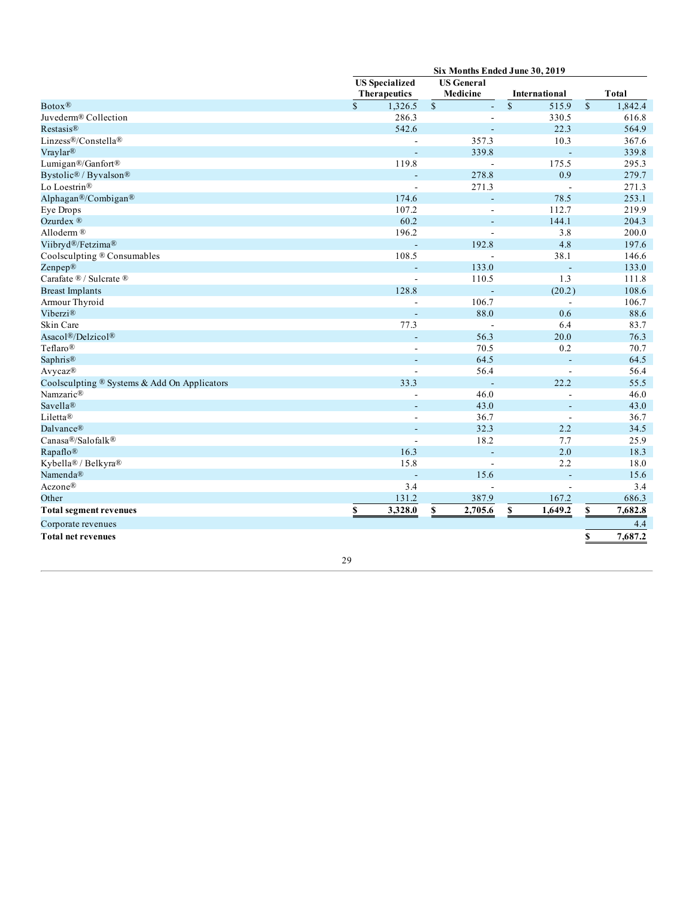|                                              |                        |                          | Six Months Ended June 30, 2019 |                         |
|----------------------------------------------|------------------------|--------------------------|--------------------------------|-------------------------|
|                                              | <b>US Specialized</b>  | <b>US General</b>        |                                |                         |
|                                              | <b>Therapeutics</b>    | Medicine                 | International                  | Total                   |
| $\text{Botox}$ <sup>®</sup>                  | $\mathbf S$<br>1,326.5 | $\mathbb{S}$<br>$\omega$ | $\mathbf S$<br>515.9           | $\mathbb{S}$<br>1,842.4 |
| Juvederm <sup>®</sup> Collection             | 286.3                  | L.                       | 330.5                          | 616.8                   |
| Restasis@                                    | 542.6                  |                          | 22.3                           | 564.9                   |
| Linzess®/Constella®                          | $\overline{a}$         | 357.3                    | 10.3                           | 367.6                   |
| Vraylar®                                     |                        | 339.8                    | $\Box$                         | 339.8                   |
| Lumigan <sup>®</sup> /Ganfort <sup>®</sup>   | 119.8                  | ÷.                       | 175.5                          | 295.3                   |
| Bystolic® / Byvalson®                        | ÷.                     | 278.8                    | 0.9                            | 279.7                   |
| Lo Loestrin®                                 | $\sim$                 | 271.3                    | $\sim$                         | 271.3                   |
| Alphagan®/Combigan®                          | 174.6                  | ÷.                       | 78.5                           | 253.1                   |
| Eye Drops                                    | 107.2                  | $\overline{a}$           | 112.7                          | 219.9                   |
| Ozurdex $\mathbb{R}$                         | 60.2                   |                          | 144.1                          | 204.3                   |
| Alloderm <sup>®</sup>                        | 196.2                  | $\overline{a}$           | 3.8                            | 200.0                   |
| Viibryd®/Fetzima®                            |                        | 192.8                    | 4.8                            | 197.6                   |
| Coolsculpting ® Consumables                  | 108.5                  | L.                       | 38.1                           | 146.6                   |
| Zenpep®                                      | ä,                     | 133.0                    | $\sim$                         | 133.0                   |
| Carafate ® / Sulcrate ®                      |                        | 110.5                    | 1.3                            | 111.8                   |
| <b>Breast Implants</b>                       | 128.8                  |                          | (20.2)                         | 108.6                   |
| Armour Thyroid                               |                        | 106.7                    | $\overline{\phantom{a}}$       | 106.7                   |
| Viberzi®                                     |                        | 88.0                     | 0.6                            | 88.6                    |
| Skin Care                                    | 77.3                   |                          | 6.4                            | 83.7                    |
| Asacol <sup>®</sup> /Delzicol <sup>®</sup>   | ÷                      | 56.3                     | 20.0                           | 76.3                    |
| Teflaro®                                     | ÷,                     | 70.5                     | 0.2                            | 70.7                    |
| Saphris®                                     | ÷                      | 64.5                     | $\overline{a}$                 | 64.5                    |
| Avycaz®                                      |                        | 56.4                     |                                | 56.4                    |
| Coolsculpting ® Systems & Add On Applicators | 33.3                   |                          | 22.2                           | 55.5                    |
| Namzaric®                                    |                        | 46.0                     | $\overline{\phantom{a}}$       | 46.0                    |
| Savella®                                     |                        | 43.0                     |                                | 43.0                    |
| Liletta®                                     | ÷,                     | 36.7                     | L,                             | 36.7                    |
| Dalvance®                                    | ÷,                     | 32.3                     | 2.2                            | 34.5                    |
| Canasa®/Salofalk®                            | L.                     | 18.2                     | 7.7                            | 25.9                    |
| Rapaflo®                                     | 16.3                   | $\overline{a}$           | 2.0                            | 18.3                    |
| Kybella® / Belkyra®                          | 15.8                   | $\overline{\phantom{a}}$ | 2.2                            | 18.0                    |
| Namenda®                                     | ä,                     | 15.6                     | $\mathbf{r}$                   | 15.6                    |
| Accone <sup>®</sup>                          | 3.4                    | $\overline{\phantom{a}}$ | $\overline{a}$                 | 3.4                     |
| Other                                        | 131.2                  | 387.9                    | 167.2                          | 686.3                   |
| <b>Total segment revenues</b>                | \$<br>3,328.0          | \$<br>2,705.6            | \$<br>1,649.2                  | \$<br>7,682.8           |
| Corporate revenues                           |                        |                          |                                | 4.4                     |
| <b>Total net revenues</b>                    |                        |                          |                                | \$<br>7,687.2           |
|                                              |                        |                          |                                |                         |
| 29                                           |                        |                          |                                |                         |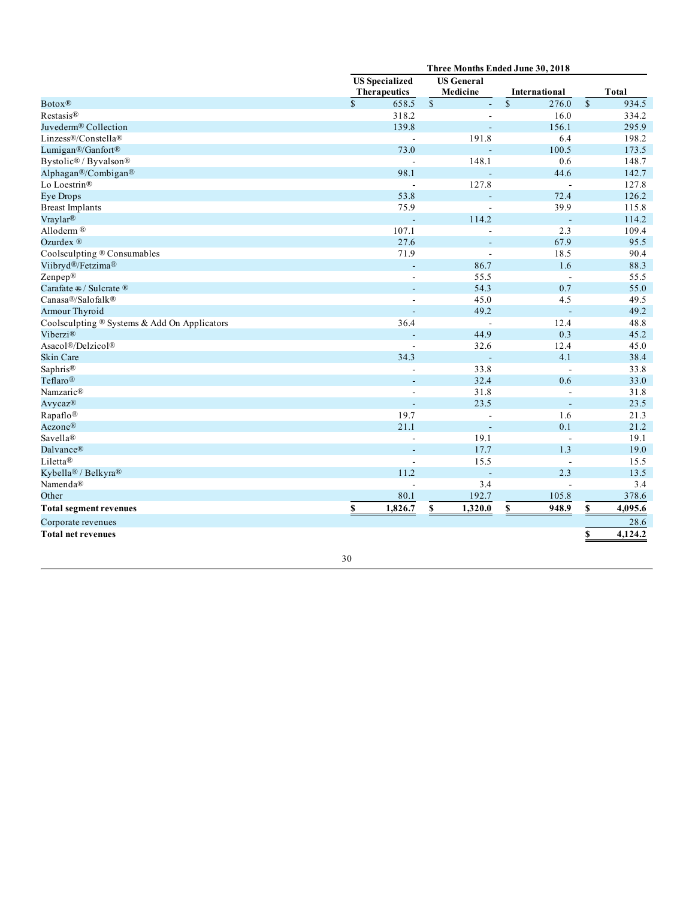|                                                    |                       | Three Months Ended June 30, 2018 |                          |               |                          |              |         |  |
|----------------------------------------------------|-----------------------|----------------------------------|--------------------------|---------------|--------------------------|--------------|---------|--|
|                                                    | <b>US</b> Specialized |                                  | <b>US General</b>        |               |                          |              |         |  |
|                                                    | <b>Therapeutics</b>   |                                  | Medicine                 | International |                          |              | Total   |  |
| <b>Botox®</b>                                      | $\mathbb{S}$          | 658.5                            | $\mathbb{S}$<br>$\omega$ | $\mathbf S$   | 276.0                    | $\mathbb{S}$ | 934.5   |  |
| Restasis®                                          |                       | 318.2                            | $\overline{a}$           |               | 16.0                     |              | 334.2   |  |
| Juvederm <sup>®</sup> Collection                   |                       | 139.8                            | ä,                       |               | 156.1                    |              | 295.9   |  |
| Linzess®/Constella®                                |                       | $\sim$                           | 191.8                    |               | 6.4                      |              | 198.2   |  |
| Lumigan <sup>®</sup> /Ganfort <sup>®</sup>         |                       | 73.0                             | ä,                       |               | 100.5                    |              | 173.5   |  |
| Bystolic® / Byvalson®                              |                       | $\overline{a}$                   | 148.1                    |               | 0.6                      |              | 148.7   |  |
| Alphagan <sup>®</sup> /Combigan <sup>®</sup>       |                       | 98.1                             |                          |               | 44.6                     |              | 142.7   |  |
| Lo Loestrin®                                       |                       | $\sim$                           | 127.8                    |               | $\sim$                   |              | 127.8   |  |
| Eye Drops                                          |                       | 53.8                             | L.                       |               | 72.4                     |              | 126.2   |  |
| <b>Breast Implants</b>                             |                       | 75.9                             | $\overline{\phantom{a}}$ |               | 39.9                     |              | 115.8   |  |
| Vraylar <sup>®</sup>                               |                       |                                  | 114.2                    |               | $\sim$                   |              | 114.2   |  |
| Alloderm <sup>®</sup>                              |                       | 107.1                            | $\overline{\phantom{a}}$ |               | 2.3                      |              | 109.4   |  |
| Ozurdex $\mathbb{R}$                               |                       | 27.6                             |                          |               | 67.9                     |              | 95.5    |  |
| Coolsculpting ® Consumables                        |                       | 71.9                             | $\overline{a}$           |               | 18.5                     |              | 90.4    |  |
| Viibryd <sup>®</sup> /Fetzima <sup>®</sup>         |                       |                                  | 86.7                     |               | 1.6                      |              | 88.3    |  |
| Zenpep®                                            |                       |                                  | 55.5                     |               | $\overline{\phantom{a}}$ |              | 55.5    |  |
| Carafate <sup>®</sup> / Sulcrate <sup>®</sup>      |                       | $\overline{a}$                   | 54.3                     |               | 0.7                      |              | 55.0    |  |
| Canasa®/Salofalk®                                  |                       | ÷,                               | 45.0                     |               | 4.5                      |              | 49.5    |  |
| Armour Thyroid                                     |                       | $\sim$                           | 49.2                     |               | $\omega$                 |              | 49.2    |  |
| Coolsculpting $\&$ Systems $\&$ Add On Applicators |                       | 36.4                             | $\overline{a}$           |               | 12.4                     |              | 48.8    |  |
| Viberzi®                                           |                       | L.                               | 44.9                     |               | 0.3                      |              | 45.2    |  |
| Asacol <sup>®</sup> /Delzicol <sup>®</sup>         |                       | $\overline{a}$                   | 32.6                     |               | 12.4                     |              | 45.0    |  |
| <b>Skin Care</b>                                   |                       | 34.3                             | L,                       |               | 4.1                      |              | 38.4    |  |
| Saphris®                                           |                       | L.                               | 33.8                     |               | L.                       |              | 33.8    |  |
| Teflaro $\mathbb{R}$                               |                       |                                  | 32.4                     |               | 0.6                      |              | 33.0    |  |
| Namzaric®                                          |                       | L.                               | 31.8                     |               | $\sim$                   |              | 31.8    |  |
| Avycaz®                                            |                       | ÷                                | 23.5                     |               | $\omega$                 |              | 23.5    |  |
| Rapaflo®                                           |                       | 19.7                             | $\overline{a}$           |               | 1.6                      |              | 21.3    |  |
| <b>Aczone®</b>                                     |                       | 21.1                             | $\blacksquare$           |               | 0.1                      |              | 21.2    |  |
| Savella®                                           |                       | ÷.                               | 19.1                     |               | $\blacksquare$           |              | 19.1    |  |
| Dalvance®                                          |                       | ÷.                               | 17.7                     |               | 1.3                      |              | 19.0    |  |
| Liletta®                                           |                       | L,                               | 15.5                     |               | $\overline{\phantom{a}}$ |              | 15.5    |  |
| Kybella® / Belkyra®                                |                       | 11.2                             | $\Box$                   |               | 2.3                      |              | 13.5    |  |
| Namenda®                                           |                       |                                  | 3.4                      |               | $\sim$                   |              | 3.4     |  |
| Other                                              |                       | 80.1                             | 192.7                    |               | 105.8                    |              | 378.6   |  |
| <b>Total segment revenues</b>                      | \$                    | 1,826.7                          | 1,320.0<br>\$            | \$            | 948.9                    | S            | 4,095.6 |  |
| Corporate revenues                                 |                       |                                  |                          |               |                          |              | 28.6    |  |
| <b>Total net revenues</b>                          |                       |                                  |                          |               |                          | \$           | 4,124.2 |  |
|                                                    |                       |                                  |                          |               |                          |              |         |  |
|                                                    | 30                    |                                  |                          |               |                          |              |         |  |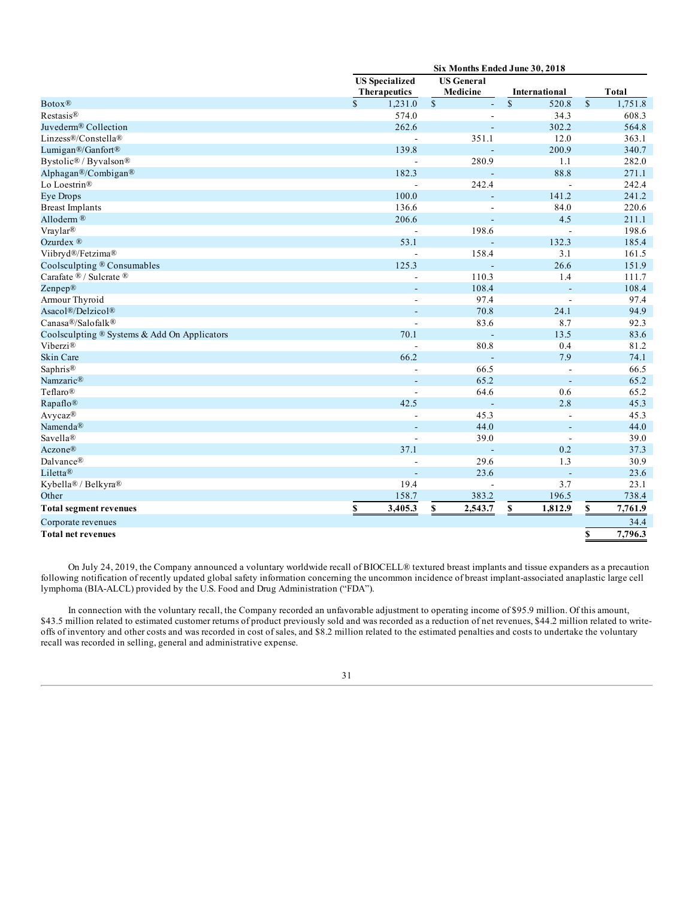|                                              | Six Months Ended June 30, 2018 |                          |               |                          |               |                          |              |         |
|----------------------------------------------|--------------------------------|--------------------------|---------------|--------------------------|---------------|--------------------------|--------------|---------|
|                                              | <b>US</b> Specialized          | <b>US General</b>        |               |                          |               |                          |              |         |
|                                              |                                | <b>Therapeutics</b>      | Medicine      |                          | International |                          |              | Total   |
| Botox <sup>®</sup>                           | \$                             | 1,231.0                  | $\mathbb{S}$  | $\blacksquare$           | \$            | 520.8                    | $\mathbb{S}$ | 1,751.8 |
| Restasis®                                    |                                | 574.0                    |               | $\overline{\phantom{a}}$ |               | 34.3                     |              | 608.3   |
| Juvederm <sup>®</sup> Collection             |                                | 262.6                    |               | ÷.                       |               | 302.2                    |              | 564.8   |
| Linzess®/Constella®                          |                                |                          | 351.1         |                          |               | 12.0                     |              | 363.1   |
| Lumigan <sup>®</sup> /Ganfort <sup>®</sup>   |                                | 139.8                    |               |                          |               | 200.9                    |              | 340.7   |
| Bystolic® / Byvalson®                        |                                |                          | 280.9         |                          |               | 1.1                      |              | 282.0   |
| Alphagan®/Combigan®                          |                                | 182.3                    |               |                          |               | 88.8                     |              | 271.1   |
| Lo Loestrin®                                 |                                |                          | 242.4         |                          |               |                          |              | 242.4   |
| Eye Drops                                    |                                | 100.0                    |               |                          |               | 141.2                    |              | 241.2   |
| <b>Breast Implants</b>                       |                                | 136.6                    |               | $\overline{\phantom{a}}$ |               | 84.0                     |              | 220.6   |
| Alloderm <sup>®</sup>                        |                                | 206.6                    |               | ÷                        |               | 4.5                      |              | 211.1   |
| Vraylar®                                     |                                |                          | 198.6         |                          |               |                          |              | 198.6   |
| Ozurdex <sup>®</sup>                         |                                | 53.1                     |               |                          |               | 132.3                    |              | 185.4   |
| Viibryd®/Fetzima®                            |                                |                          | 158.4         |                          |               | 3.1                      |              | 161.5   |
| Coolsculpting ® Consumables                  |                                | 125.3                    |               |                          |               | 26.6                     |              | 151.9   |
| Carafate ® / Sulcrate ®                      |                                |                          | 110.3         |                          |               | 1.4                      |              | 111.7   |
| Zenpep®                                      |                                |                          | 108.4         |                          |               | $\blacksquare$           |              | 108.4   |
| Armour Thyroid                               |                                | $\overline{\phantom{a}}$ | 97.4          |                          |               |                          |              | 97.4    |
| Asacol®/Delzicol®                            |                                |                          | 70.8          |                          |               | 24.1                     |              | 94.9    |
| Canasa®/Salofalk®                            |                                | $\overline{\phantom{a}}$ | 83.6          |                          |               | 8.7                      |              | 92.3    |
| Coolsculpting ® Systems & Add On Applicators |                                | 70.1                     |               | ÷                        |               | 13.5                     |              | 83.6    |
| Viberzi®                                     |                                |                          | 80.8          |                          |               | 0.4                      |              | 81.2    |
| <b>Skin Care</b>                             |                                | 66.2                     |               |                          |               | 7.9                      |              | 74.1    |
| Saphris®                                     |                                |                          | 66.5          |                          |               |                          |              | 66.5    |
| Namzaric <sup>®</sup>                        |                                |                          | 65.2          |                          |               | $\overline{a}$           |              | 65.2    |
| Teflaro®                                     |                                |                          | 64.6          |                          |               | 0.6                      |              | 65.2    |
| Rapaflo®                                     |                                | 42.5                     |               |                          |               | 2.8                      |              | 45.3    |
| Avycaz®                                      |                                | ä,                       | 45.3          |                          |               | $\sim$                   |              | 45.3    |
| Namenda®                                     |                                | ÷                        | 44.0          |                          |               | $\blacksquare$           |              | 44.0    |
| Savella®                                     |                                | $\blacksquare$           | 39.0          |                          |               | $\overline{\phantom{a}}$ |              | 39.0    |
| <b>Aczone®</b>                               |                                | 37.1                     |               |                          |               | 0.2                      |              | 37.3    |
| Dalvance®                                    |                                |                          | 29.6          |                          |               | 1.3                      |              | 30.9    |
| Liletta®                                     |                                | ÷                        | 23.6          |                          |               | $\blacksquare$           |              | 23.6    |
| Kybella® / Belkyra®                          |                                | 19.4                     |               |                          |               | 3.7                      |              | 23.1    |
| Other                                        |                                | 158.7                    | 383.2         |                          |               | 196.5                    |              | 738.4   |
| <b>Total segment revenues</b>                | \$                             | 3,405.3                  | \$<br>2,543.7 |                          | \$            | 1,812.9                  | \$           | 7,761.9 |
| Corporate revenues                           |                                |                          |               |                          |               |                          |              | 34.4    |
| <b>Total net revenues</b>                    |                                |                          |               |                          |               |                          | \$           | 7,796.3 |

On July 24, 2019, the Company announced a voluntary worldwide recall of BIOCELL® textured breast implants and tissue expanders as a precaution following notification of recently updated global safety information concerning the uncommon incidence of breast implant-associated anaplastic large cell lymphoma (BIA-ALCL) provided by the U.S. Food and Drug Administration ("FDA").

In connection with the voluntary recall, the Company recorded an unfavorable adjustment to operating income of \$95.9 million. Of this amount, \$43.5 million related to estimated customer returns of product previously sold and was recorded as a reduction of net revenues, \$44.2 million related to writeoffs of inventory and other costs and was recorded in cost of sales, and \$8.2 million related to the estimated penalties and costs to undertake the voluntary recall was recorded in selling, general and administrative expense.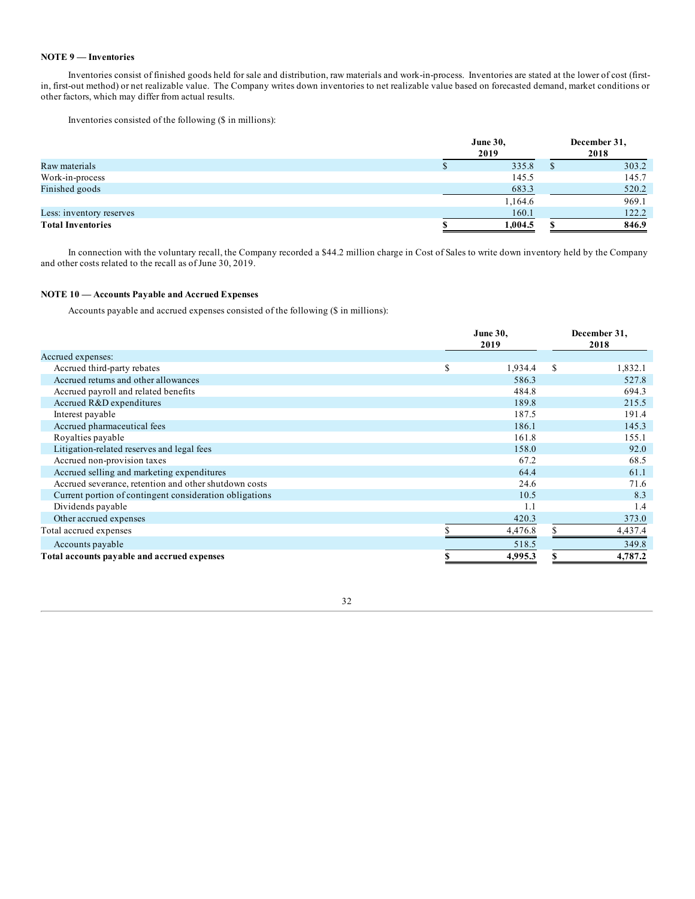# **NOTE 9 — Inventories**

Inventories consist of finished goods held for sale and distribution, raw materials and work-in-process. Inventories are stated at the lower of cost (firstin, first-out method) or net realizable value. The Company writes down inventories to net realizable value based on forecasted demand, market conditions or other factors, which may differ from actual results.

Inventories consisted of the following (\$ in millions):

|                          | <b>June 30,</b><br>2019 | December 31,<br>2018 |
|--------------------------|-------------------------|----------------------|
| Raw materials            | 335.8                   | 303.2                |
| Work-in-process          | 145.5                   | 145.7                |
| Finished goods           | 683.3                   | 520.2                |
|                          | 1,164.6                 | 969.1                |
| Less: inventory reserves | 160.1                   | 122.2                |
| <b>Total Inventories</b> | 1.004.5                 | 846.9                |

In connection with the voluntary recall, the Company recorded a \$44.2 million charge in Cost of Sales to write down inventory held by the Company and other costs related to the recall as of June 30, 2019.

# **NOTE 10 — Accounts Payable and Accrued Expenses**

Accounts payable and accrued expenses consisted of the following (\$ in millions):

|                                                         |   | <b>June 30,</b><br>2019 |     | December 31,<br>2018 |
|---------------------------------------------------------|---|-------------------------|-----|----------------------|
| Accrued expenses:                                       |   |                         |     |                      |
| Accrued third-party rebates                             | S | 1,934.4                 | \$. | 1,832.1              |
| Accrued returns and other allowances                    |   | 586.3                   |     | 527.8                |
| Accrued payroll and related benefits                    |   | 484.8                   |     | 694.3                |
| Accrued R&D expenditures                                |   | 189.8                   |     | 215.5                |
| Interest payable                                        |   | 187.5                   |     | 191.4                |
| Accrued pharmaceutical fees                             |   | 186.1                   |     | 145.3                |
| Royalties payable                                       |   | 161.8                   |     | 155.1                |
| Litigation-related reserves and legal fees              |   | 158.0                   |     | 92.0                 |
| Accrued non-provision taxes                             |   | 67.2                    |     | 68.5                 |
| Accrued selling and marketing expenditures              |   | 64.4                    |     | 61.1                 |
| Accrued severance, retention and other shutdown costs   |   | 24.6                    |     | 71.6                 |
| Current portion of contingent consideration obligations |   | 10.5                    |     | 8.3                  |
| Dividends payable                                       |   | 1.1                     |     | 1.4                  |
| Other accrued expenses                                  |   | 420.3                   |     | 373.0                |
| Total accrued expenses                                  |   | 4,476.8                 |     | 4,437.4              |
| Accounts payable                                        |   | 518.5                   |     | 349.8                |
| Total accounts payable and accrued expenses             |   | 4,995.3                 |     | 4,787.2              |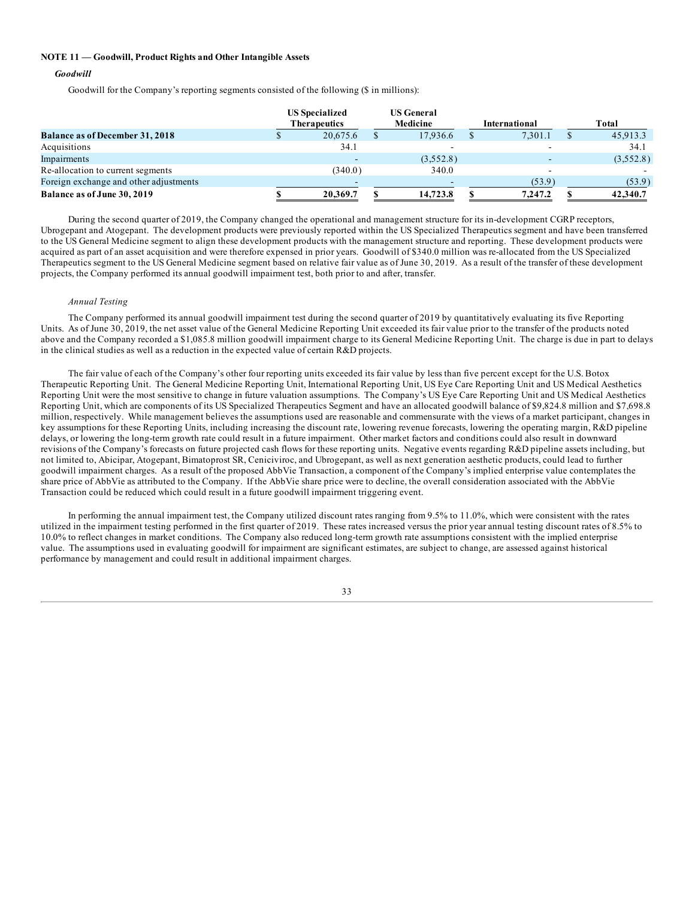# **NOTE 11 — Goodwill, Product Rights and Other Intangible Assets**

### *Goodwill*

Goodwill for the Company's reporting segments consisted of the following (\$ in millions):

| <b>Therapeutics</b> |                          |                       | <b>US General</b><br>Medicine |         | Total         |           |  |
|---------------------|--------------------------|-----------------------|-------------------------------|---------|---------------|-----------|--|
|                     | 20.675.6                 |                       | 17.936.6                      | 7.301.1 |               | 45,913.3  |  |
|                     | 34.1                     |                       | $\overline{\phantom{a}}$      |         |               | 34.1      |  |
|                     | $\overline{\phantom{a}}$ |                       | (3,552.8)                     |         |               | (3,552.8) |  |
|                     | (340.0)                  |                       | 340.0                         |         |               |           |  |
|                     |                          |                       |                               | (53.9)  |               | (53.9)    |  |
|                     | 20.369.7                 |                       | 14,723.8                      | 7.247.2 |               | 42,340.7  |  |
|                     |                          | <b>US Specialized</b> |                               |         | International |           |  |

During the second quarter of 2019, the Company changed the operational and management structure for its in-development CGRP receptors, Ubrogepant and Atogepant. The development products were previously reported within the US Specialized Therapeutics segment and have been transferred to the US General Medicine segment to align these development products with the management structure and reporting. These development products were acquired as part of an asset acquisition and were therefore expensed in prior years. Goodwill of \$340.0 million was re-allocated from the US Specialized Therapeutics segment to the US General Medicine segment based on relative fair value as of June 30, 2019. As a result of the transfer of these development projects, the Company performed its annual goodwill impairment test, both prior to and after, transfer.

#### *Annual Testing*

The Company performed its annual goodwill impairment test during the second quarter of 2019 by quantitatively evaluating its five Reporting Units. As of June 30, 2019, the net asset value of the General Medicine Reporting Unit exceeded its fair value prior to the transfer of the products noted above and the Company recorded a \$1,085.8 million goodwill impairment charge to its General Medicine Reporting Unit. The charge is due in part to delays in the clinical studies as well as a reduction in the expected value of certain R&D projects.

The fair value of each of the Company's other four reporting units exceeded its fair value by less than five percent except for the U.S. Botox Therapeutic Reporting Unit. The General Medicine Reporting Unit, International Reporting Unit, US Eye Care Reporting Unit and US Medical Aesthetics Reporting Unit were the most sensitive to change in future valuation assumptions. The Company's US Eye Care Reporting Unit and US Medical Aesthetics Reporting Unit, which are components of its US Specialized Therapeutics Segment and have an allocated goodwill balance of \$9,824.8 million and \$7,698.8 million, respectively. While management believes the assumptions used are reasonable and commensurate with the views of a market participant, changes in key assumptions for these Reporting Units, including increasing the discount rate, lowering revenue forecasts, lowering the operating margin, R&D pipeline delays, or lowering the long-term growth rate could result in a future impairment. Other market factors and conditions could also result in downward revisions of the Company's forecasts on future projected cash flows for these reporting units. Negative events regarding R&D pipeline assets including, but not limited to, Abicipar, Atogepant, Bimatoprost SR, Ceniciviroc, and Ubrogepant, as well as next generation aesthetic products, could lead to further goodwill impairment charges. As a result of the proposed AbbVie Transaction, a component of the Company's implied enterprise value contemplates the share price of AbbVie as attributed to the Company. If the AbbVie share price were to decline, the overall consideration associated with the AbbVie Transaction could be reduced which could result in a future goodwill impairment triggering event.

In performing the annual impairment test, the Company utilized discount rates ranging from 9.5% to 11.0%, which were consistent with the rates utilized in the impairment testing performed in the first quarter of 2019. These rates increased versus the prior year annual testing discount rates of 8.5% to 10.0% to reflect changes in market conditions. The Company also reduced long-term growth rate assumptions consistent with the implied enterprise value. The assumptions used in evaluating goodwill for impairment are significant estimates, are subject to change, are assessed against historical performance by management and could result in additional impairment charges.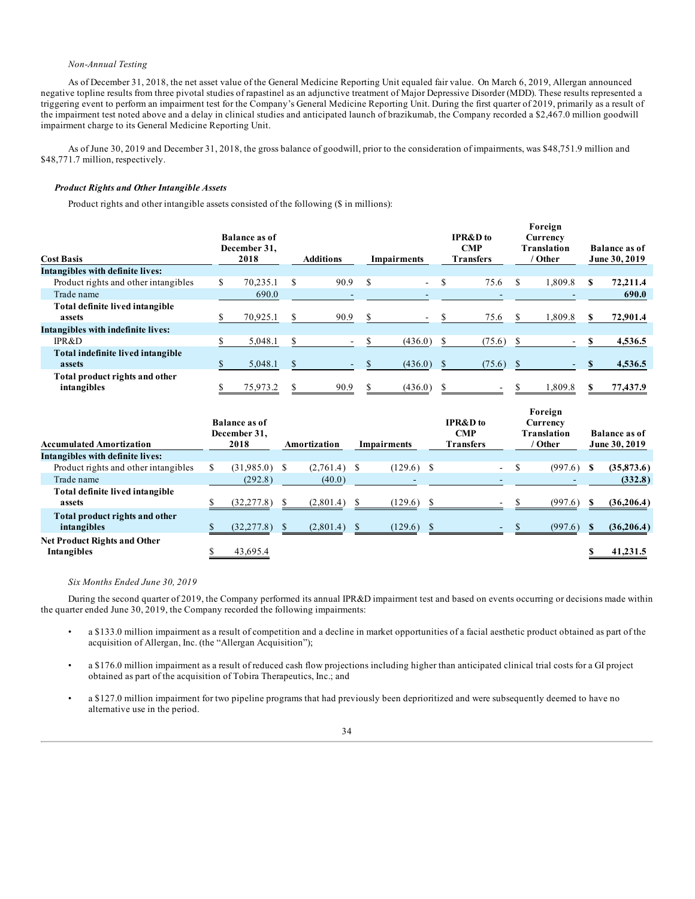# *Non-Annual Testing*

As of December 31, 2018, the net asset value of the General Medicine Reporting Unit equaled fair value. On March 6, 2019, Allergan announced negative topline results from three pivotal studies of rapastinel as an adjunctive treatment of Major Depressive Disorder (MDD). These results represented a triggering event to perform an impairment test for the Company's General Medicine Reporting Unit. During the first quarter of 2019, primarily as a result of the impairment test noted above and a delay in clinical studies and anticipated launch of brazikumab, the Company recorded a \$2,467.0 million goodwill impairment charge to its General Medicine Reporting Unit.

As of June 30, 2019 and December 31, 2018, the gross balance of goodwill, prior to the consideration of impairments, was \$48,751.9 million and \$48,771.7 million, respectively.

### *Product Rights and Other Intangible Assets*

Product rights and other intangible assets consisted of the following (\$ in millions):

| <b>Cost Basis</b>                             | <b>Balance as of</b><br>December 31.<br>2018 |              | <b>Additions</b> | <b>Impairments</b> |               | <b>IPR&amp;D</b> to<br><b>CMP</b><br><b>Transfers</b> |               | Foreign<br>Currency<br><b>Translation</b><br>Other |   | <b>Balance as of</b><br>June 30, 2019 |
|-----------------------------------------------|----------------------------------------------|--------------|------------------|--------------------|---------------|-------------------------------------------------------|---------------|----------------------------------------------------|---|---------------------------------------|
| Intangibles with definite lives:              |                                              |              |                  |                    |               |                                                       |               |                                                    |   |                                       |
| Product rights and other intangibles          | \$<br>70,235.1                               | \$           | 90.9             | \$<br>$\sim$       | S             | 75.6                                                  | <sup>\$</sup> | 1.809.8                                            | S | 72,211.4                              |
| Trade name                                    | 690.0                                        |              |                  |                    |               |                                                       |               |                                                    |   | 690.0                                 |
| Total definite lived intangible               |                                              |              |                  |                    |               |                                                       |               |                                                    |   |                                       |
| assets                                        | 70,925.1                                     |              | 90.9             |                    |               | 75.6                                                  |               | 1,809.8                                            |   | 72,901.4                              |
| Intangibles with indefinite lives:            |                                              |              |                  |                    |               |                                                       |               |                                                    |   |                                       |
| <b>IPR&amp;D</b>                              | 5,048.1                                      | -S           |                  | (436.0)            | -S            | (75.6)                                                | -S            |                                                    |   | 4,536.5                               |
| Total indefinite lived intangible             |                                              |              |                  |                    |               |                                                       |               |                                                    |   |                                       |
| assets                                        | 5,048.1                                      | <sup>S</sup> |                  | (436.0)            | <sup>\$</sup> | (75.6)                                                | <sup>S</sup>  |                                                    |   | 4,536.5                               |
| Total product rights and other<br>intangibles | 75,973.2                                     |              | 90.9             | (436.0)            | \$.           | $\sim$                                                |               | 1,809.8                                            |   | 77,437.9                              |

| <b>Accumulated Amortization</b><br>Intangibles with definite lives: | <b>Balance as of</b><br>December 31,<br>2018 | Amortization   | <b>Impairments</b> | <b>IPR&amp;D</b> to<br><b>CMP</b><br>Transfers | <b>TOTOL</b><br>Currency<br><b>Translation</b><br>Other | <b>Balance as of</b><br>June 30, 2019 |
|---------------------------------------------------------------------|----------------------------------------------|----------------|--------------------|------------------------------------------------|---------------------------------------------------------|---------------------------------------|
|                                                                     |                                              |                |                    |                                                |                                                         |                                       |
| Product rights and other intangibles                                | $(31,985.0)$ \$                              | $(2,761.4)$ \$ | $(129.6)$ \$       | $\sim$                                         | (997.6)                                                 | (35,873.6)                            |
| Trade name                                                          | (292.8)                                      | (40.0)         |                    |                                                |                                                         | (332.8)                               |
| Total definite lived intangible                                     |                                              |                |                    |                                                |                                                         |                                       |
| assets                                                              | (32, 277.8)                                  | (2,801.4)      | (129.6)            | $\sim$                                         | (997.6)                                                 | (36,206.4)                            |
| Total product rights and other                                      |                                              |                |                    |                                                |                                                         |                                       |
| intangibles                                                         | (32, 277.8)                                  | (2,801.4)      | (129.6)            | ۰                                              | (997.6)                                                 | (36,206.4)                            |
| <b>Net Product Rights and Other</b>                                 |                                              |                |                    |                                                |                                                         |                                       |
| Intangibles                                                         | 43,695.4                                     |                |                    |                                                |                                                         | 41,231.5                              |
|                                                                     |                                              |                |                    |                                                |                                                         |                                       |

**Foreign**

*Six Months Ended June 30, 2019*

During the second quarter of 2019, the Company performed its annual IPR&D impairment test and based on events occurring or decisions made within the quarter ended June 30, 2019, the Company recorded the following impairments:

- a \$133.0 million impairment as a result of competition and a decline in market opportunities of a facial aesthetic product obtained as part of the acquisition of Allergan, Inc. (the "Allergan Acquisition");
- a \$176.0 million impairment as a result of reduced cash flow projections including higher than anticipated clinical trial costs for a GI project obtained as part of the acquisition of Tobira Therapeutics, Inc.; and
- a \$127.0 million impairment for two pipeline programs that had previously been deprioritized and were subsequently deemed to have no alternative use in the period.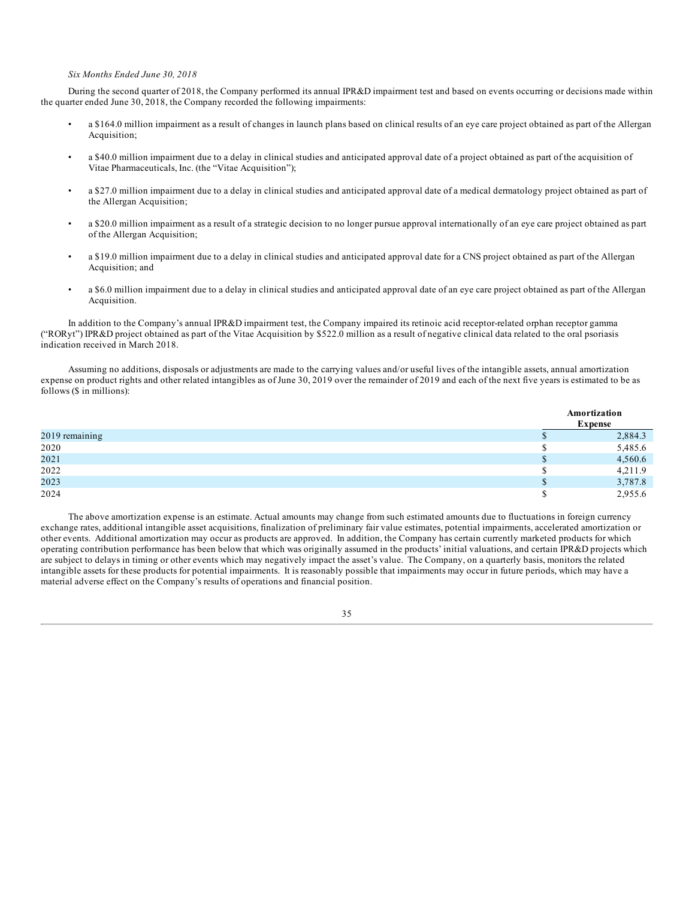#### *Six Months Ended June 30, 2018*

During the second quarter of 2018, the Company performed its annual IPR&D impairment test and based on events occurring or decisions made within the quarter ended June 30, 2018, the Company recorded the following impairments:

- a \$164.0 million impairment as a result of changes in launch plans based on clinical results of an eye care project obtained as part of the Allergan Acquisition;
- a \$40.0 million impairment due to a delay in clinical studies and anticipated approval date of a project obtained as part of the acquisition of Vitae Pharmaceuticals, Inc. (the "Vitae Acquisition");
- a \$27.0 million impairment due to a delay in clinical studies and anticipated approval date of a medical dermatology project obtained as part of the Allergan Acquisition;
- a \$20.0 million impairment as a result of a strategic decision to no longer pursue approval internationally of an eye care project obtained as part of the Allergan Acquisition;
- a \$19.0 million impairment due to a delay in clinical studies and anticipated approval date for a CNS project obtained as part of the Allergan Acquisition; and
- a \$6.0 million impairment due to a delay in clinical studies and anticipated approval date of an eye care project obtained as part of the Allergan Acquisition.

In addition to the Company's annual IPR&D impairment test, the Company impaired its retinoic acid receptor-related orphan receptor gamma ("RORyt") IPR&D project obtained as part of the Vitae Acquisition by \$522.0 million as a result of negative clinical data related to the oral psoriasis indication received in March 2018.

Assuming no additions, disposals or adjustments are made to the carrying values and/or useful lives of the intangible assets, annual amortization expense on product rights and other related intangibles as of June 30, 2019 over the remainder of 2019 and each of the next five years is estimated to be as follows (\$ in millions):

|                |    | Amortization<br><b>Expense</b> |
|----------------|----|--------------------------------|
| 2019 remaining |    | 2,884.3                        |
| 2020           |    | 5,485.6                        |
| 2021           | ٠Β | 4,560.6                        |
| 2022           |    | 4,211.9                        |
| 2023           |    | 3,787.8                        |
| 2024           |    | 2,955.6                        |

The above amortization expense is an estimate. Actual amounts may change from such estimated amounts due to fluctuations in foreign currency exchange rates, additional intangible asset acquisitions, finalization of preliminary fair value estimates, potential impairments, accelerated amortization or other events. Additional amortization may occur as products are approved. In addition, the Company has certain currently marketed products for which operating contribution performance has been below that which was originally assumed in the products' initial valuations, and certain IPR&D projects which are subject to delays in timing or other events which may negatively impact the asset's value. The Company, on a quarterly basis, monitors the related intangible assets for these products for potential impairments. It is reasonably possible that impairments may occur in future periods, which may have a material adverse effect on the Company's results of operations and financial position.

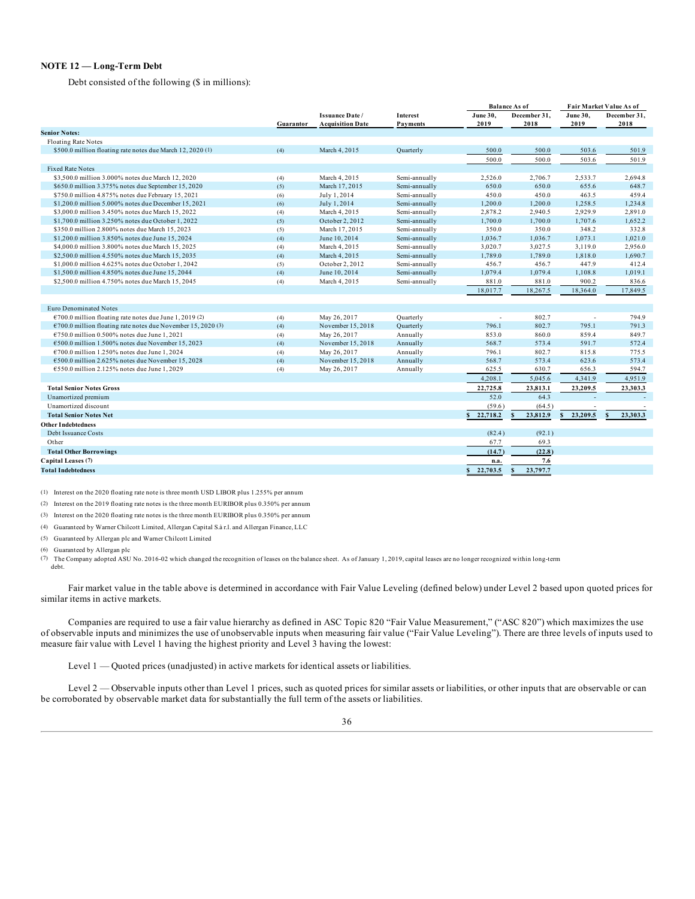### **NOTE 12 — Long-Term Debt**

Debt consisted of the following (\$ in millions):

|                                                                        |           |                                                  |                      |                  | <b>Balance As of</b> |                  | Fair Market Value As of |  |
|------------------------------------------------------------------------|-----------|--------------------------------------------------|----------------------|------------------|----------------------|------------------|-------------------------|--|
|                                                                        | Guarantor | <b>Issuance Date/</b><br><b>Acquisition Date</b> | Interest<br>Payments | June 30,<br>2019 | December 31,<br>2018 | June 30,<br>2019 | December 31,<br>2018    |  |
| <b>Senior Notes:</b>                                                   |           |                                                  |                      |                  |                      |                  |                         |  |
| <b>Floating Rate Notes</b>                                             |           |                                                  |                      |                  |                      |                  |                         |  |
| \$500.0 million floating rate notes due March 12, 2020 (1)             | (4)       | March 4, 2015                                    | Quarterly            | 500.0            | 500.0                | 503.6            | 501.9                   |  |
|                                                                        |           |                                                  |                      | 500.0            | 500.0                | 503.6            | 501.9                   |  |
| <b>Fixed Rate Notes</b>                                                |           |                                                  |                      |                  |                      |                  |                         |  |
| \$3,500.0 million 3,000% notes due March 12, 2020                      | (4)       | March 4, 2015                                    | Semi-annually        | 2,526.0          | 2,706.7              | 2,533.7          | 2,694.8                 |  |
| \$650.0 million 3.375% notes due September 15, 2020                    | (5)       | March 17, 2015                                   | Semi-annually        | 650.0            | 650.0                | 655.6            | 648.7                   |  |
| \$750.0 million 4.875% notes due February 15, 2021                     | (6)       | July 1, 2014                                     | Semi-annually        | 450.0            | 450.0                | 463.5            | 459.4                   |  |
| \$1,200.0 million 5.000% notes due December 15, 2021                   | (6)       | July 1, 2014                                     | Semi-annually        | 1,200.0          | 1,200.0              | 1,258.5          | 1,234.8                 |  |
| \$3,000.0 million 3.450% notes due March 15, 2022                      | (4)       | March 4, 2015                                    | Semi-annually        | 2,878.2          | 2,940.5              | 2,929.9          | 2,891.0                 |  |
| \$1,700.0 million 3.250% notes due October 1, 2022                     | (5)       | October 2, 2012                                  | Semi-annually        | 1,700.0          | 1,700.0              | 1,707.6          | 1,652.2                 |  |
| \$350.0 million 2.800% notes due March 15, 2023                        | (5)       | March 17, 2015                                   | Semi-annually        | 350.0            | 350.0                | 348.2            | 332.8                   |  |
| \$1,200.0 million 3.850% notes due June 15,2024                        | (4)       | June 10, 2014                                    | Semi-annually        | 1,036.7          | 1,036.7              | 1,073.1          | 1,021.0                 |  |
| \$4,000.0 million 3.800% notes due March 15, 2025                      | (4)       | March 4, 2015                                    | Semi-annually        | 3,020.7          | 3,027.5              | 3,119.0          | 2,956.0                 |  |
| \$2,500.0 million 4.550% notes due March 15, 2035                      | (4)       | March 4, 2015                                    | Semi-annually        | 1,789.0          | 1,789.0              | 1,818.0          | 1,690.7                 |  |
| \$1,000.0 million 4.625% notes due October 1, 2042                     | (5)       | October 2, 2012                                  | Semi-annually        | 456.7            | 456.7                | 447.9            | 412.4                   |  |
| \$1,500.0 million 4.850% notes due June 15,2044                        | (4)       | June 10, 2014                                    | Semi-annually        | 1,079.4          | 1,079.4              | 1,108.8          | 1,019.1                 |  |
| \$2,500.0 million 4.750% notes due March 15, 2045                      | (4)       | March 4, 2015                                    | Semi-annually        | 881.0            | 881.0                | 900.2            | 836.6                   |  |
|                                                                        |           |                                                  |                      | 18,017.7         | 18,267.5             | 18,364.0         | 17,849.5                |  |
|                                                                        |           |                                                  |                      |                  |                      |                  |                         |  |
| <b>Euro Denominated Notes</b>                                          |           |                                                  |                      |                  |                      |                  |                         |  |
| €700.0 million floating rate notes due June 1, 2019 (2)                | (4)       | May 26, 2017                                     | Quarterly            |                  | 802.7                |                  | 794.9                   |  |
| $\epsilon$ 700.0 million floating rate notes due November 15, 2020 (3) | (4)       | November 15, 2018                                | Quarterly            | 796.1            | 802.7                | 795.1            | 791.3                   |  |
| $\text{\textsterling}750.0$ million 0.500% notes due June 1, 2021      | (4)       | May 26, 2017                                     | Annually             | 853.0            | 860.0                | 859.4            | 849.7                   |  |
| €500.0 million 1.500% notes due November 15, 2023                      | (4)       | November 15, 2018                                | Annually             | 568.7            | 573.4                | 591.7            | 572.4                   |  |
| $\epsilon$ 700.0 million 1.250% notes due June 1,2024                  | (4)       | May 26, 2017                                     | Annually             | 796.1            | 802.7                | 815.8            | 775.5                   |  |
| €500.0 million 2.625% notes due November 15, 2028                      | (4)       | November 15, 2018                                | Annually             | 568.7            | 573.4                | 623.6            | 573.4                   |  |
| €550.0 million 2.125% notes due June 1, 2029                           | (4)       | May 26, 2017                                     | Annually             | 625.5            | 630.7                | 656.3            | 594.7                   |  |
|                                                                        |           |                                                  |                      | 4,208.1          | 5,045.6              | 4,341.9          | 4,951.9                 |  |
| <b>Total Senior Notes Gross</b>                                        |           |                                                  |                      | 22,725.8         | 23,813.1             | 23,209.5         | 23,303.3                |  |
| Unamortized premium                                                    |           |                                                  |                      | 52.0             | 64.3                 |                  |                         |  |
| Unamortized discount                                                   |           |                                                  |                      | (59.6)           | (64.5)               |                  |                         |  |
| <b>Total Senior Notes Net</b>                                          |           |                                                  |                      | \$22,718.2       | 23,812.9<br>S        | 23,209.5<br>s    | 23,303.3<br>S           |  |
| <b>Other Indebtedness</b>                                              |           |                                                  |                      |                  |                      |                  |                         |  |
| Debt Issuance Costs                                                    |           |                                                  |                      | (82.4)           | (92.1)               |                  |                         |  |
| Other                                                                  |           |                                                  |                      | 67.7             | 69.3                 |                  |                         |  |
| <b>Total Other Borrowings</b>                                          |           |                                                  |                      | (14.7)           | (22.8)               |                  |                         |  |
| Capital Leases (7)                                                     |           |                                                  |                      | n.a.             | 7.6                  |                  |                         |  |
| <b>Total Indebtedness</b>                                              |           |                                                  |                      | 22,703.5<br>S    | 23,797.7<br>S        |                  |                         |  |
|                                                                        |           |                                                  |                      |                  |                      |                  |                         |  |

(1) Interest on the 2020 floating rate note is three month USD LIBOR plus 1.255% per annum

(2) Interest on the 2019 floating rate notes is the three month EURIBOR plus 0.350% per annum

(3) Interest on the 2020 floating rate notes is the three month EURIBOR plus 0.350% per annum

(4) Guaranteed by Warner Chilcott Limited, Allergan Capital S.à r.l. and Allergan Finance, LLC

(5) Guaranteed by Allergan plc and Warner Chilcott Limited

(6) Guaranteed by Allergan plc

(7) The Company adopted ASU No. 2016-02 which changed the recognition of leases on the balance sheet. As of January 1, 2019, capital leases are no longer recognized within long-term

debt.

Fair market value in the table above is determined in accordance with Fair Value Leveling (defined below) under Level 2 based upon quoted prices for similar items in active markets.

Companies are required to use a fair value hierarchy as defined in ASC Topic 820 "Fair Value Measurement," ("ASC 820") which maximizes the use of observable inputs and minimizes the use of unobservable inputs when measuring fair value ("Fair Value Leveling"). There are three levels of inputs used to measure fair value with Level 1 having the highest priority and Level 3 having the lowest:

Level 1 — Quoted prices (unadjusted) in active markets for identical assets or liabilities.

Level 2 — Observable inputs other than Level 1 prices, such as quoted prices for similar assets or liabilities, or other inputs that are observable or can be corroborated by observable market data for substantially the full term of the assets or liabilities.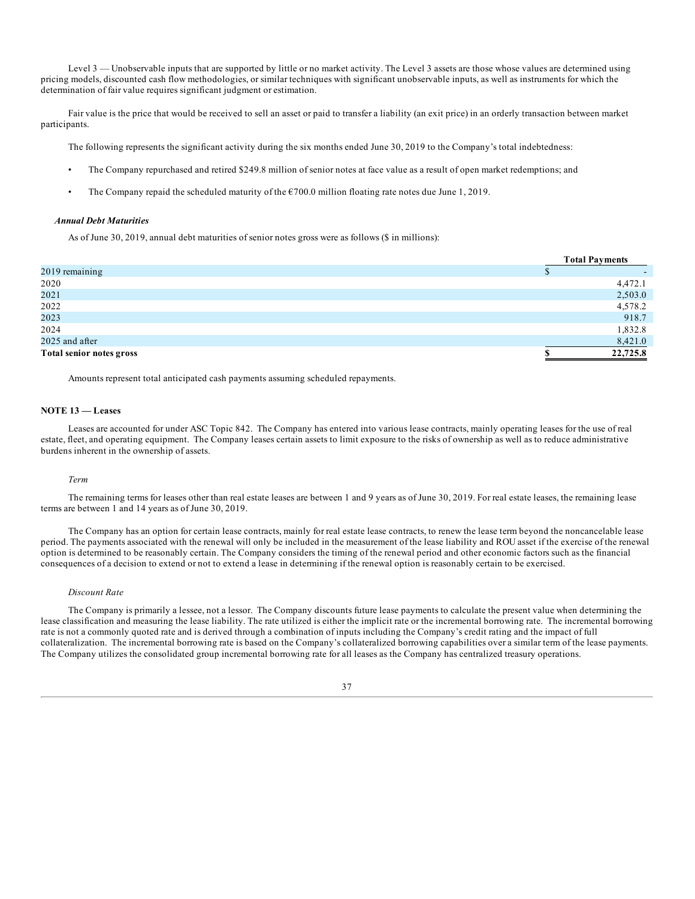Level 3 — Unobservable inputs that are supported by little or no market activity. The Level 3 assets are those whose values are determined using pricing models, discounted cash flow methodologies, or similar techniques with significant unobservable inputs, as well as instruments for which the determination of fair value requires significant judgment or estimation.

Fair value is the price that would be received to sell an asset or paid to transfer a liability (an exit price) in an orderly transaction between market participants.

The following represents the significant activity during the six months ended June 30, 2019 to the Company's total indebtedness:

- The Company repurchased and retired \$249.8 million of senior notes at face value as a result of open market redemptions; and
- The Company repaid the scheduled maturity of the  $\epsilon$ 700.0 million floating rate notes due June 1, 2019.

#### *Annual Debt Maturities*

As of June 30, 2019, annual debt maturities of senior notes gross were as follows (\$ in millions):

|                          | <b>Total Payments</b> |
|--------------------------|-----------------------|
| 2019 remaining           |                       |
| 2020                     | 4,472.1               |
| 2021                     | 2,503.0               |
| 2022                     | 4,578.2               |
| 2023                     | 918.7                 |
| 2024                     | 1,832.8               |
| 2025 and after           | 8,421.0               |
| Total senior notes gross | 22,725.8              |

Amounts represent total anticipated cash payments assuming scheduled repayments.

# **NOTE 13 — Leases**

Leases are accounted for under ASC Topic 842. The Company has entered into various lease contracts, mainly operating leases for the use of real estate, fleet, and operating equipment. The Company leases certain assets to limit exposure to the risks of ownership as well as to reduce administrative burdens inherent in the ownership of assets.

# *Term*

The remaining terms for leases other than real estate leases are between 1 and 9 years as of June 30, 2019. For real estate leases, the remaining lease terms are between 1 and 14 years as of June 30, 2019.

The Company has an option for certain lease contracts, mainly for real estate lease contracts, to renew the lease term beyond the noncancelable lease period. The payments associated with the renewal will only be included in the measurement of the lease liability and ROU asset if the exercise of the renewal option is determined to be reasonably certain. The Company considers the timing of the renewal period and other economic factors such as the financial consequences of a decision to extend or not to extend a lease in determining if the renewal option is reasonably certain to be exercised.

#### *Discount Rate*

The Company is primarily a lessee, not a lessor. The Company discounts future lease payments to calculate the present value when determining the lease classification and measuring the lease liability. The rate utilized is either the implicit rate or the incremental borrowing rate. The incremental borrowing rate is not a commonly quoted rate and is derived through a combination of inputs including the Company's credit rating and the impact of full collateralization. The incremental borrowing rate is based on the Company's collateralized borrowing capabilities over a similar term of the lease payments. The Company utilizes the consolidated group incremental borrowing rate for all leases as the Company has centralized treasury operations.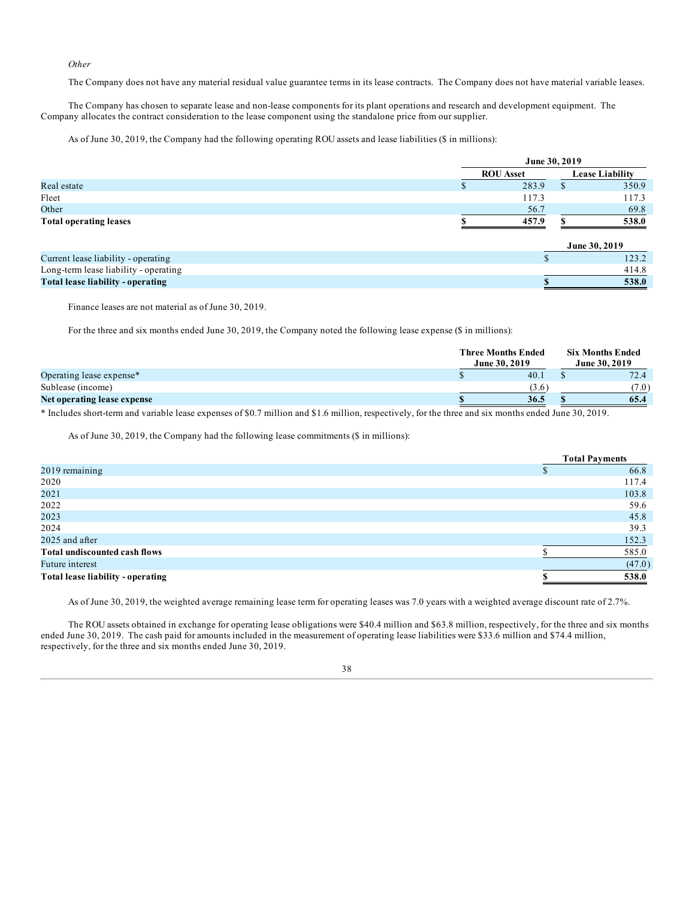*Other*

The Company does not have any material residual value guarantee terms in its lease contracts. The Company does not have material variable leases.

The Company has chosen to separate lease and non-lease components for its plant operations and research and development equipment. The Company allocates the contract consideration to the lease component using the standalone price from our supplier.

As of June 30, 2019, the Company had the following operating ROU assets and lease liabilities (\$ in millions):

|                               | June 30, 2019    |                        |                        |  |  |
|-------------------------------|------------------|------------------------|------------------------|--|--|
|                               | <b>ROU Asset</b> | <b>Lease Liability</b> |                        |  |  |
| Real estate                   | 283.9            |                        | 350.9                  |  |  |
| Fleet                         | 117.3            |                        | 117.3                  |  |  |
| Other                         | 56.7             |                        | 69.8                   |  |  |
| <b>Total operating leases</b> | 457.9            |                        | 538.0                  |  |  |
|                               |                  |                        | $I_{\rm{una}}$ 30 2010 |  |  |

|                                       | June 30, 2019 |
|---------------------------------------|---------------|
| Current lease liability - operating   |               |
| Long-term lease liability - operating | 414.8         |
| Total lease liability - operating     | 538.0         |

Finance leases are not material as of June 30, 2019.

For the three and six months ended June 30, 2019, the Company noted the following lease expense (\$ in millions):

|                             | <b>Three Months Ended</b><br>June 30, 2019 | <b>Six Months Ended</b><br>June 30, 2019 |       |  |
|-----------------------------|--------------------------------------------|------------------------------------------|-------|--|
| Operating lease expense*    | 40.1                                       |                                          | 72.4  |  |
| Sublease (income)           | (3.6)                                      |                                          | (7.0) |  |
| Net operating lease expense | 36.5                                       |                                          | 65.4  |  |

\* Includes short-term and variable lease expenses of \$0.7 million and \$1.6 million, respectively, for the three and six months ended June 30, 2019.

As of June 30, 2019, the Company had the following lease commitments (\$ in millions):

|                                      | <b>Total Payments</b> |
|--------------------------------------|-----------------------|
| 2019 remaining                       | 66.8                  |
| 2020                                 | 117.4                 |
| 2021                                 | 103.8                 |
| 2022                                 | 59.6                  |
| 2023                                 | 45.8                  |
| 2024                                 | 39.3                  |
| 2025 and after                       | 152.3                 |
| <b>Total undiscounted cash flows</b> | 585.0                 |
| Future interest                      | (47.0)                |
| Total lease liability - operating    | 538.0                 |

As of June 30, 2019, the weighted average remaining lease term for operating leases was 7.0 years with a weighted average discount rate of 2.7%.

The ROU assets obtained in exchange for operating lease obligations were \$40.4 million and \$63.8 million, respectively, for the three and six months ended June 30, 2019. The cash paid for amounts included in the measurement of operating lease liabilities were \$33.6 million and \$74.4 million, respectively, for the three and six months ended June 30, 2019.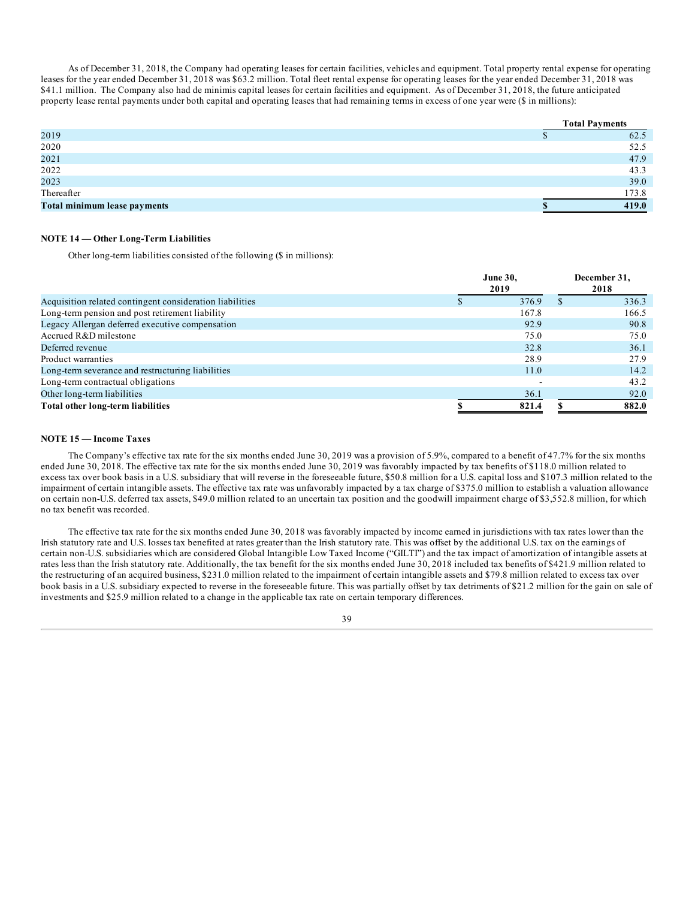As of December 31, 2018, the Company had operating leases for certain facilities, vehicles and equipment. Total property rental expense for operating leases for the year ended December 31, 2018 was \$63.2 million. Total fleet rental expense for operating leases for the year ended December 31, 2018 was \$41.1 million. The Company also had de minimis capital leases for certain facilities and equipment. As of December 31, 2018, the future anticipated property lease rental payments under both capital and operating leases that had remaining terms in excess of one year were (\$ in millions):

|                              | <b>Total Payments</b> |
|------------------------------|-----------------------|
| 2019                         | 62.5                  |
| 2020                         | 52.5                  |
| 2021                         | 47.9                  |
| 2022                         | 43.3                  |
| 2023                         | 39.0                  |
| Thereafter                   | 173.8                 |
| Total minimum lease payments | 419.0                 |

# **NOTE 14 — Other Long-Term Liabilities**

Other long-term liabilities consisted of the following (\$ in millions):

|                                                          | <b>June 30,</b> |       |  | December 31, |
|----------------------------------------------------------|-----------------|-------|--|--------------|
|                                                          |                 | 2019  |  | 2018         |
| Acquisition related contingent consideration liabilities |                 | 376.9 |  | 336.3        |
| Long-term pension and post retirement liability          |                 | 167.8 |  | 166.5        |
| Legacy Allergan deferred executive compensation          |                 | 92.9  |  | 90.8         |
| Accrued R&D milestone                                    |                 | 75.0  |  | 75.0         |
| Deferred revenue                                         |                 | 32.8  |  | 36.1         |
| Product warranties                                       |                 | 28.9  |  | 27.9         |
| Long-term severance and restructuring liabilities        |                 | 11.0  |  | 14.2         |
| Long-term contractual obligations                        |                 |       |  | 43.2         |
| Other long-term liabilities                              |                 | 36.1  |  | 92.0         |
| Total other long-term liabilities                        |                 | 821.4 |  | 882.0        |

# **NOTE 15 — Income Taxes**

The Company's effective tax rate for the six months ended June 30, 2019 was a provision of 5.9%, compared to a benefit of 47.7% for the six months ended June 30, 2018. The effective tax rate for the six months ended June 30, 2019 was favorably impacted by tax benefits of \$118.0 million related to excess tax over book basis in a U.S. subsidiary that will reverse in the foreseeable future, \$50.8 million for a U.S. capital loss and \$107.3 million related to the impairment of certain intangible assets. The effective tax rate was unfavorably impacted by a tax charge of \$375.0 million to establish a valuation allowance on certain non-U.S. deferred tax assets, \$49.0 million related to an uncertain tax position and the goodwill impairment charge of \$3,552.8 million, for which no tax benefit was recorded.

The effective tax rate for the six months ended June 30, 2018 was favorably impacted by income earned in jurisdictions with tax rates lower than the Irish statutory rate and U.S. losses tax benefited at rates greater than the Irish statutory rate. This was offset by the additional U.S. tax on the earnings of certain non-U.S. subsidiaries which are considered Global Intangible Low Taxed Income ("GILTI") and the tax impact of amortization of intangible assets at rates less than the Irish statutory rate. Additionally, the tax benefit for the six months ended June 30, 2018 included tax benefits of \$421.9 million related to the restructuring of an acquired business, \$231.0 million related to the impairment of certain intangible assets and \$79.8 million related to excess tax over book basis in a U.S. subsidiary expected to reverse in the foreseeable future. This was partially offset by tax detriments of \$21.2 million for the gain on sale of investments and \$25.9 million related to a change in the applicable tax rate on certain temporary differences.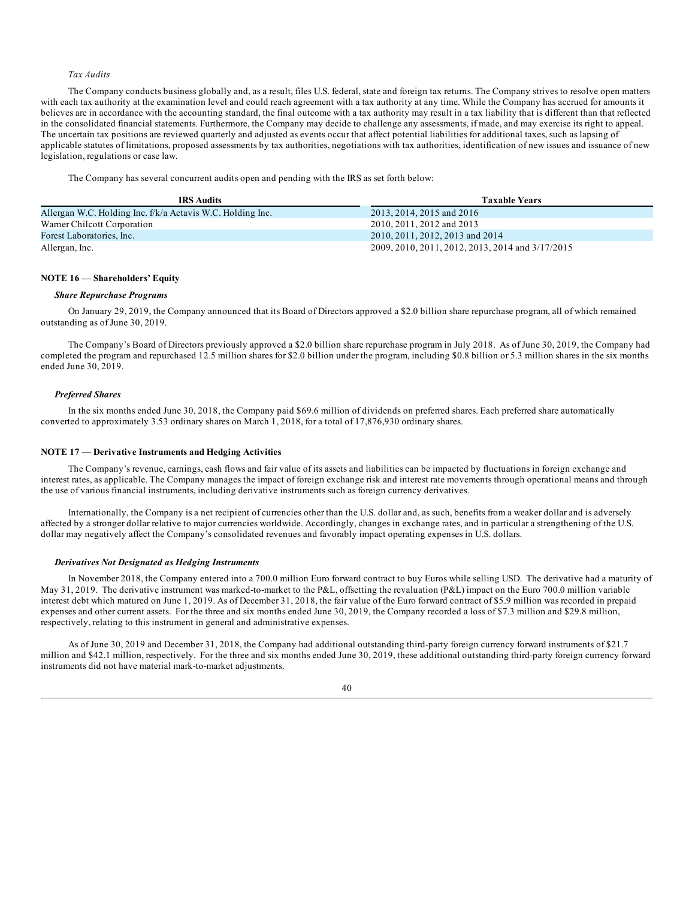### *Tax Audits*

The Company conducts business globally and, as a result, files U.S. federal, state and foreign tax returns. The Company strives to resolve open matters with each tax authority at the examination level and could reach agreement with a tax authority at any time. While the Company has accrued for amounts it believes are in accordance with the accounting standard, the final outcome with a tax authority may result in a tax liability that is different than that reflected in the consolidated financial statements. Furthermore, the Company may decide to challenge any assessments, if made, and may exercise its right to appeal. The uncertain tax positions are reviewed quarterly and adjusted as events occur that affect potential liabilities for additional taxes, such as lapsing of applicable statutes of limitations, proposed assessments by tax authorities, negotiations with tax authorities, identification of new issues and issuance of new legislation, regulations or case law.

The Company has several concurrent audits open and pending with the IRS as set forth below:

| <b>IRS</b> Audits                                          | <b>Taxable Years</b>                             |
|------------------------------------------------------------|--------------------------------------------------|
| Allergan W.C. Holding Inc. f/k/a Actavis W.C. Holding Inc. | 2013, 2014, 2015 and 2016                        |
| Warner Chilcott Corporation                                | 2010, 2011, 2012 and 2013                        |
| Forest Laboratories, Inc.                                  | 2010, 2011, 2012, 2013 and 2014                  |
| Allergan, Inc.                                             | 2009, 2010, 2011, 2012, 2013, 2014 and 3/17/2015 |

# **NOTE 16 — Shareholders' Equity**

#### *Share Repurchase Programs*

On January 29, 2019, the Company announced that its Board of Directors approved a \$2.0 billion share repurchase program, all of which remained outstanding as of June 30, 2019.

The Company's Board of Directors previously approved a \$2.0 billion share repurchase program in July 2018. As of June 30, 2019, the Company had completed the program and repurchased 12.5 million shares for \$2.0 billion under the program, including \$0.8 billion or 5.3 million shares in the six months ended June 30, 2019.

## *Preferred Shares*

In the six months ended June 30, 2018, the Company paid \$69.6 million of dividends on preferred shares. Each preferred share automatically converted to approximately 3.53 ordinary shares on March 1, 2018, for a total of 17,876,930 ordinary shares.

### **NOTE 17 — Derivative Instruments and Hedging Activities**

The Company's revenue, earnings, cash flows and fair value of its assets and liabilities can be impacted by fluctuations in foreign exchange and interest rates, as applicable. The Company manages the impact of foreign exchange risk and interest rate movements through operational means and through the use of various financial instruments, including derivative instruments such as foreign currency derivatives.

Internationally, the Company is a net recipient of currencies other than the U.S. dollar and, as such, benefits from a weaker dollar and is adversely affected by a stronger dollar relative to major currencies worldwide. Accordingly, changes in exchange rates, and in particular a strengthening of the U.S. dollar may negatively affect the Company's consolidated revenues and favorably impact operating expenses in U.S. dollars.

#### *Derivatives Not Designated as Hedging Instruments*

In November 2018, the Company entered into a 700.0 million Euro forward contract to buy Euros while selling USD. The derivative had a maturity of May 31, 2019. The derivative instrument was marked-to-market to the P&L, offsetting the revaluation (P&L) impact on the Euro 700.0 million variable interest debt which matured on June 1, 2019. As of December 31, 2018, the fair value of the Euro forward contract of \$5.9 million was recorded in prepaid expenses and other current assets. For the three and six months ended June 30, 2019, the Company recorded a loss of \$7.3 million and \$29.8 million, respectively, relating to this instrument in general and administrative expenses.

As of June 30, 2019 and December 31, 2018, the Company had additional outstanding third-party foreign currency forward instruments of \$21.7 million and \$42.1 million, respectively. For the three and six months ended June 30, 2019, these additional outstanding third-party foreign currency forward instruments did not have material mark-to-market adjustments.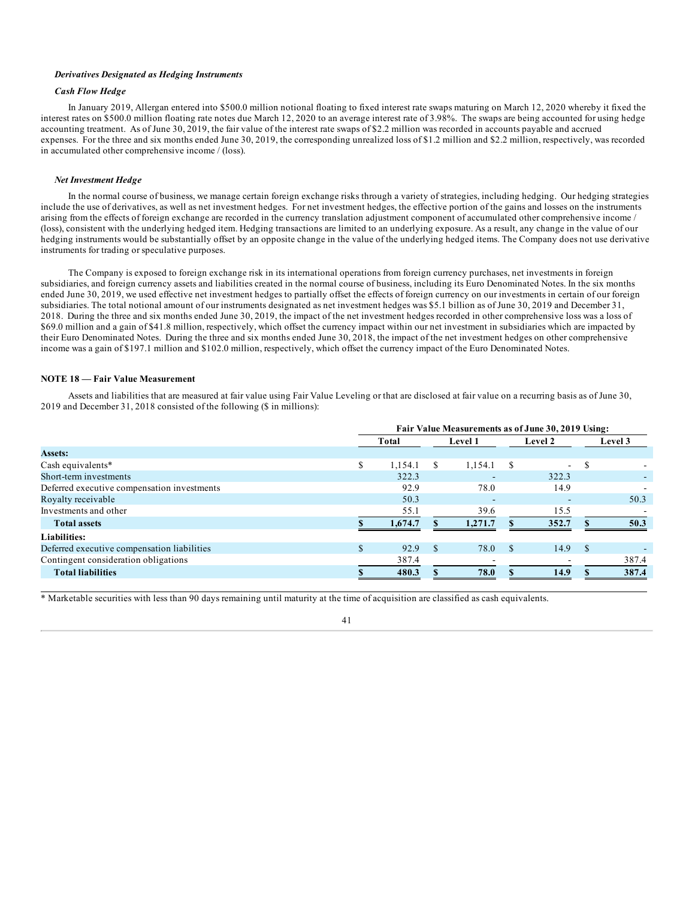#### *Derivatives Designated as Hedging Instruments*

# *Cash Flow Hedge*

In January 2019, Allergan entered into \$500.0 million notional floating to fixed interest rate swaps maturing on March 12, 2020 whereby it fixed the interest rates on \$500.0 million floating rate notes due March 12, 2020 to an average interest rate of 3.98%. The swaps are being accounted for using hedge accounting treatment. As of June 30, 2019, the fair value of the interest rate swaps of \$2.2 million was recorded in accounts payable and accrued expenses. For the three and six months ended June 30, 2019, the corresponding unrealized loss of \$1.2 million and \$2.2 million, respectively, was recorded in accumulated other comprehensive income / (loss).

### *Net Investment Hedge*

In the normal course of business, we manage certain foreign exchange risks through a variety of strategies, including hedging. Our hedging strategies include the use of derivatives, as well as net investment hedges. For net investment hedges, the effective portion of the gains and losses on the instruments arising from the effects of foreign exchange are recorded in the currency translation adjustment component of accumulated other comprehensive income / (loss), consistent with the underlying hedged item. Hedging transactions are limited to an underlying exposure. As a result, any change in the value of our hedging instruments would be substantially offset by an opposite change in the value of the underlying hedged items. The Company does not use derivative instruments for trading or speculative purposes.

The Company is exposed to foreign exchange risk in its international operations from foreign currency purchases, net investments in foreign subsidiaries, and foreign currency assets and liabilities created in the normal course of business, including its Euro Denominated Notes. In the six months ended June 30, 2019, we used effective net investment hedges to partially offset the effects of foreign currency on our investments in certain of our foreign subsidiaries. The total notional amount of our instruments designated as net investment hedges was \$5.1 billion as of June 30, 2019 and December 31, 2018. During the three and six months ended June 30, 2019, the impact of the net investment hedges recorded in other comprehensive loss was a loss of \$69.0 million and a gain of \$41.8 million, respectively, which offset the currency impact within our net investment in subsidiaries which are impacted by their Euro Denominated Notes. During the three and six months ended June 30, 2018, the impact of the net investment hedges on other comprehensive income was a gain of \$197.1 million and \$102.0 million, respectively, which offset the currency impact of the Euro Denominated Notes.

# **NOTE 18 — Fair Value Measurement**

Assets and liabilities that are measured at fair value using Fair Value Leveling or that are disclosed at fair value on a recurring basis as of June 30, 2019 and December 31, 2018 consisted of the following (\$ in millions):

|                                             | Fair Value Measurements as of June 30, 2019 Using: |         |    |                          |    |                          |    |                |  |
|---------------------------------------------|----------------------------------------------------|---------|----|--------------------------|----|--------------------------|----|----------------|--|
|                                             | Total                                              |         |    | <b>Level 1</b>           |    | <b>Level 2</b>           |    | <b>Level 3</b> |  |
| <b>Assets:</b>                              |                                                    |         |    |                          |    |                          |    |                |  |
| Cash equivalents*                           | S                                                  | 1,154.1 | S  | 1,154.1                  | -8 | $\sim 100$               | -S |                |  |
| Short-term investments                      |                                                    | 322.3   |    |                          |    | 322.3                    |    |                |  |
| Deferred executive compensation investments |                                                    | 92.9    |    | 78.0                     |    | 14.9                     |    |                |  |
| Royalty receivable                          |                                                    | 50.3    |    | $\overline{\phantom{a}}$ |    | $\overline{\phantom{a}}$ |    | 50.3           |  |
| Investments and other                       |                                                    | 55.1    |    | 39.6                     |    | 15.5                     |    |                |  |
| <b>Total assets</b>                         |                                                    | 1,674.7 |    | 1,271.7                  |    | 352.7                    |    | 50.3           |  |
| Liabilities:                                |                                                    |         |    |                          |    |                          |    |                |  |
| Deferred executive compensation liabilities | \$                                                 | 92.9    | £. | 78.0                     |    | 14.9                     | S. |                |  |
| Contingent consideration obligations        |                                                    | 387.4   |    |                          |    |                          |    | 387.4          |  |
| <b>Total liabilities</b>                    |                                                    | 480.3   |    | 78.0                     |    | 14.9                     |    | 387.4          |  |

\* Marketable securities with less than 90 days remaining until maturity at the time of acquisition are classified as cash equivalents.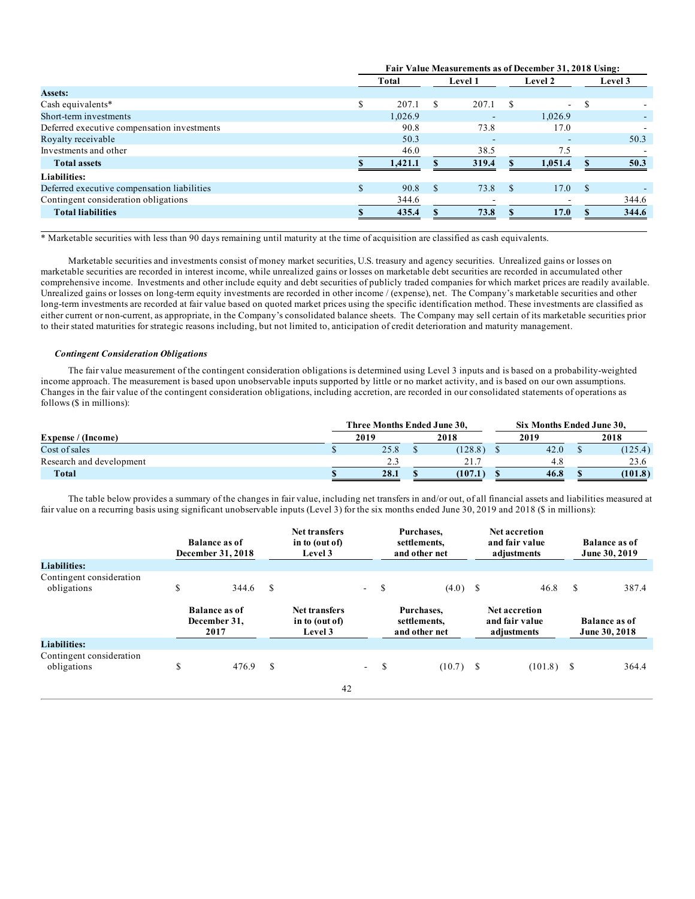|                                             | Fair Value Measurements as of December 31, 2018 Using: |         |               |                          |         |         |         |       |  |
|---------------------------------------------|--------------------------------------------------------|---------|---------------|--------------------------|---------|---------|---------|-------|--|
|                                             | Total<br>Level 1                                       |         |               |                          | Level 2 |         | Level 3 |       |  |
| <b>Assets:</b>                              |                                                        |         |               |                          |         |         |         |       |  |
| Cash equivalents*                           | \$.                                                    | 207.1   | \$.           | 207.1                    |         | $\sim$  |         |       |  |
| Short-term investments                      |                                                        | 1,026.9 |               |                          |         | 1.026.9 |         |       |  |
| Deferred executive compensation investments |                                                        | 90.8    |               | 73.8                     |         | 17.0    |         |       |  |
| Royalty receivable                          |                                                        | 50.3    |               | $\overline{\phantom{a}}$ |         |         |         | 50.3  |  |
| Investments and other                       |                                                        | 46.0    |               | 38.5                     |         | 7.5     |         |       |  |
| <b>Total assets</b>                         |                                                        | 1,421.1 |               | 319.4                    |         | 1,051.4 |         | 50.3  |  |
| Liabilities:                                |                                                        |         |               |                          |         |         |         |       |  |
| Deferred executive compensation liabilities | S                                                      | 90.8    | <sup>\$</sup> | 73.8                     |         | 17.0    | - \$    |       |  |
| Contingent consideration obligations        |                                                        | 344.6   |               |                          |         |         |         | 344.6 |  |
| <b>Total liabilities</b>                    |                                                        | 435.4   |               | 73.8                     |         | 17.0    |         | 344.6 |  |

\* Marketable securities with less than 90 days remaining until maturity at the time of acquisition are classified as cash equivalents.

Marketable securities and investments consist of money market securities, U.S. treasury and agency securities. Unrealized gains or losses on marketable securities are recorded in interest income, while unrealized gains or losses on marketable debt securities are recorded in accumulated other comprehensive income. Investments and other include equity and debt securities of publicly traded companies for which market prices are readily available. Unrealized gains or losses on long-term equity investments are recorded in other income / (expense), net. The Company's marketable securities and other long-term investments are recorded at fair value based on quoted market prices using the specific identification method. These investments are classified as either current or non-current, as appropriate, in the Company's consolidated balance sheets. The Company may sell certain of its marketable securities prior to their stated maturities for strategic reasons including, but not limited to, anticipation of credit deterioration and maturity management.

# *Contingent Consideration Obligations*

The fair value measurement of the contingent consideration obligations is determined using Level 3 inputs and is based on a probability-weighted income approach. The measurement is based upon unobservable inputs supported by little or no market activity, and is based on our own assumptions. Changes in the fair value of the contingent consideration obligations, including accretion, are recorded in our consolidated statements of operations as follows (\$ in millions):

|                          | Three Months Ended June 30. |             |  |         |  |      |      | Six Months Ended June 30. |  |  |  |  |
|--------------------------|-----------------------------|-------------|--|---------|--|------|------|---------------------------|--|--|--|--|
| Expense / (Income)       | 2019                        |             |  | 2018    |  | 2019 | 2018 |                           |  |  |  |  |
| Cost of sales            |                             | 25.8        |  | (128.8) |  | 42.0 |      | (125.4)                   |  |  |  |  |
| Research and development |                             | $2^{\circ}$ |  | 21.7    |  | 4.8  |      | 23.6                      |  |  |  |  |
| Total                    |                             | 28.1        |  | (107.1) |  | 46.8 |      | (101.8)                   |  |  |  |  |

The table below provides a summary of the changes in fair value, including net transfers in and/or out, of all financial assets and liabilities measured at fair value on a recurring basis using significant unobservable inputs (Level 3) for the six months ended June 30, 2019 and 2018 (\$ in millions):

|                                         |                                              | <b>Balance as of</b><br>December 31, 2018 |               | <b>Net transfers</b><br>in to (out of)<br>Level 3 | Purchases,<br>settlements,<br>and other net |        | <b>Net accretion</b><br>and fair value<br>adjustments |              |                                |       |  |  |  | Balance as of<br>June 30, 2019 |
|-----------------------------------------|----------------------------------------------|-------------------------------------------|---------------|---------------------------------------------------|---------------------------------------------|--------|-------------------------------------------------------|--------------|--------------------------------|-------|--|--|--|--------------------------------|
| Liabilities:                            |                                              |                                           |               |                                                   |                                             |        |                                                       |              |                                |       |  |  |  |                                |
| Contingent consideration<br>obligations | \$                                           | 344.6                                     | <sup>\$</sup> |                                                   | $-$ \$                                      | (4.0)  | - \$                                                  | 46.8         | S                              | 387.4 |  |  |  |                                |
|                                         | <b>Balance as of</b><br>December 31,<br>2017 |                                           |               | Net transfers<br>in to (out of)<br>Level 3        | Purchases,<br>settlements,<br>and other net |        | Net accretion<br>and fair value<br>adjustments        |              | Balance as of<br>June 30, 2018 |       |  |  |  |                                |
| Liabilities:                            |                                              |                                           |               |                                                   |                                             |        |                                                       |              |                                |       |  |  |  |                                |
| Contingent consideration<br>obligations | \$                                           | 476.9                                     | S             |                                                   | S<br>$\sim$                                 | (10.7) | - \$                                                  | $(101.8)$ \$ |                                | 364.4 |  |  |  |                                |
|                                         |                                              |                                           |               | 42                                                |                                             |        |                                                       |              |                                |       |  |  |  |                                |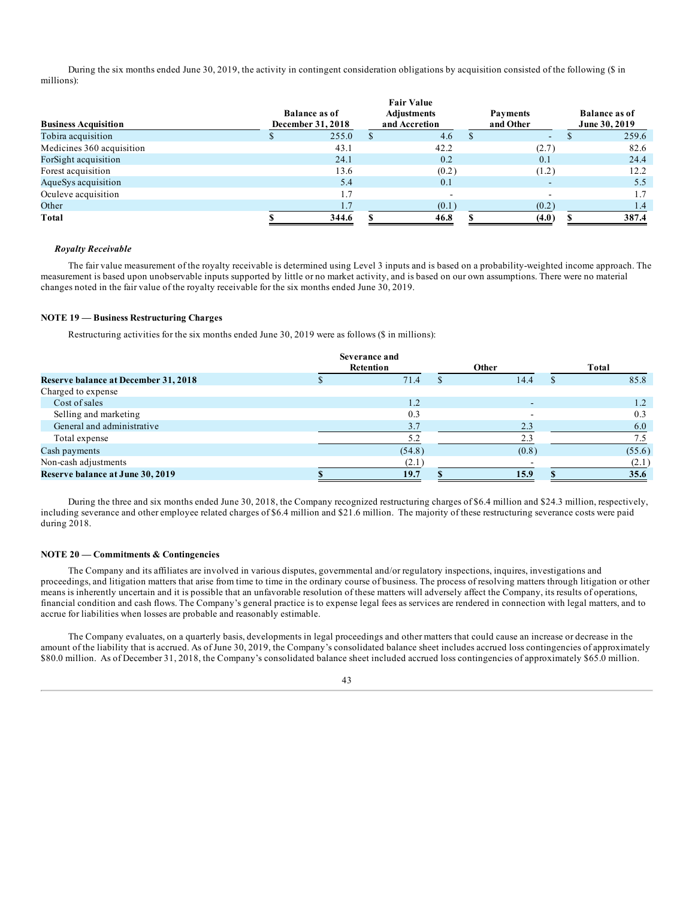During the six months ended June 30, 2019, the activity in contingent consideration obligations by acquisition consisted of the following (\$ in millions):

|                             |                      | <b>Fair Value</b>  |                 |                          |  |                      |
|-----------------------------|----------------------|--------------------|-----------------|--------------------------|--|----------------------|
|                             | <b>Balance as of</b> | <b>Adjustments</b> | <b>Payments</b> |                          |  | <b>Balance as of</b> |
| <b>Business Acquisition</b> | December 31, 2018    | and Accretion      |                 | and Other                |  | June 30, 2019        |
| Tobira acquisition          | 255.0                | 4.6                |                 | ۰                        |  | 259.6                |
| Medicines 360 acquisition   | 43.1                 | 42.2               |                 | (2.7)                    |  | 82.6                 |
| ForSight acquisition        | 24.1                 | 0.2                |                 | 0.1                      |  | 24.4                 |
| Forest acquisition          | 13.6                 | (0.2)              |                 | (1.2)                    |  | 12.2                 |
| AqueSys acquisition         | 5.4                  | 0.1                |                 | $\overline{\phantom{0}}$ |  | 5.5                  |
| Oculeve acquisition         | 1.7                  |                    |                 |                          |  | 1.7                  |
| Other                       | 1.7                  | (0.1)              |                 | (0.2)                    |  | 1.4                  |
| Total                       | 344.6                | 46.8               |                 | (4.0)                    |  | 387.4                |

# *Royalty Receivable*

The fair value measurement of the royalty receivable is determined using Level 3 inputs and is based on a probability-weighted income approach. The measurement is based upon unobservable inputs supported by little or no market activity, and is based on our own assumptions. There were no material changes noted in the fair value of the royalty receivable for the six months ended June 30, 2019.

### **NOTE 19 — Business Restructuring Charges**

Restructuring activities for the six months ended June 30, 2019 were as follows (\$ in millions):

|                                      | Severance and<br>Retention | Other | Total |        |  |
|--------------------------------------|----------------------------|-------|-------|--------|--|
| Reserve balance at December 31, 2018 | 71.4                       | 14.4  |       | 85.8   |  |
| Charged to expense                   |                            |       |       |        |  |
| Cost of sales                        | 1.2                        |       |       | 1.2    |  |
| Selling and marketing                | 0.3                        |       |       | 0.3    |  |
| General and administrative           | 3.7                        | 2.3   |       | 6.0    |  |
| Total expense                        |                            | 2.3   |       |        |  |
| Cash payments                        | (54.8)                     | (0.8) |       | (55.6) |  |
| Non-cash adjustments                 | (2.1)                      |       |       | (2.1)  |  |
| Reserve balance at June 30, 2019     | 19.7                       | 15.9  |       | 35.6   |  |

During the three and six months ended June 30, 2018, the Company recognized restructuring charges of \$6.4 million and \$24.3 million, respectively, including severance and other employee related charges of \$6.4 million and \$21.6 million. The majority of these restructuring severance costs were paid during 2018.

# **NOTE 20 — Commitments & Contingencies**

The Company and its affiliates are involved in various disputes, governmental and/or regulatory inspections, inquires, investigations and proceedings, and litigation matters that arise from time to time in the ordinary course of business. The process of resolving matters through litigation or other means is inherently uncertain and it is possible that an unfavorable resolution of these matters will adversely affect the Company, its results of operations, financial condition and cash flows. The Company's general practice is to expense legal fees as services are rendered in connection with legal matters, and to accrue for liabilities when losses are probable and reasonably estimable.

The Company evaluates, on a quarterly basis, developments in legal proceedings and other matters that could cause an increase or decrease in the amount of the liability that is accrued. As of June 30, 2019, the Company's consolidated balance sheet includes accrued loss contingencies of approximately \$80.0 million. As of December 31, 2018, the Company's consolidated balance sheet included accrued loss contingencies of approximately \$65.0 million.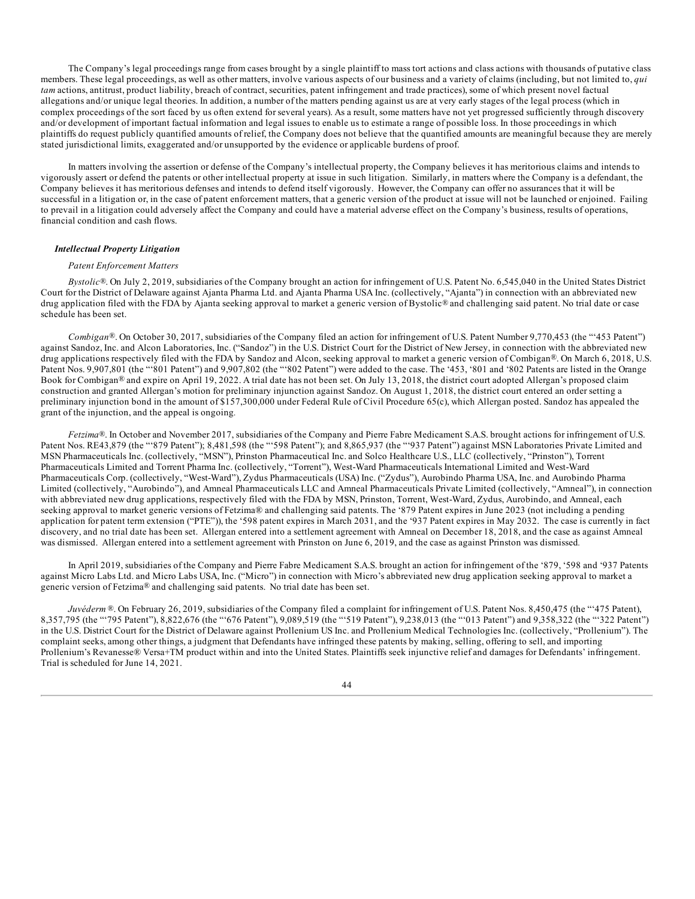The Company's legal proceedings range from cases brought by a single plaintiff to mass tort actions and class actions with thousands of putative class members. These legal proceedings, as well as other matters, involve various aspects of our business and a variety of claims (including, but not limited to, *qui tam* actions, antitrust, product liability, breach of contract, securities, patent infringement and trade practices), some of which present novel factual allegations and/or unique legal theories. In addition, a number of the matters pending against us are at very early stages of the legal process (which in complex proceedings of the sort faced by us often extend for several years). As a result, some matters have not yet progressed sufficiently through discovery and/or development of important factual information and legal issues to enable us to estimate a range of possible loss. In those proceedings in which plaintiffs do request publicly quantified amounts of relief, the Company does not believe that the quantified amounts are meaningful because they are merely stated jurisdictional limits, exaggerated and/or unsupported by the evidence or applicable burdens of proof.

In matters involving the assertion or defense of the Company's intellectual property, the Company believes it has meritorious claims and intends to vigorously assert or defend the patents or other intellectual property at issue in such litigation. Similarly, in matters where the Company is a defendant, the Company believes it has meritorious defenses and intends to defend itself vigorously. However, the Company can offer no assurances that it will be successful in a litigation or, in the case of patent enforcement matters, that a generic version of the product at issue will not be launched or enjoined. Failing to prevail in a litigation could adversely affect the Company and could have a material adverse effect on the Company's business, results of operations, financial condition and cash flows.

# *Intellectual Property Litigation*

#### *Patent Enforcement Matters*

*Bystolic®*. On July 2, 2019, subsidiaries of the Company brought an action for infringement of U.S. Patent No. 6,545,040 in the United States District Court for the District of Delaware against Ajanta Pharma Ltd. and Ajanta Pharma USA Inc. (collectively, "Ajanta") in connection with an abbreviated new drug application filed with the FDA by Ajanta seeking approval to market a generic version of Bystolic*®* and challenging said patent. No trial date or case schedule has been set.

*Combigan*®. On October 30, 2017, subsidiaries of the Company filed an action for infringement of U.S. Patent Number 9,770,453 (the "'453 Patent") against Sandoz, Inc. and Alcon Laboratories, Inc. ("Sandoz") in the U.S. District Court for the District of New Jersey, in connection with the abbreviated new drug applications respectively filed with the FDA by Sandoz and Alcon, seeking approval to market a generic version of Combigan®. On March 6, 2018, U.S. Patent Nos. 9,907,801 (the "'801 Patent") and 9,907,802 (the "'802 Patent") were added to the case. The '453, '801 and '802 Patents are listed in the Orange Book for Combigan® and expire on April 19, 2022. A trial date has not been set. On July 13, 2018, the district court adopted Allergan's proposed claim construction and granted Allergan's motion for preliminary injunction against Sandoz. On August 1, 2018, the district court entered an order setting a preliminary injunction bond in the amount of \$157,300,000 under Federal Rule of Civil Procedure 65(c), which Allergan posted. Sandoz has appealed the grant of the injunction, and the appeal is ongoing*.*

*Fetzima*®. In October and November 2017, subsidiaries of the Company and Pierre Fabre Medicament S.A.S. brought actions for infringement of U.S. Patent Nos. RE43,879 (the "'879 Patent"); 8,481,598 (the "'598 Patent"); and 8,865,937 (the "'937 Patent") against MSN Laboratories Private Limited and MSN Pharmaceuticals Inc. (collectively, "MSN"), Prinston Pharmaceutical Inc. and Solco Healthcare U.S., LLC (collectively, "Prinston"), Torrent Pharmaceuticals Limited and Torrent Pharma Inc. (collectively, "Torrent"), West-Ward Pharmaceuticals International Limited and West-Ward Pharmaceuticals Corp. (collectively, "West-Ward"), Zydus Pharmaceuticals (USA) Inc. ("Zydus"), Aurobindo Pharma USA, Inc. and Aurobindo Pharma Limited (collectively, "Aurobindo"), and Amneal Pharmaceuticals LLC and Amneal Pharmaceuticals Private Limited (collectively, "Amneal"), in connection with abbreviated new drug applications, respectively filed with the FDA by MSN, Prinston, Torrent, West-Ward, Zydus, Aurobindo, and Amneal, each seeking approval to market generic versions of Fetzima® and challenging said patents. The '879 Patent expires in June 2023 (not including a pending application for patent term extension ("PTE")), the '598 patent expires in March 2031, and the '937 Patent expires in May 2032. The case is currently in fact discovery, and no trial date has been set. Allergan entered into a settlement agreement with Amneal on December 18, 2018, and the case as against Amneal was dismissed. Allergan entered into a settlement agreement with Prinston on June 6, 2019, and the case as against Prinston was dismissed*.*

In April 2019, subsidiaries of the Company and Pierre Fabre Medicament S.A.S. brought an action for infringement of the '879, '598 and '937 Patents against Micro Labs Ltd. and Micro Labs USA, Inc. ("Micro") in connection with Micro's abbreviated new drug application seeking approval to market a generic version of Fetzima® and challenging said patents. No trial date has been set.

*Juvéderm* ®. On February 26, 2019, subsidiaries of the Company filed a complaint for infringement of U.S. Patent Nos. 8,450,475 (the "475 Patent), 8,357,795 (the "'795 Patent"), 8,822,676 (the "'676 Patent"), 9,089,519 (the "'519 Patent"), 9,238,013 (the "'013 Patent") and 9,358,322 (the "'322 Patent") in the U.S. District Court for the District of Delaware against Prollenium US Inc. and Prollenium Medical Technologies Inc. (collectively, "Prollenium"). The complaint seeks, among other things, a judgment that Defendants have infringed these patents by making, selling, offering to sell, and importing Prollenium's Revanesse® Versa+TM product within and into the United States. Plaintiffs seek injunctive relief and damages for Defendants' infringement. Trial is scheduled for June 14, 2021.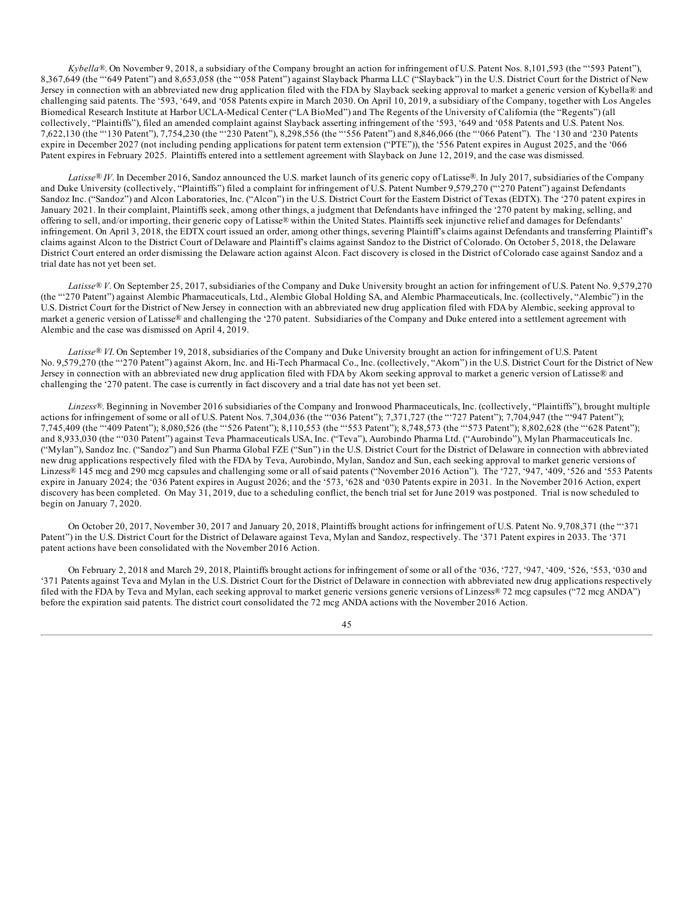*Kybella*<sup>®</sup>. On November 9, 2018, a subsidiary of the Company brought an action for infringement of U.S. Patent Nos. 8,101,593 (the "593 Patent"), 8,367,649 (the "'649 Patent") and 8,653,058 (the "'058 Patent") against Slayback Pharma LLC ("Slayback") in the U.S. District Court for the District of New Jersey in connection with an abbreviated new drug application filed with the FDA by Slayback seeking approval to market a generic version of Kybella® and challenging said patents. The '593, '649, and '058 Patents expire in March 2030. On April 10, 2019, a subsidiary of the Company, together with Los Angeles Biomedical Research Institute at Harbor UCLA-Medical Center ("LA BioMed") and The Regents of the University of California (the "Regents") (all collectively, "Plaintiffs"), filed an amended complaint against Slayback asserting infringement of the '593, '649 and '058 Patents and U.S. Patent Nos. 7,622,130 (the "'130 Patent"), 7,754,230 (the "'230 Patent"), 8,298,556 (the "'556 Patent") and 8,846,066 (the "'066 Patent"). The '130 and '230 Patents expire in December 2027 (not including pending applications for patent term extension ("PTE")), the '556 Patent expires in August 2025, and the '066 Patent expires in February 2025. Plaintiffs entered into a settlement agreement with Slayback on June 12, 2019, and the case was dismissed*.*

*Latisse® IV*. In December 2016, Sandoz announced the U.S. market launch of its generic copy of Latisse®. In July 2017, subsidiaries of the Company and Duke University (collectively, "Plaintiffs") filed a complaint for infringement of U.S. Patent Number 9,579,270 ("'270 Patent") against Defendants Sandoz Inc. ("Sandoz") and Alcon Laboratories, Inc. ("Alcon") in the U.S. District Court for the Eastern District of Texas (EDTX). The '270 patent expires in January 2021. In their complaint, Plaintiffs seek, among other things, a judgment that Defendants have infringed the '270 patent by making, selling, and offering to sell, and/or importing, their generic copy of Latisse® within the United States. Plaintiffs seek injunctive relief and damages for Defendants' infringement. On April 3, 2018, the EDTX court issued an order, among other things, severing Plaintiff's claims against Defendants and transferring Plaintiff's claims against Alcon to the District Court of Delaware and Plaintiff's claims against Sandoz to the District of Colorado. On October 5, 2018, the Delaware District Court entered an order dismissing the Delaware action against Alcon. Fact discovery is closed in the District of Colorado case against Sandoz and a trial date has not yet been set.

*Latisse® V*. On September 25, 2017, subsidiaries of the Company and Duke University brought an action for infringement of U.S. Patent No. 9,579,270 (the "'270 Patent") against Alembic Pharmaceuticals, Ltd., Alembic Global Holding SA, and Alembic Pharmaceuticals, Inc. (collectively, "Alembic") in the U.S. District Court for the District of New Jersey in connection with an abbreviated new drug application filed with FDA by Alembic, seeking approval to market a generic version of Latisse® and challenging the '270 patent. Subsidiaries of the Company and Duke entered into a settlement agreement with Alembic and the case was dismissed on April 4, 2019.

*Latisse® VI*. On September 19, 2018, subsidiaries of the Company and Duke University brought an action for infringement of U.S. Patent No. 9,579,270 (the "270 Patent") against Akorn, Inc. and Hi-Tech Pharmacal Co., Inc. (collectively, "Akorn") in the U.S. District Court for the District of New Jersey in connection with an abbreviated new drug application filed with FDA by Akorn seeking approval to market a generic version of Latisse® and challenging the '270 patent. The case is currently in fact discovery and a trial date has not yet been set.

*Linzess®*. Beginning in November 2016 subsidiaries of the Company and Ironwood Pharmaceuticals, Inc. (collectively, "Plaintiffs"), brought multiple actions for infringement of some or all of U.S. Patent Nos. 7,304,036 (the "'036 Patent"); 7,371,727 (the "'727 Patent"); 7,704,947 (the "'947 Patent"); 7,745,409 (the "'409 Patent"); 8,080,526 (the "'526 Patent"); 8,110,553 (the "'553 Patent"); 8,748,573 (the "'573 Patent"); 8,802,628 (the "'628 Patent"); and 8,933,030 (the "'030 Patent") against Teva Pharmaceuticals USA, Inc. ("Teva"), Aurobindo Pharma Ltd. ("Aurobindo"), Mylan Pharmaceuticals Inc. ("Mylan"), Sandoz Inc. ("Sandoz") and Sun Pharma Global FZE ("Sun") in the U.S. District Court for the District of Delaware in connection with abbreviated new drug applications respectively filed with the FDA by Teva, Aurobindo, Mylan, Sandoz and Sun, each seeking approval to market generic versions of Linzess® 145 mcg and 290 mcg capsules and challenging some or all of said patents ("November 2016 Action"). The '727, '947, '409, '526 and '553 Patents expire in January 2024; the '036 Patent expires in August 2026; and the '573, '628 and '030 Patents expire in 2031. In the November 2016 Action, expert discovery has been completed. On May 31, 2019, due to a scheduling conflict, the bench trial set for June 2019 was postponed. Trial is now scheduled to begin on January 7, 2020.

On October 20, 2017, November 30, 2017 and January 20, 2018, Plaintiffs brought actions for infringement of U.S. Patent No. 9,708,371 (the "'371 Patent") in the U.S. District Court for the District of Delaware against Teva, Mylan and Sandoz, respectively. The '371 Patent expires in 2033. The '371 patent actions have been consolidated with the November 2016 Action.

On February 2, 2018 and March 29, 2018, Plaintiffs brought actions for infringement of some or all of the '036, '727, '947, '409, '526, '553, '030 and '371 Patents against Teva and Mylan in the U.S. District Court for the District of Delaware in connection with abbreviated new drug applications respectively filed with the FDA by Teva and Mylan, each seeking approval to market generic versions generic versions of Linzess® 72 mcg capsules ("72 mcg ANDA") before the expiration said patents. The district court consolidated the 72 mcg ANDA actions with the November 2016 Action.

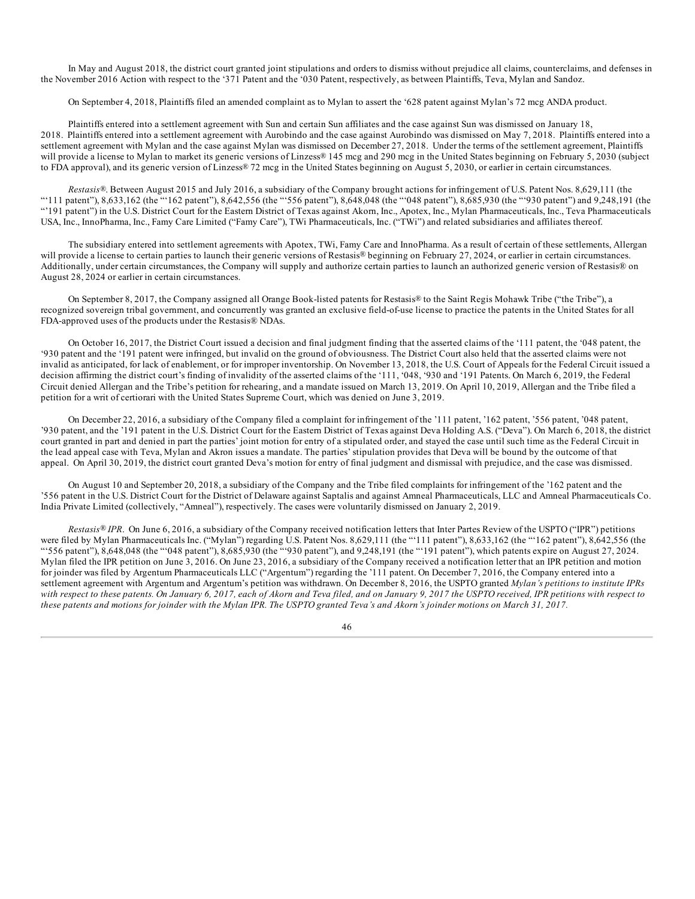In May and August 2018, the district court granted joint stipulations and orders to dismiss without prejudice all claims, counterclaims, and defenses in the November 2016 Action with respect to the '371 Patent and the '030 Patent, respectively, as between Plaintiffs, Teva, Mylan and Sandoz.

On September 4, 2018, Plaintiffs filed an amended complaint as to Mylan to assert the '628 patent against Mylan's 72 mcg ANDA product.

Plaintiffs entered into a settlement agreement with Sun and certain Sun affiliates and the case against Sun was dismissed on January 18, 2018. Plaintiffs entered into a settlement agreement with Aurobindo and the case against Aurobindo was dismissed on May 7, 2018. Plaintiffs entered into a settlement agreement with Mylan and the case against Mylan was dismissed on December 27, 2018. Under the terms of the settlement agreement, Plaintiffs will provide a license to Mylan to market its generic versions of Linzess® 145 mcg and 290 mcg in the United States beginning on February 5, 2030 (subject to FDA approval), and its generic version of Linzess® 72 mcg in the United States beginning on August 5, 2030, or earlier in certain circumstances.

*Restasis®*. Between August 2015 and July 2016, a subsidiary of the Company brought actions for infringement of U.S. Patent Nos. 8,629,111 (the "'111 patent"), 8,633,162 (the "'162 patent"), 8,642,556 (the "'556 patent"), 8,648,048 (the "'048 patent"), 8,685,930 (the "'930 patent") and 9,248,191 (the "'191 patent") in the U.S. District Court for the Eastern District of Texas against Akorn, Inc., Apotex, Inc., Mylan Pharmaceuticals, Inc., Teva Pharmaceuticals USA, Inc., InnoPharma, Inc., Famy Care Limited ("Famy Care"), TWi Pharmaceuticals, Inc. ("TWi") and related subsidiaries and affiliates thereof.

The subsidiary entered into settlement agreements with Apotex, TWi, Famy Care and InnoPharma. As a result of certain of these settlements, Allergan will provide a license to certain parties to launch their generic versions of Restasis® beginning on February 27, 2024, or earlier in certain circumstances. Additionally, under certain circumstances, the Company will supply and authorize certain parties to launch an authorized generic version of Restasis® on August 28, 2024 or earlier in certain circumstances.

On September 8, 2017, the Company assigned all Orange Book-listed patents for Restasis® to the Saint Regis Mohawk Tribe ("the Tribe"), a recognized sovereign tribal government, and concurrently was granted an exclusive field-of-use license to practice the patents in the United States for all FDA-approved uses of the products under the Restasis® NDAs.

On October 16, 2017, the District Court issued a decision and final judgment finding that the asserted claims of the '111 patent, the '048 patent, the '930 patent and the '191 patent were infringed, but invalid on the ground of obviousness. The District Court also held that the asserted claims were not invalid as anticipated, for lack of enablement, or for improper inventorship. On November 13, 2018, the U.S. Court of Appeals for the Federal Circuit issued a decision affirming the district court's finding of invalidity of the asserted claims of the '111, '048, '930 and '191 Patents. On March 6, 2019, the Federal Circuit denied Allergan and the Tribe's petition for rehearing, and a mandate issued on March 13, 2019. On April 10, 2019, Allergan and the Tribe filed a petition for a writ of certiorari with the United States Supreme Court, which was denied on June 3, 2019.

On December 22, 2016, a subsidiary of the Company filed a complaint for infringement of the '111 patent, '162 patent, '556 patent, '048 patent, '930 patent, and the '191 patent in the U.S. District Court for the Eastern District of Texas against Deva Holding A.S. ("Deva"). On March 6, 2018, the district court granted in part and denied in part the parties' joint motion for entry of a stipulated order, and stayed the case until such time as the Federal Circuit in the lead appeal case with Teva, Mylan and Akron issues a mandate. The parties' stipulation provides that Deva will be bound by the outcome of that appeal. On April 30, 2019, the district court granted Deva's motion for entry of final judgment and dismissal with prejudice, and the case was dismissed.

On August 10 and September 20, 2018, a subsidiary of the Company and the Tribe filed complaints for infringement of the '162 patent and the '556 patent in the U.S. District Court for the District of Delaware against Saptalis and against Amneal Pharmaceuticals, LLC and Amneal Pharmaceuticals Co. India Private Limited (collectively, "Amneal"), respectively. The cases were voluntarily dismissed on January 2, 2019.

*Restasis® IPR*. On June 6, 2016, a subsidiary of the Company received notification letters that Inter Partes Review of the USPTO ("IPR") petitions were filed by Mylan Pharmaceuticals Inc. ("Mylan") regarding U.S. Patent Nos. 8,629,111 (the "'111 patent"), 8,633,162 (the "'162 patent"), 8,642,556 (the "'556 patent"), 8,648,048 (the "'048 patent"), 8,685,930 (the "'930 patent"), and 9,248,191 (the "'191 patent"), which patents expire on August 27, 2024. Mylan filed the IPR petition on June 3, 2016. On June 23, 2016, a subsidiary of the Company received a notification letter that an IPR petition and motion for joinder was filed by Argentum Pharmaceuticals LLC ("Argentum") regarding the '111 patent. On December 7, 2016, the Company entered into a settlement agreement with Argentum and Argentum's petition was withdrawn. On December 8, 2016, the USPTO granted *Mylan's petitions to institute IPRs* with respect to these patents. On January 6, 2017, each of Akorn and Teva filed, and on January 9, 2017 the USPTO received, IPR petitions with respect to these patents and motions for joinder with the Mylan IPR. The USPTO granted Teva's and Akorn's joinder motions on March 31, 2017.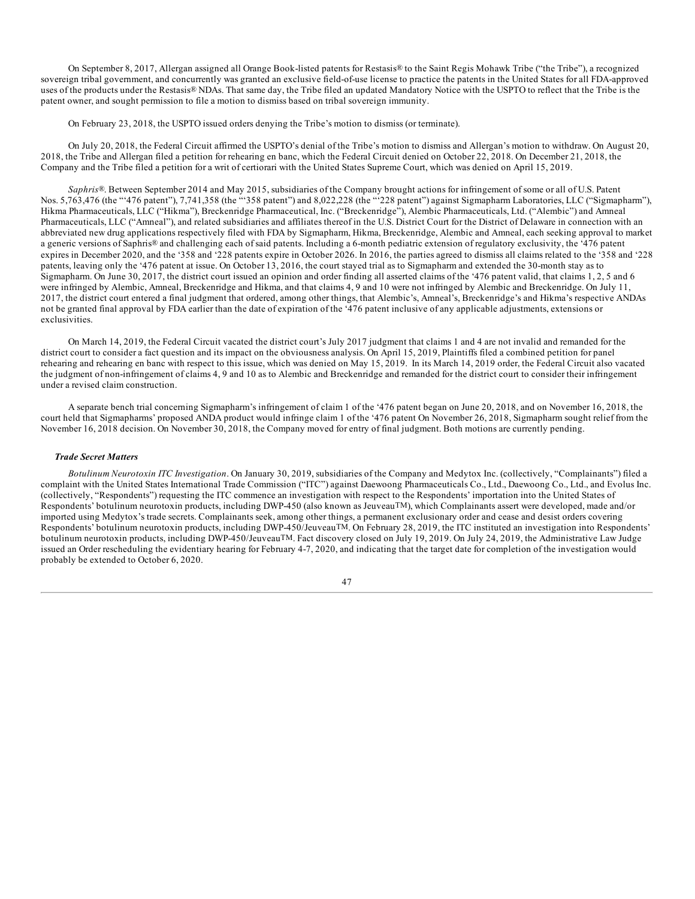On September 8, 2017, Allergan assigned all Orange Book-listed patents for Restasis® to the Saint Regis Mohawk Tribe ("the Tribe"), a recognized sovereign tribal government, and concurrently was granted an exclusive field-of-use license to practice the patents in the United States for all FDA-approved uses of the products under the Restasis® NDAs. That same day, the Tribe filed an updated Mandatory Notice with the USPTO to reflect that the Tribe is the patent owner, and sought permission to file a motion to dismiss based on tribal sovereign immunity.

On February 23, 2018, the USPTO issued orders denying the Tribe's motion to dismiss (or terminate).

On July 20, 2018, the Federal Circuit affirmed the USPTO's denial of the Tribe's motion to dismiss and Allergan's motion to withdraw. On August 20, 2018, the Tribe and Allergan filed a petition for rehearing en banc, which the Federal Circuit denied on October 22, 2018. On December 21, 2018, the Company and the Tribe filed a petition for a writ of certiorari with the United States Supreme Court, which was denied on April 15, 2019.

*Saphris®*. Between September 2014 and May 2015, subsidiaries of the Company brought actions for infringement of some or all of U.S. Patent Nos. 5,763,476 (the "'476 patent"), 7,741,358 (the "'358 patent") and 8,022,228 (the "'228 patent") against Sigmapharm Laboratories, LLC ("Sigmapharm"), Hikma Pharmaceuticals, LLC ("Hikma"), Breckenridge Pharmaceutical, Inc. ("Breckenridge"), Alembic Pharmaceuticals, Ltd. ("Alembic") and Amneal Pharmaceuticals, LLC ("Amneal"), and related subsidiaries and affiliates thereof in the U.S. District Court for the District of Delaware in connection with an abbreviated new drug applications respectively filed with FDA by Sigmapharm, Hikma, Breckenridge, Alembic and Amneal, each seeking approval to market a generic versions of Saphris® and challenging each of said patents. Including a 6-month pediatric extension of regulatory exclusivity, the '476 patent expires in December 2020, and the '358 and '228 patents expire in October 2026. In 2016, the parties agreed to dismiss all claims related to the '358 and '228 patents, leaving only the '476 patent at issue. On October 13, 2016, the court stayed trial as to Sigmapharm and extended the 30-month stay as to Sigmapharm. On June 30, 2017, the district court issued an opinion and order finding all asserted claims of the '476 patent valid, that claims 1, 2, 5 and 6 were infringed by Alembic, Amneal, Breckenridge and Hikma, and that claims 4, 9 and 10 were not infringed by Alembic and Breckenridge. On July 11, 2017, the district court entered a final judgment that ordered, among other things, that Alembic's, Amneal's, Breckenridge's and Hikma's respective ANDAs not be granted final approval by FDA earlier than the date of expiration of the '476 patent inclusive of any applicable adjustments, extensions or exclusivities.

On March 14, 2019, the Federal Circuit vacated the district court's July 2017 judgment that claims 1 and 4 are not invalid and remanded for the district court to consider a fact question and its impact on the obviousness analysis. On April 15, 2019, Plaintiffs filed a combined petition for panel rehearing and rehearing en banc with respect to this issue, which was denied on May 15, 2019. In its March 14, 2019 order, the Federal Circuit also vacated the judgment of non-infringement of claims 4, 9 and 10 as to Alembic and Breckenridge and remanded for the district court to consider their infringement under a revised claim construction.

A separate bench trial concerning Sigmapharm's infringement of claim 1 of the '476 patent began on June 20, 2018, and on November 16, 2018, the court held that Sigmapharms' proposed ANDA product would infringe claim 1 of the '476 patent On November 26, 2018, Sigmapharm sought relief from the November 16, 2018 decision. On November 30, 2018, the Company moved for entry of final judgment. Both motions are currently pending.

#### *Trade Secret Matters*

*Botulinum Neurotoxin ITC Investigation*. On January 30, 2019, subsidiaries of the Company and Medytox Inc. (collectively, "Complainants") filed a complaint with the United States International Trade Commission ("ITC") against Daewoong Pharmaceuticals Co., Ltd., Daewoong Co., Ltd., and Evolus Inc. (collectively, "Respondents") requesting the ITC commence an investigation with respect to the Respondents' importation into the United States of Respondents' botulinum neurotoxin products, including DWP-450 (also known as JeuveauTM), which Complainants assert were developed, made and/or imported using Medytox's trade secrets. Complainants seek, among other things, a permanent exclusionary order and cease and desist orders covering Respondents' botulinum neurotoxin products, including DWP-450/JeuveauTM. On February 28, 2019, the ITC instituted an investigation into Respondents' botulinum neurotoxin products, including DWP-450/JeuveauTM. Fact discovery closed on July 19, 2019. On July 24, 2019, the Administrative Law Judge issued an Order rescheduling the evidentiary hearing for February 4-7, 2020, and indicating that the target date for completion of the investigation would probably be extended to October 6, 2020.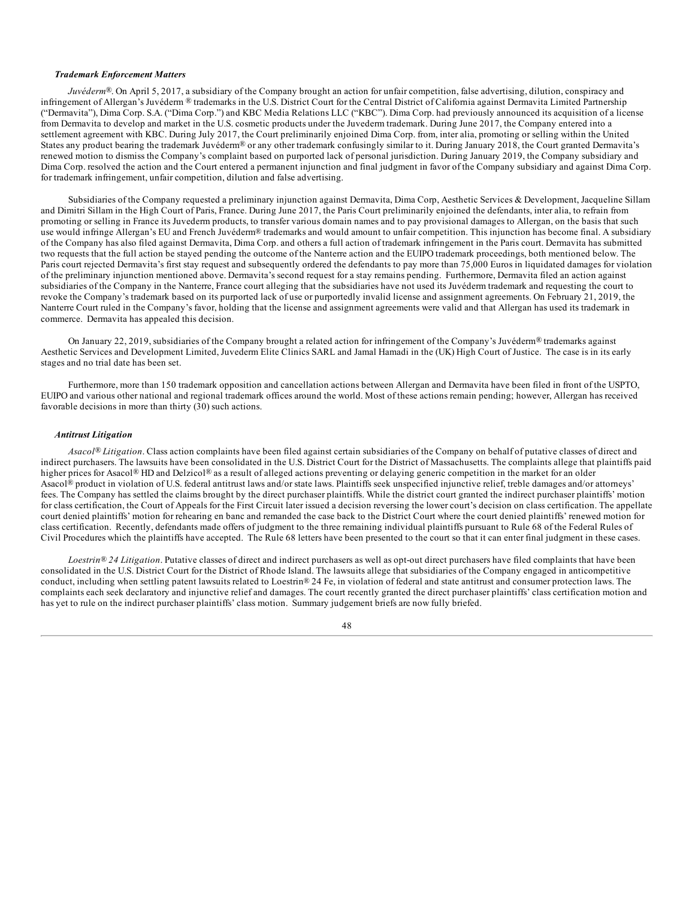#### *Trademark Enforcement Matters*

*Juvéderm®*. On April 5, 2017, a subsidiary of the Company brought an action for unfair competition, false advertising, dilution, conspiracy and infringement of Allergan's Juvéderm ® trademarks in the U.S. District Court for the Central District of California against Dermavita Limited Partnership ("Dermavita"), Dima Corp. S.A. ("Dima Corp.") and KBC Media Relations LLC ("KBC"). Dima Corp. had previously announced its acquisition of a license from Dermavita to develop and market in the U.S. cosmetic products under the Juvederm trademark. During June 2017, the Company entered into a settlement agreement with KBC. During July 2017, the Court preliminarily enjoined Dima Corp. from, inter alia, promoting or selling within the United States any product bearing the trademark Juvéderm® or any other trademark confusingly similar to it. During January 2018, the Court granted Dermavita's renewed motion to dismiss the Company's complaint based on purported lack of personal jurisdiction. During January 2019, the Company subsidiary and Dima Corp. resolved the action and the Court entered a permanent injunction and final judgment in favor of the Company subsidiary and against Dima Corp. for trademark infringement, unfair competition, dilution and false advertising.

Subsidiaries of the Company requested a preliminary injunction against Dermavita, Dima Corp, Aesthetic Services & Development, Jacqueline Sillam and Dimitri Sillam in the High Court of Paris, France. During June 2017, the Paris Court preliminarily enjoined the defendants, inter alia, to refrain from promoting or selling in France its Juvederm products, to transfer various domain names and to pay provisional damages to Allergan, on the basis that such use would infringe Allergan's EU and French Juvéderm® trademarks and would amount to unfair competition. This injunction has become final. A subsidiary of the Company has also filed against Dermavita, Dima Corp. and others a full action of trademark infringement in the Paris court. Dermavita has submitted two requests that the full action be stayed pending the outcome of the Nanterre action and the EUIPO trademark proceedings, both mentioned below. The Paris court rejected Dermavita's first stay request and subsequently ordered the defendants to pay more than 75,000 Euros in liquidated damages for violation of the preliminary injunction mentioned above. Dermavita's second request for a stay remains pending. Furthermore, Dermavita filed an action against subsidiaries of the Company in the Nanterre, France court alleging that the subsidiaries have not used its Juvéderm trademark and requesting the court to revoke the Company's trademark based on its purported lack of use or purportedly invalid license and assignment agreements. On February 21, 2019, the Nanterre Court ruled in the Company's favor, holding that the license and assignment agreements were valid and that Allergan has used its trademark in commerce. Dermavita has appealed this decision.

On January 22, 2019, subsidiaries of the Company brought a related action for infringement of the Company's Juvéderm*®* trademarks against Aesthetic Services and Development Limited, Juvederm Elite Clinics SARL and Jamal Hamadi in the (UK) High Court of Justice. The case is in its early stages and no trial date has been set.

Furthermore, more than 150 trademark opposition and cancellation actions between Allergan and Dermavita have been filed in front of the USPTO, EUIPO and various other national and regional trademark offices around the world. Most of these actions remain pending; however, Allergan has received favorable decisions in more than thirty (30) such actions.

#### *Antitrust Litigation*

*Asacol® Litigation*. Class action complaints have been filed against certain subsidiaries of the Company on behalf of putative classes of direct and indirect purchasers. The lawsuits have been consolidated in the U.S. District Court for the District of Massachusetts. The complaints allege that plaintiffs paid higher prices for Asacol® HD and Delzicol® as a result of alleged actions preventing or delaying generic competition in the market for an older Asacol® product in violation of U.S. federal antitrust laws and/or state laws. Plaintiffs seek unspecified injunctive relief, treble damages and/or attorneys' fees. The Company has settled the claims brought by the direct purchaser plaintiffs. While the district court granted the indirect purchaser plaintiffs' motion for class certification, the Court of Appeals for the First Circuit later issued a decision reversing the lower court's decision on class certification. The appellate court denied plaintiffs' motion for rehearing en banc and remanded the case back to the District Court where the court denied plaintiffs' renewed motion for class certification. Recently, defendants made offers of judgment to the three remaining individual plaintiffs pursuant to Rule 68 of the Federal Rules of Civil Procedures which the plaintiffs have accepted. The Rule 68 letters have been presented to the court so that it can enter final judgment in these cases.

*Loestrin® 24 Litigation*. Putative classes of direct and indirect purchasers as well as opt-out direct purchasers have filed complaints that have been consolidated in the U.S. District Court for the District of Rhode Island. The lawsuits allege that subsidiaries of the Company engaged in anticompetitive conduct, including when settling patent lawsuits related to Loestrin® 24 Fe, in violation of federal and state antitrust and consumer protection laws. The complaints each seek declaratory and injunctive relief and damages. The court recently granted the direct purchaser plaintiffs' class certification motion and has yet to rule on the indirect purchaser plaintiffs' class motion. Summary judgement briefs are now fully briefed.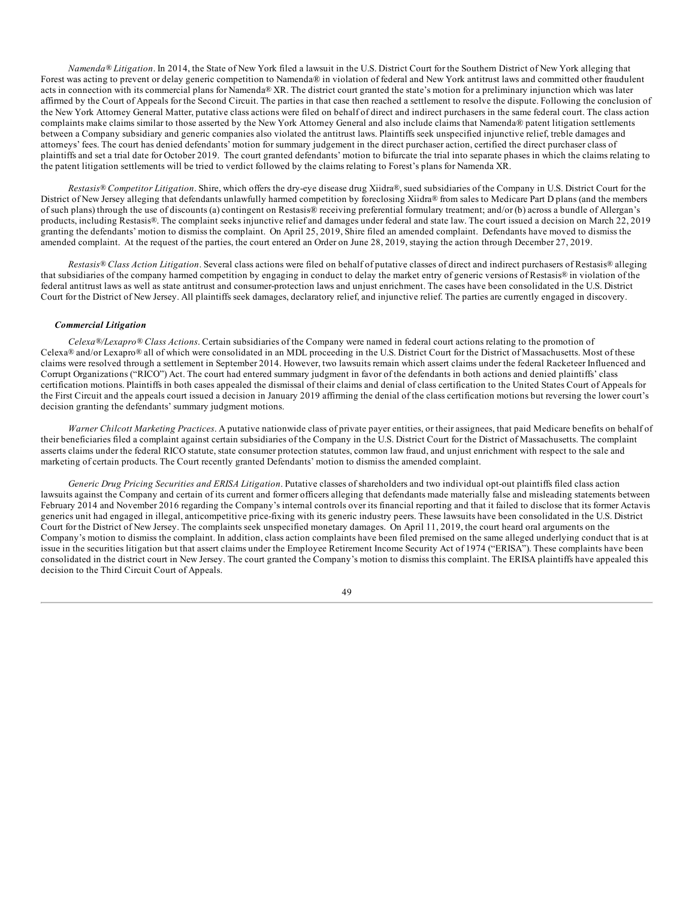*Namenda® Litigation*. In 2014, the State of New York filed a lawsuit in the U.S. District Court for the Southern District of New York alleging that Forest was acting to prevent or delay generic competition to Namenda® in violation of federal and New York antitrust laws and committed other fraudulent acts in connection with its commercial plans for Namenda® XR. The district court granted the state's motion for a preliminary injunction which was later affirmed by the Court of Appeals for the Second Circuit. The parties in that case then reached a settlement to resolve the dispute. Following the conclusion of the New York Attorney General Matter, putative class actions were filed on behalf of direct and indirect purchasers in the same federal court. The class action complaints make claims similar to those asserted by the New York Attorney General and also include claims that Namenda® patent litigation settlements between a Company subsidiary and generic companies also violated the antitrust laws. Plaintiffs seek unspecified injunctive relief, treble damages and attorneys' fees. The court has denied defendants' motion for summary judgement in the direct purchaser action, certified the direct purchaser class of plaintiffs and set a trial date for October 2019. The court granted defendants' motion to bifurcate the trial into separate phases in which the claims relating to the patent litigation settlements will be tried to verdict followed by the claims relating to Forest's plans for Namenda XR.

*Restasis® Competitor Litigation*. Shire, which offers the dry-eye disease drug Xiidra®, sued subsidiaries of the Company in U.S. District Court for the District of New Jersey alleging that defendants unlawfully harmed competition by foreclosing Xiidra® from sales to Medicare Part D plans (and the members of such plans) through the use of discounts (a) contingent on Restasis® receiving preferential formulary treatment; and/or (b) across a bundle of Allergan's products, including Restasis®. The complaint seeks injunctive relief and damages under federal and state law. The court issued a decision on March 22, 2019 granting the defendants' motion to dismiss the complaint. On April 25, 2019, Shire filed an amended complaint. Defendants have moved to dismiss the amended complaint. At the request of the parties, the court entered an Order on June 28, 2019, staying the action through December 27, 2019.

*Restasis® Class Action Litigation*. Several class actions were filed on behalf of putative classes of direct and indirect purchasers of Restasis® alleging that subsidiaries of the company harmed competition by engaging in conduct to delay the market entry of generic versions of Restasis® in violation of the federal antitrust laws as well as state antitrust and consumer-protection laws and unjust enrichment. The cases have been consolidated in the U.S. District Court for the District of New Jersey. All plaintiffs seek damages, declaratory relief, and injunctive relief. The parties are currently engaged in discovery.

### *Commercial Litigation*

*Celexa®/Lexapro® Class Actions*. Certain subsidiaries of the Company were named in federal court actions relating to the promotion of Celexa® and/or Lexapro® all of which were consolidated in an MDL proceeding in the U.S. District Court for the District of Massachusetts. Most of these claims were resolved through a settlement in September 2014. However, two lawsuits remain which assert claims under the federal Racketeer Influenced and Corrupt Organizations ("RICO") Act. The court had entered summary judgment in favor of the defendants in both actions and denied plaintiffs' class certification motions. Plaintiffs in both cases appealed the dismissal of their claims and denial of class certification to the United States Court of Appeals for the First Circuit and the appeals court issued a decision in January 2019 affirming the denial of the class certification motions but reversing the lower court's decision granting the defendants' summary judgment motions.

*Warner Chilcott Marketing Practices*. A putative nationwide class of private payer entities, or their assignees, that paid Medicare benefits on behalf of their beneficiaries filed a complaint against certain subsidiaries of the Company in the U.S. District Court for the District of Massachusetts. The complaint asserts claims under the federal RICO statute, state consumer protection statutes, common law fraud, and unjust enrichment with respect to the sale and marketing of certain products. The Court recently granted Defendants' motion to dismiss the amended complaint.

*Generic Drug Pricing Securities and ERISA Litigation*. Putative classes of shareholders and two individual opt-out plaintiffs filed class action lawsuits against the Company and certain of its current and former officers alleging that defendants made materially false and misleading statements between February 2014 and November 2016 regarding the Company's internal controls over its financial reporting and that it failed to disclose that its former Actavis generics unit had engaged in illegal, anticompetitive price-fixing with its generic industry peers. These lawsuits have been consolidated in the U.S. District Court for the District of New Jersey. The complaints seek unspecified monetary damages. On April 11, 2019, the court heard oral arguments on the Company's motion to dismiss the complaint. In addition, class action complaints have been filed premised on the same alleged underlying conduct that is at issue in the securities litigation but that assert claims under the Employee Retirement Income Security Act of 1974 ("ERISA"). These complaints have been consolidated in the district court in New Jersey. The court granted the Company's motion to dismiss this complaint. The ERISA plaintiffs have appealed this decision to the Third Circuit Court of Appeals.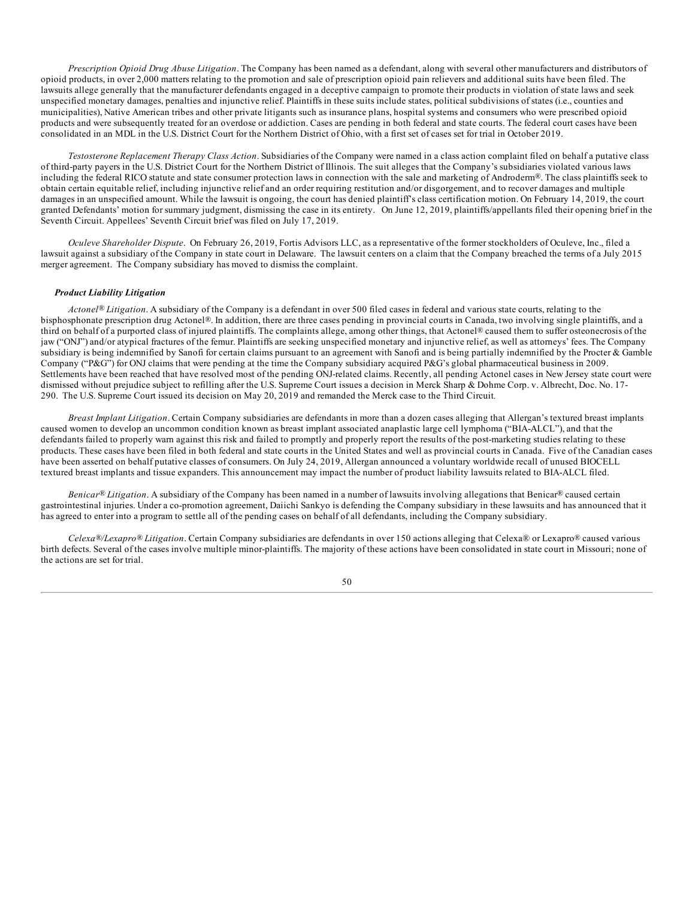*Prescription Opioid Drug Abuse Litigation*. The Company has been named as a defendant, along with several other manufacturers and distributors of opioid products, in over 2,000 matters relating to the promotion and sale of prescription opioid pain relievers and additional suits have been filed. The lawsuits allege generally that the manufacturer defendants engaged in a deceptive campaign to promote their products in violation of state laws and seek unspecified monetary damages, penalties and injunctive relief. Plaintiffs in these suits include states, political subdivisions of states (i.e., counties and municipalities), Native American tribes and other private litigants such as insurance plans, hospital systems and consumers who were prescribed opioid products and were subsequently treated for an overdose or addiction. Cases are pending in both federal and state courts. The federal court cases have been consolidated in an MDL in the U.S. District Court for the Northern District of Ohio, with a first set of cases set for trial in October 2019.

*Testosterone Replacement Therapy Class Action*. Subsidiaries of the Company were named in a class action complaint filed on behalf a putative class of third-party payers in the U.S. District Court for the Northern District of Illinois. The suit alleges that the Company's subsidiaries violated various laws including the federal RICO statute and state consumer protection laws in connection with the sale and marketing of Androderm®. The class plaintiffs seek to obtain certain equitable relief, including injunctive relief and an order requiring restitution and/or disgorgement, and to recover damages and multiple damages in an unspecified amount. While the lawsuit is ongoing, the court has denied plaintiff's class certification motion. On February 14, 2019, the court granted Defendants' motion for summary judgment, dismissing the case in its entirety. On June 12, 2019, plaintiffs/appellants filed their opening brief in the Seventh Circuit. Appellees' Seventh Circuit brief was filed on July 17, 2019.

*Oculeve Shareholder Dispute*. On February 26, 2019, Fortis Advisors LLC, as a representative of the former stockholders of Oculeve, Inc., filed a lawsuit against a subsidiary of the Company in state court in Delaware. The lawsuit centers on a claim that the Company breached the terms of a July 2015 merger agreement. The Company subsidiary has moved to dismiss the complaint.

## *Product Liability Litigation*

*Actonel® Litigation*. A subsidiary of the Company is a defendant in over 500 filed cases in federal and various state courts, relating to the bisphosphonate prescription drug Actonel®. In addition, there are three cases pending in provincial courts in Canada, two involving single plaintiffs, and a third on behalf of a purported class of injured plaintiffs. The complaints allege, among other things, that Actonel® caused them to suffer osteonecrosis of the jaw ("ONJ") and/or atypical fractures of the femur. Plaintiffs are seeking unspecified monetary and injunctive relief, as well as attorneys' fees. The Company subsidiary is being indemnified by Sanofi for certain claims pursuant to an agreement with Sanofi and is being partially indemnified by the Procter & Gamble Company ("P&G") for ONJ claims that were pending at the time the Company subsidiary acquired P&G's global pharmaceutical business in 2009. Settlements have been reached that have resolved most of the pending ONJ-related claims. Recently, all pending Actonel cases in New Jersey state court were dismissed without prejudice subject to refilling after the U.S. Supreme Court issues a decision in Merck Sharp & Dohme Corp. v. Albrecht, Doc. No. 17- 290. The U.S. Supreme Court issued its decision on May 20, 2019 and remanded the Merck case to the Third Circuit*.*

*Breast Implant Litigation*. Certain Company subsidiaries are defendants in more than a dozen cases alleging that Allergan's textured breast implants caused women to develop an uncommon condition known as breast implant associated anaplastic large cell lymphoma ("BIA-ALCL"), and that the defendants failed to properly warn against this risk and failed to promptly and properly report the results of the post-marketing studies relating to these products. These cases have been filed in both federal and state courts in the United States and well as provincial courts in Canada. Five of the Canadian cases have been asserted on behalf putative classes of consumers. On July 24, 2019, Allergan announced a voluntary worldwide recall of unused BIOCELL textured breast implants and tissue expanders. This announcement may impact the number of product liability lawsuits related to BIA-ALCL filed.

*Benicar® Litigation*. A subsidiary of the Company has been named in a number of lawsuits involving allegations that Benicar® caused certain gastrointestinal injuries. Under a co-promotion agreement, Daiichi Sankyo is defending the Company subsidiary in these lawsuits and has announced that it has agreed to enter into a program to settle all of the pending cases on behalf of all defendants, including the Company subsidiary.

*Celexa®/Lexapro® Litigation*. Certain Company subsidiaries are defendants in over 150 actions alleging that Celexa® or Lexapro® caused various birth defects. Several of the cases involve multiple minor-plaintiffs. The majority of these actions have been consolidated in state court in Missouri; none of the actions are set for trial.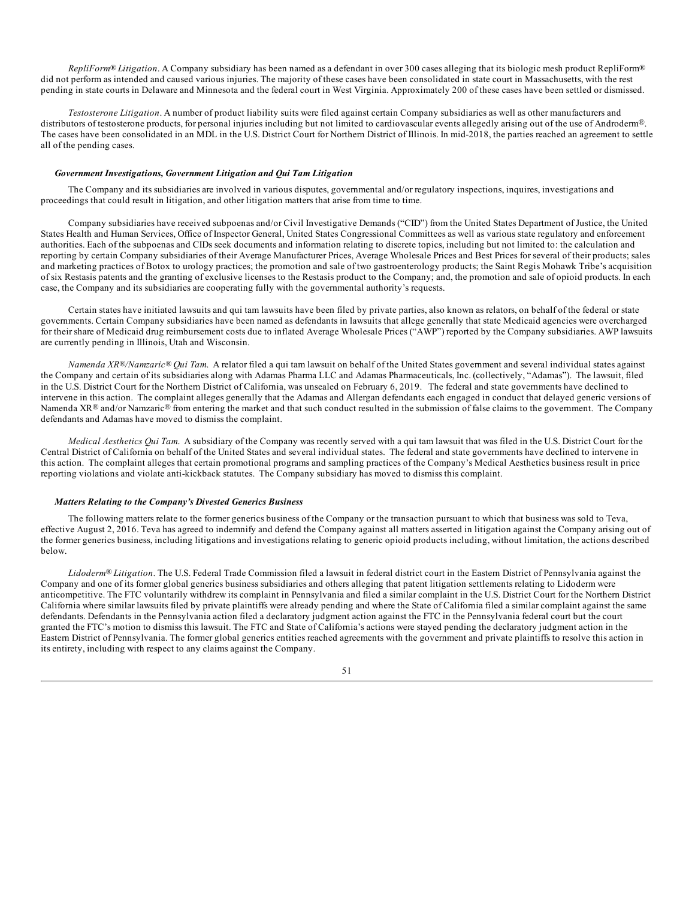*RepliForm® Litigation*. A Company subsidiary has been named as a defendant in over 300 cases alleging that its biologic mesh product RepliForm® did not perform as intended and caused various injuries. The majority of these cases have been consolidated in state court in Massachusetts, with the rest pending in state courts in Delaware and Minnesota and the federal court in West Virginia. Approximately 200 of these cases have been settled or dismissed.

*Testosterone Litigation*. A number of product liability suits were filed against certain Company subsidiaries as well as other manufacturers and distributors of testosterone products, for personal injuries including but not limited to cardiovascular events allegedly arising out of the use of Androderm®. The cases have been consolidated in an MDL in the U.S. District Court for Northern District of Illinois. In mid-2018, the parties reached an agreement to settle all of the pending cases.

#### *Government Investigations, Government Litigation and Qui Tam Litigation*

The Company and its subsidiaries are involved in various disputes, governmental and/or regulatory inspections, inquires, investigations and proceedings that could result in litigation, and other litigation matters that arise from time to time.

Company subsidiaries have received subpoenas and/or Civil Investigative Demands ("CID") from the United States Department of Justice, the United States Health and Human Services, Office of Inspector General, United States Congressional Committees as well as various state regulatory and enforcement authorities. Each of the subpoenas and CIDs seek documents and information relating to discrete topics, including but not limited to: the calculation and reporting by certain Company subsidiaries of their Average Manufacturer Prices, Average Wholesale Prices and Best Prices for several of their products; sales and marketing practices of Botox to urology practices; the promotion and sale of two gastroenterology products; the Saint Regis Mohawk Tribe's acquisition of six Restasis patents and the granting of exclusive licenses to the Restasis product to the Company; and, the promotion and sale of opioid products. In each case, the Company and its subsidiaries are cooperating fully with the governmental authority's requests.

Certain states have initiated lawsuits and qui tam lawsuits have been filed by private parties, also known as relators, on behalf of the federal or state governments. Certain Company subsidiaries have been named as defendants in lawsuits that allege generally that state Medicaid agencies were overcharged for their share of Medicaid drug reimbursement costs due to inflated Average Wholesale Prices ("AWP") reported by the Company subsidiaries. AWP lawsuits are currently pending in Illinois, Utah and Wisconsin.

*Namenda XR®/Namzaric® Qui Tam*. A relator filed a qui tam lawsuit on behalf of the United States government and several individual states against the Company and certain of its subsidiaries along with Adamas Pharma LLC and Adamas Pharmaceuticals, Inc. (collectively, "Adamas"). The lawsuit, filed in the U.S. District Court for the Northern District of California, was unsealed on February 6, 2019. The federal and state governments have declined to intervene in this action. The complaint alleges generally that the Adamas and Allergan defendants each engaged in conduct that delayed generic versions of Namenda  $XR^{\circledR}$  and/or Namzaric<sup>®</sup> from entering the market and that such conduct resulted in the submission of false claims to the government. The Company defendants and Adamas have moved to dismiss the complaint.

*Medical Aesthetics Qui Tam*. A subsidiary of the Company was recently served with a qui tam lawsuit that was filed in the U.S. District Court for the Central District of California on behalf of the United States and several individual states. The federal and state governments have declined to intervene in this action. The complaint alleges that certain promotional programs and sampling practices of the Company's Medical Aesthetics business result in price reporting violations and violate anti-kickback statutes. The Company subsidiary has moved to dismiss this complaint.

#### *Matters Relating to the Company's Divested Generics Business*

The following matters relate to the former generics business of the Company or the transaction pursuant to which that business was sold to Teva, effective August 2, 2016. Teva has agreed to indemnify and defend the Company against all matters asserted in litigation against the Company arising out of the former generics business, including litigations and investigations relating to generic opioid products including, without limitation, the actions described below.

*Lidoderm® Litigation*. The U.S. Federal Trade Commission filed a lawsuit in federal district court in the Eastern District of Pennsylvania against the Company and one of its former global generics business subsidiaries and others alleging that patent litigation settlements relating to Lidoderm were anticompetitive. The FTC voluntarily withdrew its complaint in Pennsylvania and filed a similar complaint in the U.S. District Court for the Northern District California where similar lawsuits filed by private plaintiffs were already pending and where the State of California filed a similar complaint against the same defendants. Defendants in the Pennsylvania action filed a declaratory judgment action against the FTC in the Pennsylvania federal court but the court granted the FTC's motion to dismiss this lawsuit. The FTC and State of California's actions were stayed pending the declaratory judgment action in the Eastern District of Pennsylvania. The former global generics entities reached agreements with the government and private plaintiffs to resolve this action in its entirety, including with respect to any claims against the Company.

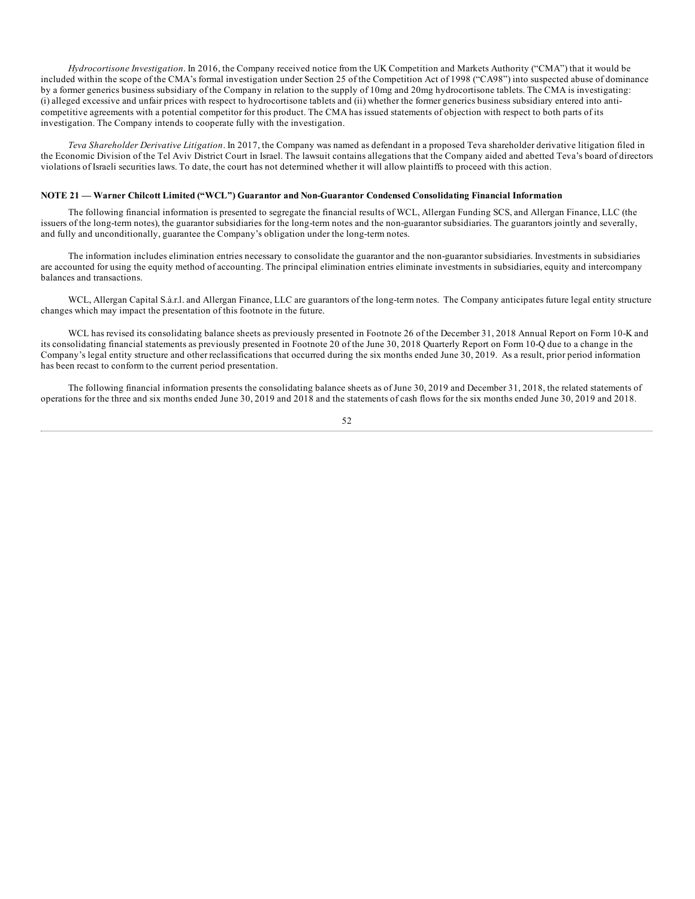*Hydrocortisone Investigation*. In 2016, the Company received notice from the UK Competition and Markets Authority ("CMA") that it would be included within the scope of the CMA's formal investigation under Section 25 of the Competition Act of 1998 ("CA98") into suspected abuse of dominance by a former generics business subsidiary of the Company in relation to the supply of 10mg and 20mg hydrocortisone tablets. The CMA is investigating: (i) alleged excessive and unfair prices with respect to hydrocortisone tablets and (ii) whether the former generics business subsidiary entered into anticompetitive agreements with a potential competitor for this product. The CMA has issued statements of objection with respect to both parts of its investigation. The Company intends to cooperate fully with the investigation.

*Teva Shareholder Derivative Litigation*. In 2017, the Company was named as defendant in a proposed Teva shareholder derivative litigation filed in the Economic Division of the Tel Aviv District Court in Israel. The lawsuit contains allegations that the Company aided and abetted Teva's board of directors violations of Israeli securities laws. To date, the court has not determined whether it will allow plaintiffs to proceed with this action.

# **NOTE 21 — Warner Chilcott Limited ("WCL") Guarantor and Non-Guarantor Condensed Consolidating Financial Information**

The following financial information is presented to segregate the financial results of WCL, Allergan Funding SCS, and Allergan Finance, LLC (the issuers of the long-term notes), the guarantor subsidiaries for the long-term notes and the non-guarantor subsidiaries. The guarantors jointly and severally, and fully and unconditionally, guarantee the Company's obligation under the long-term notes.

The information includes elimination entries necessary to consolidate the guarantor and the non-guarantor subsidiaries. Investments in subsidiaries are accounted for using the equity method of accounting. The principal elimination entries eliminate investments in subsidiaries, equity and intercompany balances and transactions.

WCL, Allergan Capital S.à.r.l. and Allergan Finance, LLC are guarantors of the long-term notes. The Company anticipates future legal entity structure changes which may impact the presentation of this footnote in the future.

WCL has revised its consolidating balance sheets as previously presented in Footnote 26 of the December 31, 2018 Annual Report on Form 10-K and its consolidating financial statements as previously presented in Footnote 20 of the June 30, 2018 Quarterly Report on Form 10-Q due to a change in the Company's legal entity structure and other reclassifications that occurred during the six months ended June 30, 2019. As a result, prior period information has been recast to conform to the current period presentation.

The following financial information presents the consolidating balance sheets as of June 30, 2019 and December 31, 2018, the related statements of operations for the three and six months ended June 30, 2019 and 2018 and the statements of cash flows for the six months ended June 30, 2019 and 2018.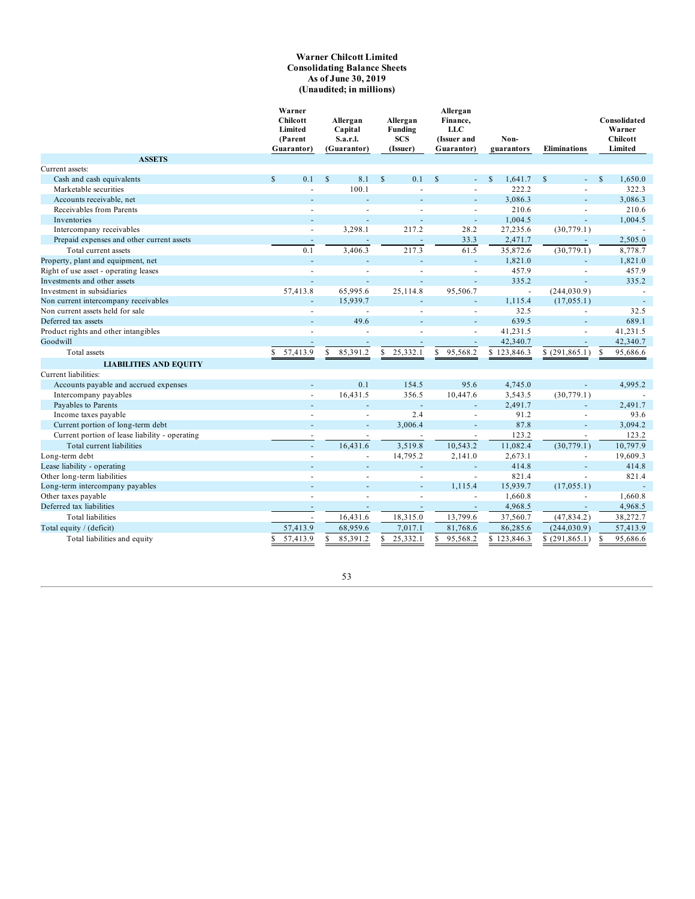# **Warner Chilcott Limited Consolidating Balance Sheets As of June 30, 2019 (Unaudited; in millions)**

|                                                | Warner<br><b>Chilcott</b><br>Limited<br>(Parent<br>Guarantor) | Allergan<br>Capital<br>S.a.r.l.<br>(Guarantor) | Allergan<br>Funding<br><b>SCS</b><br>(Issuer) | Allergan<br>Finance,<br><b>LLC</b><br>(Issuer and<br>Guarantor) | Non-<br>guarantors       | Eliminations                        | Consolidated<br>Warner<br><b>Chilcott</b><br>Limited |
|------------------------------------------------|---------------------------------------------------------------|------------------------------------------------|-----------------------------------------------|-----------------------------------------------------------------|--------------------------|-------------------------------------|------------------------------------------------------|
| <b>ASSETS</b>                                  |                                                               |                                                |                                               |                                                                 |                          |                                     |                                                      |
| Current assets:                                |                                                               |                                                |                                               |                                                                 |                          |                                     |                                                      |
| Cash and cash equivalents                      | $\mathbf{s}$<br>0.1                                           | \$<br>8.1                                      | $\mathcal{S}$<br>0.1                          | $\mathbf S$                                                     | 1.641.7<br>$\mathcal{S}$ | $\mathbb{S}$<br>$\omega_{\rm{eff}}$ | $\mathcal{S}$<br>1,650.0                             |
| Marketable securities                          | $\overline{a}$                                                | 100.1                                          | $\overline{a}$                                | $\overline{a}$                                                  | 222.2                    | $\sim$                              | 322.3                                                |
| Accounts receivable, net                       | ÷                                                             |                                                | $\overline{a}$                                | $\mathbf{r}$                                                    | 3.086.3                  | $\omega$                            | 3.086.3                                              |
| Receivables from Parents                       | ÷.                                                            |                                                | $\overline{a}$                                | ÷                                                               | 210.6                    | ä,                                  | 210.6                                                |
| Inventories                                    |                                                               |                                                | $\sim$                                        | $\sim$                                                          | 1,004.5                  | $\sim$                              | 1,004.5                                              |
| Intercompany receivables                       | $\overline{\phantom{a}}$                                      | 3,298.1                                        | 217.2                                         | 28.2                                                            | 27,235.6                 | (30, 779.1)                         |                                                      |
| Prepaid expenses and other current assets      | ÷,                                                            |                                                |                                               | 33.3                                                            | 2,471.7                  | $\sim$                              | 2,505.0                                              |
| Total current assets                           | 0.1                                                           | 3,406.3                                        | 217.3                                         | 61.5                                                            | 35,872.6                 | (30, 779.1)                         | 8,778.7                                              |
| Property, plant and equipment, net             | ÷.                                                            |                                                | ÷.                                            | ÷.                                                              | 1,821.0                  | L.                                  | 1,821.0                                              |
| Right of use asset - operating leases          | ä,                                                            |                                                |                                               | ÷.                                                              | 457.9                    | ÷.                                  | 457.9                                                |
| Investments and other assets                   | $\overline{\phantom{a}}$                                      |                                                |                                               | $\sim$                                                          | 335.2                    | ÷.                                  | 335.2                                                |
| Investment in subsidiaries                     | 57,413.8                                                      | 65,995.6                                       | 25,114.8                                      | 95,506.7                                                        | $\sim$                   | (244, 030.9)                        |                                                      |
| Non current intercompany receivables           | ÷.                                                            | 15,939.7                                       | ÷.                                            | ä,                                                              | 1,115.4                  | (17,055.1)                          | $\sim$                                               |
| Non current assets held for sale               |                                                               |                                                |                                               |                                                                 | 32.5                     | $\overline{\phantom{a}}$            | 32.5                                                 |
| Deferred tax assets                            |                                                               | 49.6                                           |                                               | $\overline{a}$                                                  | 639.5                    |                                     | 689.1                                                |
| Product rights and other intangibles           | ä,                                                            |                                                |                                               | ä,                                                              | 41,231.5                 | ÷,                                  | 41,231.5                                             |
| Goodwill                                       |                                                               |                                                |                                               | ÷                                                               | 42,340.7                 | $\overline{a}$                      | 42,340.7                                             |
| Total assets                                   | 57,413.9<br>S.                                                | 85,391.2<br>S                                  | 25,332.1<br>\$.                               | 95,568.2<br>S.                                                  | 123,846.3<br>\$.         | \$(291,865.1)                       | 95,686.6<br>\$.                                      |
| <b>LIABILITIES AND EQUITY</b>                  |                                                               |                                                |                                               |                                                                 |                          |                                     |                                                      |
| Current liabilities:                           |                                                               |                                                |                                               |                                                                 |                          |                                     |                                                      |
| Accounts payable and accrued expenses          | ÷                                                             | 0.1                                            | 154.5                                         | 95.6                                                            | 4,745.0                  | ä,                                  | 4.995.2                                              |
| Intercompany payables                          | ÷,                                                            | 16,431.5                                       | 356.5                                         | 10,447.6                                                        | 3,543.5                  | (30, 779.1)                         |                                                      |
| Payables to Parents                            | $\overline{a}$                                                |                                                | $\overline{a}$                                | ÷.                                                              | 2,491.7                  | ÷.                                  | 2.491.7                                              |
| Income taxes payable                           |                                                               |                                                | 2.4                                           | ÷.                                                              | 91.2                     | ÷.                                  | 93.6                                                 |
| Current portion of long-term debt              |                                                               |                                                | 3,006.4                                       |                                                                 | 87.8                     | ÷.                                  | 3,094.2                                              |
| Current portion of lease liability - operating | ×.                                                            |                                                | ÷,                                            | ×.                                                              | 123.2                    | ÷,                                  | 123.2                                                |
| Total current liabilities                      | ÷.                                                            | 16,431.6                                       | 3,519.8                                       | 10,543.2                                                        | 11,082.4                 | (30, 779.1)                         | 10,797.9                                             |
| Long-term debt                                 |                                                               |                                                | 14,795.2                                      | 2,141.0                                                         | 2,673.1                  | $\overline{a}$                      | 19,609.3                                             |
| Lease liability - operating                    |                                                               |                                                |                                               | ÷,                                                              | 414.8                    | $\sim$                              | 414.8                                                |
| Other long-term liabilities                    |                                                               |                                                |                                               | $\sim$                                                          | 821.4                    | $\overline{a}$                      | 821.4                                                |
| Long-term intercompany payables                |                                                               |                                                | $\overline{\phantom{a}}$                      | 1.115.4                                                         | 15,939.7                 | (17, 055.1)                         |                                                      |
| Other taxes payable                            |                                                               |                                                |                                               | $\overline{\phantom{a}}$                                        | 1,660.8                  | $\overline{\phantom{a}}$            | 1,660.8                                              |
| Deferred tax liabilities                       | ÷                                                             |                                                | $\sim$                                        | $\sim$                                                          | 4,968.5                  | $\sim$                              | 4,968.5                                              |
| <b>Total liabilities</b>                       | $\sim$                                                        | 16,431.6                                       | 18,315.0                                      | 13,799.6                                                        | 37,560.7                 | (47, 834.2)                         | 38,272.7                                             |
| Total equity / (deficit)                       | 57,413.9                                                      | 68,959.6                                       | 7,017.1                                       | 81,768.6                                                        | 86,285.6                 | (244, 030.9)                        | 57,413.9                                             |
| Total liabilities and equity                   | 57,413.9<br>S                                                 | \$<br>85,391.2                                 | 25,332.1                                      | \$<br>95,568.2                                                  | 123,846.3<br>S           | \$(291,865.1)                       | S<br>95,686.6                                        |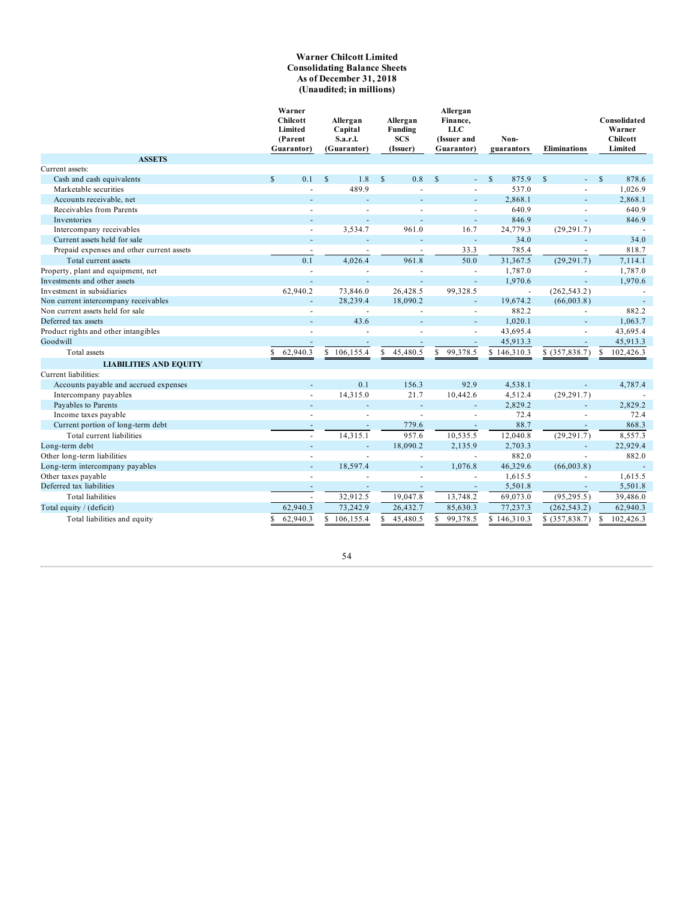# **Warner Chilcott Limited Consolidating Balance Sheets As of December 31, 2018 (Unaudited; in millions)**

|                                           | Warner<br>Chilcott<br>Limited<br>(Parent<br>Guarantor) | Allergan<br>Capital<br>S.a.r.l.<br>(Guarantor) | Allergan<br><b>Funding</b><br><b>SCS</b><br>(Issuer) | Allergan<br>Finance,<br><b>LLC</b><br>(Issuer and<br>Guarantor) | Non-<br>guarantors   | Eliminations             | Consolidated<br>Warner<br><b>Chilcott</b><br>Limited |
|-------------------------------------------|--------------------------------------------------------|------------------------------------------------|------------------------------------------------------|-----------------------------------------------------------------|----------------------|--------------------------|------------------------------------------------------|
| <b>ASSETS</b>                             |                                                        |                                                |                                                      |                                                                 |                      |                          |                                                      |
| Current assets:                           |                                                        |                                                |                                                      |                                                                 |                      |                          |                                                      |
| Cash and cash equivalents                 | $\mathbb{S}$<br>0.1                                    | $\mathbf S$<br>1.8                             | 0.8<br><sup>\$</sup>                                 | $\mathcal{S}$<br>$\sim$                                         | $\mathbf S$<br>875.9 | $\mathbf S$<br>$\sim$    | $\mathcal{S}$<br>878.6                               |
| Marketable securities                     | ÷.                                                     | 489.9                                          |                                                      | $\mathbf{r}$                                                    | 537.0                | $\sim$                   | 1,026.9                                              |
| Accounts receivable, net                  |                                                        |                                                |                                                      | ÷                                                               | 2,868.1              |                          | 2,868.1                                              |
| Receivables from Parents                  |                                                        |                                                |                                                      | $\overline{a}$                                                  | 640.9                |                          | 640.9                                                |
| Inventories                               |                                                        |                                                |                                                      | ÷                                                               | 846.9                | ÷                        | 846.9                                                |
| Intercompany receivables                  | ÷.                                                     | 3,534.7                                        | 961.0                                                | 16.7                                                            | 24,779.3             | (29, 291.7)              |                                                      |
| Current assets held for sale              |                                                        |                                                |                                                      | $\omega$                                                        | 34.0                 | $\sim$                   | 34.0                                                 |
| Prepaid expenses and other current assets |                                                        |                                                |                                                      | 33.3                                                            | 785.4                |                          | 818.7                                                |
| Total current assets                      | 0.1                                                    | 4,026.4                                        | 961.8                                                | 50.0                                                            | 31,367.5             | (29, 291.7)              | 7,114.1                                              |
| Property, plant and equipment, net        | ÷.                                                     | ÷.                                             | ÷.                                                   | $\sim$                                                          | 1,787.0              | $\sim$                   | 1,787.0                                              |
| Investments and other assets              | ÷.                                                     | ä,                                             | $\overline{a}$                                       | $\sim$                                                          | 1,970.6              | ÷.                       | 1,970.6                                              |
| Investment in subsidiaries                | 62,940.2                                               | 73,846.0                                       | 26,428.5                                             | 99,328.5                                                        | $\omega$             | (262, 543.2)             |                                                      |
| Non current intercompany receivables      | L,                                                     | 28,239.4                                       | 18,090.2                                             | ä,                                                              | 19,674.2             | (66,003.8)               |                                                      |
| Non current assets held for sale          |                                                        |                                                |                                                      |                                                                 | 882.2                |                          | 882.2                                                |
| Deferred tax assets                       |                                                        | 43.6                                           | ÷.                                                   | ÷                                                               | 1.020.1              | ÷.                       | 1.063.7                                              |
| Product rights and other intangibles      | $\ddot{\phantom{1}}$                                   |                                                |                                                      | ÷,                                                              | 43,695.4             | ÷,                       | 43,695.4                                             |
| Goodwill                                  |                                                        |                                                |                                                      |                                                                 | 45,913.3             |                          | 45,913.3                                             |
| Total assets                              | 62,940.3<br>S.                                         | \$106,155.4                                    | 45,480.5<br>\$.                                      | 99,378.5<br>\$                                                  | \$146,310.3          | \$ (357,838.7)           | S<br>102,426.3                                       |
| <b>LIABILITIES AND EQUITY</b>             |                                                        |                                                |                                                      |                                                                 |                      |                          |                                                      |
| Current liabilities:                      |                                                        |                                                |                                                      |                                                                 |                      |                          |                                                      |
| Accounts payable and accrued expenses     | $\overline{a}$                                         | 0.1                                            | 156.3                                                | 92.9                                                            | 4,538.1              | $\mathbf{r}$             | 4,787.4                                              |
| Intercompany payables                     |                                                        | 14,315.0                                       | 21.7                                                 | 10,442.6                                                        | 4,512.4              | (29, 291.7)              |                                                      |
| Payables to Parents                       | $\overline{a}$                                         |                                                | $\sim$                                               | $\sim$                                                          | 2,829.2              | $\sim$                   | 2,829.2                                              |
| Income taxes payable                      |                                                        |                                                |                                                      | ä,                                                              | 72.4                 |                          | 72.4                                                 |
| Current portion of long-term debt         |                                                        |                                                | 779.6                                                | $\sim$                                                          | 88.7                 |                          | 868.3                                                |
| Total current liabilities                 | ÷.                                                     | 14,315.1                                       | 957.6                                                | 10,535.5                                                        | 12,040.8             | (29, 291.7)              | 8,557.3                                              |
| Long-term debt                            | ÷.                                                     | ÷.                                             | 18,090.2                                             | 2,135.9                                                         | 2,703.3              | $\mathbf{r}$             | 22,929.4                                             |
| Other long-term liabilities               |                                                        |                                                |                                                      | ÷.                                                              | 882.0                |                          | 882.0                                                |
| Long-term intercompany payables           |                                                        | 18,597.4                                       | $\blacksquare$                                       | 1.076.8                                                         | 46,329.6             | (66,003.8)               |                                                      |
| Other taxes payable                       |                                                        |                                                |                                                      |                                                                 | 1,615.5              | $\overline{\phantom{a}}$ | 1,615.5                                              |
| Deferred tax liabilities                  | $\overline{a}$                                         |                                                | $\overline{a}$                                       | $\overline{a}$                                                  | 5,501.8              | $\sim$                   | 5,501.8                                              |
| <b>Total liabilities</b>                  | $\overline{a}$                                         | 32,912.5                                       | 19,047.8                                             | 13,748.2                                                        | 69,073.0             | (95, 295.5)              | 39,486.0                                             |
| Total equity / (deficit)                  | 62,940.3                                               | 73,242.9                                       | 26,432.7                                             | 85,630.3                                                        | 77,237.3             | (262, 543.2)             | 62,940.3                                             |
| Total liabilities and equity              | 62,940.3<br>S.                                         | 106,155.4<br>Ŝ.                                | 45,480.5<br>S.                                       | 99,378.5<br>\$                                                  | \$146,310.3          | \$ (357,838.7)           | 102,426.3<br>S                                       |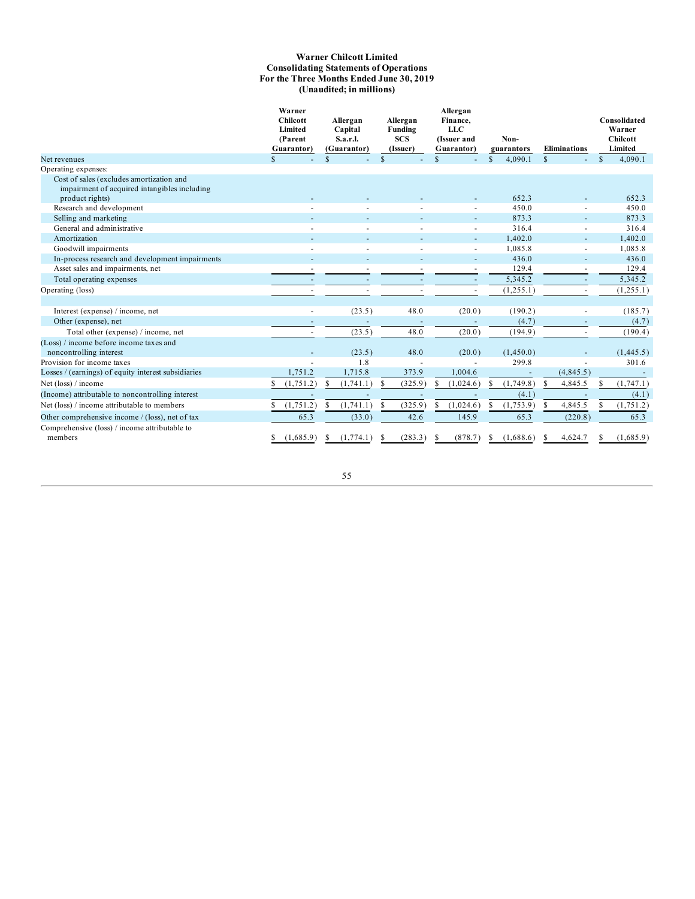## **Warner Chilcott Limited Consolidating Statements of Operations For the Three Months Ended June 30, 2019 (Unaudited; in millions)**

|                                                                                          | Warner<br><b>Chilcott</b><br>Limited<br>(Parent<br>Guarantor) | Allergan<br>Capital<br>S.a.r.l.<br>(Guarantor) | Allergan<br>Funding<br><b>SCS</b><br>(Issuer) | Allergan<br>Finance,<br><b>LLC</b><br>(Issuer and<br>Guarantor) | Non-<br>guarantors | <b>Eliminations</b> | Consolidated<br>Warner<br><b>Chilcott</b><br>Limited |
|------------------------------------------------------------------------------------------|---------------------------------------------------------------|------------------------------------------------|-----------------------------------------------|-----------------------------------------------------------------|--------------------|---------------------|------------------------------------------------------|
| Net revenues                                                                             | S.                                                            |                                                | $\mathcal{S}$                                 | $\mathbf{\hat{S}}$                                              | 4.090.1<br>\$      | $\mathbf{\hat{S}}$  | $\mathbf S$<br>4.090.1                               |
| Operating expenses:                                                                      |                                                               |                                                |                                               |                                                                 |                    |                     |                                                      |
| Cost of sales (excludes amortization and<br>impairment of acquired intangibles including |                                                               |                                                |                                               |                                                                 | 652.3              |                     | 652.3                                                |
| product rights)<br>Research and development                                              |                                                               |                                                |                                               |                                                                 | 450.0              |                     | 450.0                                                |
| Selling and marketing                                                                    |                                                               |                                                |                                               | ٠                                                               | 873.3              |                     | 873.3                                                |
| General and administrative                                                               |                                                               |                                                |                                               | $\sim$                                                          | 316.4              |                     | 316.4                                                |
| Amortization                                                                             |                                                               |                                                |                                               |                                                                 | 1,402.0            |                     | 1,402.0                                              |
| Goodwill impairments                                                                     |                                                               |                                                |                                               |                                                                 | 1,085.8            |                     | 1,085.8                                              |
| In-process research and development impairments                                          |                                                               |                                                |                                               |                                                                 | 436.0              |                     | 436.0                                                |
| Asset sales and impairments, net                                                         |                                                               |                                                |                                               |                                                                 | 129.4              |                     | 129.4                                                |
| Total operating expenses                                                                 |                                                               |                                                |                                               |                                                                 | 5,345.2            |                     | 5,345.2                                              |
| Operating (loss)                                                                         |                                                               |                                                |                                               |                                                                 | (1, 255.1)         |                     | (1, 255.1)                                           |
|                                                                                          |                                                               |                                                |                                               |                                                                 |                    |                     |                                                      |
| Interest (expense) / income, net                                                         |                                                               | (23.5)                                         | 48.0                                          | (20.0)                                                          | (190.2)            |                     | (185.7)                                              |
| Other (expense), net                                                                     |                                                               |                                                |                                               |                                                                 | (4.7)              |                     | (4.7)                                                |
| Total other (expense) / income, net                                                      |                                                               | (23.5)                                         | 48.0                                          | (20.0)                                                          | (194.9)            |                     | (190.4)                                              |
| (Loss) / income before income taxes and<br>noncontrolling interest                       |                                                               | (23.5)                                         | 48.0                                          | (20.0)                                                          | (1,450.0)          |                     | (1,445.5)                                            |
| Provision for income taxes                                                               |                                                               | 1.8                                            |                                               |                                                                 | 299.8              |                     | 301.6                                                |
| Losses / (earnings) of equity interest subsidiaries                                      | 1,751.2                                                       | 1,715.8                                        | 373.9                                         | 1,004.6                                                         |                    | (4,845.5)           |                                                      |
| Net (loss) / income                                                                      | S<br>(1,751.2)                                                | S<br>(1,741.1)                                 | (325.9)<br>S                                  | (1,024.6)<br>S.                                                 | (1,749.8)<br>S     | 4,845.5<br>S        | (1,747.1)<br>S                                       |
| (Income) attributable to noncontrolling interest                                         |                                                               |                                                |                                               |                                                                 | (4.1)              |                     | (4.1)                                                |
| Net (loss) / income attributable to members                                              | (1,751.2)                                                     | S<br>(1,741.1)                                 | (325.9)                                       | (1,024.6)<br>\$                                                 | (1,753.9)<br>\$    | 4,845.5             | S.<br>(1,751.2)                                      |
| Other comprehensive income / (loss), net of tax                                          | 65.3                                                          | (33.0)                                         | 42.6                                          | 145.9                                                           | 65.3               | (220.8)             | 65.3                                                 |
| Comprehensive (loss) / income attributable to<br>members                                 | (1.685.9)<br>S                                                | (1.774.1)<br>S                                 | (283.3)                                       | (878.7)<br>S                                                    | (1.688.6)<br>S     | 4.624.7             | (1,685.9)<br>S                                       |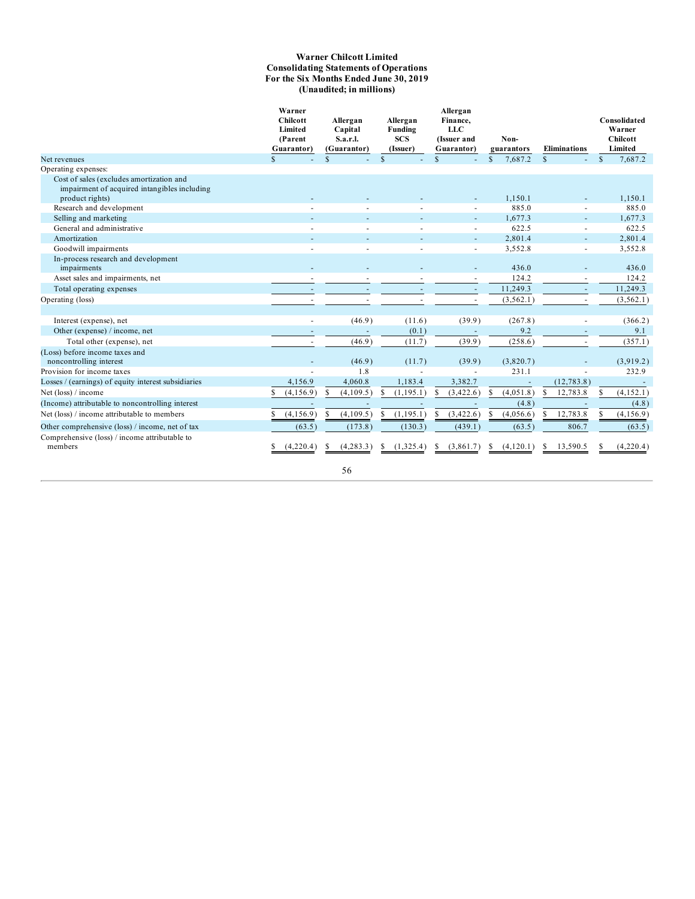## **Warner Chilcott Limited Consolidating Statements of Operations For the Six Months Ended June 30, 2019 (Unaudited; in millions)**

|                                                                                          | Warner<br><b>Chilcott</b><br>Limited<br>(Parent<br>Guarantor) |              | Allergan<br>Capital<br>S.a.r.l.<br>(Guarantor) |               | Allergan<br>Funding<br><b>SCS</b><br>(Issuer) |               | Allergan<br>Finance,<br><b>LLC</b><br>(Issuer and<br>Guarantor) |               | Non-<br>guarantors |                    | <b>Eliminations</b> |               | Consolidated<br>Warner<br><b>Chilcott</b><br>Limited |
|------------------------------------------------------------------------------------------|---------------------------------------------------------------|--------------|------------------------------------------------|---------------|-----------------------------------------------|---------------|-----------------------------------------------------------------|---------------|--------------------|--------------------|---------------------|---------------|------------------------------------------------------|
| Net revenues                                                                             | $\mathbf{s}$<br>$\sim$                                        | $\mathbf{s}$ |                                                | $\mathcal{S}$ |                                               | $\mathcal{S}$ | $\sim$                                                          | $\mathcal{S}$ | 7.687.2            | $\mathbf{\hat{s}}$ | $\sim$              | $\mathcal{S}$ | 7.687.2                                              |
| Operating expenses:                                                                      |                                                               |              |                                                |               |                                               |               |                                                                 |               |                    |                    |                     |               |                                                      |
| Cost of sales (excludes amortization and<br>impairment of acquired intangibles including |                                                               |              |                                                |               |                                               |               |                                                                 |               | 1,150.1            |                    |                     |               | 1,150.1                                              |
| product rights)<br>Research and development                                              |                                                               |              |                                                |               |                                               |               |                                                                 |               | 885.0              |                    |                     |               | 885.0                                                |
| Selling and marketing                                                                    |                                                               |              |                                                |               |                                               |               | $\overline{a}$                                                  |               | 1.677.3            |                    | $\overline{a}$      |               | 1,677.3                                              |
| General and administrative                                                               |                                                               |              |                                                |               |                                               |               | $\overline{a}$                                                  |               | 622.5              |                    |                     |               | 622.5                                                |
| Amortization                                                                             |                                                               |              |                                                |               |                                               |               | $\overline{a}$                                                  |               | 2,801.4            |                    |                     |               | 2,801.4                                              |
| Goodwill impairments                                                                     |                                                               |              |                                                |               |                                               |               | $\overline{a}$                                                  |               | 3,552.8            |                    |                     |               | 3,552.8                                              |
| In-process research and development<br>impairments                                       |                                                               |              |                                                |               |                                               |               |                                                                 |               | 436.0              |                    |                     |               | 436.0                                                |
| Asset sales and impairments, net                                                         |                                                               |              |                                                |               |                                               |               |                                                                 |               | 124.2              |                    |                     |               | 124.2                                                |
| Total operating expenses                                                                 |                                                               |              |                                                |               |                                               |               |                                                                 |               | 11,249.3           |                    |                     |               | 11,249.3                                             |
| Operating (loss)                                                                         |                                                               |              |                                                |               |                                               |               |                                                                 |               | (3,562.1)          |                    |                     |               | (3, 562.1)                                           |
|                                                                                          |                                                               |              |                                                |               |                                               |               |                                                                 |               |                    |                    |                     |               |                                                      |
| Interest (expense), net                                                                  |                                                               |              | (46.9)                                         |               | (11.6)                                        |               | (39.9)                                                          |               | (267.8)            |                    |                     |               | (366.2)                                              |
| Other (expense) / income, net                                                            |                                                               |              |                                                |               | (0.1)                                         |               |                                                                 |               | 9.2                |                    |                     |               | 9.1                                                  |
| Total other (expense), net                                                               |                                                               |              | (46.9)                                         |               | (11.7)                                        |               | (39.9)                                                          |               | (258.6)            |                    |                     |               | (357.1)                                              |
| (Loss) before income taxes and                                                           |                                                               |              |                                                |               |                                               |               |                                                                 |               |                    |                    |                     |               |                                                      |
| noncontrolling interest                                                                  |                                                               |              | (46.9)                                         |               | (11.7)                                        |               | (39.9)                                                          |               | (3,820.7)          |                    |                     |               | (3,919.2)                                            |
| Provision for income taxes                                                               |                                                               |              | 1.8                                            |               | ä,                                            |               | $\sim$                                                          |               | 231.1              |                    |                     |               | 232.9                                                |
| Losses / (earnings) of equity interest subsidiaries                                      | 4,156.9                                                       |              | 4,060.8                                        |               | 1,183.4                                       |               | 3,382.7                                                         |               | $\sim$             |                    | (12, 783.8)         |               |                                                      |
| Net (loss) / income                                                                      | S.<br>(4,156.9)                                               | S            | (4,109.5)                                      |               | (1, 195.1)                                    | S             | (3,422.6)                                                       | \$            | (4,051.8)          | S                  | 12,783.8            | S             | (4, 152.1)                                           |
| (Income) attributable to noncontrolling interest                                         |                                                               |              |                                                |               |                                               |               |                                                                 |               | (4.8)              |                    |                     |               | (4.8)                                                |
| Net (loss) / income attributable to members                                              | (4,156.9)                                                     | s            | (4,109.5)                                      |               | (1, 195.1)                                    |               | (3,422.6)                                                       | S             | (4,056.6)          | S                  | 12,783.8            | S             | (4,156.9)                                            |
| Other comprehensive (loss) / income, net of tax                                          | (63.5)                                                        |              | (173.8)                                        |               | (130.3)                                       |               | (439.1)                                                         |               | (63.5)             |                    | 806.7               |               | (63.5)                                               |
| Comprehensive (loss) / income attributable to<br>members                                 | (4,220.4)<br>s                                                | S            | (4, 283.3)                                     | S             | (1,325.4)                                     | S             | (3,861.7)                                                       | \$            | (4,120.1)          | S                  | 13,590.5            | S             | (4,220.4)                                            |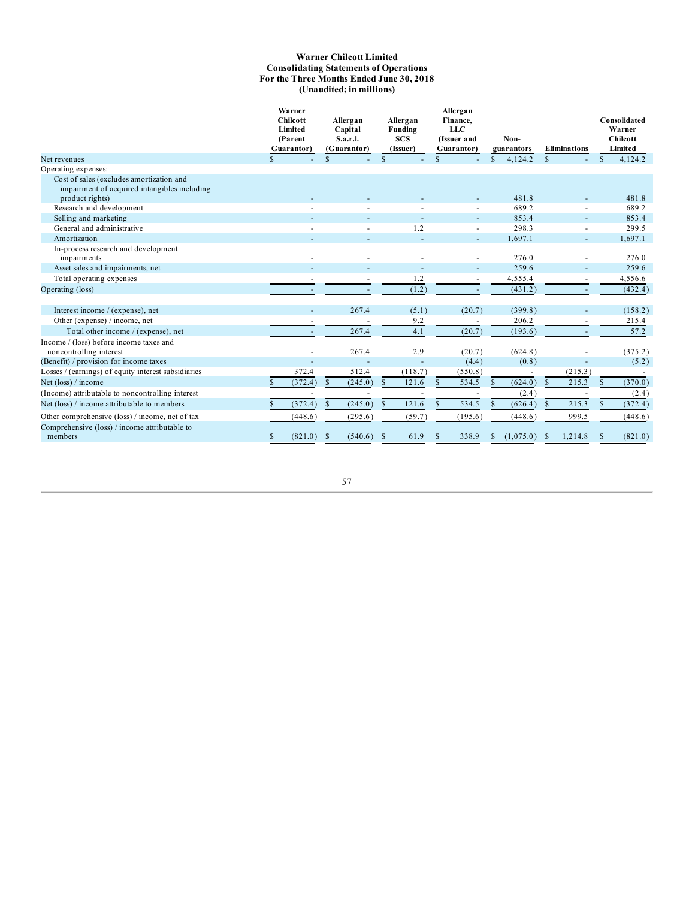### **Warner Chilcott Limited Consolidating Statements of Operations For the Three Months Ended June 30, 2018 (Unaudited; in millions)**

|                                                                                          | Warner<br><b>Chilcott</b><br>Limited<br>(Parent<br>Guarantor) | Allergan<br>Capital<br>S.a.r.l.<br>(Guarantor) | Allergan<br>Funding<br><b>SCS</b><br>(Issuer) | Allergan<br>Finance,<br><b>LLC</b><br>(Issuer and<br>Guarantor) | Non-<br>guarantors       | Eliminations             | Consolidated<br>Warner<br><b>Chilcott</b><br>Limited |
|------------------------------------------------------------------------------------------|---------------------------------------------------------------|------------------------------------------------|-----------------------------------------------|-----------------------------------------------------------------|--------------------------|--------------------------|------------------------------------------------------|
| Net revenues                                                                             | $\mathbf{s}$                                                  |                                                |                                               |                                                                 | 4,124.2<br>\$            |                          | 4,124.2<br>S.                                        |
| Operating expenses:                                                                      |                                                               |                                                |                                               |                                                                 |                          |                          |                                                      |
| Cost of sales (excludes amortization and<br>impairment of acquired intangibles including |                                                               |                                                |                                               |                                                                 |                          |                          |                                                      |
| product rights)                                                                          |                                                               |                                                |                                               |                                                                 | 481.8                    |                          | 481.8                                                |
| Research and development                                                                 |                                                               |                                                |                                               |                                                                 | 689.2                    |                          | 689.2                                                |
| Selling and marketing<br>General and administrative                                      |                                                               |                                                |                                               | $\blacksquare$                                                  | 853.4<br>298.3           |                          | 853.4                                                |
| Amortization                                                                             |                                                               |                                                | 1.2                                           |                                                                 | 1,697.1                  |                          | 299.5<br>1,697.1                                     |
| In-process research and development                                                      |                                                               |                                                |                                               | $\overline{\phantom{a}}$                                        |                          |                          |                                                      |
| impairments                                                                              |                                                               |                                                |                                               |                                                                 | 276.0                    |                          | 276.0                                                |
| Asset sales and impairments, net                                                         |                                                               |                                                |                                               | ٠                                                               | 259.6                    |                          | 259.6                                                |
| Total operating expenses                                                                 |                                                               |                                                | 1.2                                           |                                                                 | 4,555.4                  |                          | 4,556.6                                              |
| Operating (loss)                                                                         |                                                               |                                                | (1.2)                                         |                                                                 | (431.2)                  |                          | (432.4)                                              |
|                                                                                          |                                                               |                                                |                                               |                                                                 |                          |                          |                                                      |
| Interest income / (expense), net                                                         |                                                               | 267.4                                          | (5.1)                                         | (20.7)                                                          | (399.8)                  |                          | (158.2)                                              |
| Other (expense) / income, net                                                            |                                                               |                                                | 9.2                                           | $\overline{\phantom{a}}$                                        | 206.2                    | $\overline{\phantom{a}}$ | 215.4                                                |
| Total other income / (expense), net                                                      |                                                               | 267.4                                          | 4.1                                           | (20.7)                                                          | (193.6)                  |                          | 57.2                                                 |
| Income / (loss) before income taxes and                                                  |                                                               |                                                |                                               |                                                                 |                          |                          |                                                      |
| noncontrolling interest                                                                  |                                                               | 267.4                                          | 2.9                                           | (20.7)                                                          | (624.8)                  |                          | (375.2)                                              |
| (Benefit) / provision for income taxes                                                   |                                                               |                                                |                                               | (4.4)                                                           | (0.8)                    |                          | (5.2)                                                |
| Losses / (earnings) of equity interest subsidiaries                                      | 372.4                                                         | 512.4                                          | (118.7)                                       | (550.8)                                                         |                          | (215.3)                  |                                                      |
| Net (loss) / income                                                                      | (372.4)                                                       | $\mathbb{S}$<br>(245.0)                        | $\mathbb{S}$<br>121.6                         | 534.5<br>S.                                                     | $\mathcal{S}$<br>(624.0) | $\mathbb{S}$<br>215.3    | $\mathbf{s}$<br>(370.0)                              |
| (Income) attributable to noncontrolling interest                                         |                                                               |                                                |                                               |                                                                 | (2.4)                    |                          | (2.4)                                                |
| Net (loss) / income attributable to members                                              | (372.4)                                                       | (245.0)<br>$\mathbb{S}$                        | 121.6<br><sup>\$</sup>                        | 534.5<br>$\mathbf{s}$                                           | (626.4)<br>$\mathcal{S}$ | 215.3<br>$\mathcal{S}$   | S.<br>(372.4)                                        |
| Other comprehensive (loss) / income, net of tax                                          | (448.6)                                                       | (295.6)                                        | (59.7)                                        | (195.6)                                                         | (448.6)                  | 999.5                    | (448.6)                                              |
| Comprehensive (loss) / income attributable to<br>members                                 | (821.0)<br>S                                                  | (540.6)<br><sup>\$</sup>                       | 61.9<br>-S                                    | 338.9                                                           | (1,075.0)<br>S           | 1,214.8                  | (821.0)<br>S.                                        |
|                                                                                          |                                                               |                                                |                                               |                                                                 |                          |                          |                                                      |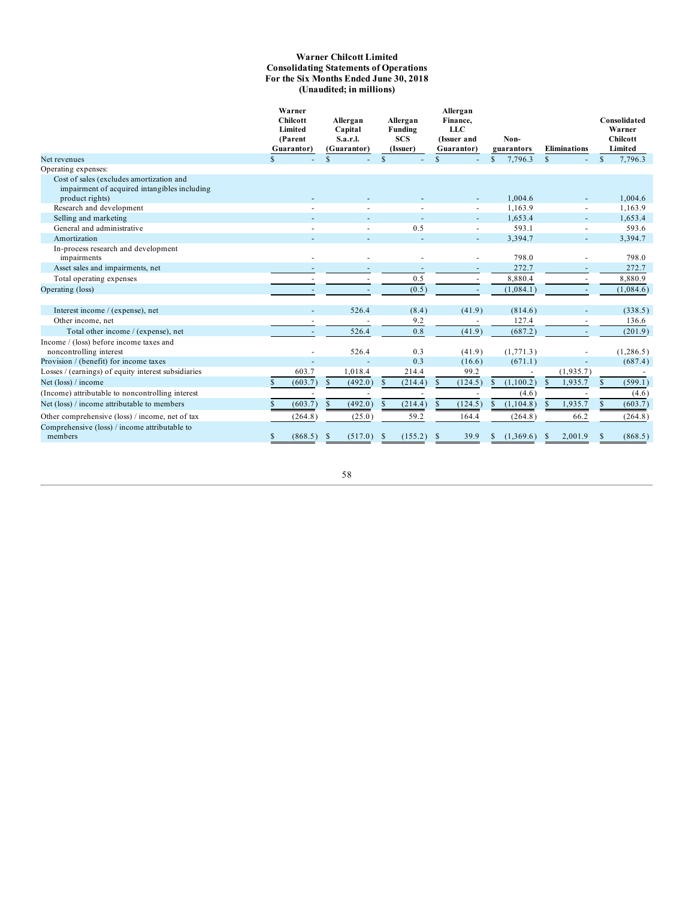## **Warner Chilcott Limited Consolidating Statements of Operations For the Six Months Ended June 30, 2018 (Unaudited; in millions)**

| Warner<br><b>Chilcott</b><br>Limited<br>(Parent<br>Guarantor)                            |         | Allergan<br>Capital<br>S.a.r.l.<br>(Guarantor) | Allergan<br>Funding<br><b>SCS</b><br>(Issuer) | Allergan<br>Finance,<br><b>LLC</b><br>(Issuer and<br>Guarantor) |                          | Non-<br>guarantors       | <b>Eliminations</b> |             | Consolidated<br>Warner<br><b>Chilcott</b><br>Limited |
|------------------------------------------------------------------------------------------|---------|------------------------------------------------|-----------------------------------------------|-----------------------------------------------------------------|--------------------------|--------------------------|---------------------|-------------|------------------------------------------------------|
| Net revenues<br>$\mathcal{S}$                                                            |         |                                                | $\mathbf{s}$                                  |                                                                 |                          | 7,796.3<br>$\mathcal{S}$ | $\mathcal{S}$       | S.          | 7,796.3                                              |
| Operating expenses:                                                                      |         |                                                |                                               |                                                                 |                          |                          |                     |             |                                                      |
| Cost of sales (excludes amortization and<br>impairment of acquired intangibles including |         |                                                |                                               |                                                                 |                          |                          |                     |             |                                                      |
| product rights)<br>Research and development                                              |         |                                                |                                               |                                                                 | $\overline{a}$           | 1,004.6<br>1,163.9       |                     |             | 1,004.6<br>1,163.9                                   |
| Selling and marketing                                                                    |         |                                                |                                               |                                                                 | $\overline{a}$           | 1,653.4                  |                     |             | 1,653.4                                              |
| General and administrative                                                               |         |                                                | 0.5                                           |                                                                 | ÷,                       | 593.1                    |                     |             | 593.6                                                |
| Amortization                                                                             |         |                                                |                                               |                                                                 | ٠                        | 3,394.7                  |                     |             | 3,394.7                                              |
| In-process research and development<br>impairments                                       |         |                                                |                                               |                                                                 |                          | 798.0                    |                     |             | 798.0                                                |
| Asset sales and impairments, net                                                         |         |                                                |                                               |                                                                 |                          | 272.7                    |                     |             | 272.7                                                |
| Total operating expenses                                                                 |         |                                                | 0.5                                           |                                                                 |                          | 8,880.4                  |                     |             | 8,880.9                                              |
| Operating (loss)                                                                         |         |                                                | (0.5)                                         |                                                                 |                          | (1,084.1)                |                     |             | (1,084.6)                                            |
|                                                                                          |         |                                                |                                               |                                                                 |                          |                          |                     |             |                                                      |
| Interest income / (expense), net                                                         |         | 526.4                                          | (8.4)                                         | (41.9)                                                          |                          | (814.6)                  |                     |             | (338.5)                                              |
| Other income, net                                                                        |         |                                                | 9.2                                           |                                                                 | $\overline{\phantom{a}}$ | 127.4                    |                     |             | 136.6                                                |
| Total other income / (expense), net                                                      |         | 526.4                                          | 0.8                                           | (41.9)                                                          |                          | (687.2)                  |                     |             | (201.9)                                              |
| Income / (loss) before income taxes and                                                  |         |                                                |                                               |                                                                 |                          |                          |                     |             |                                                      |
| noncontrolling interest                                                                  |         | 526.4                                          | 0.3                                           | (41.9)                                                          |                          | (1,771.3)                |                     |             | (1, 286.5)                                           |
| Provision / (benefit) for income taxes                                                   |         |                                                | 0.3                                           | (16.6)                                                          |                          | (671.1)                  |                     |             | (687.4)                                              |
| Losses / (earnings) of equity interest subsidiaries                                      | 603.7   | 1,018.4                                        | 214.4                                         | 99.2                                                            |                          |                          | (1,935.7)           |             |                                                      |
| Net (loss) / income<br>$\mathcal{S}$                                                     | (603.7) | $\mathbb{S}$<br>(492.0)                        | $\mathbf{s}$<br>(214.4)                       | $\mathbf S$<br>(124.5)                                          |                          | (1,100.2)<br>S           | 1,935.7             | $\mathbf S$ | (599.1)                                              |
| (Income) attributable to noncontrolling interest                                         |         |                                                |                                               |                                                                 |                          | (4.6)                    |                     |             | (4.6)                                                |
| Net (loss) / income attributable to members<br>\$                                        | (603.7) | (492.0)<br>$\mathbb{S}$                        | (214.4)                                       | $\mathbf{s}$<br>(124.5)                                         |                          | (1,104.8)<br>\$          | 1,935.7             | S.          | (603.7)                                              |
| Other comprehensive (loss) / income, net of tax                                          | (264.8) | (25.0)                                         | 59.2                                          | 164.4                                                           |                          | (264.8)                  | 66.2                |             | (264.8)                                              |
| Comprehensive (loss) / income attributable to<br>members<br>S                            | (868.5) | (517.0)<br>S                                   | (155.2)                                       | 39.9<br>S                                                       |                          | (1,369.6)<br>S           | 2,001.9             | S           | (868.5)                                              |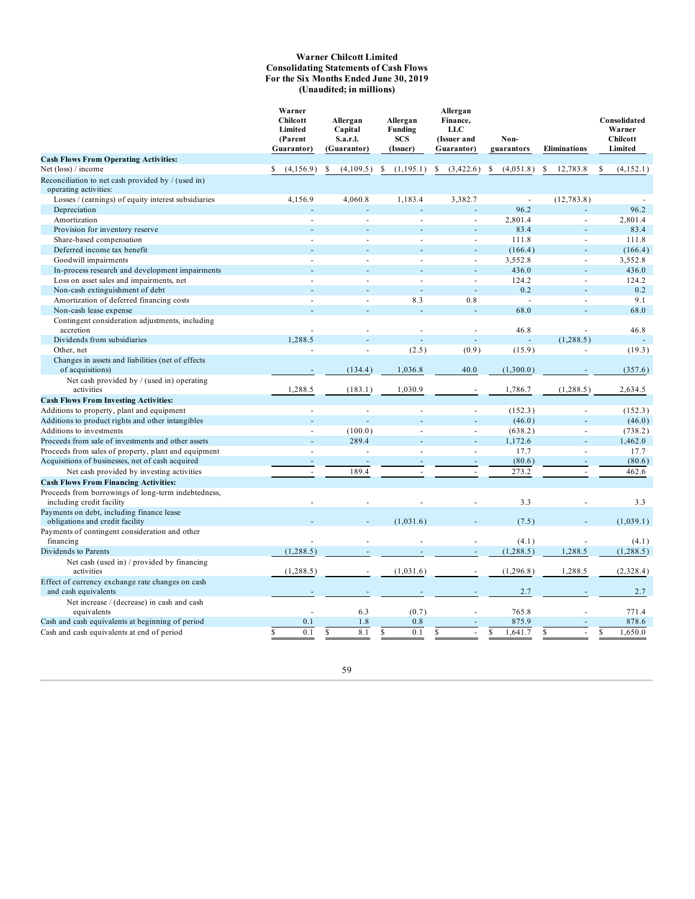# **Warner Chilcott Limited Consolidating Statements of Cash Flows For the Six Months Ended June 30, 2019 (Unaudited; in millions)**

|                                                                                  | Warner<br>Chilcott<br>Limited<br>(Parent<br>Guarantor) | Allergan<br>Capital<br>S.a.r.l.<br>(Guarantor) | Allergan<br>Funding<br><b>SCS</b><br>(Issuer) | Allergan<br>Finance,<br><b>LLC</b><br>(Issuer and<br>Guarantor) | Non-<br>guarantors | Eliminations             | Consolidated<br>Warner<br><b>Chilcott</b><br>Limited |
|----------------------------------------------------------------------------------|--------------------------------------------------------|------------------------------------------------|-----------------------------------------------|-----------------------------------------------------------------|--------------------|--------------------------|------------------------------------------------------|
| <b>Cash Flows From Operating Activities:</b>                                     |                                                        |                                                |                                               |                                                                 |                    |                          |                                                      |
| Net (loss) / income                                                              | S<br>(4,156.9)                                         | (4,109.5)<br>\$                                | (1, 195.1)<br>\$                              | \$<br>(3,422.6)                                                 | (4,051.8)<br>\$    | $\mathbb{S}$<br>12,783.8 | \$<br>(4, 152.1)                                     |
| Reconciliation to net cash provided by / (used in)<br>operating activities:      |                                                        |                                                |                                               |                                                                 |                    |                          |                                                      |
| Losses / (earnings) of equity interest subsidiaries                              | 4,156.9                                                | 4,060.8                                        | 1,183.4                                       | 3,382.7                                                         |                    | (12, 783.8)              |                                                      |
| Depreciation                                                                     |                                                        |                                                |                                               | $\overline{a}$                                                  | 96.2               | $\overline{a}$           | 96.2                                                 |
| Amortization                                                                     |                                                        | L.                                             | $\overline{a}$                                | L.                                                              | 2,801.4            | $\sim$                   | 2,801.4                                              |
| Provision for inventory reserve                                                  |                                                        | $\overline{a}$                                 |                                               |                                                                 | 83.4               |                          | 83.4                                                 |
| Share-based compensation                                                         |                                                        |                                                |                                               | ä,                                                              | 111.8              | ÷.                       | 111.8                                                |
| Deferred income tax benefit<br>Goodwill impairments                              | ÷.                                                     | ÷                                              |                                               | $\overline{\phantom{a}}$                                        | (166.4)<br>3,552.8 | $\overline{a}$<br>÷,     | (166.4)<br>3,552.8                                   |
| In-process research and development impairments                                  |                                                        |                                                |                                               | $\overline{a}$                                                  | 436.0              |                          | 436.0                                                |
| Loss on asset sales and impairments, net                                         |                                                        |                                                |                                               | $\overline{a}$                                                  | 124.2              |                          | 124.2                                                |
| Non-cash extinguishment of debt                                                  |                                                        |                                                |                                               |                                                                 | 0.2                |                          | 0.2                                                  |
| Amortization of deferred financing costs                                         |                                                        |                                                | 8.3                                           | 0.8                                                             | $\overline{a}$     | υ,                       | 9.1                                                  |
| Non-cash lease expense                                                           |                                                        |                                                |                                               |                                                                 | 68.0               |                          | 68.0                                                 |
| Contingent consideration adjustments, including<br>accretion                     |                                                        |                                                |                                               |                                                                 | 46.8               |                          | 46.8                                                 |
| Dividends from subsidiaries                                                      | 1.288.5                                                |                                                |                                               |                                                                 |                    | (1, 288.5)               |                                                      |
| Other, net                                                                       |                                                        | L.                                             | (2.5)                                         | (0.9)                                                           | (15.9)             | ÷.                       | (19.3)                                               |
| Changes in assets and liabilities (net of effects<br>of acquisitions)            |                                                        | (134.4)                                        | 1,036.8                                       | 40.0                                                            | (1,300.0)          |                          | (357.6)                                              |
| Net cash provided by / (used in) operating<br>activities                         | 1,288.5                                                | (183.1)                                        | 1,030.9                                       |                                                                 | 1,786.7            | (1,288.5)                | 2,634.5                                              |
| <b>Cash Flows From Investing Activities:</b>                                     |                                                        |                                                |                                               |                                                                 |                    |                          |                                                      |
| Additions to property, plant and equipment                                       | $\overline{a}$                                         | $\overline{a}$                                 |                                               | $\overline{a}$                                                  | (152.3)            | ÷,                       | (152.3)                                              |
| Additions to product rights and other intangibles                                |                                                        |                                                |                                               |                                                                 | (46.0)             | ÷.                       | (46.0)                                               |
| Additions to investments                                                         | $\overline{\phantom{a}}$                               | (100.0)                                        |                                               | $\sim$                                                          | (638.2)            | ÷,                       | (738.2)                                              |
| Proceeds from sale of investments and other assets                               | $\overline{a}$                                         | 289.4                                          |                                               |                                                                 | 1,172.6            | $\overline{a}$           | 1,462.0                                              |
| Proceeds from sales of property, plant and equipment                             |                                                        |                                                |                                               | $\overline{a}$                                                  | 17.7               | ÷,                       | 17.7                                                 |
| Acquisitions of businesses, net of cash acquired                                 |                                                        |                                                |                                               |                                                                 | (80.6)             |                          | (80.6)                                               |
| Net cash provided by investing activities                                        | ł,                                                     | 189.4                                          |                                               |                                                                 | 273.2              | L.                       | 462.6                                                |
| <b>Cash Flows From Financing Activities:</b>                                     |                                                        |                                                |                                               |                                                                 |                    |                          |                                                      |
| Proceeds from borrowings of long-term indebtedness,<br>including credit facility |                                                        |                                                |                                               |                                                                 | 3.3                |                          | 3.3                                                  |
| Payments on debt, including finance lease<br>obligations and credit facility     |                                                        |                                                | (1,031.6)                                     |                                                                 | (7.5)              |                          | (1,039.1)                                            |
| Payments of contingent consideration and other<br>financing                      |                                                        |                                                |                                               |                                                                 | (4.1)              |                          | (4.1)                                                |
| Dividends to Parents                                                             | (1, 288.5)                                             |                                                |                                               |                                                                 | (1,288.5)          | 1,288.5                  | (1,288.5)                                            |
| Net cash (used in) / provided by financing<br>activities                         | (1, 288.5)                                             |                                                | (1,031.6)                                     |                                                                 | (1, 296.8)         | 1,288.5                  | (2,328.4)                                            |
| Effect of currency exchange rate changes on cash<br>and cash equivalents         |                                                        |                                                |                                               |                                                                 | 2.7                |                          | 2.7                                                  |
| Net increase / (decrease) in cash and cash<br>equivalents                        |                                                        | 6.3                                            | (0.7)                                         |                                                                 | 765.8              |                          | 771.4                                                |
| Cash and cash equivalents at beginning of period                                 | 0.1                                                    | 1.8                                            | 0.8                                           |                                                                 | 875.9              |                          | 878.6                                                |
| Cash and cash equivalents at end of period                                       | \$<br>0.1                                              | \$<br>8.1                                      | 0.1<br>\$                                     | \$<br>$\overline{\phantom{a}}$                                  | \$<br>1,641.7      | ÷,<br>S                  | \$<br>1,650.0                                        |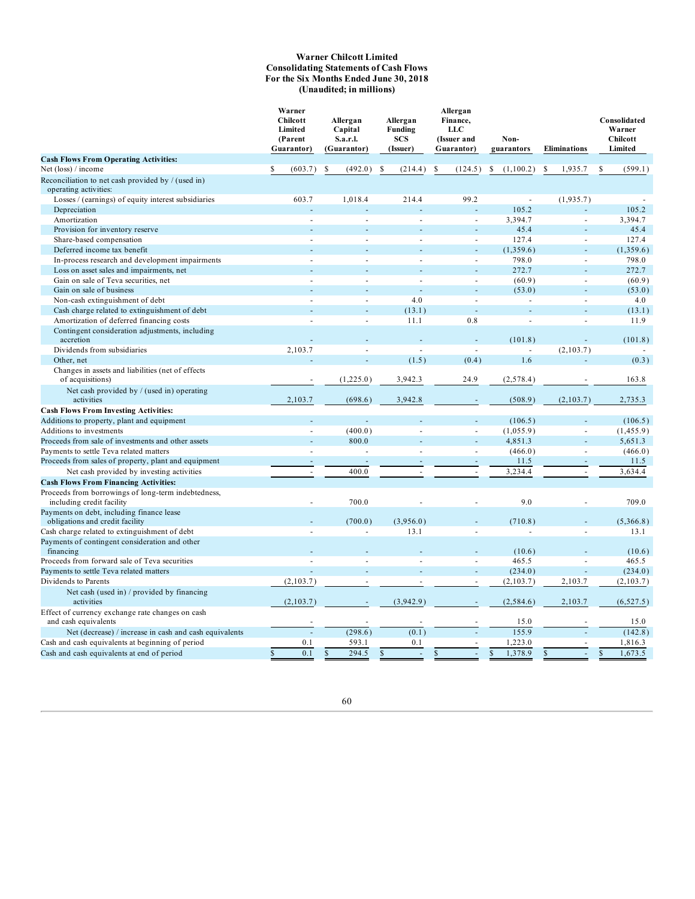## **Warner Chilcott Limited Consolidating Statements of Cash Flows For the Six Months Ended June 30, 2018 (Unaudited; in millions)**

|                                                                                  | Warner<br>Chilcott<br>Limited<br>(Parent<br>Guarantor) | Allergan<br>Capital<br>S.a.r.l.<br>(Guarantor) |         | Allergan<br>Funding<br><b>SCS</b><br>(Issuer) | Allergan<br>Finance,<br><b>LLC</b><br>(Issuer and<br>Guarantor) | Non-<br>guarantors | <b>Eliminations</b> | Consolidated<br>Warner<br>Chilcott<br>Limited |
|----------------------------------------------------------------------------------|--------------------------------------------------------|------------------------------------------------|---------|-----------------------------------------------|-----------------------------------------------------------------|--------------------|---------------------|-----------------------------------------------|
| <b>Cash Flows From Operating Activities:</b><br>Net (loss) / income              | \$                                                     | \$                                             | (492.0) | \$                                            | \$                                                              | \$<br>(1,100.2)    | S<br>1,935.7        | $\mathsf S$<br>(599.1)                        |
| Reconciliation to net cash provided by / (used in)                               | (603.7)                                                |                                                |         | (214.4)                                       | (124.5)                                                         |                    |                     |                                               |
| operating activities:                                                            |                                                        |                                                |         |                                               |                                                                 |                    |                     |                                               |
| Losses / (earnings) of equity interest subsidiaries                              | 603.7                                                  | 1,018.4                                        |         | 214.4                                         | 99.2                                                            |                    | (1,935.7)           |                                               |
| Depreciation                                                                     |                                                        |                                                |         |                                               |                                                                 | 105.2              |                     | 105.2                                         |
| Amortization                                                                     |                                                        |                                                |         |                                               | $\overline{a}$                                                  | 3,394.7            | $\overline{a}$      | 3,394.7                                       |
| Provision for inventory reserve                                                  |                                                        |                                                |         |                                               |                                                                 | 45.4               |                     | 45.4                                          |
| Share-based compensation                                                         |                                                        |                                                |         | L                                             | $\bar{a}$                                                       | 127.4              | $\sim$              | 127.4                                         |
| Deferred income tax benefit                                                      |                                                        |                                                |         |                                               |                                                                 | (1,359.6)          |                     | (1,359.6)                                     |
| In-process research and development impairments                                  |                                                        |                                                |         |                                               | ÷.                                                              | 798.0              | ÷,                  | 798.0                                         |
| Loss on asset sales and impairments, net                                         |                                                        |                                                |         |                                               |                                                                 | 272.7              |                     | 272.7                                         |
| Gain on sale of Teva securities, net                                             |                                                        |                                                | L.      | L.                                            | ä,                                                              | (60.9)             | L.                  | (60.9)                                        |
| Gain on sale of business                                                         |                                                        |                                                |         | L                                             | L.                                                              | (53.0)             | $\overline{a}$      | (53.0)                                        |
| Non-cash extinguishment of debt                                                  |                                                        |                                                |         | 4.0                                           | L,                                                              |                    |                     | 4.0                                           |
| Cash charge related to extinguishment of debt                                    |                                                        |                                                |         | (13.1)                                        | ÷,                                                              |                    |                     | (13.1)                                        |
| Amortization of deferred financing costs                                         |                                                        |                                                | ä,      | 11.1                                          | 0.8                                                             | $\overline{a}$     |                     | 11.9                                          |
| Contingent consideration adjustments, including                                  |                                                        |                                                |         |                                               |                                                                 |                    |                     |                                               |
| accretion                                                                        |                                                        |                                                |         |                                               |                                                                 | (101.8)            |                     | (101.8)                                       |
| Dividends from subsidiaries                                                      | 2.103.7                                                |                                                | ä,      |                                               |                                                                 |                    | (2,103.7)           |                                               |
| Other, net                                                                       |                                                        |                                                |         | (1.5)                                         | (0.4)                                                           | 1.6                | L.                  | (0.3)                                         |
| Changes in assets and liabilities (net of effects<br>of acquisitions)            |                                                        | (1,225.0)                                      |         | 3,942.3                                       | 24.9                                                            | (2,578.4)          |                     | 163.8                                         |
| Net cash provided by / (used in) operating<br>activities                         | 2,103.7                                                |                                                | (698.6) | 3,942.8                                       |                                                                 | (508.9)            | (2,103.7)           | 2,735.3                                       |
| <b>Cash Flows From Investing Activities:</b>                                     |                                                        |                                                |         |                                               |                                                                 |                    |                     |                                               |
| Additions to property, plant and equipment                                       |                                                        |                                                |         |                                               |                                                                 | (106.5)            |                     | (106.5)                                       |
| Additions to investments                                                         | $\sim$                                                 |                                                | (400.0) | L.                                            | $\overline{a}$                                                  | (1,055.9)          | $\bar{\phantom{a}}$ | (1,455.9)                                     |
| Proceeds from sale of investments and other assets                               |                                                        |                                                | 800.0   |                                               |                                                                 | 4,851.3            |                     | 5,651.3                                       |
| Payments to settle Teva related matters                                          | ÷.                                                     |                                                | L.      | L.                                            | $\bar{a}$                                                       | (466.0)            | $\sim$              | (466.0)                                       |
| Proceeds from sales of property, plant and equipment                             | ÷                                                      |                                                |         |                                               | ÷,                                                              | 11.5               | ÷,                  | 11.5                                          |
| Net cash provided by investing activities                                        | $\overline{\phantom{a}}$                               |                                                | 400.0   | ÷,                                            | $\blacksquare$                                                  | 3,234.4            | ÷                   | 3,634.4                                       |
| <b>Cash Flows From Financing Activities:</b>                                     |                                                        |                                                |         |                                               |                                                                 |                    |                     |                                               |
| Proceeds from borrowings of long-term indebtedness,<br>including credit facility |                                                        |                                                | 700.0   |                                               |                                                                 | 9.0                |                     | 709.0                                         |
| Payments on debt, including finance lease<br>obligations and credit facility     |                                                        |                                                | (700.0) | (3,956.0)                                     |                                                                 | (710.8)            |                     | (5,366.8)                                     |
| Cash charge related to extinguishment of debt                                    |                                                        |                                                | J.      | 13.1                                          |                                                                 |                    |                     | 13.1                                          |
| Payments of contingent consideration and other<br>financing                      |                                                        |                                                |         |                                               |                                                                 | (10.6)             |                     | (10.6)                                        |
| Proceeds from forward sale of Teva securities                                    |                                                        |                                                | ÷.      | L.                                            | $\bar{a}$                                                       | 465.5              | ÷,                  | 465.5                                         |
| Payments to settle Teva related matters                                          | L.                                                     |                                                |         |                                               | $\overline{a}$                                                  | (234.0)            |                     | (234.0)                                       |
| Dividends to Parents                                                             | (2,103.7)                                              |                                                | L.      | J.                                            | $\bar{a}$                                                       | (2,103.7)          | 2,103.7             | (2,103.7)                                     |
| Net cash (used in) / provided by financing<br>activities                         | (2,103.7)                                              |                                                |         | (3,942.9)                                     |                                                                 | (2, 584.6)         | 2,103.7             | (6,527.5)                                     |
| Effect of currency exchange rate changes on cash                                 |                                                        |                                                |         |                                               |                                                                 |                    |                     |                                               |
| and cash equivalents                                                             |                                                        |                                                |         | (0.1)                                         |                                                                 | 15.0<br>155.9      |                     | 15.0<br>(142.8)                               |
| Net (decrease) / increase in cash and cash equivalents                           |                                                        |                                                | (298.6) | 0.1                                           |                                                                 |                    |                     |                                               |
| Cash and cash equivalents at beginning of period                                 | 0.1                                                    |                                                | 593.1   |                                               | $\overline{\phantom{a}}$                                        | 1,223.0            | $\blacksquare$      | 1,816.3                                       |
| Cash and cash equivalents at end of period                                       | 0.1<br>$\mathbb{S}$                                    | \$                                             | 294.5   | \$<br>L.                                      | $\mathbf S$<br>L.                                               | 1,378.9<br>\$      | \$<br>L,            | \$<br>1,673.5                                 |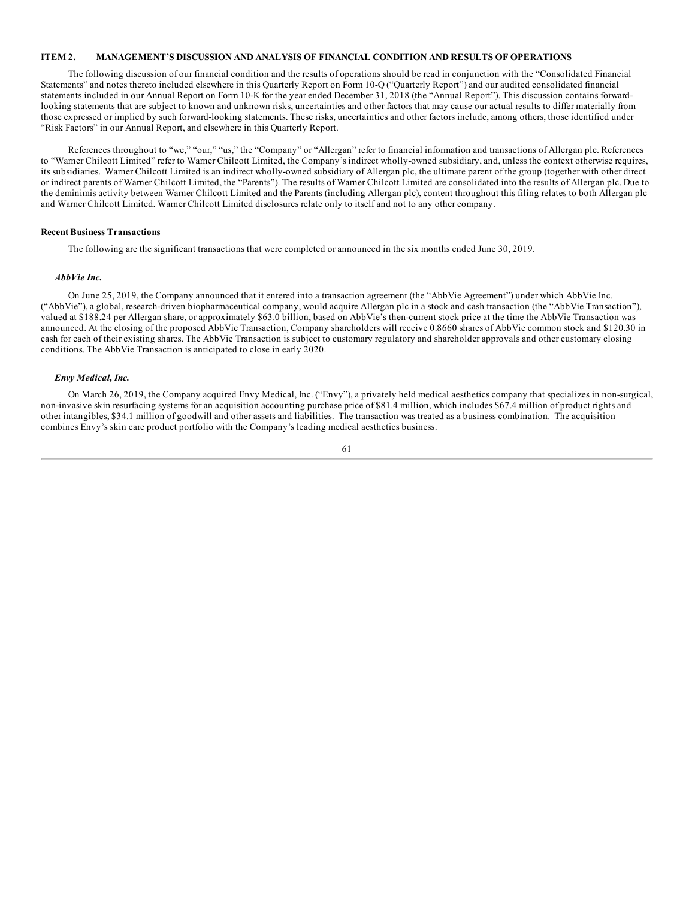# **ITEM 2. MANAGEMENT'S DISCUSSION AND ANALYSIS OF FINANCIAL CONDITION AND RESULTS OF OPERATIONS**

The following discussion of our financial condition and the results of operations should be read in conjunction with the "Consolidated Financial Statements" and notes thereto included elsewhere in this Quarterly Report on Form 10-Q ("Quarterly Report") and our audited consolidated financial statements included in our Annual Report on Form 10-K for the year ended December 31, 2018 (the "Annual Report"). This discussion contains forwardlooking statements that are subject to known and unknown risks, uncertainties and other factors that may cause our actual results to differ materially from those expressed or implied by such forward-looking statements. These risks, uncertainties and other factors include, among others, those identified under "Risk Factors" in our Annual Report, and elsewhere in this Quarterly Report.

References throughout to "we," "our," "us," the "Company" or "Allergan" refer to financial information and transactions of Allergan plc. References to "Warner Chilcott Limited" refer to Warner Chilcott Limited, the Company's indirect wholly-owned subsidiary, and, unless the context otherwise requires, its subsidiaries. Warner Chilcott Limited is an indirect wholly-owned subsidiary of Allergan plc, the ultimate parent of the group (together with other direct or indirect parents of Warner Chilcott Limited, the "Parents"). The results of Warner Chilcott Limited are consolidated into the results of Allergan plc. Due to the deminimis activity between Warner Chilcott Limited and the Parents (including Allergan plc), content throughout this filing relates to both Allergan plc and Warner Chilcott Limited. Warner Chilcott Limited disclosures relate only to itself and not to any other company.

#### **Recent Business Transactions**

The following are the significant transactions that were completed or announced in the six months ended June 30, 2019.

#### *AbbVie Inc.*

On June 25, 2019, the Company announced that it entered into a transaction agreement (the "AbbVie Agreement") under which AbbVie Inc. ("AbbVie"), a global, research-driven biopharmaceutical company, would acquire Allergan plc in a stock and cash transaction (the "AbbVie Transaction"), valued at \$188.24 per Allergan share, or approximately \$63.0 billion, based on AbbVie's then-current stock price at the time the AbbVie Transaction was announced. At the closing of the proposed AbbVie Transaction, Company shareholders will receive 0.8660 shares of AbbVie common stock and \$120.30 in cash for each of their existing shares. The AbbVie Transaction is subject to customary regulatory and shareholder approvals and other customary closing conditions. The AbbVie Transaction is anticipated to close in early 2020.

#### *Envy Medical, Inc.*

On March 26, 2019, the Company acquired Envy Medical, Inc. ("Envy"), a privately held medical aesthetics company that specializes in non-surgical, non-invasive skin resurfacing systems for an acquisition accounting purchase price of \$81.4 million, which includes \$67.4 million of product rights and other intangibles, \$34.1 million of goodwill and other assets and liabilities. The transaction was treated as a business combination. The acquisition combines Envy's skin care product portfolio with the Company's leading medical aesthetics business.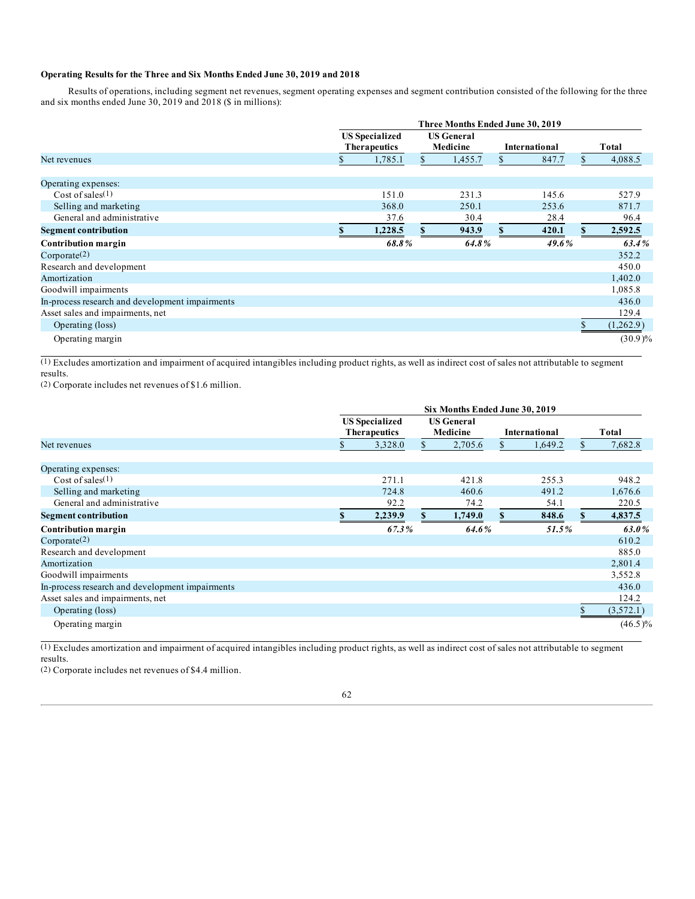# **Operating Results for the Three and Six Months Ended June 30, 2019 and 2018**

Results of operations, including segment net revenues, segment operating expenses and segment contribution consisted of the following for the three and six months ended June 30, 2019 and 2018 (\$ in millions):

|                                                 |                                              |                               | Three Months Ended June 30, 2019 |               |       |               |
|-------------------------------------------------|----------------------------------------------|-------------------------------|----------------------------------|---------------|-------|---------------|
|                                                 | <b>US</b> Specialized<br><b>Therapeutics</b> | <b>US General</b><br>Medicine |                                  | International |       | Total         |
| Net revenues                                    | 1,785.1                                      | \$                            | 1,455.7                          | S.            | 847.7 | 4,088.5       |
| Operating expenses:                             |                                              |                               |                                  |               |       |               |
| Cost of sales(1)                                | 151.0                                        |                               | 231.3                            |               | 145.6 | 527.9         |
| Selling and marketing                           | 368.0                                        |                               | 250.1                            |               | 253.6 | 871.7         |
| General and administrative                      | 37.6                                         |                               | 30.4                             |               | 28.4  | 96.4          |
| <b>Segment contribution</b>                     | 1,228.5                                      | S                             | 943.9                            | S             | 420.1 | \$<br>2,592.5 |
| Contribution margin                             | 68.8%                                        |                               | 64.8%                            |               | 49.6% | 63.4%         |
| Coporate(2)                                     |                                              |                               |                                  |               |       | 352.2         |
| Research and development                        |                                              |                               |                                  |               |       | 450.0         |
| Amortization                                    |                                              |                               |                                  |               |       | 1,402.0       |
| Goodwill impairments                            |                                              |                               |                                  |               |       | 1,085.8       |
| In-process research and development impairments |                                              |                               |                                  |               |       | 436.0         |
| Asset sales and impairments, net                |                                              |                               |                                  |               |       | 129.4         |
| Operating (loss)                                |                                              |                               |                                  |               |       | (1,262.9)     |
| Operating margin                                |                                              |                               |                                  |               |       | $(30.9)\%$    |

(1) Excludes amortization and impairment of acquired intangibles including product rights, as well as indirect cost of sales not attributable to segment results.

(2) Corporate includes net revenues of \$1.6 million.

|                                                 |                                              | Six Months Ended June 30, 2019 |               |     |            |
|-------------------------------------------------|----------------------------------------------|--------------------------------|---------------|-----|------------|
|                                                 | <b>US Specialized</b><br><b>Therapeutics</b> | <b>US General</b><br>Medicine  | International |     | Total      |
| Net revenues                                    | 3,328.0                                      | \$<br>2,705.6                  | 1,649.2       | S.  | 7,682.8    |
| Operating expenses:                             |                                              |                                |               |     |            |
| Cost of sales(1)                                | 271.1                                        | 421.8                          | 255.3         |     | 948.2      |
| Selling and marketing                           | 724.8                                        | 460.6                          | 491.2         |     | 1,676.6    |
| General and administrative                      | 92.2                                         | 74.2                           | 54.1          |     | 220.5      |
| <b>Segment contribution</b>                     | 2,239.9                                      | \$<br>1,749.0                  | \$<br>848.6   | \$. | 4,837.5    |
| Contribution margin                             | 67.3%                                        | 64.6%                          | 51.5%         |     | 63.0%      |
| Corporate(2)                                    |                                              |                                |               |     | 610.2      |
| Research and development                        |                                              |                                |               |     | 885.0      |
| Amortization                                    |                                              |                                |               |     | 2,801.4    |
| Goodwill impairments                            |                                              |                                |               |     | 3,552.8    |
| In-process research and development impairments |                                              |                                |               |     | 436.0      |
| Asset sales and impairments, net                |                                              |                                |               |     | 124.2      |
| Operating (loss)                                |                                              |                                |               |     | (3,572.1)  |
| Operating margin                                |                                              |                                |               |     | $(46.5)\%$ |

(1) Excludes amortization and impairment of acquired intangibles including product rights, as well as indirect cost of sales not attributable to segment results.

(2) Corporate includes net revenues of \$4.4 million.

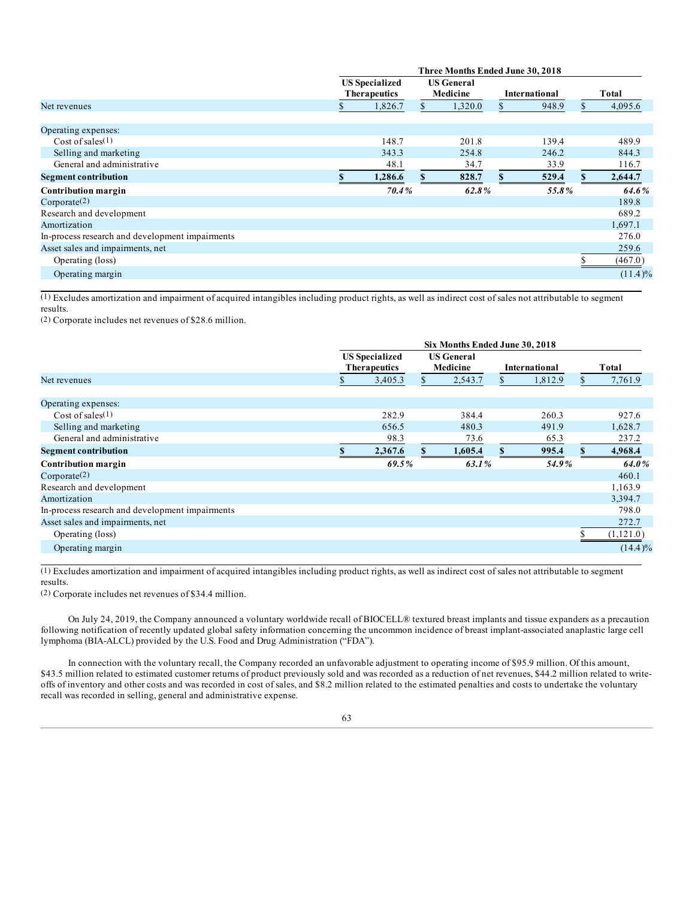|                                                 |                                              |   | Three Months Ended June 30, 2018 |               |            |
|-------------------------------------------------|----------------------------------------------|---|----------------------------------|---------------|------------|
|                                                 | <b>US</b> Specialized<br><b>Therapeutics</b> |   | <b>US General</b><br>Medicine    | International | Total      |
| Net revenues                                    | 1,826.7                                      | S | 1,320.0                          | 948.9         | 4,095.6    |
| Operating expenses:                             |                                              |   |                                  |               |            |
| Cost of sales(1)                                | 148.7                                        |   | 201.8                            | 139.4         | 489.9      |
| Selling and marketing                           | 343.3                                        |   | 254.8                            | 246.2         | 844.3      |
| General and administrative                      | 48.1                                         |   | 34.7                             | 33.9          | 116.7      |
| <b>Segment contribution</b>                     | 1,286.6                                      |   | 828.7                            | \$<br>529.4   | 2,644.7    |
| Contribution margin                             | 70.4%                                        |   | 62.8%                            | 55.8%         | 64.6%      |
| Corporate(2)                                    |                                              |   |                                  |               | 189.8      |
| Research and development                        |                                              |   |                                  |               | 689.2      |
| Amortization                                    |                                              |   |                                  |               | 1,697.1    |
| In-process research and development impairments |                                              |   |                                  |               | 276.0      |
| Asset sales and impairments, net                |                                              |   |                                  |               | 259.6      |
| Operating (loss)                                |                                              |   |                                  |               | (467.0)    |
| Operating margin                                |                                              |   |                                  |               | $(11.4)\%$ |

(1) Excludes amortization and impairment of acquired intangibles including product rights, as well as indirect cost of sales not attributable to segment results.

(2) Corporate includes net revenues of \$28.6 million.

|                                                 |                                              | Six Months Ended June 30, 2018 |               |            |
|-------------------------------------------------|----------------------------------------------|--------------------------------|---------------|------------|
|                                                 | <b>US Specialized</b><br><b>Therapeutics</b> | <b>US General</b><br>Medicine  | International | Total      |
| Net revenues                                    | 3,405.3                                      | \$<br>2,543.7                  | 1,812.9       | 7,761.9    |
| Operating expenses:                             |                                              |                                |               |            |
| Cost of sales(1)                                | 282.9                                        | 384.4                          | 260.3         | 927.6      |
| Selling and marketing                           | 656.5                                        | 480.3                          | 491.9         | 1,628.7    |
| General and administrative                      | 98.3                                         | 73.6                           | 65.3          | 237.2      |
| <b>Segment contribution</b>                     | 2,367.6                                      | 1,605.4                        | 995.4         | 4,968.4    |
| <b>Contribution margin</b>                      | 69.5%                                        | 63.1%                          | 54.9%         | 64.0%      |
| Corporate(2)                                    |                                              |                                |               | 460.1      |
| Research and development                        |                                              |                                |               | 1,163.9    |
| Amortization                                    |                                              |                                |               | 3,394.7    |
| In-process research and development impairments |                                              |                                |               | 798.0      |
| Asset sales and impairments, net                |                                              |                                |               | 272.7      |
| Operating (loss)                                |                                              |                                |               | (1,121.0)  |
| Operating margin                                |                                              |                                |               | $(14.4)\%$ |
|                                                 |                                              |                                |               |            |

(1) Excludes amortization and impairment of acquired intangibles including product rights, as well as indirect cost of sales not attributable to segment results.

(2) Corporate includes net revenues of \$34.4 million.

On July 24, 2019, the Company announced a voluntary worldwide recall of BIOCELL® textured breast implants and tissue expanders as a precaution following notification of recently updated global safety information concerning the uncommon incidence of breast implant-associated anaplastic large cell lymphoma (BIA-ALCL) provided by the U.S. Food and Drug Administration ("FDA").

In connection with the voluntary recall, the Company recorded an unfavorable adjustment to operating income of \$95.9 million. Of this amount, \$43.5 million related to estimated customer returns of product previously sold and was recorded as a reduction of net revenues, \$44.2 million related to writeoffs of inventory and other costs and was recorded in cost of sales, and \$8.2 million related to the estimated penalties and costs to undertake the voluntary recall was recorded in selling, general and administrative expense.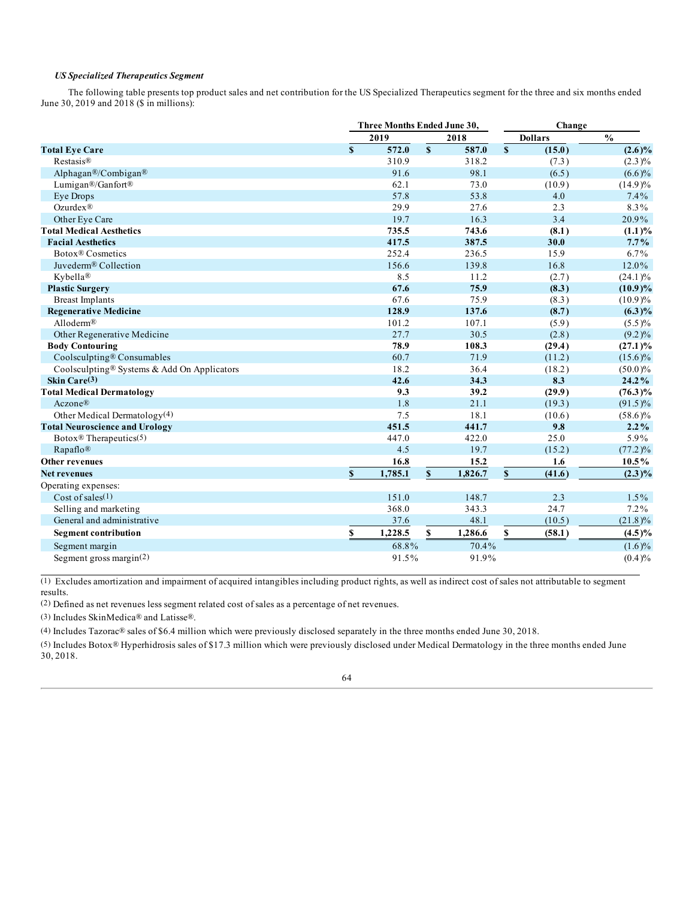# *US Specialized Therapeutics Segment*

The following table presents top product sales and net contribution for the US Specialized Therapeutics segment for the three and six months ended June 30, 2019 and 2018 (\$ in millions):

|                                              |              | Three Months Ended June 30, |              |         |              | Change         |               |  |  |
|----------------------------------------------|--------------|-----------------------------|--------------|---------|--------------|----------------|---------------|--|--|
|                                              |              | 2019                        |              | 2018    |              | <b>Dollars</b> | $\frac{0}{0}$ |  |  |
| <b>Total Eye Care</b>                        | $\mathbf{s}$ | 572.0                       | $\mathbf{s}$ | 587.0   | $\mathbf{s}$ | (15.0)         | $(2.6)\%$     |  |  |
| Restasis®                                    |              | 310.9                       |              | 318.2   |              | (7.3)          | $(2.3)\%$     |  |  |
| Alphagan <sup>®</sup> /Combigan <sup>®</sup> |              | 91.6                        |              | 98.1    |              | (6.5)          | $(6.6)\%$     |  |  |
| Lumigan <sup>®</sup> /Ganfort <sup>®</sup>   |              | 62.1                        |              | 73.0    |              | (10.9)         | $(14.9)\%$    |  |  |
| Eye Drops                                    |              | 57.8                        |              | 53.8    |              | 4.0            | $7.4\%$       |  |  |
| Ozurdex <sup>®</sup>                         |              | 29.9                        |              | 27.6    |              | 2.3            | $8.3\,\%$     |  |  |
| Other Eye Care                               |              | 19.7                        |              | 16.3    |              | 3.4            | 20.9%         |  |  |
| <b>Total Medical Aesthetics</b>              |              | 735.5                       |              | 743.6   |              | (8.1)          | $(1.1)\%$     |  |  |
| <b>Facial Aesthetics</b>                     |              | 417.5                       |              | 387.5   |              | 30.0           | $7.7\%$       |  |  |
| Botox <sup>®</sup> Cosmetics                 |              | 252.4                       |              | 236.5   |              | 15.9           | 6.7%          |  |  |
| Juvederm <sup>®</sup> Collection             |              | 156.6                       |              | 139.8   |              | 16.8           | $12.0\%$      |  |  |
| Kybella®                                     |              | 8.5                         |              | 11.2    |              | (2.7)          | $(24.1)\%$    |  |  |
| <b>Plastic Surgery</b>                       |              | 67.6                        |              | 75.9    |              | (8.3)          | $(10.9)\%$    |  |  |
| <b>Breast Implants</b>                       |              | 67.6                        |              | 75.9    |              | (8.3)          | (10.9)%       |  |  |
| <b>Regenerative Medicine</b>                 |              | 128.9                       |              | 137.6   |              | (8.7)          | $(6.3)\%$     |  |  |
| Alloderm®                                    |              | 101.2                       |              | 107.1   |              | (5.9)          | $(5.5)\%$     |  |  |
| Other Regenerative Medicine                  |              | 27.7                        |              | 30.5    |              | (2.8)          | $(9.2)\%$     |  |  |
| <b>Body Contouring</b>                       |              | 78.9                        |              | 108.3   |              | (29.4)         | $(27.1)\%$    |  |  |
| Coolsculpting® Consumables                   |              | 60.7                        |              | 71.9    |              | (11.2)         | $(15.6)\%$    |  |  |
| Coolsculpting® Systems & Add On Applicators  |              | 18.2                        |              | 36.4    |              | (18.2)         | $(50.0)\%$    |  |  |
| Skin $Care(3)$                               |              | 42.6                        |              | 34.3    |              | 8.3            | 24.2%         |  |  |
| <b>Total Medical Dermatology</b>             |              | 9.3                         |              | 39.2    |              | (29.9)         | $(76.3)\%$    |  |  |
| $Accone^{\circledR}$                         |              | 1.8                         |              | 21.1    |              | (19.3)         | $(91.5)\%$    |  |  |
| Other Medical Dermatology(4)                 |              | 7.5                         |              | 18.1    |              | (10.6)         | $(58.6)\%$    |  |  |
| <b>Total Neuroscience and Urology</b>        |              | 451.5                       |              | 441.7   |              | 9.8            | $2.2\%$       |  |  |
| Botox <sup>®</sup> Therapeutics(5)           |              | 447.0                       |              | 422.0   |              | 25.0           | 5.9%          |  |  |
| Rapaflo®                                     |              | 4.5                         |              | 19.7    |              | (15.2)         | $(77.2)\%$    |  |  |
| Other revenues                               |              | 16.8                        |              | 15.2    |              | 1.6            | $10.5\%$      |  |  |
| <b>Net revenues</b>                          | $\mathbf{s}$ | 1,785.1                     | \$           | 1,826.7 | $\mathbf{s}$ | (41.6)         | $(2.3)\%$     |  |  |
| Operating expenses:                          |              |                             |              |         |              |                |               |  |  |
| Cost of sales(1)                             |              | 151.0                       |              | 148.7   |              | 2.3            | $1.5\%$       |  |  |
| Selling and marketing                        |              | 368.0                       |              | 343.3   |              | 24.7           | $7.2\%$       |  |  |
| General and administrative                   |              | 37.6                        |              | 48.1    |              | (10.5)         | $(21.8)\%$    |  |  |
| <b>Segment contribution</b>                  | S            | 1,228.5                     | S            | 1,286.6 | \$           | (58.1)         | $(4.5)\%$     |  |  |
| Segment margin                               |              | 68.8%                       |              | 70.4%   |              |                | $(1.6)\%$     |  |  |
| Segment gross margin $(2)$                   |              | 91.5%                       |              | 91.9%   |              |                | $(0.4)\%$     |  |  |

(1) Excludes amortization and impairment of acquired intangibles including product rights, as well as indirect cost of sales not attributable to segment results.

(2) Defined as net revenues less segment related cost of sales as a percentage of net revenues.

(3) Includes SkinMedica® and Latisse®.

(4) Includes Tazorac® sales of \$6.4 million which were previously disclosed separately in the three months ended June 30, 2018.

(5) Includes Botox® Hyperhidrosis sales of \$17.3 million which were previously disclosed under Medical Dermatology in the three months ended June 30, 2018.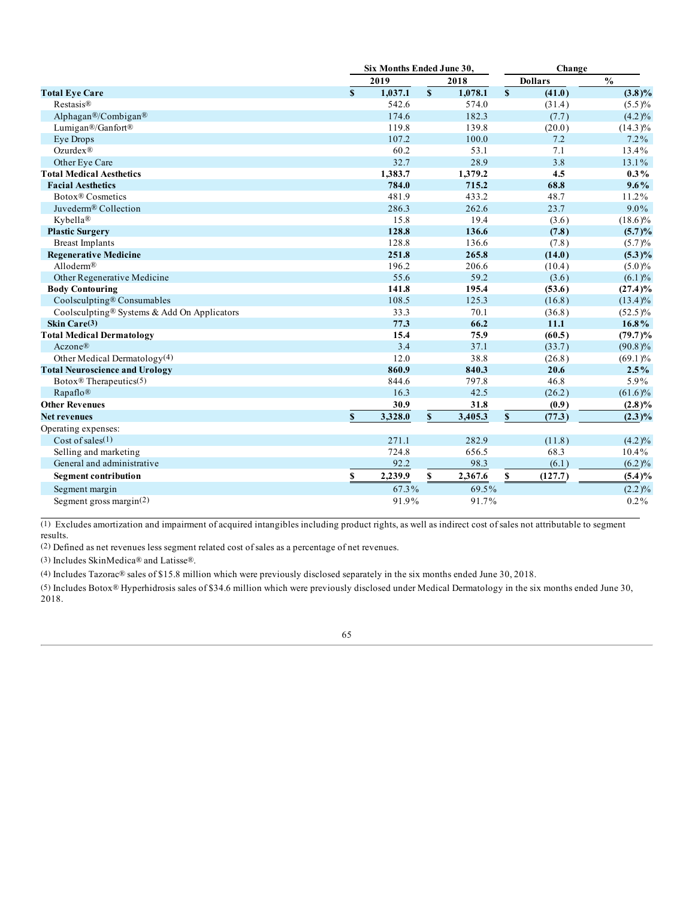|                                                |              | Six Months Ended June 30, |              |         |              | Change         |               |  |  |
|------------------------------------------------|--------------|---------------------------|--------------|---------|--------------|----------------|---------------|--|--|
|                                                |              | 2019                      |              | 2018    |              | <b>Dollars</b> | $\frac{0}{0}$ |  |  |
| <b>Total Eve Care</b>                          | $\mathbf{s}$ | 1,037.1                   | $\mathbf{s}$ | 1,078.1 | $\mathbf{s}$ | (41.0)         | $(3.8)\%$     |  |  |
| Restasis®                                      |              | 542.6                     |              | 574.0   |              | (31.4)         | $(5.5)\%$     |  |  |
| Alphagan®/Combigan®                            |              | 174.6                     |              | 182.3   |              | (7.7)          | $(4.2)\%$     |  |  |
| Lumigan <sup>®</sup> /Ganfort <sup>®</sup>     |              | 119.8                     |              | 139.8   |              | (20.0)         | $(14.3)\%$    |  |  |
| Eye Drops                                      |              | 107.2                     |              | 100.0   |              | 7.2            | $7.2\%$       |  |  |
| $Ozurdex$ <sup>®</sup>                         |              | 60.2                      |              | 53.1    |              | 7.1            | 13.4%         |  |  |
| Other Eye Care                                 |              | 32.7                      |              | 28.9    |              | 3.8            | $13.1\%$      |  |  |
| <b>Total Medical Aesthetics</b>                |              | 1,383.7                   |              | 1,379.2 |              | 4.5            | $0.3\%$       |  |  |
| <b>Facial Aesthetics</b>                       |              | 784.0                     |              | 715.2   |              | 68.8           | $9.6\%$       |  |  |
| Botox <sup>®</sup> Cosmetics                   |              | 481.9                     |              | 433.2   |              | 48.7           | 11.2%         |  |  |
| Juvederm <sup>®</sup> Collection               |              | 286.3                     |              | 262.6   |              | 23.7           | $9.0\%$       |  |  |
| Kybella®                                       |              | 15.8                      |              | 19.4    |              | (3.6)          | $(18.6)\%$    |  |  |
| <b>Plastic Surgery</b>                         |              | 128.8                     |              | 136.6   |              | (7.8)          | $(5.7)\%$     |  |  |
| <b>Breast Implants</b>                         |              | 128.8                     |              | 136.6   |              | (7.8)          | (5.7)%        |  |  |
| <b>Regenerative Medicine</b>                   |              | 251.8                     |              | 265.8   |              | (14.0)         | $(5.3)\%$     |  |  |
| Alloderm®                                      |              | 196.2                     |              | 206.6   |              | (10.4)         | $(5.0)\%$     |  |  |
| Other Regenerative Medicine                    |              | 55.6                      |              | 59.2    |              | (3.6)          | $(6.1)\%$     |  |  |
| <b>Body Contouring</b>                         |              | 141.8                     |              | 195.4   |              | (53.6)         | $(27.4)\%$    |  |  |
| Coolsculpting <sup>®</sup> Consumables         |              | 108.5                     |              | 125.3   |              | (16.8)         | $(13.4)\%$    |  |  |
| Coolsculpting® Systems & Add On Applicators    |              | 33.3                      |              | 70.1    |              | (36.8)         | $(52.5)\%$    |  |  |
| Skin Care(3)                                   |              | 77.3                      |              | 66.2    |              | 11.1           | 16.8%         |  |  |
| <b>Total Medical Dermatology</b>               |              | 15.4                      |              | 75.9    |              | (60.5)         | $(79.7)\%$    |  |  |
| <b>Aczone®</b>                                 |              | 3.4                       |              | 37.1    |              | (33.7)         | $(90.8)\%$    |  |  |
| Other Medical Dermatology(4)                   |              | 12.0                      |              | 38.8    |              | (26.8)         | $(69.1)\%$    |  |  |
| <b>Total Neuroscience and Urology</b>          |              | 860.9                     |              | 840.3   |              | 20.6           | $2.5\%$       |  |  |
| Botox <sup>®</sup> Therapeutics <sup>(5)</sup> |              | 844.6                     |              | 797.8   |              | 46.8           | 5.9%          |  |  |
| Rapaflo®                                       |              | 16.3                      |              | 42.5    |              | (26.2)         | $(61.6)\%$    |  |  |
| <b>Other Revenues</b>                          |              | 30.9                      |              | 31.8    |              | (0.9)          | $(2.8)\%$     |  |  |
| <b>Net revenues</b>                            | \$           | 3,328.0                   | \$           | 3,405.3 | \$           | (77.3)         | $(2.3)\%$     |  |  |
| Operating expenses:                            |              |                           |              |         |              |                |               |  |  |
| Cost of sales $(1)$                            |              | 271.1                     |              | 282.9   |              | (11.8)         | $(4.2)\%$     |  |  |
| Selling and marketing                          |              | 724.8                     |              | 656.5   |              | 68.3           | $10.4\%$      |  |  |
| General and administrative                     |              | 92.2                      |              | 98.3    |              | (6.1)          | $(6.2)\%$     |  |  |
| <b>Segment contribution</b>                    | \$           | 2,239.9                   | \$           | 2,367.6 | \$           | (127.7)        | $(5.4)\%$     |  |  |
| Segment margin                                 |              | 67.3%                     |              | 69.5%   |              |                | $(2.2)\%$     |  |  |
| Segment gross margin $(2)$                     |              | 91.9%                     |              | 91.7%   |              |                | $0.2\%$       |  |  |

 $(1)$  Excludes amortization and impairment of acquired intangibles including product rights, as well as indirect cost of sales not attributable to segment results.

(2) Defined as net revenues less segment related cost of sales as a percentage of net revenues.

(3) Includes SkinMedica® and Latisse®.

(4) Includes Tazorac® sales of \$15.8 million which were previously disclosed separately in the six months ended June 30, 2018.

(5) Includes Botox® Hyperhidrosis sales of \$34.6 million which were previously disclosed under Medical Dermatology in the six months ended June 30, 2018.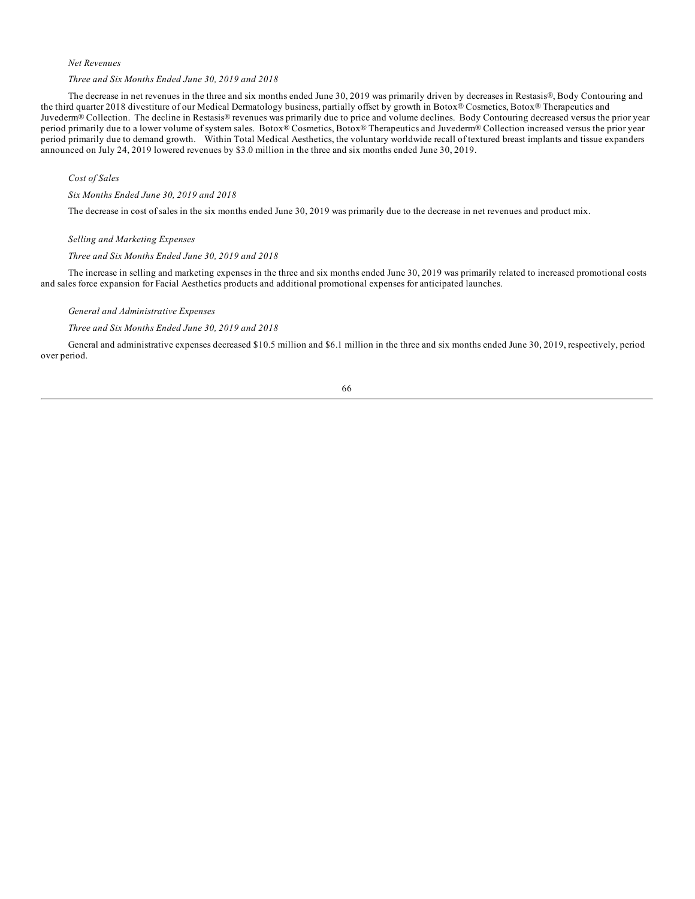# *Net Revenues*

# *Three and Six Months Ended June 30, 2019 and 2018*

The decrease in net revenues in the three and six months ended June 30, 2019 was primarily driven by decreases in Restasis®, Body Contouring and the third quarter 2018 divestiture of our Medical Dermatology business, partially offset by growth in Botox® Cosmetics, Botox® Therapeutics and Juvederm® Collection. The decline in Restasis® revenues was primarily due to price and volume declines. Body Contouring decreased versus the prior year period primarily due to a lower volume of system sales. Botox® Cosmetics, Botox® Therapeutics and Juvederm® Collection increased versus the prior year period primarily due to demand growth. Within Total Medical Aesthetics, the voluntary worldwide recall of textured breast implants and tissue expanders announced on July 24, 2019 lowered revenues by \$3.0 million in the three and six months ended June 30, 2019.

## *Cost of Sales*

### *Six Months Ended June 30, 2019 and 2018*

The decrease in cost of sales in the six months ended June 30, 2019 was primarily due to the decrease in net revenues and product mix.

#### *Selling and Marketing Expenses*

# *Three and Six Months Ended June 30, 2019 and 2018*

The increase in selling and marketing expenses in the three and six months ended June 30, 2019 was primarily related to increased promotional costs and sales force expansion for Facial Aesthetics products and additional promotional expenses for anticipated launches.

#### *General and Administrative Expenses*

*Three and Six Months Ended June 30, 2019 and 2018*

General and administrative expenses decreased \$10.5 million and \$6.1 million in the three and six months ended June 30, 2019, respectively, period over period.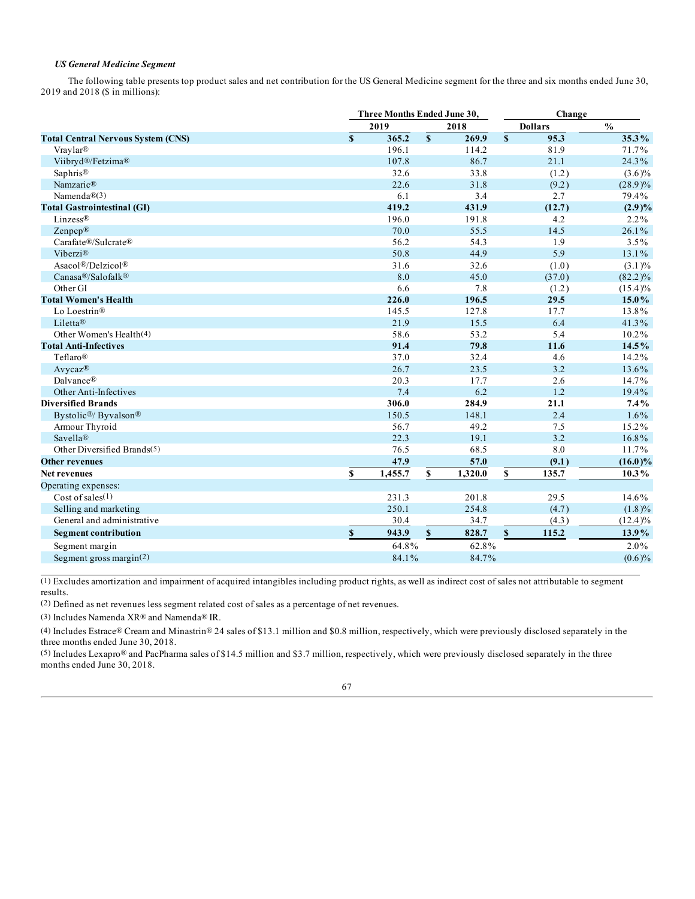# *US General Medicine Segment*

The following table presents top product sales and net contribution for the US General Medicine segment for the three and six months ended June 30, 2019 and 2018 (\$ in millions):

|                                              |              | Three Months Ended June 30, |              |         |              | Change         |               |
|----------------------------------------------|--------------|-----------------------------|--------------|---------|--------------|----------------|---------------|
|                                              |              | 2019                        |              | 2018    |              | <b>Dollars</b> | $\frac{0}{0}$ |
| <b>Total Central Nervous System (CNS)</b>    | S            | 365.2                       | $\mathbf{s}$ | 269.9   | $\mathbf{s}$ | 95.3           | 35.3%         |
| Vraylar®                                     |              | 196.1                       |              | 114.2   |              | 81.9           | 71.7%         |
| Viibryd®/Fetzima®                            |              | 107.8                       |              | 86.7    |              | 21.1           | 24.3%         |
| Saphris®                                     |              | 32.6                        |              | 33.8    |              | (1.2)          | $(3.6)\%$     |
| Namzaric®                                    |              | 22.6                        |              | 31.8    |              | (9.2)          | $(28.9)\%$    |
| Namenda® $(3)$                               |              | 6.1                         |              | 3.4     |              | 2.7            | 79.4%         |
| <b>Total Gastrointestinal (GI)</b>           |              | 419.2                       |              | 431.9   |              | (12.7)         | $(2.9)\%$     |
| Linzess <sup>®</sup>                         |              | 196.0                       |              | 191.8   |              | 4.2            | $2.2\%$       |
| Zenpep®                                      |              | 70.0                        |              | 55.5    |              | 14.5           | $26.1\%$      |
| Carafate <sup>®</sup> /Sulcrate <sup>®</sup> |              | 56.2                        |              | 54.3    |              | 1.9            | $3.5\%$       |
| Viberzi®                                     |              | 50.8                        |              | 44.9    |              | 5.9            | 13.1%         |
| Asacol <sup>®</sup> /Delzicol <sup>®</sup>   |              | 31.6                        |              | 32.6    |              | (1.0)          | $(3.1)\%$     |
| Canasa®/Salofalk®                            |              | 8.0                         |              | 45.0    |              | (37.0)         | $(82.2)\%$    |
| Other GI                                     |              | 6.6                         |              | 7.8     |              | (1.2)          | $(15.4)\%$    |
| <b>Total Women's Health</b>                  |              | 226.0                       |              | 196.5   |              | 29.5           | 15.0%         |
| Lo Loestrin®                                 |              | 145.5                       |              | 127.8   |              | 17.7           | 13.8%         |
| Liletta®                                     |              | 21.9                        |              | 15.5    |              | 6.4            | 41.3%         |
| Other Women's Health(4)                      |              | 58.6                        |              | 53.2    |              | 5.4            | 10.2%         |
| <b>Total Anti-Infectives</b>                 |              | 91.4                        |              | 79.8    |              | 11.6           | 14.5%         |
| Teflaro <sup>®</sup>                         |              | 37.0                        |              | 32.4    |              | 4.6            | 14.2%         |
| Avycaz®                                      |              | 26.7                        |              | 23.5    |              | 3.2            | 13.6%         |
| Dalvance <sup>®</sup>                        |              | 20.3                        |              | 17.7    |              | 2.6            | 14.7%         |
| Other Anti-Infectives                        |              | 7.4                         |              | 6.2     |              | 1.2            | 19.4%         |
| <b>Diversified Brands</b>                    |              | 306.0                       |              | 284.9   |              | 21.1           | $7.4\%$       |
| Bystolic <sup>®</sup> /Byvalson <sup>®</sup> |              | 150.5                       |              | 148.1   |              | 2.4            | $1.6\%$       |
| Armour Thyroid                               |              | 56.7                        |              | 49.2    |              | 7.5            | 15.2%         |
| Savella®                                     |              | 22.3                        |              | 19.1    |              | 3.2            | $16.8\%$      |
| Other Diversified Brands(5)                  |              | 76.5                        |              | 68.5    |              | 8.0            | 11.7%         |
| <b>Other revenues</b>                        |              | 47.9                        |              | 57.0    |              | (9.1)          | $(16.0)\%$    |
| <b>Net revenues</b>                          | $\mathbf{s}$ | 1,455.7                     | \$           | 1,320.0 | $\mathbf{s}$ | 135.7          | $10.3\%$      |
| Operating expenses:                          |              |                             |              |         |              |                |               |
| Cost of sales $(1)$                          |              | 231.3                       |              | 201.8   |              | 29.5           | 14.6%         |
| Selling and marketing                        |              | 250.1                       |              | 254.8   |              | (4.7)          | $(1.8)\%$     |
| General and administrative                   |              | 30.4                        |              | 34.7    |              | (4.3)          | $(12.4)\%$    |
| <b>Segment contribution</b>                  | $\mathbf S$  | 943.9                       | $\mathbf{s}$ | 828.7   | $\mathbf{s}$ | 115.2          | 13.9%         |
| Segment margin                               |              | 64.8%                       |              | 62.8%   |              |                | 2.0%          |
| Segment gross margin $(2)$                   |              | 84.1%                       |              | 84.7%   |              |                | $(0.6)\%$     |

(1) Excludes amortization and impairment of acquired intangibles including product rights, as well as indirect cost of sales not attributable to segment results.

(2) Defined as net revenues less segment related cost of sales as a percentage of net revenues.

(3) Includes Namenda XR® and Namenda® IR.

(4) Includes Estrace® Cream and Minastrin® 24 sales of \$13.1 million and \$0.8 million, respectively, which were previously disclosed separately in the three months ended June 30, 2018.

(5) Includes Lexapro® and PacPharma sales of \$14.5 million and \$3.7 million, respectively, which were previously disclosed separately in the three months ended June 30, 2018.

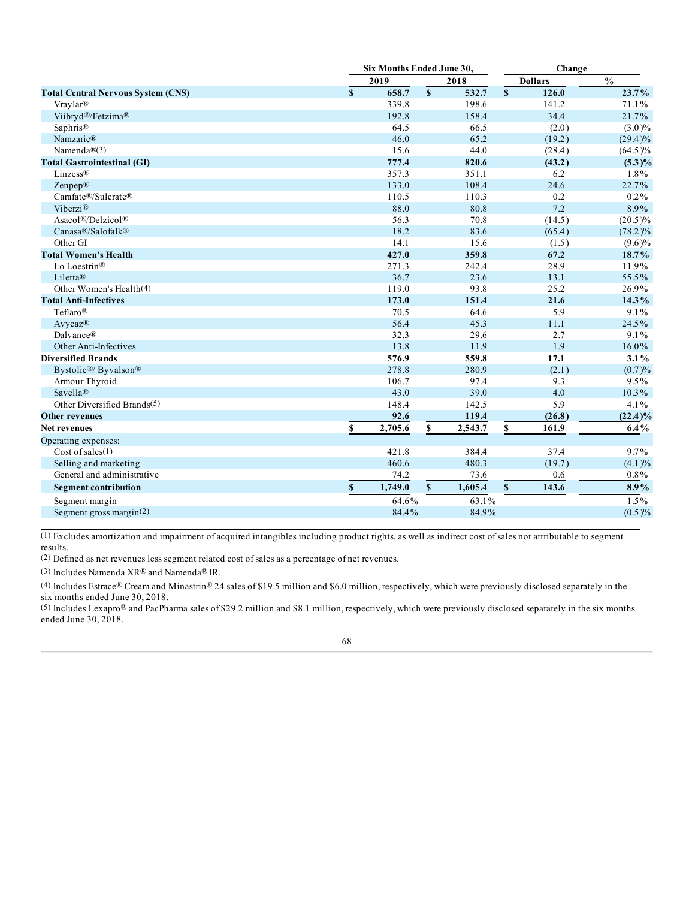|                                            |                           | Six Months Ended June 30, |             |         |              | Change         |               |  |  |
|--------------------------------------------|---------------------------|---------------------------|-------------|---------|--------------|----------------|---------------|--|--|
|                                            |                           | 2019                      |             | 2018    |              | <b>Dollars</b> | $\frac{0}{0}$ |  |  |
| <b>Total Central Nervous System (CNS)</b>  | S                         | 658.7                     | $\mathbf S$ | 532.7   | $\mathbf{s}$ | 126.0          | 23.7%         |  |  |
| Vraylar <sup>®</sup>                       |                           | 339.8                     |             | 198.6   |              | 141.2          | 71.1%         |  |  |
| Viibryd®/Fetzima®                          |                           | 192.8                     |             | 158.4   |              | 34.4           | 21.7%         |  |  |
| Saphris®                                   |                           | 64.5                      |             | 66.5    |              | (2.0)          | $(3.0)\%$     |  |  |
| Namzaric®                                  |                           | 46.0                      |             | 65.2    |              | (19.2)         | $(29.4)\%$    |  |  |
| Namenda® $(3)$                             |                           | 15.6                      |             | 44.0    |              | (28.4)         | $(64.5)\%$    |  |  |
| <b>Total Gastrointestinal (GI)</b>         |                           | 777.4                     |             | 820.6   |              | (43.2)         | $(5.3)\%$     |  |  |
| Linzess®                                   |                           | 357.3                     |             | 351.1   |              | 6.2            | 1.8%          |  |  |
| Zenpep®                                    |                           | 133.0                     |             | 108.4   |              | 24.6           | 22.7%         |  |  |
| Carafate®/Sulcrate®                        |                           | 110.5                     |             | 110.3   |              | 0.2            | $0.2\%$       |  |  |
| Viberzi®                                   |                           | 88.0                      |             | 80.8    |              | 7.2            | 8.9%          |  |  |
| Asacol <sup>®</sup> /Delzicol <sup>®</sup> |                           | 56.3                      |             | 70.8    |              | (14.5)         | $(20.5)\%$    |  |  |
| Canasa®/Salofalk®                          |                           | 18.2                      |             | 83.6    |              | (65.4)         | $(78.2)\%$    |  |  |
| Other GI                                   |                           | 14.1                      |             | 15.6    |              | (1.5)          | $(9.6)\%$     |  |  |
| <b>Total Women's Health</b>                |                           | 427.0                     |             | 359.8   |              | 67.2           | 18.7%         |  |  |
| Lo Loestrin®                               |                           | 271.3                     |             | 242.4   |              | 28.9           | 11.9%         |  |  |
| Liletta®                                   |                           | 36.7                      |             | 23.6    |              | 13.1           | 55.5%         |  |  |
| Other Women's Health <sup>(4)</sup>        |                           | 119.0                     |             | 93.8    |              | 25.2           | 26.9%         |  |  |
| <b>Total Anti-Infectives</b>               |                           | 173.0                     |             | 151.4   |              | 21.6           | 14.3%         |  |  |
| Teflaro®                                   |                           | 70.5                      |             | 64.6    |              | 5.9            | $9.1\%$       |  |  |
| Avycaz®                                    |                           | 56.4                      |             | 45.3    |              | 11.1           | 24.5%         |  |  |
| Dalvance <sup>®</sup>                      |                           | 32.3                      |             | 29.6    |              | 2.7            | $9.1\%$       |  |  |
| Other Anti-Infectives                      |                           | 13.8                      |             | 11.9    |              | 1.9            | 16.0%         |  |  |
| <b>Diversified Brands</b>                  |                           | 576.9                     |             | 559.8   |              | 17.1           | $3.1\%$       |  |  |
| Bystolic®/Byvalson®                        |                           | 278.8                     |             | 280.9   |              | (2.1)          | (0.7)%        |  |  |
| Armour Thyroid                             |                           | 106.7                     |             | 97.4    |              | 9.3            | $9.5\%$       |  |  |
| Savella®                                   |                           | 43.0                      |             | 39.0    |              | 4.0            | 10.3%         |  |  |
| Other Diversified Brands $(5)$             |                           | 148.4                     |             | 142.5   |              | 5.9            | $4.1\%$       |  |  |
| <b>Other revenues</b>                      |                           | 92.6                      |             | 119.4   |              | (26.8)         | $(22.4)\%$    |  |  |
| <b>Net revenues</b>                        | \$                        | 2,705.6                   | \$          | 2,543.7 | \$           | 161.9          | $6.4\%$       |  |  |
| Operating expenses:                        |                           |                           |             |         |              |                |               |  |  |
| Cost of sales(1)                           |                           | 421.8                     |             | 384.4   |              | 37.4           | 9.7%          |  |  |
| Selling and marketing                      |                           | 460.6                     |             | 480.3   |              | (19.7)         | $(4.1)\%$     |  |  |
| General and administrative                 |                           | 74.2                      |             | 73.6    |              | 0.6            | $0.8\,\%$     |  |  |
| <b>Segment contribution</b>                | $\boldsymbol{\mathsf{s}}$ | 1,749.0                   | \$          | 1,605.4 | $\mathbf{s}$ | 143.6          | $8.9\%$       |  |  |
| Segment margin                             |                           | 64.6%                     |             | 63.1%   |              |                | $1.5\%$       |  |  |
| Segment gross margin $(2)$                 |                           | 84.4%                     |             | 84.9%   |              |                | $(0.5)\%$     |  |  |

(1) Excludes amortization and impairment of acquired intangibles including product rights, as well as indirect cost of sales not attributable to segment results.

(2) Defined as net revenues less segment related cost of sales as a percentage of net revenues.

(3) Includes Namenda XR® and Namenda® IR.

(4) Includes Estrace® Cream and Minastrin® 24 sales of \$19.5 million and \$6.0 million, respectively, which were previously disclosed separately in the six months ended June 30, 2018.

(5) Includes Lexapro® and PacPharma sales of \$29.2 million and \$8.1 million, respectively, which were previously disclosed separately in the six months ended June 30, 2018.

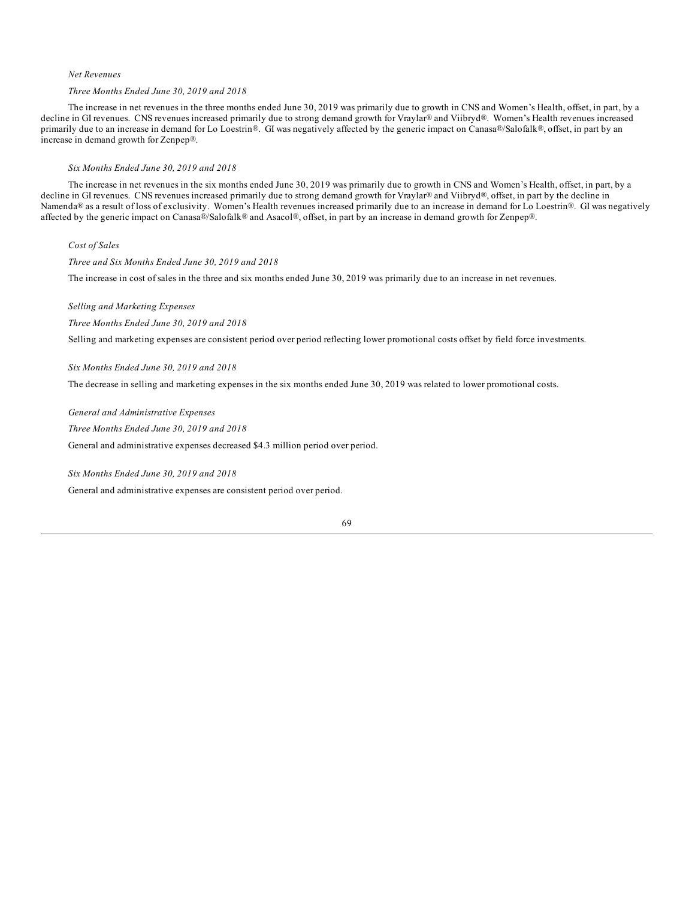### *Net Revenues*

#### *Three Months Ended June 30, 2019 and 2018*

The increase in net revenues in the three months ended June 30, 2019 was primarily due to growth in CNS and Women's Health, offset, in part, by a decline in GI revenues. CNS revenues increased primarily due to strong demand growth for Vraylar® and Viibryd®. Women's Health revenues increased primarily due to an increase in demand for Lo Loestrin®. GI was negatively affected by the generic impact on Canasa®/Salofalk®, offset, in part by an increase in demand growth for Zenpep®.

# *Six Months Ended June 30, 2019 and 2018*

The increase in net revenues in the six months ended June 30, 2019 was primarily due to growth in CNS and Women's Health, offset, in part, by a decline in GI revenues. CNS revenues increased primarily due to strong demand growth for Vraylar® and Viibryd®, offset, in part by the decline in Namenda® as a result of loss of exclusivity. Women's Health revenues increased primarily due to an increase in demand for Lo Loestrin®. GI was negatively affected by the generic impact on Canasa®/Salofalk® and Asacol®, offset, in part by an increase in demand growth for Zenpep®.

## *Cost of Sales*

*Three and Six Months Ended June 30, 2019 and 2018*

The increase in cost of sales in the three and six months ended June 30, 2019 was primarily due to an increase in net revenues.

# *Selling and Marketing Expenses*

*Three Months Ended June 30, 2019 and 2018*

Selling and marketing expenses are consistent period over period reflecting lower promotional costs offset by field force investments.

#### *Six Months Ended June 30, 2019 and 2018*

The decrease in selling and marketing expenses in the six months ended June 30, 2019 was related to lower promotional costs.

#### *General and Administrative Expenses*

*Three Months Ended June 30, 2019 and 2018*

General and administrative expenses decreased \$4.3 million period over period.

# *Six Months Ended June 30, 2019 and 2018*

General and administrative expenses are consistent period over period.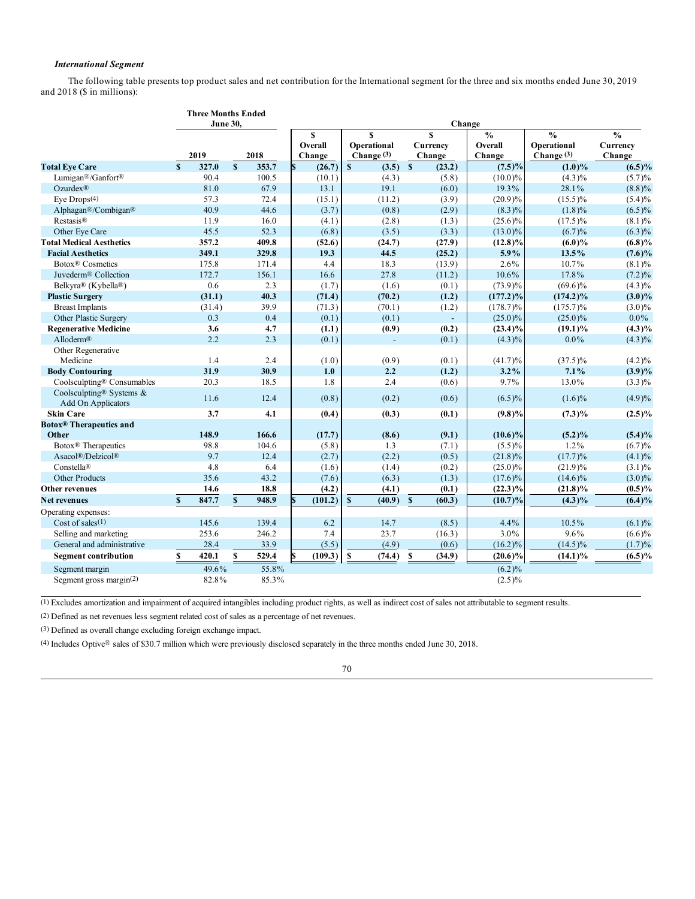# *International Segment*

The following table presents top product sales and net contribution for the International segment for the three and six months ended June 30, 2019 and 2018 (\$ in millions):

|                                                  |              | <b>June 30,</b> | <b>Three Months Ended</b>   | Change |                         |                         |                                 |              |                                    |                                    |                                            |                                     |  |  |
|--------------------------------------------------|--------------|-----------------|-----------------------------|--------|-------------------------|-------------------------|---------------------------------|--------------|------------------------------------|------------------------------------|--------------------------------------------|-------------------------------------|--|--|
|                                                  | 2019         |                 | 2018                        |        | \$<br>Overall<br>Change |                         | \$<br>Operational<br>Change (3) |              | $\mathbf{s}$<br>Currency<br>Change | $\frac{0}{0}$<br>Overall<br>Change | $\frac{0}{0}$<br>Operational<br>Change (3) | $\frac{0}{0}$<br>Currency<br>Change |  |  |
| <b>Total Eve Care</b>                            | $\mathbf{s}$ | 327.0           | $\mathbf{s}$<br>353.7       |        | (26.7)                  | $\mathbf{s}$            | (3.5)                           | $\mathbf{s}$ | (23.2)                             | $(7.5)\%$                          | $(1.0)\%$                                  | $(6.5)\%$                           |  |  |
| Lumigan®/Ganfort®                                |              | 90.4            | 100.5                       |        | (10.1)                  |                         | (4.3)                           |              | (5.8)                              | $(10.0)\%$                         | $(4.3)\%$                                  | (5.7)%                              |  |  |
| $Ozurdex^{\circledR}$                            |              | 81.0            | 67.9                        |        | 13.1                    |                         | 19.1                            |              | (6.0)                              | 19.3%                              | 28.1%                                      | $(8.8)\%$                           |  |  |
| Eye $Drops(4)$                                   |              | 57.3            | 72.4                        |        | (15.1)                  |                         | (11.2)                          |              | (3.9)                              | $(20.9)\%$                         | $(15.5)\%$                                 | $(5.4)\%$                           |  |  |
| Alphagan <sup>®</sup> /Combigan <sup>®</sup>     |              | 40.9            | 44.6                        |        | (3.7)                   |                         | (0.8)                           |              | (2.9)                              | $(8.3)\%$                          | $(1.8)\%$                                  | $(6.5)\%$                           |  |  |
| Restasis®                                        |              | 11.9            | 16.0                        |        | (4.1)                   |                         | (2.8)                           |              | (1.3)                              | $(25.6)\%$                         | $(17.5)\%$                                 | $(8.1)\%$                           |  |  |
| Other Eye Care                                   |              | 45.5            | 52.3                        |        | (6.8)                   |                         | (3.5)                           |              | (3.3)                              | $(13.0)\%$                         | (6.7)%                                     | $(6.3)\%$                           |  |  |
| <b>Total Medical Aesthetics</b>                  |              | 357.2           | 409.8                       |        | (52.6)                  |                         | (24.7)                          |              | (27.9)                             | $(12.8)\%$                         | $(6.0)\%$                                  | $(6.8)\%$                           |  |  |
| <b>Facial Aesthetics</b>                         |              | 349.1           | 329.8                       |        | 19.3                    |                         | 44.5                            |              | (25.2)                             | 5.9%                               | 13.5%                                      | $(7.6)\%$                           |  |  |
| Botox <sup>®</sup> Cosmetics                     |              | 175.8           | 171.4                       |        | 4.4                     |                         | 18.3                            |              | (13.9)                             | 2.6%                               | 10.7%                                      | $(8.1)\%$                           |  |  |
| Juvederm <sup>®</sup> Collection                 |              | 172.7           | 156.1                       |        | 16.6                    |                         | 27.8                            |              | (11.2)                             | 10.6%                              | 17.8%                                      | $(7.2)\%$                           |  |  |
| Belkyra® (Kybella®)                              |              | 0.6             | 2.3                         |        | (1.7)                   |                         | (1.6)                           |              | (0.1)                              | $(73.9)\%$                         | $(69.6)\%$                                 | $(4.3)\%$                           |  |  |
| <b>Plastic Surgery</b>                           |              | (31.1)          | 40.3                        |        | (71.4)                  |                         | (70.2)                          |              | (1.2)                              | $(177.2)\%$                        | $(174.2)\%$                                | $(3.0)\%$                           |  |  |
| <b>Breast Implants</b>                           |              | (31.4)          | 39.9                        |        | (71.3)                  |                         | (70.1)                          |              | (1.2)                              | $(178.7)\%$                        | $(175.7)\%$                                | $(3.0)\%$                           |  |  |
| Other Plastic Surgery                            |              | 0.3             | 0.4                         |        | (0.1)                   |                         | (0.1)                           |              | $\blacksquare$                     | $(25.0)\%$                         | $(25.0)\%$                                 | $0.0\%$                             |  |  |
| <b>Regenerative Medicine</b>                     |              | 3.6             | 4.7                         |        | (1.1)                   |                         | (0.9)                           |              | (0.2)                              | $(23.4)\%$                         | $(19.1)\%$                                 | $(4.3)\%$                           |  |  |
| Alloderm <sup>®</sup>                            |              | 2.2             | 2.3                         |        | (0.1)                   |                         | $\overline{a}$                  |              | (0.1)                              | $(4.3)\%$                          | $0.0\%$                                    | $(4.3)\%$                           |  |  |
| Other Regenerative<br>Medicine                   |              | 1.4             | 2.4                         |        | (1.0)                   |                         | (0.9)                           |              | (0.1)                              | (41.7)%                            | $(37.5)\%$                                 | $(4.2)\%$                           |  |  |
| <b>Body Contouring</b>                           |              | 31.9            | 30.9                        |        | 1.0                     |                         | 2.2                             |              | (1.2)                              | $3.2\%$                            | 7.1%                                       | $(3.9)\%$                           |  |  |
| Coolsculpting® Consumables                       |              | 20.3            | 18.5                        |        | 1.8                     |                         | 2.4                             |              | (0.6)                              | 9.7%                               | 13.0%                                      | $(3.3)\%$                           |  |  |
| Coolsculpting® Systems $&$<br>Add On Applicators |              | 11.6            | 12.4                        |        | (0.8)                   |                         | (0.2)                           |              | (0.6)                              | $(6.5)\%$                          | $(1.6)\%$                                  | $(4.9)\%$                           |  |  |
| <b>Skin Care</b>                                 |              | 3.7             | 4.1                         |        | (0.4)                   |                         | (0.3)                           |              | (0.1)                              | $(9.8)\%$                          | $(7.3)\%$                                  | $(2.5)\%$                           |  |  |
| <b>Botox®</b> Therapeutics and                   |              |                 |                             |        |                         |                         |                                 |              |                                    |                                    |                                            |                                     |  |  |
| Other                                            |              | 148.9           | 166.6                       |        | (17.7)                  |                         | (8.6)                           |              | (9.1)                              | $(10.6)\%$                         | $(5.2)\%$                                  | $(5.4)\%$                           |  |  |
| Botox <sup>®</sup> Therapeutics                  |              | 98.8            | 104.6                       |        | (5.8)                   |                         | 1.3                             |              | (7.1)                              | $(5.5)\%$                          | 1.2%                                       | (6.7)%                              |  |  |
| Asacol®/Delzicol®                                |              | 9.7             | 12.4                        |        | (2.7)                   |                         | (2.2)                           |              | (0.5)                              | $(21.8)\%$                         | $(17.7)\%$                                 | $(4.1)\%$                           |  |  |
| Constella <sup>®</sup>                           |              | 4.8             | 6.4                         |        | (1.6)                   |                         | (1.4)                           |              | (0.2)                              | $(25.0)\%$                         | $(21.9)\%$                                 | $(3.1)\%$                           |  |  |
| <b>Other Products</b>                            |              | 35.6            | 43.2                        |        | (7.6)                   |                         | (6.3)                           |              | (1.3)                              | $(17.6)\%$                         | $(14.6)\%$                                 | $(3.0)\%$                           |  |  |
| <b>Other revenues</b>                            |              | 14.6            | 18.8                        |        | (4.2)                   |                         | (4.1)                           |              | (0.1)                              | $(22.3)\%$                         | $(21.8)\%$                                 | $(0.5)\%$                           |  |  |
| <b>Net revenues</b>                              | $\mathbf{s}$ | 847.7           | $\pmb{\mathbb{S}}$<br>948.9 |        | (101.2)                 | \$                      | (40.9)                          | \$           | (60.3)                             | $(10.7)\%$                         | $(4.3)\%$                                  | $(6.4)\%$                           |  |  |
| Operating expenses:                              |              |                 |                             |        |                         |                         |                                 |              |                                    |                                    |                                            |                                     |  |  |
| Cost of sales $(1)$                              |              | 145.6           | 139.4                       |        | 6.2                     |                         | 14.7                            |              | (8.5)                              | 4.4%                               | 10.5%                                      | $(6.1)\%$                           |  |  |
| Selling and marketing                            |              | 253.6           | 246.2                       |        | 7.4                     |                         | 23.7                            |              | (16.3)                             | 3.0%                               | 9.6%                                       | $(6.6)\%$                           |  |  |
| General and administrative                       |              | 28.4            | 33.9                        |        | (5.5)                   |                         | (4.9)                           |              | (0.6)                              | $(16.2)\%$                         | $(14.5)\%$                                 | (1.7)%                              |  |  |
| <b>Segment contribution</b>                      | \$           | 420.1           | 529.4<br>S                  |        | (109.3)                 | $\overline{\mathbf{S}}$ | (74.4)                          | \$           | (34.9)                             | $(20.6)\%$                         | $(14.1)\%$                                 | $(6.5)\%$                           |  |  |
| Segment margin                                   |              | 49.6%           | 55.8%                       |        |                         |                         |                                 |              |                                    | (6.2)%                             |                                            |                                     |  |  |
| Segment gross margin $(2)$                       |              | 82.8%           | 85.3%                       |        |                         |                         |                                 |              |                                    | $(2.5)\%$                          |                                            |                                     |  |  |

(1) Excludes amortization and impairment of acquired intangibles including product rights, as well as indirect cost of sales not attributable to segment results.

(2) Defined as net revenues less segment related cost of sales as a percentage of net revenues.

(3) Defined as overall change excluding foreign exchange impact.

(4) Includes Optive® sales of \$30.7 million which were previously disclosed separately in the three months ended June 30, 2018.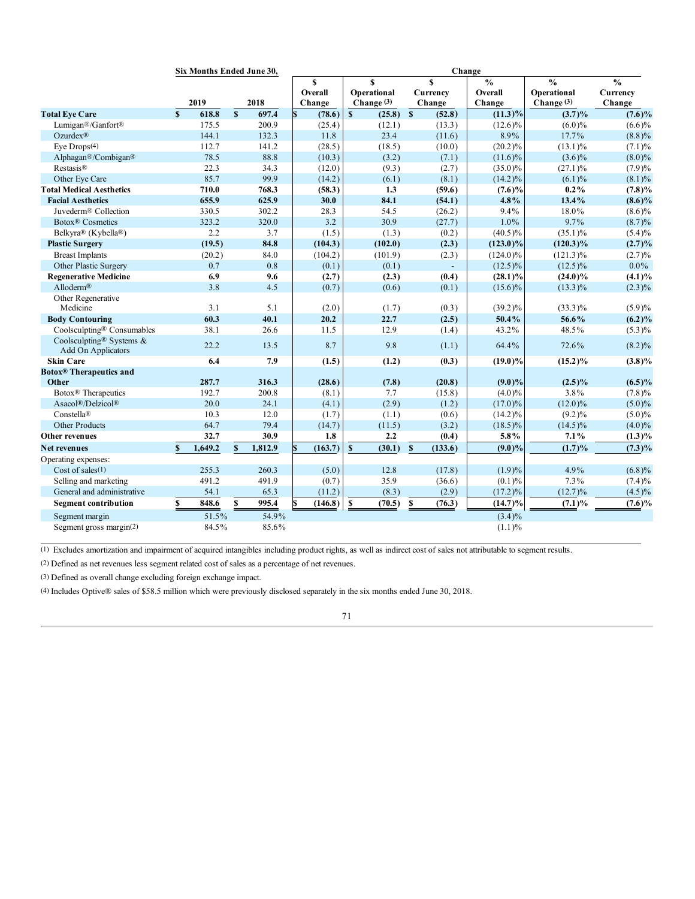|                                                               |                    | Six Months Ended June 30, |                    |         |                         | Change           |                                          |              |                                   |                                    |                                            |                                     |  |  |
|---------------------------------------------------------------|--------------------|---------------------------|--------------------|---------|-------------------------|------------------|------------------------------------------|--------------|-----------------------------------|------------------------------------|--------------------------------------------|-------------------------------------|--|--|
|                                                               |                    | 2019                      |                    | 2018    | \$<br>Overall<br>Change |                  | $\mathbf S$<br>Operational<br>Change (3) |              | $\mathbf S$<br>Currency<br>Change | $\frac{0}{0}$<br>Overall<br>Change | $\frac{0}{0}$<br>Operational<br>Change (3) | $\frac{0}{0}$<br>Currency<br>Change |  |  |
| <b>Total Eve Care</b>                                         | $\mathbf{\hat{s}}$ | 618.8                     | $\mathbf{\hat{s}}$ | 697.4   | (78.6)                  | $\mathbf{s}$     | (25.8)                                   | $\mathbf{s}$ | (52.8)                            | $(11.3)\%$                         | $(3.7)\%$                                  | $(7.6)\%$                           |  |  |
| Lumigan®/Ganfort®                                             |                    | 175.5                     |                    | 200.9   | (25.4)                  |                  | (12.1)                                   |              | (13.3)                            | $(12.6)\%$                         | $(6.0)\%$                                  | $(6.6)\%$                           |  |  |
| Ozurdex $\mathbb{R}$                                          |                    | 144.1                     |                    | 132.3   | 11.8                    |                  | 23.4                                     |              | (11.6)                            | 8.9%                               | 17.7%                                      | $(8.8)\%$                           |  |  |
| Eye Drops <sup>(4)</sup>                                      |                    | 112.7                     |                    | 141.2   | (28.5)                  |                  | (18.5)                                   |              | (10.0)                            | $(20.2)\%$                         | $(13.1)\%$                                 | $(7.1)\%$                           |  |  |
| Alphagan <sup>®</sup> /Combigan <sup>®</sup>                  |                    | 78.5                      |                    | 88.8    | (10.3)                  |                  | (3.2)                                    |              | (7.1)                             | $(11.6)\%$                         | $(3.6)\%$                                  | $(8.0)\%$                           |  |  |
| Restasis®                                                     |                    | 22.3                      |                    | 34.3    | (12.0)                  |                  | (9.3)                                    |              | (2.7)                             | $(35.0)\%$                         | $(27.1)\%$                                 | $(7.9)\%$                           |  |  |
| Other Eye Care                                                |                    | 85.7                      |                    | 99.9    | (14.2)                  |                  | (6.1)                                    |              | (8.1)                             | $(14.2)\%$                         | $(6.1)\%$                                  | $(8.1)\%$                           |  |  |
| <b>Total Medical Aesthetics</b>                               |                    | 710.0                     |                    | 768.3   | (58.3)                  |                  | 1.3                                      |              | (59.6)                            | $(7.6)\%$                          | $0.2\%$                                    | $(7.8)\%$                           |  |  |
| <b>Facial Aesthetics</b>                                      |                    | 655.9                     |                    | 625.9   | 30.0                    |                  | 84.1                                     |              | (54.1)                            | 4.8%                               | 13.4%                                      | $(8.6)\%$                           |  |  |
| Juvederm <sup>®</sup> Collection                              |                    | 330.5                     |                    | 302.2   | 28.3                    |                  | 54.5                                     |              | (26.2)                            | 9.4%                               | $18.0\%$                                   | $(8.6)\%$                           |  |  |
| Botox <sup>®</sup> Cosmetics                                  |                    | 323.2                     |                    | 320.0   | 3.2                     |                  | 30.9                                     |              | (27.7)                            | 1.0%                               | 9.7%                                       | $(8.7)\%$                           |  |  |
| Belkyra® (Kybella®)                                           |                    | 2.2                       |                    | 3.7     | (1.5)                   |                  | (1.3)                                    |              | (0.2)                             | $(40.5)\%$                         | $(35.1)\%$                                 | $(5.4)\%$                           |  |  |
| <b>Plastic Surgery</b>                                        |                    | (19.5)                    |                    | 84.8    | (104.3)                 |                  | (102.0)                                  |              | (2.3)                             | $(123.0)\%$                        | $(120.3)\%$                                | $(2.7)\%$                           |  |  |
| <b>Breast Implants</b>                                        |                    | (20.2)                    |                    | 84.0    | (104.2)                 |                  | (101.9)                                  |              | (2.3)                             | $(124.0)\%$                        | $(121.3)\%$                                | (2.7)%                              |  |  |
| Other Plastic Surgery                                         |                    | 0.7                       |                    | 0.8     | (0.1)                   |                  | (0.1)                                    |              | $\mathcal{L}$                     | $(12.5)\%$                         | $(12.5)\%$                                 | $0.0\%$                             |  |  |
| <b>Regenerative Medicine</b>                                  |                    | 6.9                       |                    | 9.6     | (2.7)                   |                  | (2.3)                                    |              | (0.4)                             | $(28.1)\%$                         | $(24.0)\%$                                 | $(4.1)\%$                           |  |  |
| Alloderm <sup>®</sup>                                         |                    | 3.8                       |                    | 4.5     | (0.7)                   |                  | (0.6)                                    |              | (0.1)                             | $(15.6)\%$                         | $(13.3)\%$                                 | $(2.3)\%$                           |  |  |
| Other Regenerative                                            |                    |                           |                    |         |                         |                  |                                          |              |                                   |                                    |                                            |                                     |  |  |
| Medicine                                                      |                    | 3.1                       |                    | 5.1     | (2.0)                   |                  | (1.7)                                    |              | (0.3)                             | $(39.2)\%$                         | $(33.3)\%$                                 | $(5.9)\%$                           |  |  |
| <b>Body Contouring</b>                                        |                    | 60.3                      |                    | 40.1    | 20.2                    |                  | 22.7                                     |              | (2.5)                             | 50.4%                              | 56.6%                                      | $(6.2)\%$                           |  |  |
| Coolsculpting® Consumables                                    |                    | 38.1                      |                    | 26.6    | 11.5                    |                  | 12.9                                     |              | (1.4)                             | 43.2%                              | 48.5%                                      | $(5.3)\%$                           |  |  |
| Coolsculpting <sup>®</sup> Systems $\&$<br>Add On Applicators |                    | 22.2                      |                    | 13.5    | 8.7                     |                  | 9.8                                      |              | (1.1)                             | 64.4%                              | 72.6%                                      | $(8.2)\%$                           |  |  |
| <b>Skin Care</b>                                              |                    | 6.4                       |                    | 7.9     | (1.5)                   |                  | (1.2)                                    |              | (0.3)                             | $(19.0)\%$                         | $(15.2)\%$                                 | $(3.8)\%$                           |  |  |
| <b>Botox®</b> Therapeutics and                                |                    |                           |                    |         |                         |                  |                                          |              |                                   |                                    |                                            |                                     |  |  |
| Other                                                         |                    | 287.7                     |                    | 316.3   | (28.6)                  |                  | (7.8)                                    |              | (20.8)                            | $(9.0)\%$                          | $(2.5)\%$                                  | $(6.5)\%$                           |  |  |
| Botox <sup>®</sup> Therapeutics                               |                    | 192.7                     |                    | 200.8   | (8.1)                   |                  | 7.7                                      |              | (15.8)                            | $(4.0)\%$                          | 3.8%                                       | $(7.8)\%$                           |  |  |
| Asacol®/Delzicol®                                             |                    | 20.0                      |                    | 24.1    | (4.1)                   |                  | (2.9)                                    |              | (1.2)                             | $(17.0)\%$                         | $(12.0)\%$                                 | $(5.0)\%$                           |  |  |
| Constella®                                                    |                    | 10.3                      |                    | 12.0    | (1.7)                   |                  | (1.1)                                    |              | (0.6)                             | $(14.2)\%$                         | $(9.2)\%$                                  | $(5.0)\%$                           |  |  |
| <b>Other Products</b>                                         |                    | 64.7                      |                    | 79.4    | (14.7)                  |                  | (11.5)                                   |              | (3.2)                             | $(18.5)\%$                         | $(14.5)\%$                                 | $(4.0)\%$                           |  |  |
| Other revenues                                                |                    | 32.7                      |                    | 30.9    | 1.8                     |                  | 2.2                                      |              | (0.4)                             | 5.8%                               | 7.1%                                       | $(1.3)\%$                           |  |  |
| Net revenues                                                  | $\mathbf{s}$       | 1,649.2                   | $\mathbf{s}$       | 1,812.9 | (163.7)                 | $\boldsymbol{s}$ | (30.1)                                   | $\mathbf{s}$ | (133.6)                           | $(9.0)\%$                          | $(1.7)\%$                                  | $(7.3)\%$                           |  |  |
| Operating expenses:                                           |                    |                           |                    |         |                         |                  |                                          |              |                                   |                                    |                                            |                                     |  |  |
| Cost of sales $(1)$                                           |                    | 255.3                     |                    | 260.3   | (5.0)                   |                  | 12.8                                     |              | (17.8)                            | (1.9)%                             | 4.9%                                       | $(6.8)\%$                           |  |  |
| Selling and marketing                                         |                    | 491.2                     |                    | 491.9   | (0.7)                   |                  | 35.9                                     |              | (36.6)                            | $(0.1)\%$                          | 7.3%                                       | $(7.4)\%$                           |  |  |
| General and administrative                                    |                    | 54.1                      |                    | 65.3    | (11.2)                  |                  | (8.3)                                    |              | (2.9)                             | $(17.2)\%$                         | $(12.7)\%$                                 | $(4.5)\%$                           |  |  |
| <b>Segment contribution</b>                                   | \$                 | 848.6                     | \$                 | 995.4   | (146.8)                 | \$               | (70.5)                                   | \$           | (76.3)                            | $(14.7)\%$                         | $(7.1)\%$                                  | $(7.6)\%$                           |  |  |
| Segment margin                                                |                    | 51.5%                     |                    | 54.9%   |                         |                  |                                          |              |                                   | $(3.4)\%$                          |                                            |                                     |  |  |
| Segment gross margin $(2)$                                    |                    | 84.5%                     |                    | 85.6%   |                         |                  |                                          |              |                                   | $(1.1)\%$                          |                                            |                                     |  |  |

(1) Excludes amortization and impairment of acquired intangibles including product rights, as well as indirect cost of sales not attributable to segment results.

(2) Defined as net revenues less segment related cost of sales as a percentage of net revenues.

(3) Defined as overall change excluding foreign exchange impact.

(4) Includes Optive® sales of \$58.5 million which were previously disclosed separately in the six months ended June 30, 2018.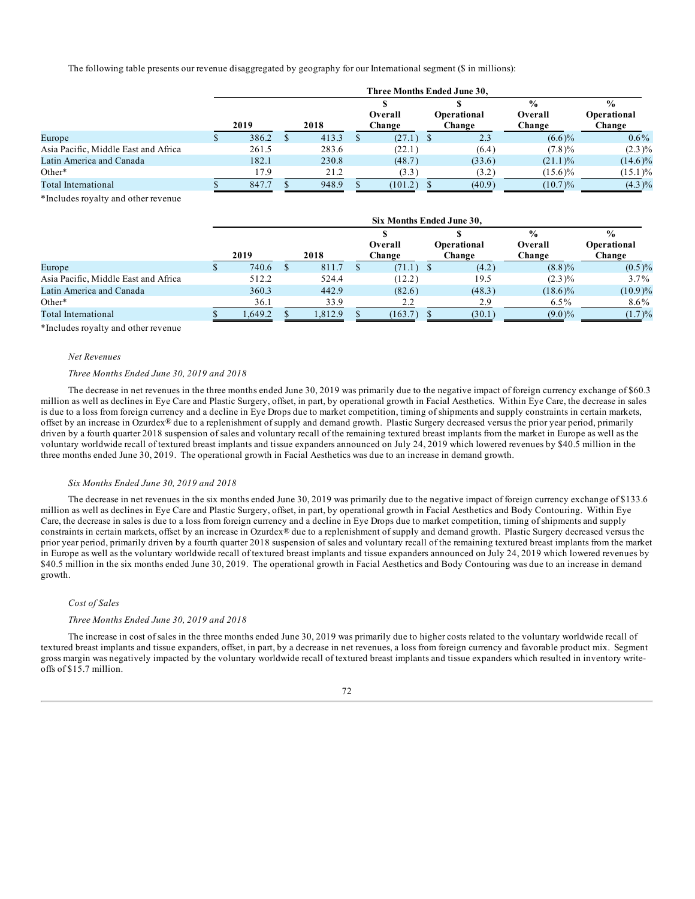The following table presents our revenue disaggregated by geography for our International segment (\$ in millions):

|                                      | Three Months Ended June 30. |  |       |  |                   |  |                       |                                    |                                        |  |  |  |  |
|--------------------------------------|-----------------------------|--|-------|--|-------------------|--|-----------------------|------------------------------------|----------------------------------------|--|--|--|--|
|                                      | 2019                        |  | 2018  |  | Overall<br>Change |  | Operational<br>Change | $\frac{0}{0}$<br>Overall<br>Change | $\frac{0}{0}$<br>Operational<br>Change |  |  |  |  |
| Europe                               | 386.2                       |  | 413.3 |  | (27.1)            |  | 2.3                   | $(6.6)\%$                          | $0.6\%$                                |  |  |  |  |
| Asia Pacific, Middle East and Africa | 261.5                       |  | 283.6 |  | (22.1)            |  | (6.4)                 | $(7.8)\%$                          | $(2.3)\%$                              |  |  |  |  |
| Latin America and Canada             | 182.1                       |  | 230.8 |  | (48.7)            |  | (33.6)                | $(21.1)\%$                         | $(14.6)\%$                             |  |  |  |  |
| $Other*$                             | 17.9                        |  | 21.2  |  | (3.3)             |  | (3.2)                 | $(15.6)\%$                         | $(15.1)\%$                             |  |  |  |  |
| Total International                  | 847.7                       |  | 948.9 |  | (101.2)           |  | (40.9)                | $(10.7)\%$                         | $(4.3)\%$                              |  |  |  |  |

\*Includes royalty and other revenue

|                                      | Six Months Ended June 30. |  |         |  |                   |  |                       |                                    |                                        |  |  |  |  |
|--------------------------------------|---------------------------|--|---------|--|-------------------|--|-----------------------|------------------------------------|----------------------------------------|--|--|--|--|
|                                      | 2019                      |  | 2018    |  | Overall<br>Change |  | Operational<br>Change | $\frac{0}{0}$<br>Overall<br>Change | $\frac{6}{9}$<br>Operational<br>Change |  |  |  |  |
| Europe                               | 740.6                     |  | 811.7   |  | (71.1)            |  | (4.2)                 | $(8.8)\%$                          | $(0.5)\%$                              |  |  |  |  |
| Asia Pacific, Middle East and Africa | 512.2                     |  | 524.4   |  | (12.2)            |  | 19.5                  | $(2.3)\%$                          | $3.7\%$                                |  |  |  |  |
| Latin America and Canada             | 360.3                     |  | 442.9   |  | (82.6)            |  | (48.3)                | $(18.6)\%$                         | $(10.9)\%$                             |  |  |  |  |
| Other*                               | 36.1                      |  | 33.9    |  | 2.2               |  | 2.9                   | $6.5\%$                            | $8.6\%$                                |  |  |  |  |
| Total International                  | 1.649.2                   |  | 1.812.9 |  | (163.7)           |  | (30.1)                | $(9.0)\%$                          | (1.7)%                                 |  |  |  |  |

\*Includes royalty and other revenue

## *Net Revenues*

# *Three Months Ended June 30, 2019 and 2018*

The decrease in net revenues in the three months ended June 30, 2019 was primarily due to the negative impact of foreign currency exchange of \$60.3 million as well as declines in Eye Care and Plastic Surgery, offset, in part, by operational growth in Facial Aesthetics. Within Eye Care, the decrease in sales is due to a loss from foreign currency and a decline in Eye Drops due to market competition, timing of shipments and supply constraints in certain markets, offset by an increase in Ozurdex® due to a replenishment of supply and demand growth. Plastic Surgery decreased versus the prior year period, primarily driven by a fourth quarter 2018 suspension of sales and voluntary recall of the remaining textured breast implants from the market in Europe as well as the voluntary worldwide recall of textured breast implants and tissue expanders announced on July 24, 2019 which lowered revenues by \$40.5 million in the three months ended June 30, 2019. The operational growth in Facial Aesthetics was due to an increase in demand growth.

#### *Six Months Ended June 30, 2019 and 2018*

The decrease in net revenues in the six months ended June 30, 2019 was primarily due to the negative impact of foreign currency exchange of \$133.6 million as well as declines in Eye Care and Plastic Surgery, offset, in part, by operational growth in Facial Aesthetics and Body Contouring. Within Eye Care, the decrease in sales is due to a loss from foreign currency and a decline in Eye Drops due to market competition, timing of shipments and supply constraints in certain markets, offset by an increase in Ozurdex® due to a replenishment of supply and demand growth. Plastic Surgery decreased versus the prior year period, primarily driven by a fourth quarter 2018 suspension of sales and voluntary recall of the remaining textured breast implants from the market in Europe as well as the voluntary worldwide recall of textured breast implants and tissue expanders announced on July 24, 2019 which lowered revenues by \$40.5 million in the six months ended June 30, 2019. The operational growth in Facial Aesthetics and Body Contouring was due to an increase in demand growth.

## *Cost of Sales*

### *Three Months Ended June 30, 2019 and 2018*

The increase in cost of sales in the three months ended June 30, 2019 was primarily due to higher costs related to the voluntary worldwide recall of textured breast implants and tissue expanders, offset, in part, by a decrease in net revenues, a loss from foreign currency and favorable product mix. Segment gross margin was negatively impacted by the voluntary worldwide recall of textured breast implants and tissue expanders which resulted in inventory writeoffs of \$15.7 million.

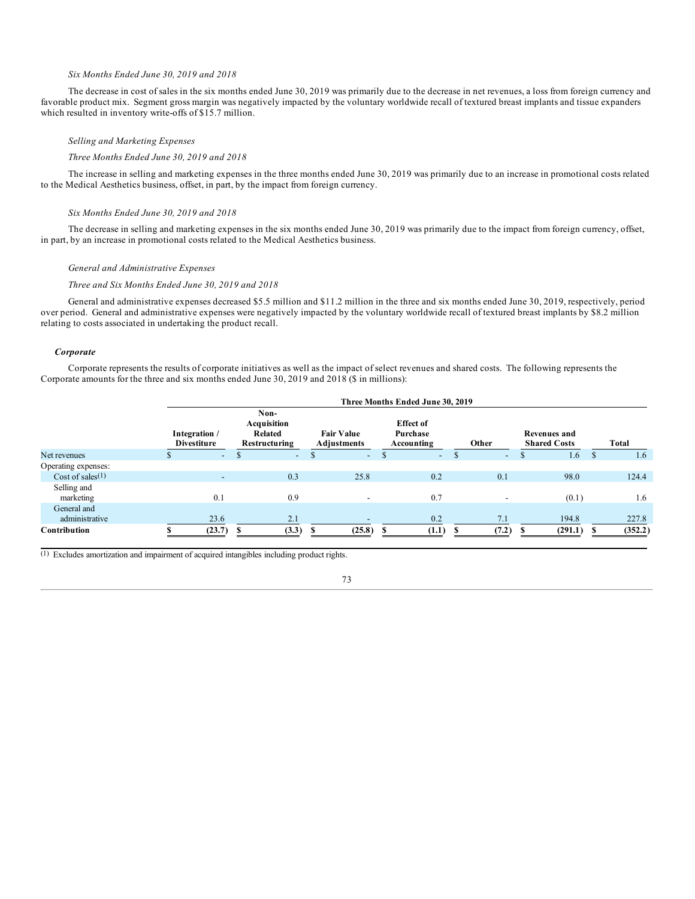#### *Six Months Ended June 30, 2019 and 2018*

The decrease in cost of sales in the six months ended June 30, 2019 was primarily due to the decrease in net revenues, a loss from foreign currency and favorable product mix. Segment gross margin was negatively impacted by the voluntary worldwide recall of textured breast implants and tissue expanders which resulted in inventory write-offs of \$15.7 million.

## *Selling and Marketing Expenses*

# *Three Months Ended June 30, 2019 and 2018*

The increase in selling and marketing expenses in the three months ended June 30, 2019 was primarily due to an increase in promotional costs related to the Medical Aesthetics business, offset, in part, by the impact from foreign currency.

# *Six Months Ended June 30, 2019 and 2018*

The decrease in selling and marketing expenses in the six months ended June 30, 2019 was primarily due to the impact from foreign currency, offset, in part, by an increase in promotional costs related to the Medical Aesthetics business.

#### *General and Administrative Expenses*

## *Three and Six Months Ended June 30, 2019 and 2018*

General and administrative expenses decreased \$5.5 million and \$11.2 million in the three and six months ended June 30, 2019, respectively, period over period. General and administrative expenses were negatively impacted by the voluntary worldwide recall of textured breast implants by \$8.2 million relating to costs associated in undertaking the product recall.

#### *Corporate*

Corporate represents the results of corporate initiatives as well as the impact of select revenues and shared costs. The following represents the Corporate amounts for the three and six months ended June 30, 2019 and 2018 (\$ in millions):

|                          |                                     |                                                 |                          |                                  | Three Months Ended June 30, 2019           |   |        |                                            |    |         |
|--------------------------|-------------------------------------|-------------------------------------------------|--------------------------|----------------------------------|--------------------------------------------|---|--------|--------------------------------------------|----|---------|
|                          | Integration /<br><b>Divestiture</b> | Non-<br>Acquisition<br>Related<br>Restructuring |                          | <b>Fair Value</b><br>Adjustments | <b>Effect</b> of<br>Purchase<br>Accounting |   | Other  | <b>Revenues and</b><br><b>Shared Costs</b> |    | Total   |
| Net revenues             | $\sim$                              | S                                               | $\overline{\phantom{a}}$ | $\sim$                           | S.<br>$\overline{\phantom{0}}$             | S | $\sim$ | 1.6<br>S                                   | -S | 1.6     |
| Operating expenses:      |                                     |                                                 |                          |                                  |                                            |   |        |                                            |    |         |
| Cost of sales $(1)$      | $\overline{\phantom{0}}$            |                                                 | 0.3                      | 25.8                             | 0.2                                        |   | 0.1    | 98.0                                       |    | 124.4   |
| Selling and<br>marketing | 0.1                                 |                                                 | 0.9                      | $\overline{\phantom{a}}$         | 0.7                                        |   |        | (0.1)                                      |    | 1.6     |
| General and              |                                     |                                                 |                          |                                  |                                            |   |        |                                            |    |         |
| administrative           | 23.6                                |                                                 | 2.1                      | $\overline{\phantom{a}}$         | 0.2                                        |   | 7.1    | 194.8                                      |    | 227.8   |
| Contribution             | (23.7)                              |                                                 | (3.3)                    | (25.8)                           | (1.1)                                      |   | (7.2)  | (291.1)                                    |    | (352.2) |

(1) Excludes amortization and impairment of acquired intangibles including product rights.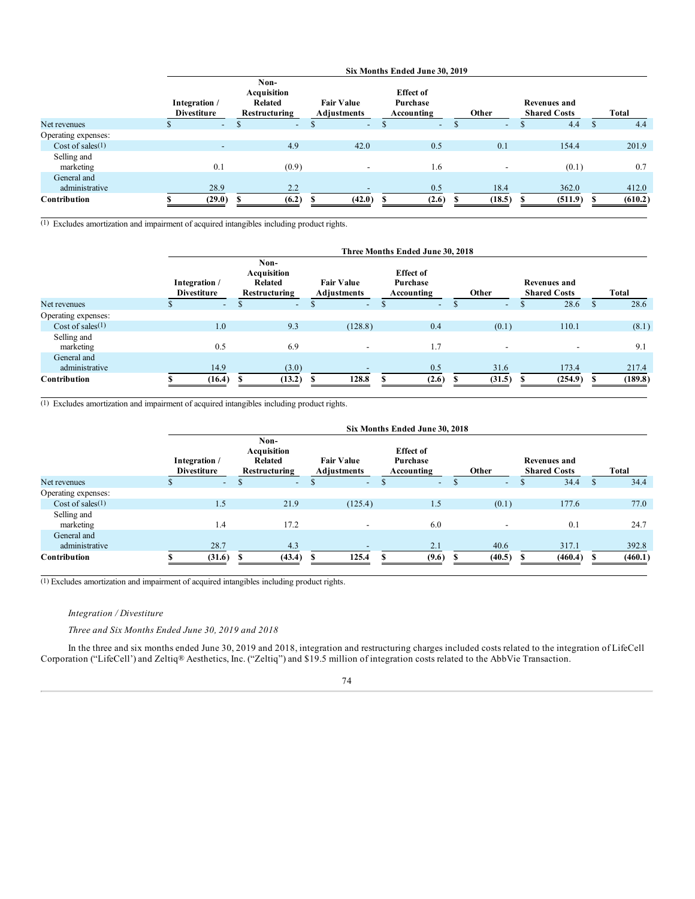|                               |                                     |                                                        |                                  |          | Six Months Ended June 30, 2019             |                          |                                     |         |
|-------------------------------|-------------------------------------|--------------------------------------------------------|----------------------------------|----------|--------------------------------------------|--------------------------|-------------------------------------|---------|
|                               | Integration /<br><b>Divestiture</b> | Non-<br>Acquisition<br><b>Related</b><br>Restructuring | <b>Fair Value</b><br>Adjustments |          | <b>Effect of</b><br>Purchase<br>Accounting | Other                    | Revenues and<br><b>Shared Costs</b> | Total   |
| Net revenues                  | $\overline{\phantom{a}}$            | $\overline{\phantom{a}}$                               | $\sim$                           | <b>S</b> | $\overline{\phantom{0}}$                   | $\overline{\phantom{a}}$ | 4.4                                 | 4.4     |
| Operating expenses:           |                                     |                                                        |                                  |          |                                            |                          |                                     |         |
| Cost of sales $(1)$           | $\overline{\phantom{a}}$            | 4.9                                                    | 42.0                             |          | 0.5                                        | 0.1                      | 154.4                               | 201.9   |
| Selling and<br>marketing      | 0.1                                 | (0.9)                                                  | $\overline{\phantom{a}}$         |          | 1.6                                        |                          | (0.1)                               | 0.7     |
| General and<br>administrative | 28.9                                | 2.2                                                    | $\overline{\phantom{0}}$         |          | 0.5                                        | 18.4                     | 362.0                               | 412.0   |
| Contribution                  | (29.0)                              | (6.2)                                                  | (42.0)                           |          | (2.6)                                      | (18.5)                   | (511.9)                             | (610.2) |

(1) Excludes amortization and impairment of acquired intangibles including product rights.

|                               |                                     |                                                        |                          |                                  | Three Months Ended June 30, 2018           |                          |                                     |              |
|-------------------------------|-------------------------------------|--------------------------------------------------------|--------------------------|----------------------------------|--------------------------------------------|--------------------------|-------------------------------------|--------------|
|                               | Integration /<br><b>Divestiture</b> | Non-<br>Acquisition<br><b>Related</b><br>Restructuring |                          | <b>Fair Value</b><br>Adjustments | <b>Effect of</b><br>Purchase<br>Accounting | Other                    | Revenues and<br><b>Shared Costs</b> | <b>Total</b> |
| Net revenues                  | $\overline{\phantom{a}}$            | S.                                                     | $\overline{\phantom{a}}$ | $\overline{\phantom{a}}$<br>۰D   | $\overline{\phantom{0}}$                   | $\overline{\phantom{0}}$ | 28.6                                | 28.6         |
| Operating expenses:           |                                     |                                                        |                          |                                  |                                            |                          |                                     |              |
| Cost of sales(1)              | 1.0                                 |                                                        | 9.3                      | (128.8)                          | 0.4                                        | (0.1)                    | 110.1                               | (8.1)        |
| Selling and<br>marketing      | 0.5                                 |                                                        | 6.9                      |                                  | 1.7                                        | $\overline{\phantom{0}}$ |                                     | 9.1          |
| General and<br>administrative | 14.9                                |                                                        | (3.0)                    | $\overline{\phantom{a}}$         | 0.5                                        | 31.6                     | 173.4                               | 217.4        |
| <b>Contribution</b>           | (16.4)                              |                                                        | (13.2)                   | 128.8                            | (2.6)                                      | (31.5)                   | (254.9)                             | (189.8)      |

(1) Excludes amortization and impairment of acquired intangibles including product rights.

|                               |                                     |                                                        |                                  | Six Months Ended June 30, 2018             |                          |                                     |                  |
|-------------------------------|-------------------------------------|--------------------------------------------------------|----------------------------------|--------------------------------------------|--------------------------|-------------------------------------|------------------|
|                               | Integration /<br><b>Divestiture</b> | Non-<br>Acquisition<br><b>Related</b><br>Restructuring | <b>Fair Value</b><br>Adjustments | <b>Effect of</b><br>Purchase<br>Accounting | Other                    | Revenues and<br><b>Shared Costs</b> | Total            |
| Net revenues                  | $\overline{\phantom{a}}$<br>٠D      | \$<br>$\overline{\phantom{a}}$                         | S<br>$\sim$                      | \$.<br>$\sim$                              | $\overline{\phantom{a}}$ | 34.4<br>\$                          | 34.4<br><b>S</b> |
| Operating expenses:           |                                     |                                                        |                                  |                                            |                          |                                     |                  |
| Cost of sales $(1)$           | 1.5                                 | 21.9                                                   | (125.4)                          | 1.5                                        | (0.1)                    | 177.6                               | 77.0             |
| Selling and<br>marketing      | 1.4                                 | 17.2                                                   |                                  | 6.0                                        |                          | 0.1                                 | 24.7             |
| General and<br>administrative | 28.7                                | 4.3                                                    | $\overline{\phantom{0}}$         | 2.1                                        | 40.6                     | 317.1                               | 392.8            |
| Contribution                  | (31.6)                              | (43.4)                                                 | 125.4                            | (9.6)                                      | (40.5)                   | (460.4)                             | (460.1)          |

(1) Excludes amortization and impairment of acquired intangibles including product rights.

## *Integration / Divestiture*

*Three and Six Months Ended June 30, 2019 and 2018*

In the three and six months ended June 30, 2019 and 2018, integration and restructuring charges included costs related to the integration of LifeCell Corporation ("LifeCell') and Zeltiq® Aesthetics, Inc. ("Zeltiq") and \$19.5 million of integration costs related to the AbbVie Transaction.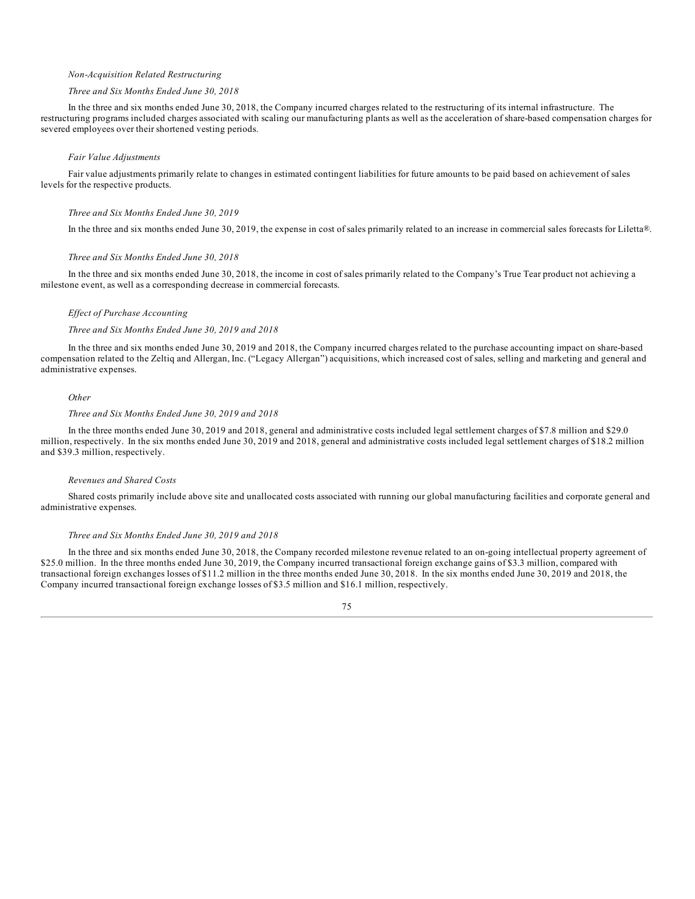## *Non-Acquisition Related Restructuring*

### *Three and Six Months Ended June 30, 2018*

In the three and six months ended June 30, 2018, the Company incurred charges related to the restructuring of its internal infrastructure. The restructuring programs included charges associated with scaling our manufacturing plants as well as the acceleration of share-based compensation charges for severed employees over their shortened vesting periods.

#### *Fair Value Adjustments*

Fair value adjustments primarily relate to changes in estimated contingent liabilities for future amounts to be paid based on achievement of sales levels for the respective products.

## *Three and Six Months Ended June 30, 2019*

In the three and six months ended June 30, 2019, the expense in cost of sales primarily related to an increase in commercial sales forecasts for Liletta®.

## *Three and Six Months Ended June 30, 2018*

In the three and six months ended June 30, 2018, the income in cost of sales primarily related to the Company's True Tear product not achieving a milestone event, as well as a corresponding decrease in commercial forecasts.

### *Ef ect of Purchase Accounting*

## *Three and Six Months Ended June 30, 2019 and 2018*

In the three and six months ended June 30, 2019 and 2018, the Company incurred charges related to the purchase accounting impact on share-based compensation related to the Zeltiq and Allergan, Inc. ("Legacy Allergan") acquisitions, which increased cost of sales, selling and marketing and general and administrative expenses.

## *Other*

## *Three and Six Months Ended June 30, 2019 and 2018*

In the three months ended June 30, 2019 and 2018, general and administrative costs included legal settlement charges of \$7.8 million and \$29.0 million, respectively. In the six months ended June 30, 2019 and 2018, general and administrative costs included legal settlement charges of \$18.2 million and \$39.3 million, respectively.

#### *Revenues and Shared Costs*

Shared costs primarily include above site and unallocated costs associated with running our global manufacturing facilities and corporate general and administrative expenses.

#### *Three and Six Months Ended June 30, 2019 and 2018*

In the three and six months ended June 30, 2018, the Company recorded milestone revenue related to an on-going intellectual property agreement of \$25.0 million. In the three months ended June 30, 2019, the Company incurred transactional foreign exchange gains of \$3.3 million, compared with transactional foreign exchanges losses of \$11.2 million in the three months ended June 30, 2018. In the six months ended June 30, 2019 and 2018, the Company incurred transactional foreign exchange losses of \$3.5 million and \$16.1 million, respectively.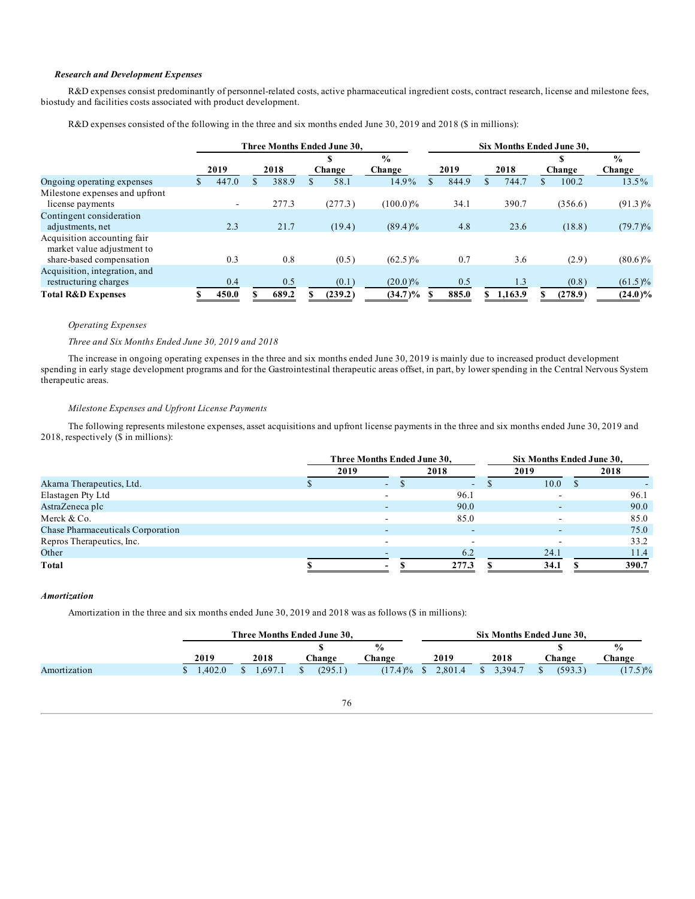## *Research and Development Expenses*

R&D expenses consist predominantly of personnel-related costs, active pharmaceutical ingredient costs, contract research, license and milestone fees, biostudy and facilities costs associated with product development.

R&D expenses consisted of the following in the three and six months ended June 30, 2019 and 2018 (\$ in millions):

|                                                                                       |       |       | Three Months Ended June 30. |                         |       | Six Months Ended June 30. |         |                         |
|---------------------------------------------------------------------------------------|-------|-------|-----------------------------|-------------------------|-------|---------------------------|---------|-------------------------|
|                                                                                       | 2019  | 2018  | Change                      | $\frac{0}{0}$<br>Change | 2019  | 2018                      | Change  | $\frac{0}{0}$<br>Change |
| Ongoing operating expenses                                                            | 447.0 | 388.9 | 58.1                        | 14.9%                   | 844.9 | 744.7                     | 100.2   | 13.5%                   |
| Milestone expenses and upfront<br>license payments                                    |       | 277.3 | (277.3)                     | $(100.0)\%$             | 34.1  | 390.7                     | (356.6) | $(91.3)\%$              |
| Contingent consideration<br>adjustments, net                                          | 2.3   | 21.7  | (19.4)                      | $(89.4)\%$              | 4.8   | 23.6                      | (18.8)  | $(79.7)\%$              |
| Acquisition accounting fair<br>market value adjustment to<br>share-based compensation | 0.3   | 0.8   | (0.5)                       | $(62.5)\%$              | 0.7   | 3.6                       | (2.9)   | $(80.6)\%$              |
| Acquisition, integration, and<br>restructuring charges                                | 0.4   | 0.5   | (0.1)                       | $(20.0)\%$              | 0.5   | 1.3                       | (0.8)   | $(61.5)\%$              |
| <b>Total R&amp;D Expenses</b>                                                         | 450.0 | 689.2 | (239.2)                     | $(34.7)\%$              | 885.0 | 1,163.9                   | (278.9) | $(24.0)\%$              |

## *Operating Expenses*

*Three and Six Months Ended June 30, 2019 and 2018*

The increase in ongoing operating expenses in the three and six months ended June 30, 2019 is mainly due to increased product development spending in early stage development programs and for the Gastrointestinal therapeutic areas offset, in part, by lower spending in the Central Nervous System therapeutic areas.

# *Milestone Expenses and Upfront License Payments*

The following represents milestone expenses, asset acquisitions and upfront license payments in the three and six months ended June 30, 2019 and 2018, respectively (\$ in millions):

|                                   |      | Three Months Ended June 30, |        | Six Months Ended June 30, |       |
|-----------------------------------|------|-----------------------------|--------|---------------------------|-------|
|                                   | 2019 |                             | 2018   | 2019                      | 2018  |
| Akarna Therapeutics, Ltd.         |      | $\sim$                      | $\sim$ | 10.0                      |       |
| Elastagen Pty Ltd                 |      |                             | 96.1   |                           | 96.1  |
| AstraZeneca plc                   |      |                             | 90.0   |                           | 90.0  |
| Merck & Co.                       |      |                             | 85.0   |                           | 85.0  |
| Chase Pharmaceuticals Corporation |      |                             |        |                           | 75.0  |
| Repros Therapeutics, Inc.         |      |                             |        |                           | 33.2  |
| Other                             |      |                             | 6.2    | 24.1                      | 11.4  |
| Total                             |      | -                           | 277.3  | 34.1                      | 390.7 |

## *Amortization*

Amortization in the three and six months ended June 30, 2019 and 2018 was as follows (\$ in millions):

|              |         |        | Three Months Ended June 30, |                                |         | Six Months Ended June 30, |               |                         |
|--------------|---------|--------|-----------------------------|--------------------------------|---------|---------------------------|---------------|-------------------------|
|              | 2019    | 2018   | Change                      | $\frac{0}{0}$<br><b>Change</b> | 2019    | 2018                      | <b>Change</b> | $\frac{6}{9}$<br>Change |
| Amortization | 1.402.0 | .697.1 | (295.1)                     | $(17.4)\%$ \$                  | 2.801.4 | 3.394.7                   | (593.3)       | $(17.5)\%$              |
|              |         |        |                             |                                |         |                           |               |                         |

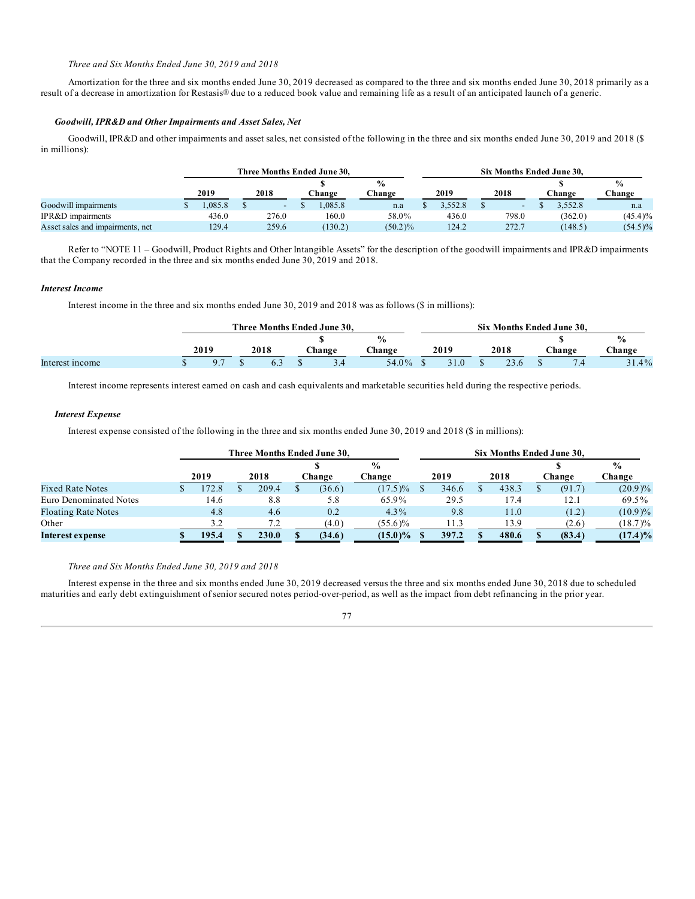# *Three and Six Months Ended June 30, 2019 and 2018*

Amortization for the three and six months ended June 30, 2019 decreased as compared to the three and six months ended June 30, 2018 primarily as a result of a decrease in amortization for Restasis® due to a reduced book value and remaining life as a result of an anticipated launch of a generic.

## *Goodwill, IPR&D and Other Impairments and Asset Sales, Net*

Goodwill, IPR&D and other impairments and asset sales, net consisted of the following in the three and six months ended June 30, 2019 and 2018 (\$ in millions):

|                                  |        |       | Three Months Ended June 30. |               |         | Six Months Ended June 30. |               |               |
|----------------------------------|--------|-------|-----------------------------|---------------|---------|---------------------------|---------------|---------------|
|                                  |        |       |                             | $\frac{0}{0}$ |         |                           |               | $\frac{0}{0}$ |
|                                  | 2019   | 2018  | Change                      | $\cap$ hange  | 2019    | 2018                      | <b>Change</b> | Change        |
| Goodwill impairments             | .085.8 |       | .085.8                      | n.a           | 3.552.8 | $\overline{\phantom{0}}$  | 3.552.8       | n.a           |
| IPR&D impairments                | 436.0  | 276.0 | 160.0                       | 58.0%         | 436.0   | 798.0                     | (362.0)       | $(45.4)\%$    |
| Asset sales and impairments, net | 129.4  | 259.6 | (130.2)                     | $(50.2)\%$    | 124.2   | 272.7                     | (148.5)       | $(54.5)\%$    |

Refer to "NOTE 11 – Goodwill, Product Rights and Other Intangible Assets" for the description of the goodwill impairments and IPR&D impairments that the Company recorded in the three and six months ended June 30, 2019 and 2018.

## *Interest Income*

Interest income in the three and six months ended June 30, 2019 and 2018 was as follows (\$ in millions):

|                 |      |  |      | Three Months Ended June 30. |               |      | Six Months Ended June 30. |               |               |
|-----------------|------|--|------|-----------------------------|---------------|------|---------------------------|---------------|---------------|
|                 |      |  |      |                             | $\frac{6}{9}$ |      |                           |               | $\frac{6}{6}$ |
|                 | 2019 |  | 2018 | Change                      | $\cap$ hange  | 2019 | 2018                      | <b>Change</b> | <b>Change</b> |
| Interest income |      |  |      | 3.4                         | 54.0%         |      | 23.6                      | 4. ا          | 31.4%         |

Interest income represents interest earned on cash and cash equivalents and marketable securities held during the respective periods.

## *Interest Expense*

Interest expense consisted of the following in the three and six months ended June 30, 2019 and 2018 (\$ in millions):

|                            |       |       | Three Months Ended June 30. |               |       | Six Months Ended June 30. |        |               |
|----------------------------|-------|-------|-----------------------------|---------------|-------|---------------------------|--------|---------------|
|                            |       |       |                             | $\frac{0}{0}$ |       |                           |        | $\frac{0}{0}$ |
|                            | 2019  | 2018  | Change                      | Change        | 2019  | 2018                      | Change | Change        |
| <b>Fixed Rate Notes</b>    | 72.8  | 209.4 | (36.6)                      | $(17.5)\%$    | 346.6 | 438.3                     | (91.7) | (20.9)%       |
| Euro Denominated Notes     | 14.6  | 8.8   | 5.8                         | 65.9%         | 29.5  | .7.4                      | 12.1   | 69.5%         |
| <b>Floating Rate Notes</b> | 4.8   | 4.6   | 0.2                         | $4.3\%$       | 9.8   | $\pm 1.0$                 | (1.2)  | (10.9)%       |
| Other                      | 3.2   | 7.2   | (4.0)                       | $(55.6)\%$    | 11.3  | 13.9                      | (2.6)  | $(18.7)\%$    |
| Interest expense           | 195.4 | 230.0 | (34.6)                      | $(15.0)\%$    | 397.2 | 480.6                     | (83.4) | $(17.4)\%$    |

# *Three and Six Months Ended June 30, 2019 and 2018*

Interest expense in the three and six months ended June 30, 2019 decreased versus the three and six months ended June 30, 2018 due to scheduled maturities and early debt extinguishment of senior secured notes period-over-period, as well as the impact from debt refinancing in the prior year.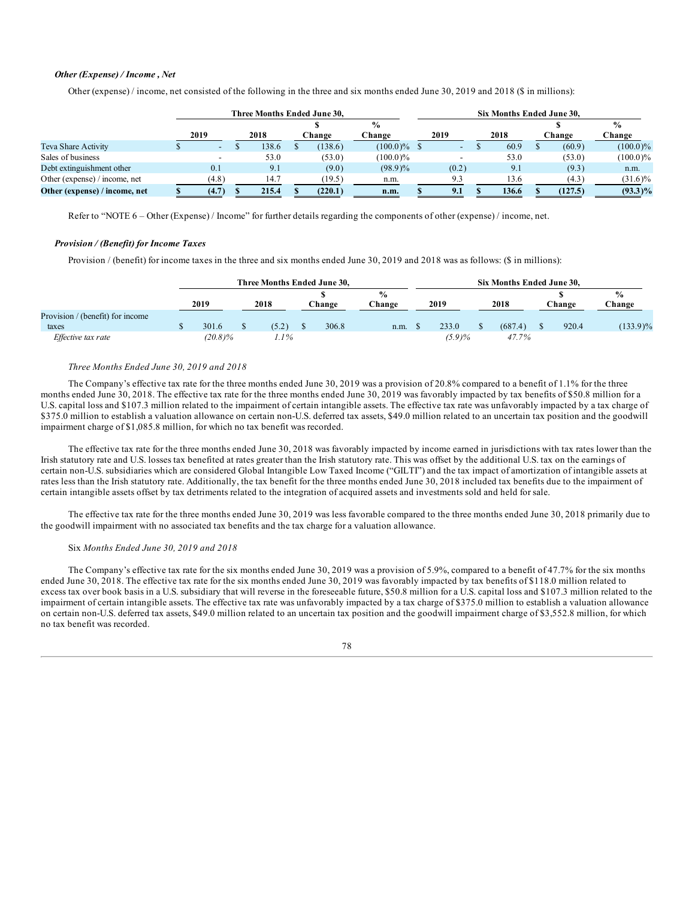## *Other (Expense) / Income , Net*

Other (expense) / income, net consisted of the following in the three and six months ended June 30, 2019 and 2018 (\$ in millions):

|                               |       | Three Months Ended June 30. |  |         |                |                          | Six Months Ended June 30. |         |               |
|-------------------------------|-------|-----------------------------|--|---------|----------------|--------------------------|---------------------------|---------|---------------|
|                               |       |                             |  |         | $\frac{0}{0}$  |                          |                           |         | $\frac{6}{9}$ |
|                               | 2019  | 2018                        |  | hange"  | Change         | 2019                     | 2018                      | Change  | Change        |
| Teva Share Activity           |       | 138.6                       |  | (138.6) | $(100.0)\%$ \$ | $\overline{\phantom{a}}$ | 60.9                      | (60.9)  | $(100.0)\%$   |
| Sales of business             |       | 53.0                        |  | (53.0)  | $(100.0)\%$    |                          | 53.0                      | (53.0)  | $(100.0)\%$   |
| Debt extinguishment other     | 0.1   | 9.1                         |  | (9.0)   | $(98.9)\%$     | (0.2)                    | 9.1                       | (9.3)   | n.m.          |
| Other (expense) / income, net | (4.8) | 14.7                        |  | (19.5)  | n.m.           | 9.3                      | 13.6                      | (4.3)   | $(31.6)\%$    |
| Other (expense) / income, net | (4.7) | 215.4                       |  | (220.1) | n.m.           | 9.1                      | 136.6                     | (127.5) | $(93.3)\%$    |

Refer to "NOTE 6 – Other (Expense) / Income" for further details regarding the components of other (expense) / income, net.

## *Provision / (Benefit) for Income Taxes*

Provision / (benefit) for income taxes in the three and six months ended June 30, 2019 and 2018 was as follows: (\$ in millions):

|                                  |            | Three Months Ended June 30. |        |                                |           | Six Months Ended June 30. |        |                         |
|----------------------------------|------------|-----------------------------|--------|--------------------------------|-----------|---------------------------|--------|-------------------------|
|                                  | 2019       | 2018                        | Change | $\frac{0}{0}$<br><b>Change</b> | 2019      | 2018                      | Change | $\frac{0}{0}$<br>Change |
| Provision / (benefit) for income |            |                             |        |                                |           |                           |        |                         |
| taxes                            | 301.6      | (5.2)                       | 306.8  | n.m.                           | 233.0     | (687.4)                   | 920.4  | $(133.9)\%$             |
| Effective tax rate               | $(20.8)\%$ | 1.1%                        |        |                                | $(5.9)\%$ | 47.7%                     |        |                         |

# *Three Months Ended June 30, 2019 and 2018*

The Company's effective tax rate for the three months ended June 30, 2019 was a provision of 20.8% compared to a benefit of 1.1% for the three months ended June 30, 2018. The effective tax rate for the three months ended June 30, 2019 was favorably impacted by tax benefits of \$50.8 million for a U.S. capital loss and \$107.3 million related to the impairment of certain intangible assets. The effective tax rate was unfavorably impacted by a tax charge of \$375.0 million to establish a valuation allowance on certain non-U.S. deferred tax assets, \$49.0 million related to an uncertain tax position and the goodwill impairment charge of \$1,085.8 million, for which no tax benefit was recorded.

The effective tax rate for the three months ended June 30, 2018 was favorably impacted by income earned in jurisdictions with tax rates lower than the Irish statutory rate and U.S. losses tax benefited at rates greater than the Irish statutory rate. This was offset by the additional U.S. tax on the earnings of certain non-U.S. subsidiaries which are considered Global Intangible Low Taxed Income ("GILTI") and the tax impact of amortization of intangible assets at rates less than the Irish statutory rate. Additionally, the tax benefit for the three months ended June 30, 2018 included tax benefits due to the impairment of certain intangible assets offset by tax detriments related to the integration of acquired assets and investments sold and held for sale.

The effective tax rate for the three months ended June 30, 2019 was less favorable compared to the three months ended June 30, 2018 primarily due to the goodwill impairment with no associated tax benefits and the tax charge for a valuation allowance.

## Six *Months Ended June 30, 2019 and 2018*

The Company's effective tax rate for the six months ended June 30, 2019 was a provision of 5.9%, compared to a benefit of 47.7% for the six months ended June 30, 2018. The effective tax rate for the six months ended June 30, 2019 was favorably impacted by tax benefits of \$118.0 million related to excess tax over book basis in a U.S. subsidiary that will reverse in the foreseeable future, \$50.8 million for a U.S. capital loss and \$107.3 million related to the impairment of certain intangible assets. The effective tax rate was unfavorably impacted by a tax charge of \$375.0 million to establish a valuation allowance on certain non-U.S. deferred tax assets, \$49.0 million related to an uncertain tax position and the goodwill impairment charge of \$3,552.8 million, for which no tax benefit was recorded.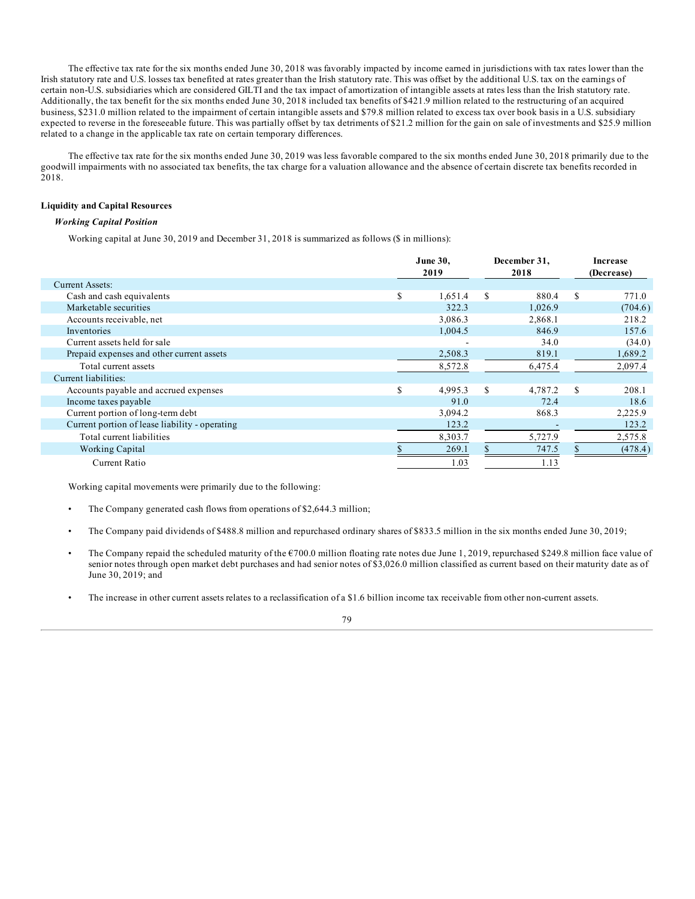The effective tax rate for the six months ended June 30, 2018 was favorably impacted by income earned in jurisdictions with tax rates lower than the Irish statutory rate and U.S. losses tax benefited at rates greater than the Irish statutory rate. This was offset by the additional U.S. tax on the earnings of certain non-U.S. subsidiaries which are considered GILTI and the tax impact of amortization of intangible assets at rates less than the Irish statutory rate. Additionally, the tax benefit for the six months ended June 30, 2018 included tax benefits of \$421.9 million related to the restructuring of an acquired business, \$231.0 million related to the impairment of certain intangible assets and \$79.8 million related to excess tax over book basis in a U.S. subsidiary expected to reverse in the foreseeable future. This was partially offset by tax detriments of \$21.2 million for the gain on sale of investments and \$25.9 million related to a change in the applicable tax rate on certain temporary differences.

The effective tax rate for the six months ended June 30, 2019 was less favorable compared to the six months ended June 30, 2018 primarily due to the goodwill impairments with no associated tax benefits, the tax charge for a valuation allowance and the absence of certain discrete tax benefits recorded in 2018.

# **Liquidity and Capital Resources**

# *Working Capital Position*

Working capital at June 30, 2019 and December 31, 2018 is summarized as follows (\$ in millions):

|                                                |   | <b>June 30,</b><br>2019 |     | December 31,<br>2018 | Increase<br>(Decrease) |         |
|------------------------------------------------|---|-------------------------|-----|----------------------|------------------------|---------|
| Current Assets:                                |   |                         |     |                      |                        |         |
| Cash and cash equivalents                      | S | 1,651.4                 | \$  | 880.4                | -S                     | 771.0   |
| Marketable securities                          |   | 322.3                   |     | 1,026.9              |                        | (704.6) |
| Accounts receivable, net                       |   | 3,086.3                 |     | 2,868.1              |                        | 218.2   |
| Inventories                                    |   | 1,004.5                 |     | 846.9                |                        | 157.6   |
| Current assets held for sale                   |   |                         |     | 34.0                 |                        | (34.0)  |
| Prepaid expenses and other current assets      |   | 2,508.3                 |     | 819.1                |                        | 1,689.2 |
| Total current assets                           |   | 8,572.8                 |     | 6.475.4              |                        | 2,097.4 |
| Current liabilities:                           |   |                         |     |                      |                        |         |
| Accounts payable and accrued expenses          | S | 4,995.3                 | \$. | 4,787.2              | <b>S</b>               | 208.1   |
| Income taxes payable                           |   | 91.0                    |     | 72.4                 |                        | 18.6    |
| Current portion of long-term debt              |   | 3,094.2                 |     | 868.3                |                        | 2,225.9 |
| Current portion of lease liability - operating |   | 123.2                   |     |                      |                        | 123.2   |
| Total current liabilities                      |   | 8,303.7                 |     | 5,727.9              |                        | 2,575.8 |
| <b>Working Capital</b>                         |   | 269.1                   |     | 747.5                |                        | (478.4) |
| Current Ratio                                  |   | 1.03                    |     | 1.13                 |                        |         |

Working capital movements were primarily due to the following:

- The Company generated cash flows from operations of \$2,644.3 million;
- The Company paid dividends of \$488.8 million and repurchased ordinary shares of \$833.5 million in the six months ended June 30, 2019;
- The Company repaid the scheduled maturity of the €700.0 million floating rate notes due June 1, 2019, repurchased \$249.8 million face value of senior notes through open market debt purchases and had senior notes of \$3,026.0 million classified as current based on their maturity date as of June 30, 2019; and
- The increase in other current assets relates to a reclassification of a \$1.6 billion income tax receivable from other non-current assets.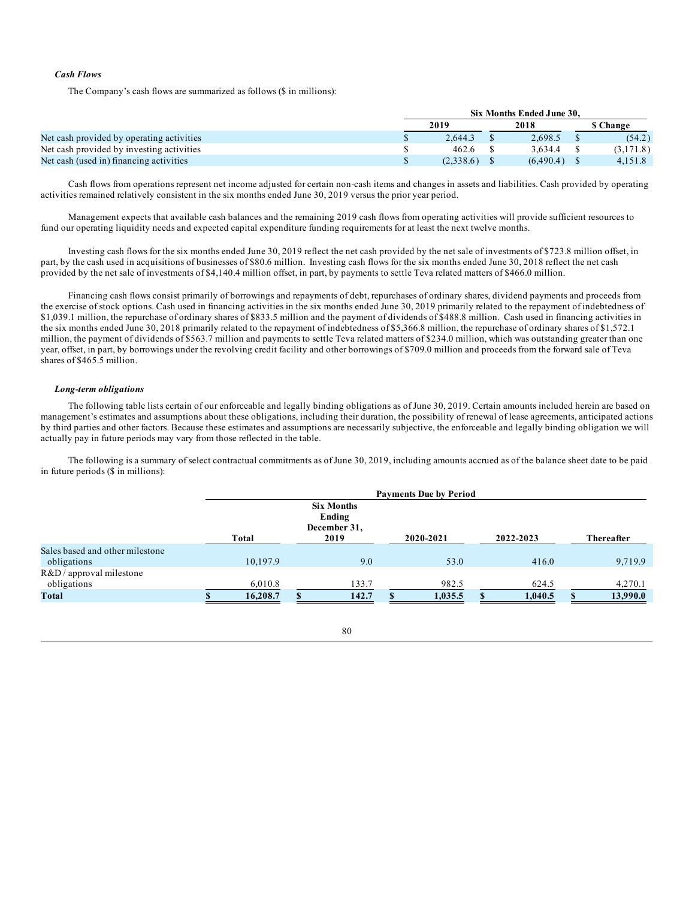## *Cash Flows*

The Company's cash flows are summarized as follows (\$ in millions):

|                                           | Six Months Ended June 30. |  |           |  |                 |  |
|-------------------------------------------|---------------------------|--|-----------|--|-----------------|--|
|                                           | 2019                      |  | 2018      |  | <b>S</b> Change |  |
| Net cash provided by operating activities | 2.644.3                   |  | 2.698.5   |  | (54.2)          |  |
| Net cash provided by investing activities | 462.6                     |  | 3.634.4   |  | (3,171.8)       |  |
| Net cash (used in) financing activities   | (2.338.6)                 |  | (6.490.4) |  | 4.151.8         |  |

Cash flows from operations represent net income adjusted for certain non-cash items and changes in assets and liabilities. Cash provided by operating activities remained relatively consistent in the six months ended June 30, 2019 versus the prior year period.

Management expects that available cash balances and the remaining 2019 cash flows from operating activities will provide sufficient resources to fund our operating liquidity needs and expected capital expenditure funding requirements for at least the next twelve months.

Investing cash flows for the six months ended June 30, 2019 reflect the net cash provided by the net sale of investments of \$723.8 million offset, in part, by the cash used in acquisitions of businesses of \$80.6 million. Investing cash flows for the six months ended June 30, 2018 reflect the net cash provided by the net sale of investments of \$4,140.4 million offset, in part, by payments to settle Teva related matters of \$466.0 million.

Financing cash flows consist primarily of borrowings and repayments of debt, repurchases of ordinary shares, dividend payments and proceeds from the exercise of stock options. Cash used in financing activities in the six months ended June 30, 2019 primarily related to the repayment of indebtedness of \$1,039.1 million, the repurchase of ordinary shares of \$833.5 million and the payment of dividends of \$488.8 million. Cash used in financing activities in the six months ended June 30, 2018 primarily related to the repayment of indebtedness of \$5,366.8 million, the repurchase of ordinary shares of \$1,572.1 million, the payment of dividends of \$563.7 million and payments to settle Teva related matters of \$234.0 million, which was outstanding greater than one year, offset, in part, by borrowings under the revolving credit facility and other borrowings of \$709.0 million and proceeds from the forward sale of Teva shares of \$465.5 million.

## *Long-term obligations*

The following table lists certain of our enforceable and legally binding obligations as of June 30, 2019. Certain amounts included herein are based on management's estimates and assumptions about these obligations, including their duration, the possibility of renewal of lease agreements, anticipated actions by third parties and other factors. Because these estimates and assumptions are necessarily subjective, the enforceable and legally binding obligation we will actually pay in future periods may vary from those reflected in the table.

The following is a summary of select contractual commitments as of June 30, 2019, including amounts accrued as of the balance sheet date to be paid in future periods (\$ in millions):

|                                 | <b>Payments Due by Period</b> |  |                                             |  |           |  |           |                   |
|---------------------------------|-------------------------------|--|---------------------------------------------|--|-----------|--|-----------|-------------------|
|                                 |                               |  | <b>Six Months</b><br>Ending<br>December 31, |  |           |  |           |                   |
|                                 | Total                         |  | 2019                                        |  | 2020-2021 |  | 2022-2023 | <b>Thereafter</b> |
| Sales based and other milestone |                               |  |                                             |  |           |  |           |                   |
| obligations                     | 10,197.9                      |  | 9.0                                         |  | 53.0      |  | 416.0     | 9,719.9           |
| R&D / approval milestone        |                               |  |                                             |  |           |  |           |                   |
| obligations                     | 6,010.8                       |  | 133.7                                       |  | 982.5     |  | 624.5     | 4,270.1           |
| Total                           | 16,208.7                      |  | 142.7                                       |  | 1,035.5   |  | 1,040.5   | 13,990.0          |

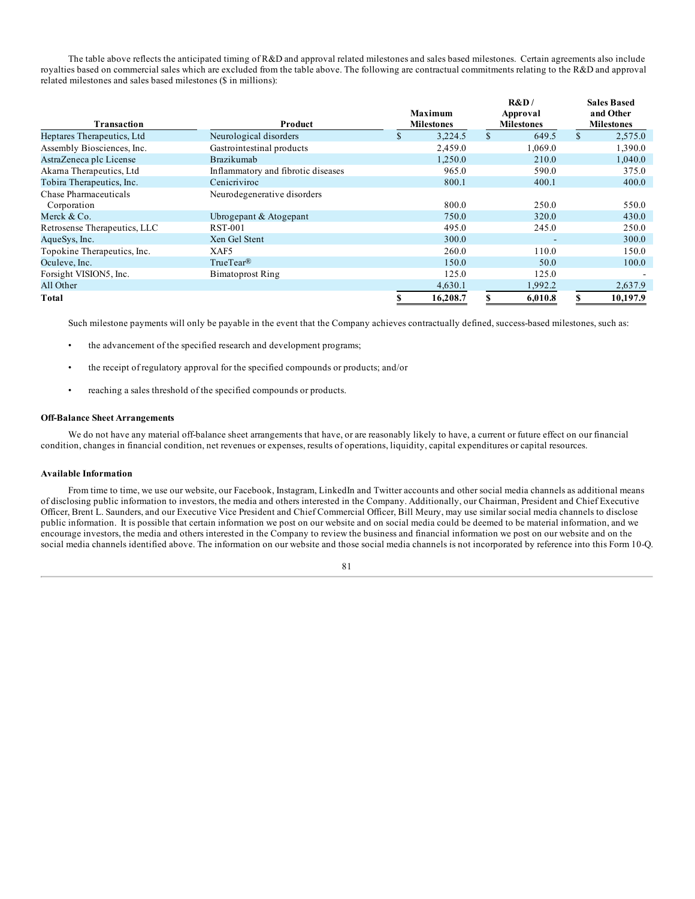The table above reflects the anticipated timing of R&D and approval related milestones and sales based milestones. Certain agreements also include royalties based on commercial sales which are excluded from the table above. The following are contractual commitments relating to the R&D and approval related milestones and sales based milestones (\$ in millions):

| Transaction                          | Product                            |                | <b>Maximum</b><br>Milestones |    | R&D<br>Approval<br><b>Milestones</b> |     | <b>Sales Based</b><br>and Other<br><b>Milestones</b> |
|--------------------------------------|------------------------------------|----------------|------------------------------|----|--------------------------------------|-----|------------------------------------------------------|
| Heptares Therapeutics, Ltd           | Neurological disorders             |                | 3,224.5                      | \$ | 649.5                                | \$. | 2,575.0                                              |
| Assembly Biosciences, Inc.           | Gastrointestinal products          |                | 2,459.0                      |    | 1,069.0                              |     | 1,390.0                                              |
| AstraZeneca plc License              | <b>Brazikumab</b>                  |                | 1,250.0                      |    | 210.0                                |     | 1,040.0                                              |
| Akarna Therapeutics, Ltd             | Inflammatory and fibrotic diseases |                | 965.0                        |    | 590.0                                |     | 375.0                                                |
| Tobira Therapeutics, Inc.            | Cenicriviroc                       | 800.1<br>400.1 |                              |    |                                      |     |                                                      |
| Chase Pharmaceuticals<br>Corporation | Neurodegenerative disorders        |                | 800.0                        |    | 250.0                                |     | 550.0                                                |
| Merck & Co.                          | Ubrogepant & Atogepant             |                | 750.0                        |    | 320.0                                |     | 430.0                                                |
| Retrosense Therapeutics, LLC         | <b>RST-001</b>                     |                | 495.0                        |    | 245.0                                |     | 250.0                                                |
| AqueSys, Inc.                        | Xen Gel Stent                      |                | 300.0                        |    |                                      |     | 300.0                                                |
| Topokine Therapeutics, Inc.          | XAF5                               |                | 260.0                        |    | 110.0                                |     | 150.0                                                |
| Oculeve, Inc.                        | $True$ True Tear <sup>®</sup>      |                | 150.0                        |    | 50.0                                 |     | 100.0                                                |
| Forsight VISION5, Inc.               | <b>Bimatoprost Ring</b>            |                | 125.0                        |    | 125.0                                |     |                                                      |
| All Other                            |                                    |                | 4,630.1                      |    | 1,992.2                              |     | 2,637.9                                              |
| Total                                |                                    |                | 16,208.7                     |    | 6,010.8                              |     | 10,197.9                                             |

Such milestone payments will only be payable in the event that the Company achieves contractually defined, success-based milestones, such as:

- the advancement of the specified research and development programs;
- the receipt of regulatory approval for the specified compounds or products; and/or
- reaching a sales threshold of the specified compounds or products.

### **Off-Balance Sheet Arrangements**

We do not have any material off-balance sheet arrangements that have, or are reasonably likely to have, a current or future effect on our financial condition, changes in financial condition, net revenues or expenses, results of operations, liquidity, capital expenditures or capital resources.

#### **Available Information**

From time to time, we use our website, our Facebook, Instagram, LinkedIn and Twitter accounts and other social media channels as additional means of disclosing public information to investors, the media and others interested in the Company. Additionally, our Chairman, President and Chief Executive Officer, Brent L. Saunders, and our Executive Vice President and Chief Commercial Officer, Bill Meury, may use similar social media channels to disclose public information. It is possible that certain information we post on our website and on social media could be deemed to be material information, and we encourage investors, the media and others interested in the Company to review the business and financial information we post on our website and on the social media channels identified above. The information on our website and those social media channels is not incorporated by reference into this Form 10-Q.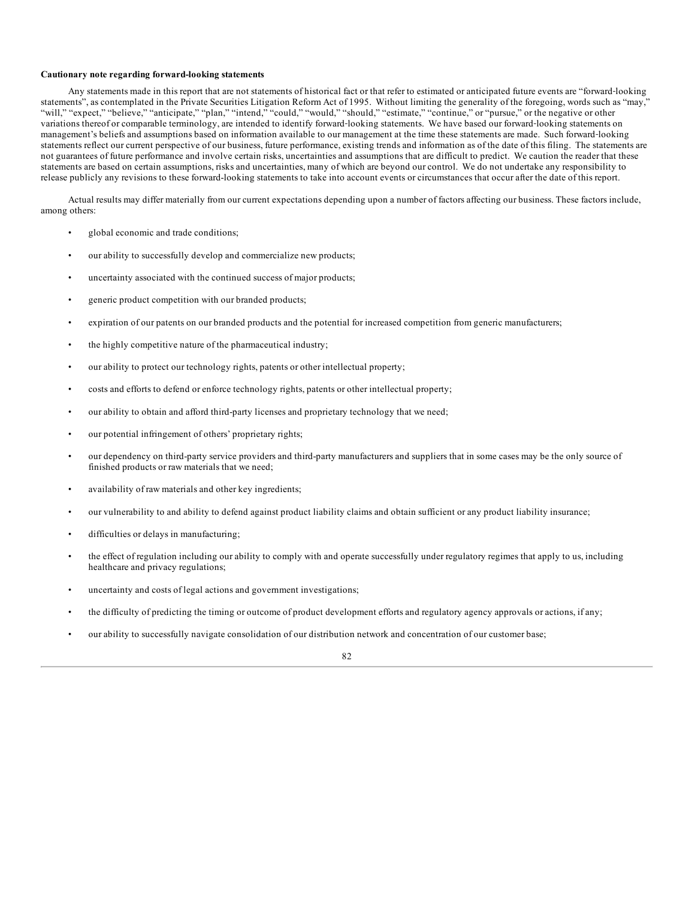#### **Cautionary note regarding forward-looking statements**

Any statements made in this report that are not statements of historical fact or that refer to estimated or anticipated future events are "forward-looking statements", as contemplated in the Private Securities Litigation Reform Act of 1995. Without limiting the generality of the foregoing, words such as "may," "will," "expect," "believe," "anticipate," "plan," "intend," "could," "would," "should," "estimate," "continue," or "pursue," or the negative or other variations thereof or comparable terminology, are intended to identify forward-looking statements. We have based our forward-looking statements on management's beliefs and assumptions based on information available to our management at the time these statements are made. Such forward-looking statements reflect our current perspective of our business, future performance, existing trends and information as of the date of this filing. The statements are not guarantees of future performance and involve certain risks, uncertainties and assumptions that are difficult to predict. We caution the reader that these statements are based on certain assumptions, risks and uncertainties, many of which are beyond our control. We do not undertake any responsibility to release publicly any revisions to these forward-looking statements to take into account events or circumstances that occur after the date of this report.

Actual results may differ materially from our current expectations depending upon a number of factors affecting our business. These factors include, among others:

- global economic and trade conditions;
- our ability to successfully develop and commercialize new products;
- uncertainty associated with the continued success of major products;
- generic product competition with our branded products;
- expiration of our patents on our branded products and the potential for increased competition from generic manufacturers;
- the highly competitive nature of the pharmaceutical industry;
- our ability to protect our technology rights, patents or other intellectual property;
- costs and efforts to defend or enforce technology rights, patents or other intellectual property;
- our ability to obtain and afford third-party licenses and proprietary technology that we need;
- our potential infringement of others' proprietary rights;
- our dependency on third-party service providers and third-party manufacturers and suppliers that in some cases may be the only source of finished products or raw materials that we need;
- availability of raw materials and other key ingredients;
- our vulnerability to and ability to defend against product liability claims and obtain sufficient or any product liability insurance;
- difficulties or delays in manufacturing;
- the effect of regulation including our ability to comply with and operate successfully under regulatory regimes that apply to us, including healthcare and privacy regulations;
- uncertainty and costs of legal actions and government investigations;
- the difficulty of predicting the timing or outcome of product development efforts and regulatory agency approvals or actions, if any;
- our ability to successfully navigate consolidation of our distribution network and concentration of our customer base;

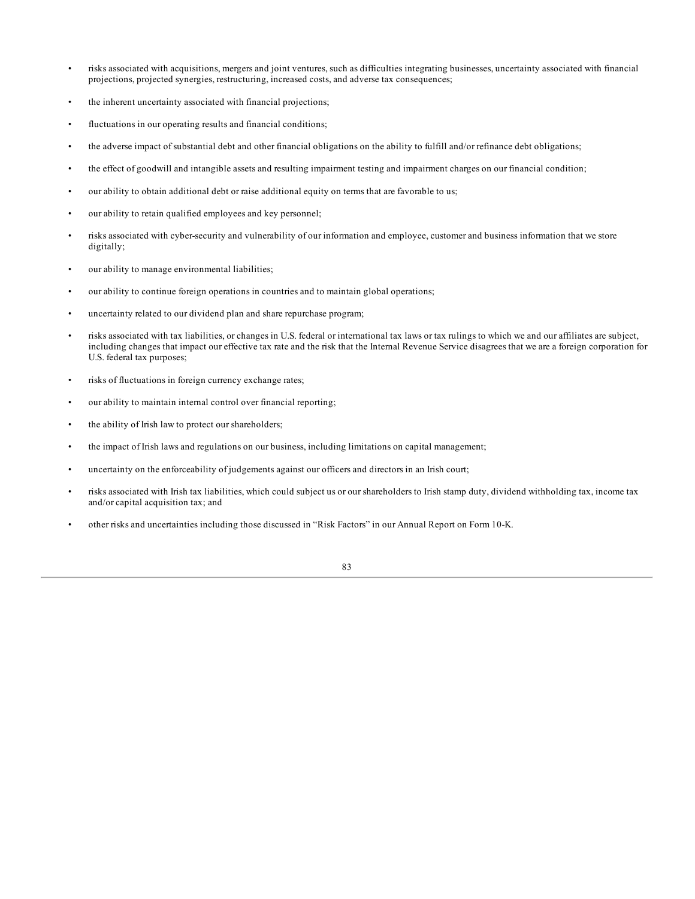- risks associated with acquisitions, mergers and joint ventures, such as difficulties integrating businesses, uncertainty associated with financial projections, projected synergies, restructuring, increased costs, and adverse tax consequences;
- the inherent uncertainty associated with financial projections;
- fluctuations in our operating results and financial conditions;
- the adverse impact of substantial debt and other financial obligations on the ability to fulfill and/or refinance debt obligations;
- the effect of goodwill and intangible assets and resulting impairment testing and impairment charges on our financial condition;
- our ability to obtain additional debt or raise additional equity on terms that are favorable to us;
- our ability to retain qualified employees and key personnel;
- risks associated with cyber-security and vulnerability of our information and employee, customer and business information that we store digitally;
- our ability to manage environmental liabilities;
- our ability to continue foreign operations in countries and to maintain global operations;
- uncertainty related to our dividend plan and share repurchase program;
- risks associated with tax liabilities, or changes in U.S. federal or international tax laws or tax rulings to which we and our affiliates are subject, including changes that impact our effective tax rate and the risk that the Internal Revenue Service disagrees that we are a foreign corporation for U.S. federal tax purposes;
- risks of fluctuations in foreign currency exchange rates;
- our ability to maintain internal control over financial reporting;
- the ability of Irish law to protect our shareholders;
- the impact of Irish laws and regulations on our business, including limitations on capital management;
- uncertainty on the enforceability of judgements against our officers and directors in an Irish court;
- risks associated with Irish tax liabilities, which could subject us or our shareholders to Irish stamp duty, dividend withholding tax, income tax and/or capital acquisition tax; and
- other risks and uncertainties including those discussed in "Risk Factors" in our Annual Report on Form 10-K.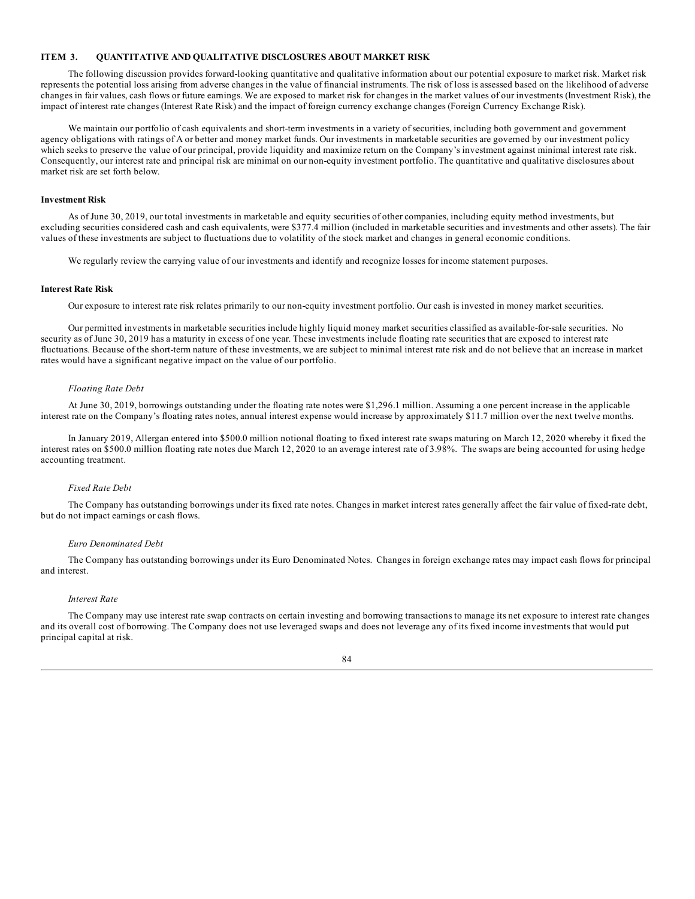# **ITEM 3. QUANTITATIVE AND QUALITATIVE DISCLOSURES ABOUT MARKET RISK**

The following discussion provides forward-looking quantitative and qualitative information about our potential exposure to market risk. Market risk represents the potential loss arising from adverse changes in the value of financial instruments. The risk of loss is assessed based on the likelihood of adverse changes in fair values, cash flows or future earnings. We are exposed to market risk for changes in the market values of our investments (Investment Risk), the impact of interest rate changes (Interest Rate Risk) and the impact of foreign currency exchange changes (Foreign Currency Exchange Risk).

We maintain our portfolio of cash equivalents and short-term investments in a variety of securities, including both government and government agency obligations with ratings of A or better and money market funds. Our investments in marketable securities are governed by our investment policy which seeks to preserve the value of our principal, provide liquidity and maximize return on the Company's investment against minimal interest rate risk. Consequently, our interest rate and principal risk are minimal on our non-equity investment portfolio. The quantitative and qualitative disclosures about market risk are set forth below.

### **Investment Risk**

As of June 30, 2019, our total investments in marketable and equity securities of other companies, including equity method investments, but excluding securities considered cash and cash equivalents, were \$377.4 million (included in marketable securities and investments and other assets). The fair values of these investments are subject to fluctuations due to volatility of the stock market and changes in general economic conditions.

We regularly review the carrying value of our investments and identify and recognize losses for income statement purposes.

### **Interest Rate Risk**

Our exposure to interest rate risk relates primarily to our non-equity investment portfolio. Our cash is invested in money market securities.

Our permitted investments in marketable securities include highly liquid money market securities classified as available-for-sale securities. No security as of June 30, 2019 has a maturity in excess of one year. These investments include floating rate securities that are exposed to interest rate fluctuations. Because of the short-term nature of these investments, we are subject to minimal interest rate risk and do not believe that an increase in market rates would have a significant negative impact on the value of our portfolio.

#### *Floating Rate Debt*

At June 30, 2019, borrowings outstanding under the floating rate notes were \$1,296.1 million. Assuming a one percent increase in the applicable interest rate on the Company's floating rates notes, annual interest expense would increase by approximately \$11.7 million over the next twelve months.

In January 2019, Allergan entered into \$500.0 million notional floating to fixed interest rate swaps maturing on March 12, 2020 whereby it fixed the interest rates on \$500.0 million floating rate notes due March 12, 2020 to an average interest rate of 3.98%. The swaps are being accounted for using hedge accounting treatment.

### *Fixed Rate Debt*

The Company has outstanding borrowings under its fixed rate notes. Changes in market interest rates generally affect the fair value of fixed-rate debt, but do not impact earnings or cash flows.

#### *Euro Denominated Debt*

The Company has outstanding borrowings under its Euro Denominated Notes. Changes in foreign exchange rates may impact cash flows for principal and interest.

## *Interest Rate*

The Company may use interest rate swap contracts on certain investing and borrowing transactions to manage its net exposure to interest rate changes and its overall cost of borrowing. The Company does not use leveraged swaps and does not leverage any of its fixed income investments that would put principal capital at risk.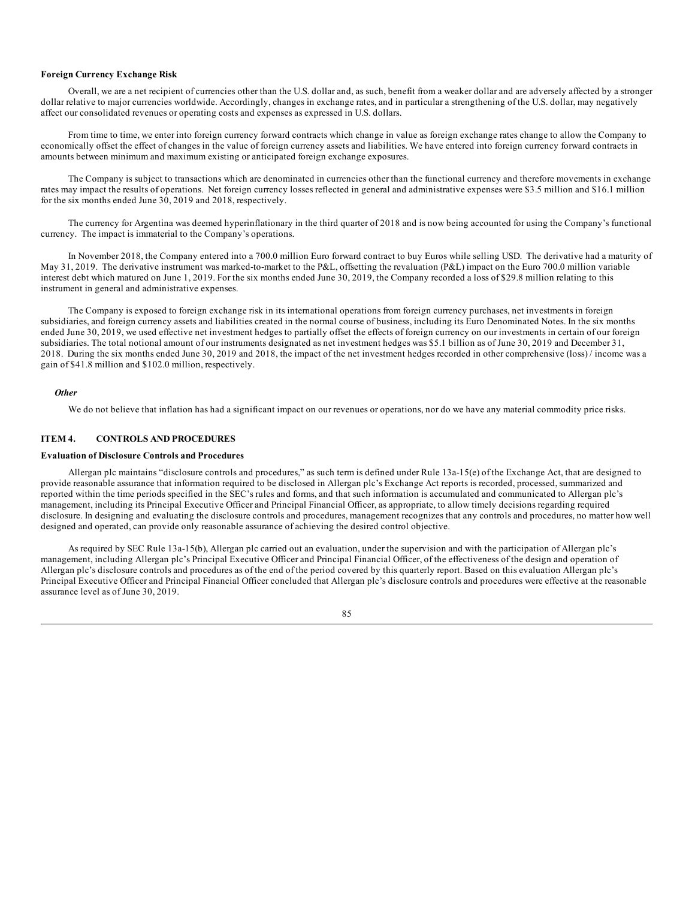### **Foreign Currency Exchange Risk**

Overall, we are a net recipient of currencies other than the U.S. dollar and, as such, benefit from a weaker dollar and are adversely affected by a stronger dollar relative to major currencies worldwide. Accordingly, changes in exchange rates, and in particular a strengthening of the U.S. dollar, may negatively affect our consolidated revenues or operating costs and expenses as expressed in U.S. dollars.

From time to time, we enter into foreign currency forward contracts which change in value as foreign exchange rates change to allow the Company to economically offset the effect of changes in the value of foreign currency assets and liabilities. We have entered into foreign currency forward contracts in amounts between minimum and maximum existing or anticipated foreign exchange exposures.

The Company is subject to transactions which are denominated in currencies other than the functional currency and therefore movements in exchange rates may impact the results of operations. Net foreign currency losses reflected in general and administrative expenses were \$3.5 million and \$16.1 million for the six months ended June 30, 2019 and 2018, respectively.

The currency for Argentina was deemed hyperinflationary in the third quarter of 2018 and is now being accounted for using the Company's functional currency. The impact is immaterial to the Company's operations.

In November 2018, the Company entered into a 700.0 million Euro forward contract to buy Euros while selling USD. The derivative had a maturity of May 31, 2019. The derivative instrument was marked-to-market to the P&L, offsetting the revaluation (P&L) impact on the Euro 700.0 million variable interest debt which matured on June 1, 2019. For the six months ended June 30, 2019, the Company recorded a loss of \$29.8 million relating to this instrument in general and administrative expenses.

The Company is exposed to foreign exchange risk in its international operations from foreign currency purchases, net investments in foreign subsidiaries, and foreign currency assets and liabilities created in the normal course of business, including its Euro Denominated Notes. In the six months ended June 30, 2019, we used effective net investment hedges to partially offset the effects of foreign currency on our investments in certain of our foreign subsidiaries. The total notional amount of our instruments designated as net investment hedges was \$5.1 billion as of June 30, 2019 and December 31, 2018. During the six months ended June 30, 2019 and 2018, the impact of the net investment hedges recorded in other comprehensive (loss) / income was a gain of \$41.8 million and \$102.0 million, respectively.

## *Other*

We do not believe that inflation has had a significant impact on our revenues or operations, nor do we have any material commodity price risks.

# **ITEM 4. CONTROLS AND PROCEDURES**

## **Evaluation of Disclosure Controls and Procedures**

Allergan plc maintains "disclosure controls and procedures," as such term is defined under Rule 13a-15(e) of the Exchange Act, that are designed to provide reasonable assurance that information required to be disclosed in Allergan plc's Exchange Act reports is recorded, processed, summarized and reported within the time periods specified in the SEC's rules and forms, and that such information is accumulated and communicated to Allergan plc's management, including its Principal Executive Officer and Principal Financial Officer, as appropriate, to allow timely decisions regarding required disclosure. In designing and evaluating the disclosure controls and procedures, management recognizes that any controls and procedures, no matter how well designed and operated, can provide only reasonable assurance of achieving the desired control objective.

As required by SEC Rule 13a-15(b), Allergan plc carried out an evaluation, under the supervision and with the participation of Allergan plc's management, including Allergan plc's Principal Executive Officer and Principal Financial Officer, of the effectiveness of the design and operation of Allergan plc's disclosure controls and procedures as of the end of the period covered by this quarterly report. Based on this evaluation Allergan plc's Principal Executive Officer and Principal Financial Officer concluded that Allergan plc's disclosure controls and procedures were effective at the reasonable assurance level as of June 30, 2019.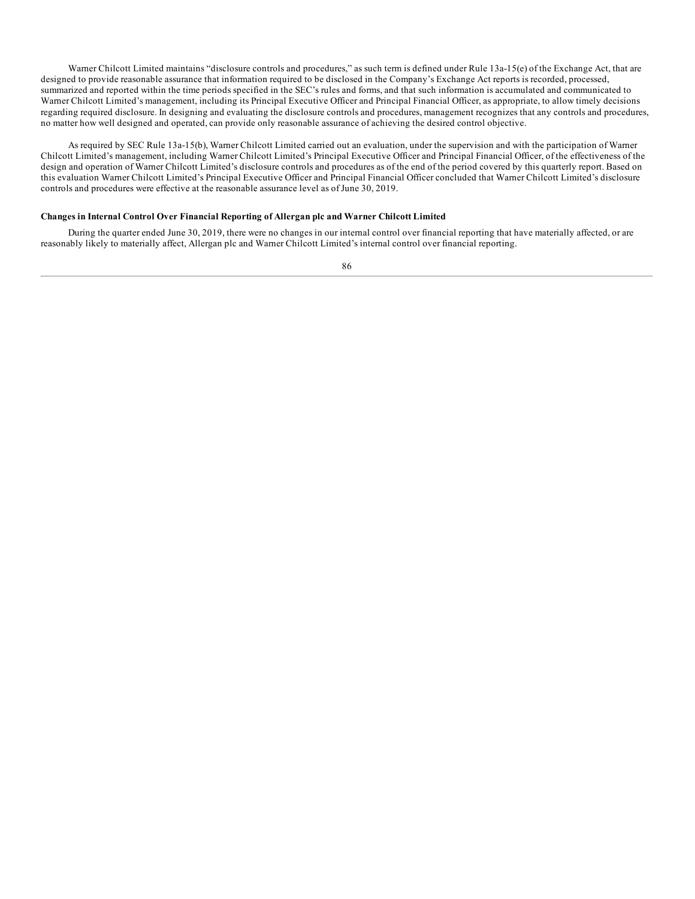Warner Chilcott Limited maintains "disclosure controls and procedures," as such term is defined under Rule 13a-15(e) of the Exchange Act, that are designed to provide reasonable assurance that information required to be disclosed in the Company's Exchange Act reports is recorded, processed, summarized and reported within the time periods specified in the SEC's rules and forms, and that such information is accumulated and communicated to Warner Chilcott Limited's management, including its Principal Executive Officer and Principal Financial Officer, as appropriate, to allow timely decisions regarding required disclosure. In designing and evaluating the disclosure controls and procedures, management recognizes that any controls and procedures, no matter how well designed and operated, can provide only reasonable assurance of achieving the desired control objective.

As required by SEC Rule 13a-15(b), Warner Chilcott Limited carried out an evaluation, under the supervision and with the participation of Warner Chilcott Limited's management, including Warner Chilcott Limited's Principal Executive Officer and Principal Financial Officer, of the effectiveness of the design and operation of Warner Chilcott Limited's disclosure controls and procedures as of the end of the period covered by this quarterly report. Based on this evaluation Warner Chilcott Limited's Principal Executive Officer and Principal Financial Officer concluded that Warner Chilcott Limited's disclosure controls and procedures were effective at the reasonable assurance level as of June 30, 2019.

## **Changes in Internal Control Over Financial Reporting of Allergan plc and Warner Chilcott Limited**

During the quarter ended June 30, 2019, there were no changes in our internal control over financial reporting that have materially affected, or are reasonably likely to materially affect, Allergan plc and Warner Chilcott Limited's internal control over financial reporting.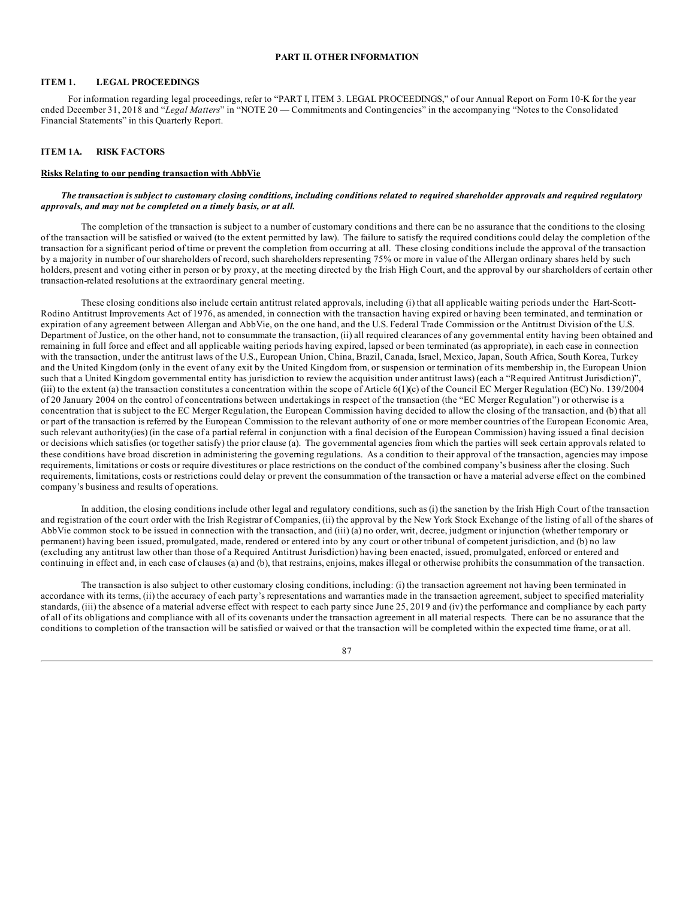# **PART II. OTHER INFORMATION**

# **ITEM 1. LEGAL PROCEEDINGS**

For information regarding legal proceedings, refer to "PART I, ITEM 3. LEGAL PROCEEDINGS," of our Annual Report on Form 10-K for the year ended December 31, 2018 and "*Legal Matters*" in "NOTE 20 — Commitments and Contingencies" in the accompanying "Notes to the Consolidated Financial Statements" in this Quarterly Report.

## **ITEM 1A. RISK FACTORS**

## **Risks Relating to our pending transaction with AbbVie**

## The transaction is subject to customary closing conditions, including conditions related to required shareholder approvals and required regulatory *approvals, and may not be completed on a timely basis, or at all.*

The completion of the transaction is subject to a number of customary conditions and there can be no assurance that the conditions to the closing of the transaction will be satisfied or waived (to the extent permitted by law). The failure to satisfy the required conditions could delay the completion of the transaction for a significant period of time or prevent the completion from occurring at all. These closing conditions include the approval of the transaction by a majority in number of our shareholders of record, such shareholders representing 75% or more in value of the Allergan ordinary shares held by such holders, present and voting either in person or by proxy, at the meeting directed by the Irish High Court, and the approval by our shareholders of certain other transaction-related resolutions at the extraordinary general meeting.

These closing conditions also include certain antitrust related approvals, including (i) that all applicable waiting periods under the Hart-Scott-Rodino Antitrust Improvements Act of 1976, as amended, in connection with the transaction having expired or having been terminated, and termination or expiration of any agreement between Allergan and AbbVie, on the one hand, and the U.S. Federal Trade Commission or the Antitrust Division of the U.S. Department of Justice, on the other hand, not to consummate the transaction, (ii) all required clearances of any governmental entity having been obtained and remaining in full force and effect and all applicable waiting periods having expired, lapsed or been terminated (as appropriate), in each case in connection with the transaction, under the antitrust laws of the U.S., European Union, China, Brazil, Canada, Israel, Mexico, Japan, South Africa, South Korea, Turkey and the United Kingdom (only in the event of any exit by the United Kingdom from, or suspension or termination of its membership in, the European Union such that a United Kingdom governmental entity has jurisdiction to review the acquisition under antitrust laws) (each a "Required Antitrust Jurisdiction)", (iii) to the extent (a) the transaction constitutes a concentration within the scope of Article 6(1)(c) of the Council EC Merger Regulation (EC) No. 139/2004 of 20 January 2004 on the control of concentrations between undertakings in respect of the transaction (the "EC Merger Regulation") or otherwise is a concentration that is subject to the EC Merger Regulation, the European Commission having decided to allow the closing of the transaction, and (b) that all or part of the transaction is referred by the European Commission to the relevant authority of one or more member countries of the European Economic Area, such relevant authority(ies) (in the case of a partial referral in conjunction with a final decision of the European Commission) having issued a final decision or decisions which satisfies (or together satisfy) the prior clause (a). The governmental agencies from which the parties will seek certain approvals related to these conditions have broad discretion in administering the governing regulations. As a condition to their approval of the transaction, agencies may impose requirements, limitations or costs or require divestitures or place restrictions on the conduct of the combined company's business after the closing. Such requirements, limitations, costs or restrictions could delay or prevent the consummation of the transaction or have a material adverse effect on the combined company's business and results of operations.

In addition, the closing conditions include other legal and regulatory conditions, such as (i) the sanction by the Irish High Court of the transaction and registration of the court order with the Irish Registrar of Companies, (ii) the approval by the New York Stock Exchange of the listing of all of the shares of AbbVie common stock to be issued in connection with the transaction, and (iii) (a) no order, writ, decree, judgment or injunction (whether temporary or permanent) having been issued, promulgated, made, rendered or entered into by any court or other tribunal of competent jurisdiction, and (b) no law (excluding any antitrust law other than those of a Required Antitrust Jurisdiction) having been enacted, issued, promulgated, enforced or entered and continuing in effect and, in each case of clauses (a) and (b), that restrains, enjoins, makes illegal or otherwise prohibits the consummation of the transaction.

The transaction is also subject to other customary closing conditions, including: (i) the transaction agreement not having been terminated in accordance with its terms, (ii) the accuracy of each party's representations and warranties made in the transaction agreement, subject to specified materiality standards, (iii) the absence of a material adverse effect with respect to each party since June 25, 2019 and (iv) the performance and compliance by each party of all of its obligations and compliance with all of its covenants under the transaction agreement in all material respects. There can be no assurance that the conditions to completion of the transaction will be satisfied or waived or that the transaction will be completed within the expected time frame, or at all.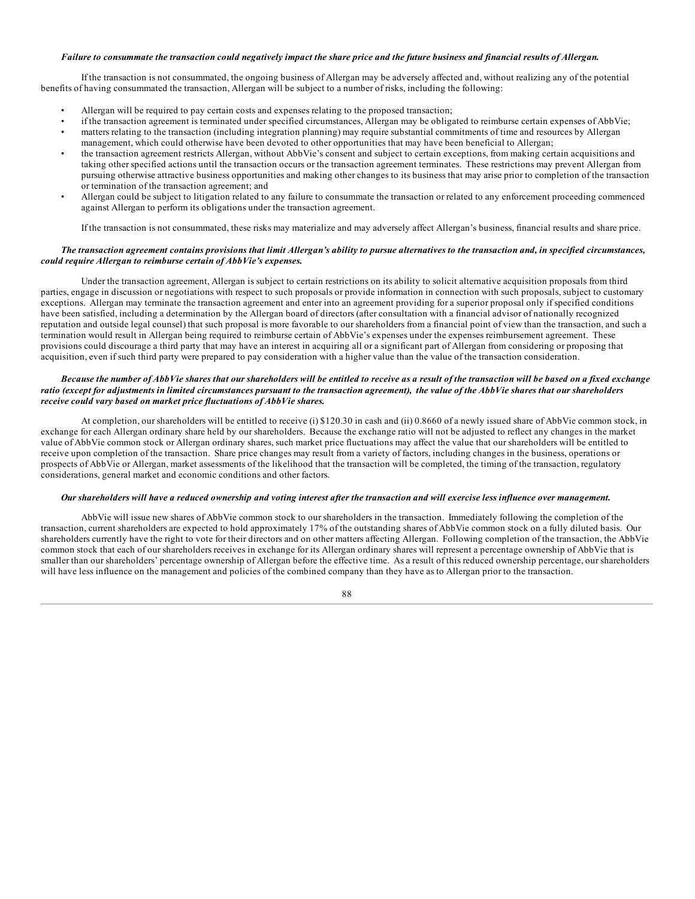## Failure to consummate the transaction could negatively impact the share price and the future business and financial results of Allergan.

If the transaction is not consummated, the ongoing business of Allergan may be adversely affected and, without realizing any of the potential benefits of having consummated the transaction, Allergan will be subject to a number of risks, including the following:

- Allergan will be required to pay certain costs and expenses relating to the proposed transaction;
- if the transaction agreement is terminated under specified circumstances, Allergan may be obligated to reimburse certain expenses of AbbVie; • matters relating to the transaction (including integration planning) may require substantial commitments of time and resources by Allergan management, which could otherwise have been devoted to other opportunities that may have been beneficial to Allergan;
- the transaction agreement restricts Allergan, without AbbVie's consent and subject to certain exceptions, from making certain acquisitions and taking other specified actions until the transaction occurs or the transaction agreement terminates. These restrictions may prevent Allergan from pursuing otherwise attractive business opportunities and making other changes to its business that may arise prior to completion of the transaction or termination of the transaction agreement; and
- Allergan could be subject to litigation related to any failure to consummate the transaction or related to any enforcement proceeding commenced against Allergan to perform its obligations under the transaction agreement.

If the transaction is not consummated, these risks may materialize and may adversely affect Allergan's business, financial results and share price.

## The transaction agreement contains provisions that limit Allergan's ability to pursue alternatives to the transaction and, in specified circumstances, *could require Allergan to reimburse certain of AbbVie's expenses.*

Under the transaction agreement, Allergan is subject to certain restrictions on its ability to solicit alternative acquisition proposals from third parties, engage in discussion or negotiations with respect to such proposals or provide information in connection with such proposals, subject to customary exceptions. Allergan may terminate the transaction agreement and enter into an agreement providing for a superior proposal only if specified conditions have been satisfied, including a determination by the Allergan board of directors (after consultation with a financial advisor of nationally recognized reputation and outside legal counsel) that such proposal is more favorable to our shareholders from a financial point of view than the transaction, and such a termination would result in Allergan being required to reimburse certain of AbbVie's expenses under the expenses reimbursement agreement. These provisions could discourage a third party that may have an interest in acquiring all or a significant part of Allergan from considering or proposing that acquisition, even if such third party were prepared to pay consideration with a higher value than the value of the transaction consideration.

## Because the number of AbbVie shares that our shareholders will be entitled to receive as a result of the transaction will be based on a fixed exchange ratio (except for adjustments in limited circumstances pursuant to the transaction agreement), the value of the AbbVie shares that our shareholders *receive could vary based on market price fluctuations of AbbVie shares.*

At completion, our shareholders will be entitled to receive (i) \$120.30 in cash and (ii) 0.8660 of a newly issued share of AbbVie common stock, in exchange for each Allergan ordinary share held by our shareholders. Because the exchange ratio will not be adjusted to reflect any changes in the market value of AbbVie common stock or Allergan ordinary shares, such market price fluctuations may affect the value that our shareholders will be entitled to receive upon completion of the transaction. Share price changes may result from a variety of factors, including changes in the business, operations or prospects of AbbVie or Allergan, market assessments of the likelihood that the transaction will be completed, the timing of the transaction, regulatory considerations, general market and economic conditions and other factors.

## Our shareholders will have a reduced ownership and voting interest after the transaction and will exercise less influence over management.

AbbVie will issue new shares of AbbVie common stock to our shareholders in the transaction. Immediately following the completion of the transaction, current shareholders are expected to hold approximately 17% of the outstanding shares of AbbVie common stock on a fully diluted basis. Our shareholders currently have the right to vote for their directors and on other matters affecting Allergan. Following completion of the transaction, the AbbVie common stock that each of our shareholders receives in exchange for its Allergan ordinary shares will represent a percentage ownership of AbbVie that is smaller than our shareholders' percentage ownership of Allergan before the effective time. As a result of this reduced ownership percentage, our shareholders will have less influence on the management and policies of the combined company than they have as to Allergan prior to the transaction.

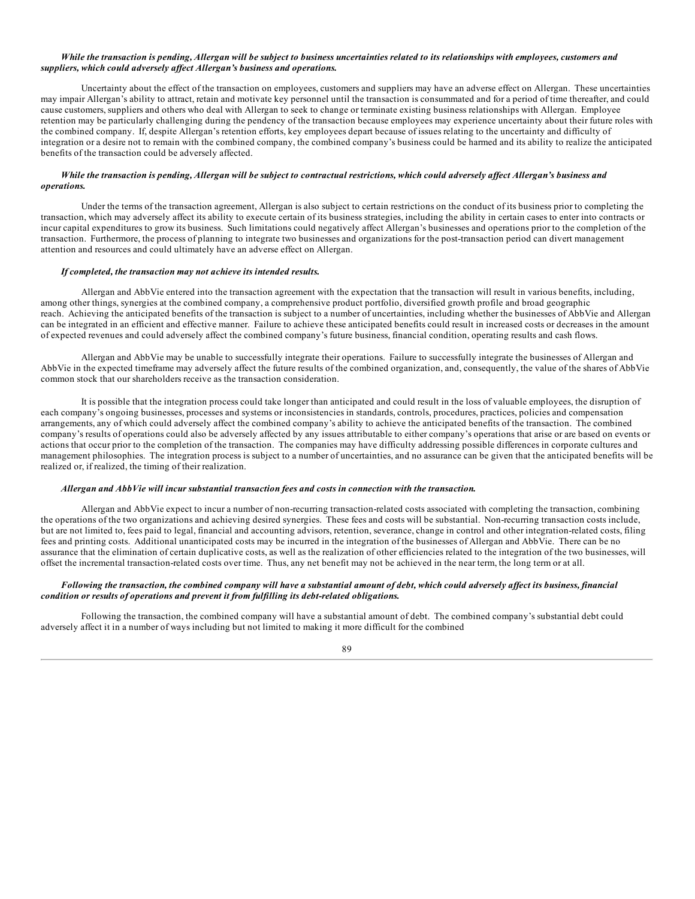## While the transaction is pending, Allergan will be subject to business uncertainties related to its relationships with employees, customers and *suppliers, which could adversely af ect Allergan's business and operations.*

Uncertainty about the effect of the transaction on employees, customers and suppliers may have an adverse effect on Allergan. These uncertainties may impair Allergan's ability to attract, retain and motivate key personnel until the transaction is consummated and for a period of time thereafter, and could cause customers, suppliers and others who deal with Allergan to seek to change or terminate existing business relationships with Allergan. Employee retention may be particularly challenging during the pendency of the transaction because employees may experience uncertainty about their future roles with the combined company. If, despite Allergan's retention efforts, key employees depart because of issues relating to the uncertainty and difficulty of integration or a desire not to remain with the combined company, the combined company's business could be harmed and its ability to realize the anticipated benefits of the transaction could be adversely affected.

# While the transaction is pending, Allergan will be subject to contractual restrictions, which could adversely affect Allergan's business and *operations.*

Under the terms of the transaction agreement, Allergan is also subject to certain restrictions on the conduct of its business prior to completing the transaction, which may adversely affect its ability to execute certain of its business strategies, including the ability in certain cases to enter into contracts or incur capital expenditures to grow its business. Such limitations could negatively affect Allergan's businesses and operations prior to the completion of the transaction. Furthermore, the process of planning to integrate two businesses and organizations for the post-transaction period can divert management attention and resources and could ultimately have an adverse effect on Allergan.

## *If completed, the transaction may not achieve its intended results.*

Allergan and AbbVie entered into the transaction agreement with the expectation that the transaction will result in various benefits, including, among other things, synergies at the combined company, a comprehensive product portfolio, diversified growth profile and broad geographic reach. Achieving the anticipated benefits of the transaction is subject to a number of uncertainties, including whether the businesses of AbbVie and Allergan can be integrated in an efficient and effective manner. Failure to achieve these anticipated benefits could result in increased costs or decreases in the amount of expected revenues and could adversely affect the combined company's future business, financial condition, operating results and cash flows.

Allergan and AbbVie may be unable to successfully integrate their operations. Failure to successfully integrate the businesses of Allergan and AbbVie in the expected timeframe may adversely affect the future results of the combined organization, and, consequently, the value of the shares of AbbVie common stock that our shareholders receive as the transaction consideration.

It is possible that the integration process could take longer than anticipated and could result in the loss of valuable employees, the disruption of each company's ongoing businesses, processes and systems or inconsistencies in standards, controls, procedures, practices, policies and compensation arrangements, any of which could adversely affect the combined company's ability to achieve the anticipated benefits of the transaction. The combined company's results of operations could also be adversely affected by any issues attributable to either company's operations that arise or are based on events or actions that occur prior to the completion of the transaction. The companies may have difficulty addressing possible differences in corporate cultures and management philosophies. The integration process is subject to a number of uncertainties, and no assurance can be given that the anticipated benefits will be realized or, if realized, the timing of their realization.

### *Allergan and AbbVie will incur substantial transaction fees and costs in connection with the transaction.*

Allergan and AbbVie expect to incur a number of non-recurring transaction-related costs associated with completing the transaction, combining the operations of the two organizations and achieving desired synergies. These fees and costs will be substantial. Non-recurring transaction costs include, but are not limited to, fees paid to legal, financial and accounting advisors, retention, severance, change in control and other integration-related costs, filing fees and printing costs. Additional unanticipated costs may be incurred in the integration of the businesses of Allergan and AbbVie. There can be no assurance that the elimination of certain duplicative costs, as well as the realization of other efficiencies related to the integration of the two businesses, will offset the incremental transaction-related costs over time. Thus, any net benefit may not be achieved in the near term, the long term or at all.

# Following the transaction, the combined company will have a substantial amount of debt, which could adversely affect its business, financial *condition or results of operations and prevent it from fulfilling its debt-related obligations.*

Following the transaction, the combined company will have a substantial amount of debt. The combined company's substantial debt could adversely affect it in a number of ways including but not limited to making it more difficult for the combined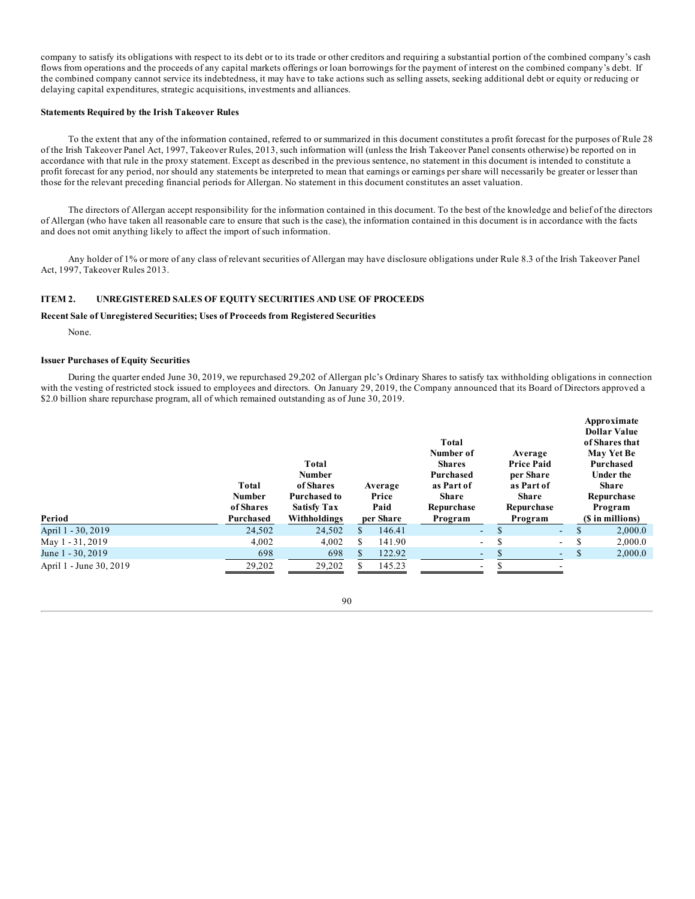company to satisfy its obligations with respect to its debt or to its trade or other creditors and requiring a substantial portion of the combined company's cash flows from operations and the proceeds of any capital markets offerings or loan borrowings for the payment of interest on the combined company's debt. If the combined company cannot service its indebtedness, it may have to take actions such as selling assets, seeking additional debt or equity or reducing or delaying capital expenditures, strategic acquisitions, investments and alliances.

## **Statements Required by the Irish Takeover Rules**

To the extent that any of the information contained, referred to or summarized in this document constitutes a profit forecast for the purposes of Rule 28 of the Irish Takeover Panel Act, 1997, Takeover Rules, 2013, such information will (unless the Irish Takeover Panel consents otherwise) be reported on in accordance with that rule in the proxy statement. Except as described in the previous sentence, no statement in this document is intended to constitute a profit forecast for any period, nor should any statements be interpreted to mean that earnings or earnings per share will necessarily be greater or lesser than those for the relevant preceding financial periods for Allergan. No statement in this document constitutes an asset valuation.

The directors of Allergan accept responsibility for the information contained in this document. To the best of the knowledge and belief of the directors of Allergan (who have taken all reasonable care to ensure that such is the case), the information contained in this document is in accordance with the facts and does not omit anything likely to affect the import of such information.

Any holder of 1% or more of any class of relevant securities of Allergan may have disclosure obligations under Rule 8.3 of the Irish Takeover Panel Act, 1997, Takeover Rules 2013.

# **ITEM 2. UNREGISTERED SALES OF EQUITY SECURITIES AND USE OF PROCEEDS**

# **Recent Sale of Unregistered Securities; Uses of Proceeds from Registered Securities**

None.

## **Issuer Purchases of Equity Securities**

During the quarter ended June 30, 2019, we repurchased 29,202 of Allergan plc's Ordinary Shares to satisfy tax withholding obligations in connection with the vesting of restricted stock issued to employees and directors. On January 29, 2019, the Company announced that its Board of Directors approved a \$2.0 billion share repurchase program, all of which remained outstanding as of June 30, 2019.

| Period                  | Total<br><b>Number</b><br>of Shares<br>Purchased | Total<br><b>Number</b><br>of Shares<br><b>Purchased to</b><br><b>Satisfy Tax</b><br>Withholdings | Average<br>Price<br>Paid<br>per Share | Total<br>Number of<br><b>Shares</b><br>Purchased<br>as Part of<br><b>Share</b><br>Repurchase<br>Program |   | Average<br><b>Price Paid</b><br>per Share<br>as Part of<br><b>Share</b><br>Repurchase<br>Program |     | Approximate<br><b>Dollar Value</b><br>of Shares that<br><b>May Yet Be</b><br>Purchased<br><b>Under the</b><br><b>Share</b><br>Repurchase<br>Program<br>(\$ in millions) |
|-------------------------|--------------------------------------------------|--------------------------------------------------------------------------------------------------|---------------------------------------|---------------------------------------------------------------------------------------------------------|---|--------------------------------------------------------------------------------------------------|-----|-------------------------------------------------------------------------------------------------------------------------------------------------------------------------|
| April 1 - 30, 2019      | 24,502                                           | 24,502                                                                                           | 146.41                                | н.                                                                                                      |   | $\sim$                                                                                           |     | 2,000.0                                                                                                                                                                 |
| May 1 - 31, 2019        | 4,002                                            | 4,002                                                                                            | 141.90<br>S                           | $\sim$ $-$                                                                                              | S | $\overline{\phantom{a}}$                                                                         | \$. | 2,000.0                                                                                                                                                                 |
| June 1 - 30, 2019       | 698                                              | 698                                                                                              | 122.92<br>S.                          | ۰                                                                                                       |   | $\overline{\phantom{0}}$                                                                         | \$  | 2,000.0                                                                                                                                                                 |
| April 1 - June 30, 2019 | 29,202                                           | 29,202                                                                                           | 145.23                                | ٠.                                                                                                      |   |                                                                                                  |     |                                                                                                                                                                         |

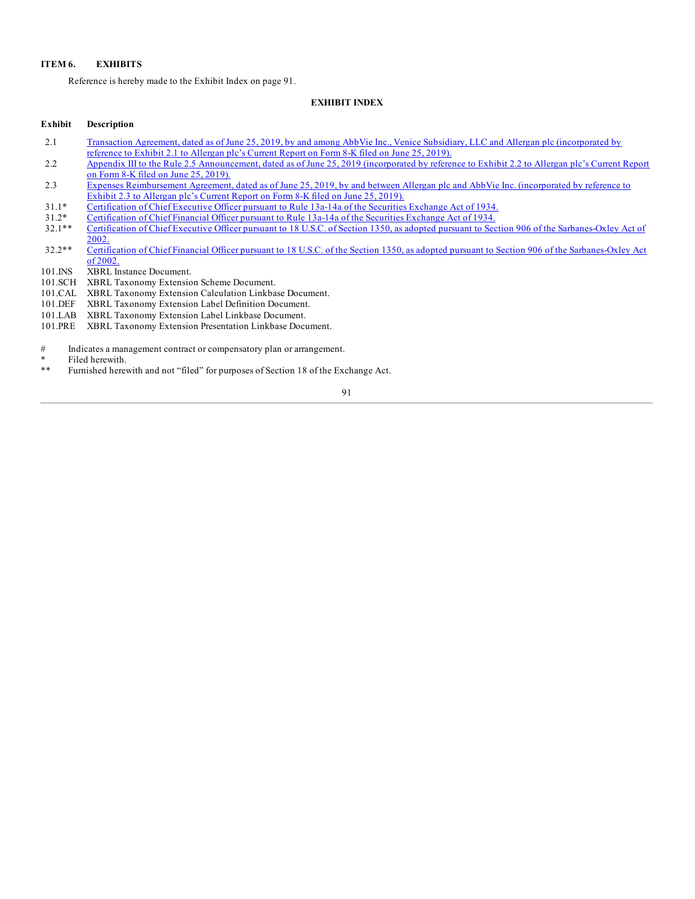# **ITEM 6. EXHIBITS**

Reference is hereby made to the Exhibit Index on page 91.

# **EXHIBIT INDEX**

## **Exhibit Description**

- 2.1 Transaction Agreement, dated as of June 25, 2019, by and among AbbVie Inc., Venice Subsidiary, LLC and Allergan plc [\(incorporated](http://www.sec.gov/Archives/edgar/data/1578845/000119312519181327/d771837dex21.htm) by reference to Exhibit 2.1 to Allergan plc's Current Report on Form 8-K filed on June 25, 2019).
- 2.2 Appendix III to the Rule 2.5 [Announcement,](http://www.sec.gov/Archives/edgar/data/1578845/000119312519181327/d771837dex22.htm) dated as of June 25, 2019 (incorporated by reference to Exhibit 2.2 to Allergan plc's Current Report on Form 8-K filed on June 25, 2019).
- 2.3 Expenses [Reimbursement](http://www.sec.gov/Archives/edgar/data/1578845/000119312519181327/d771837dex23.htm) Agreement, dated as of June 25, 2019, by and between Allergan plc and AbbVie Inc. (incorporated by reference to Exhibit 2.3 to Allergan plc's Current Report on Form 8-K filed on June 25, 2019).
- 31.1\* [Certification](#page-92-0) of Chief Executive Officer pursuant to Rule 13a-14a of the Securities Exchange Act of 1934.
- 31.2\* [Certification](#page-94-0) of Chief Financial Officer pursuant to Rule 13a-14a of the Securities Exchange Act of 1934.<br>32.1\*\* Certification of Chief Executive Officer pursuant to 18 U.S.C. of Section 1350, as adopted pursuant to
- 32.1\*\* Certification of Chief Executive Officer pursuant to 18 U.S.C. of Section 1350, as adopted pursuant to Section 906 of the [Sarbanes-Oxley](#page-96-0) Act of 2002.
- 32.2\*\* Certification of Chief Financial Officer pursuant to 18 U.S.C. of the Section 1350, as adopted pursuant to Section 906 of the [Sarbanes-Oxley](#page-98-0) Act of 2002.

- 101.INS XBRL Instance Document.<br>101.SCH XBRL Taxonomy Extensio XBRL Taxonomy Extension Scheme Document.
- 101.CAL XBRL Taxonomy Extension Calculation Linkbase Document.
- 101.DEF XBRL Taxonomy Extension Label Definition Document.
- 101.LAB XBRL Taxonomy Extension Label Linkbase Document.
- 101.PRE XBRL Taxonomy Extension Presentation Linkbase Document.

# Indicates a management contract or compensatory plan or arrangement.

- \* Filed herewith.
- Furnished herewith and not "filed" for purposes of Section 18 of the Exchange Act.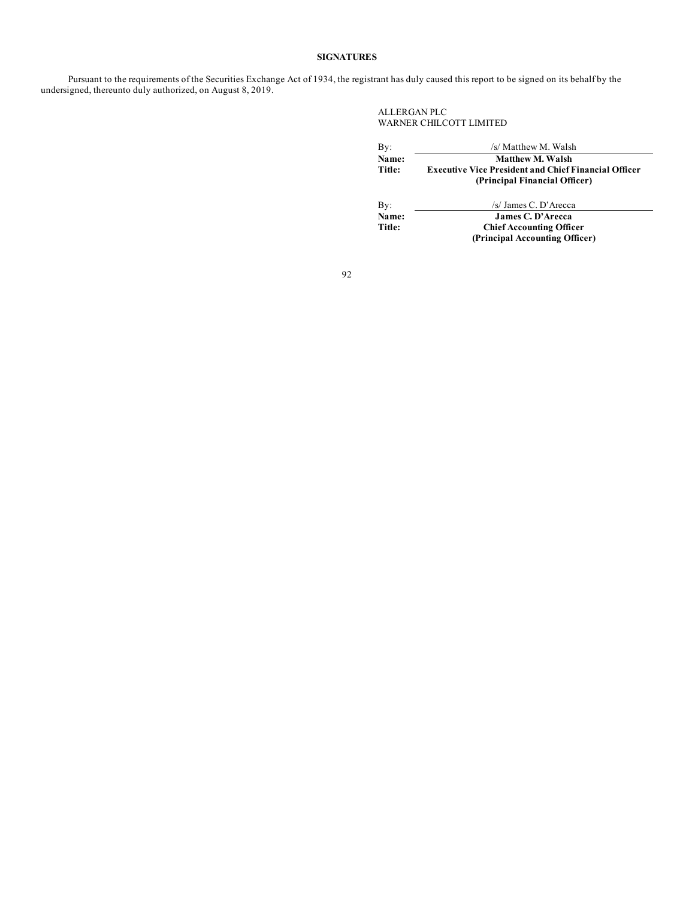# **SIGNATURES**

Pursuant to the requirements of the Securities Exchange Act of 1934, the registrant has duly caused this report to be signed on its behalf by the undersigned, thereunto duly authorized, on August 8, 2019.

> ALLERGAN PLC WARNER CHILCOTT LIMITED

| By:    | /s/ Matthew M. Walsh                                        |
|--------|-------------------------------------------------------------|
| Name:  | <b>Matthew M. Walsh</b>                                     |
| Title: | <b>Executive Vice President and Chief Financial Officer</b> |
|        | (Principal Financial Officer)                               |
|        |                                                             |
| By:    | /s/ James C. D'Arecca                                       |
| Name:  | <b>James C. D'Arecca</b>                                    |
| Title: | <b>Chief Accounting Officer</b>                             |
|        | (Principal Accounting Officer)                              |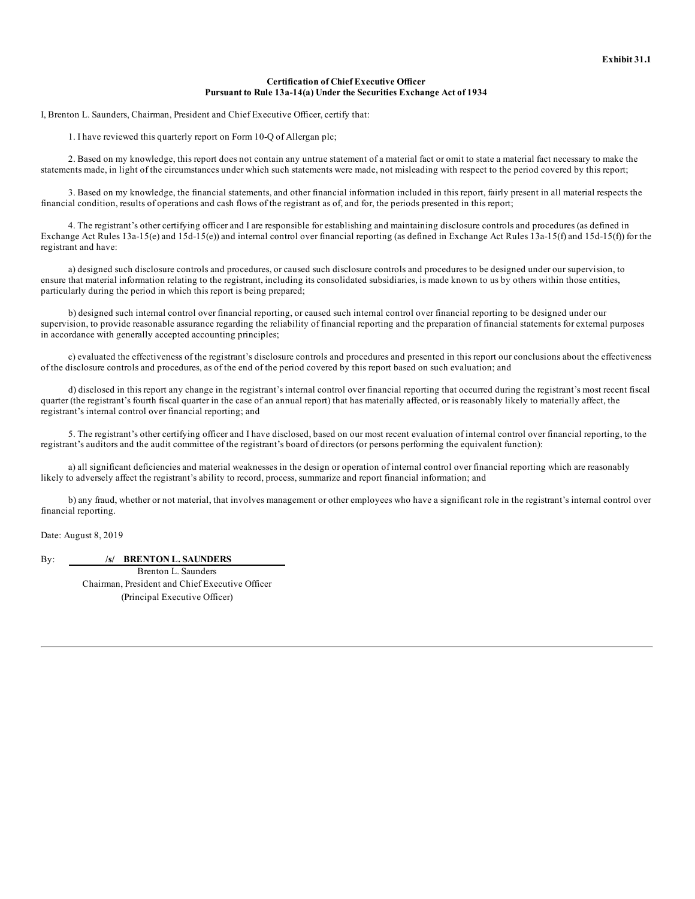## **Certification of Chief Executive Officer Pursuant to Rule 13a-14(a) Under the Securities Exchange Act of 1934**

<span id="page-92-0"></span>I, Brenton L. Saunders, Chairman, President and Chief Executive Officer, certify that:

1. I have reviewed this quarterly report on Form 10-Q of Allergan plc;

2. Based on my knowledge, this report does not contain any untrue statement of a material fact or omit to state a material fact necessary to make the statements made, in light of the circumstances under which such statements were made, not misleading with respect to the period covered by this report;

3. Based on my knowledge, the financial statements, and other financial information included in this report, fairly present in all material respects the financial condition, results of operations and cash flows of the registrant as of, and for, the periods presented in this report;

4. The registrant's other certifying officer and I are responsible for establishing and maintaining disclosure controls and procedures (as defined in Exchange Act Rules 13a-15(e) and 15d-15(e)) and internal control over financial reporting (as defined in Exchange Act Rules 13a-15(f) and 15d-15(f)) for the registrant and have:

a) designed such disclosure controls and procedures, or caused such disclosure controls and procedures to be designed under our supervision, to ensure that material information relating to the registrant, including its consolidated subsidiaries, is made known to us by others within those entities, particularly during the period in which this report is being prepared;

b) designed such internal control over financial reporting, or caused such internal control over financial reporting to be designed under our supervision, to provide reasonable assurance regarding the reliability of financial reporting and the preparation of financial statements for external purposes in accordance with generally accepted accounting principles;

c) evaluated the effectiveness of the registrant's disclosure controls and procedures and presented in this report our conclusions about the effectiveness of the disclosure controls and procedures, as of the end of the period covered by this report based on such evaluation; and

d) disclosed in this report any change in the registrant's internal control over financial reporting that occurred during the registrant's most recent fiscal quarter (the registrant's fourth fiscal quarter in the case of an annual report) that has materially affected, or is reasonably likely to materially affect, the registrant's internal control over financial reporting; and

5. The registrant's other certifying officer and I have disclosed, based on our most recent evaluation of internal control over financial reporting, to the registrant's auditors and the audit committee of the registrant's board of directors (or persons performing the equivalent function):

a) all significant deficiencies and material weaknesses in the design or operation of internal control over financial reporting which are reasonably likely to adversely affect the registrant's ability to record, process, summarize and report financial information; and

b) any fraud, whether or not material, that involves management or other employees who have a significant role in the registrant's internal control over financial reporting.

Date: August 8, 2019

By: **/s/ BRENTON L. SAUNDERS**

Brenton L. Saunders Chairman, President and Chief Executive Officer (Principal Executive Officer)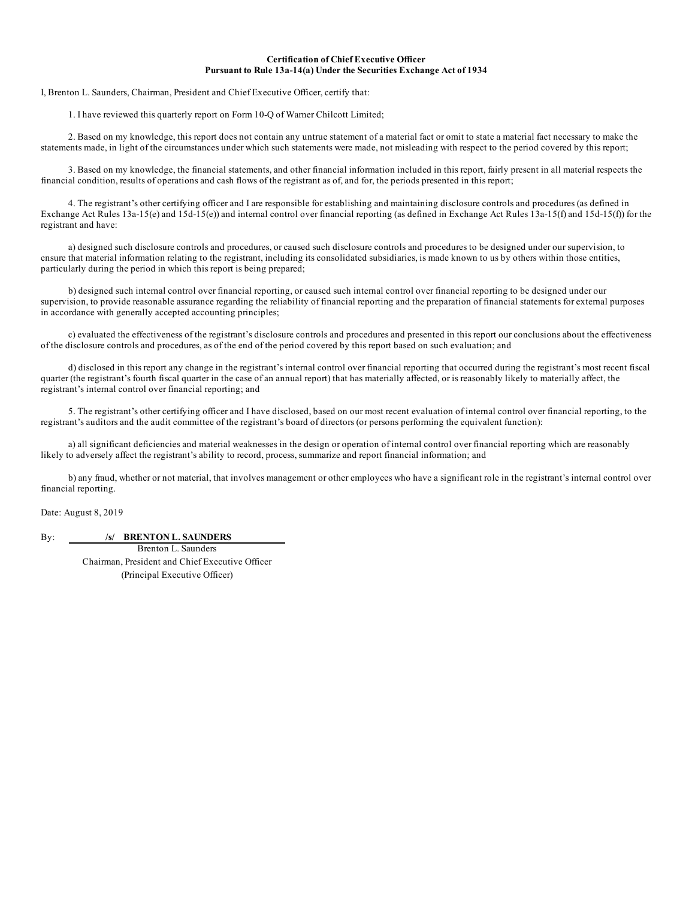## **Certification of Chief Executive Officer Pursuant to Rule 13a-14(a) Under the Securities Exchange Act of 1934**

I, Brenton L. Saunders, Chairman, President and Chief Executive Officer, certify that:

1. I have reviewed this quarterly report on Form 10-Q of Warner Chilcott Limited;

2. Based on my knowledge, this report does not contain any untrue statement of a material fact or omit to state a material fact necessary to make the statements made, in light of the circumstances under which such statements were made, not misleading with respect to the period covered by this report;

3. Based on my knowledge, the financial statements, and other financial information included in this report, fairly present in all material respects the financial condition, results of operations and cash flows of the registrant as of, and for, the periods presented in this report;

4. The registrant's other certifying officer and I are responsible for establishing and maintaining disclosure controls and procedures (as defined in Exchange Act Rules  $13a-15(e)$  and  $15d-15(e)$  and internal control over financial reporting (as defined in Exchange Act Rules  $13a-15(f)$ ) and  $15d-15(f)$ ) for the registrant and have:

a) designed such disclosure controls and procedures, or caused such disclosure controls and procedures to be designed under our supervision, to ensure that material information relating to the registrant, including its consolidated subsidiaries, is made known to us by others within those entities, particularly during the period in which this report is being prepared;

b) designed such internal control over financial reporting, or caused such internal control over financial reporting to be designed under our supervision, to provide reasonable assurance regarding the reliability of financial reporting and the preparation of financial statements for external purposes in accordance with generally accepted accounting principles;

c) evaluated the effectiveness of the registrant's disclosure controls and procedures and presented in this report our conclusions about the effectiveness of the disclosure controls and procedures, as of the end of the period covered by this report based on such evaluation; and

d) disclosed in this report any change in the registrant's internal control over financial reporting that occurred during the registrant's most recent fiscal quarter (the registrant's fourth fiscal quarter in the case of an annual report) that has materially affected, or is reasonably likely to materially affect, the registrant's internal control over financial reporting; and

5. The registrant's other certifying officer and I have disclosed, based on our most recent evaluation of internal control over financial reporting, to the registrant's auditors and the audit committee of the registrant's board of directors (or persons performing the equivalent function):

a) all significant deficiencies and material weaknesses in the design or operation of internal control over financial reporting which are reasonably likely to adversely affect the registrant's ability to record, process, summarize and report financial information; and

b) any fraud, whether or not material, that involves management or other employees who have a significant role in the registrant's internal control over financial reporting.

Date: August 8, 2019

By: **/s/ BRENTON L. SAUNDERS**

Brenton L. Saunders Chairman, President and Chief Executive Officer (Principal Executive Officer)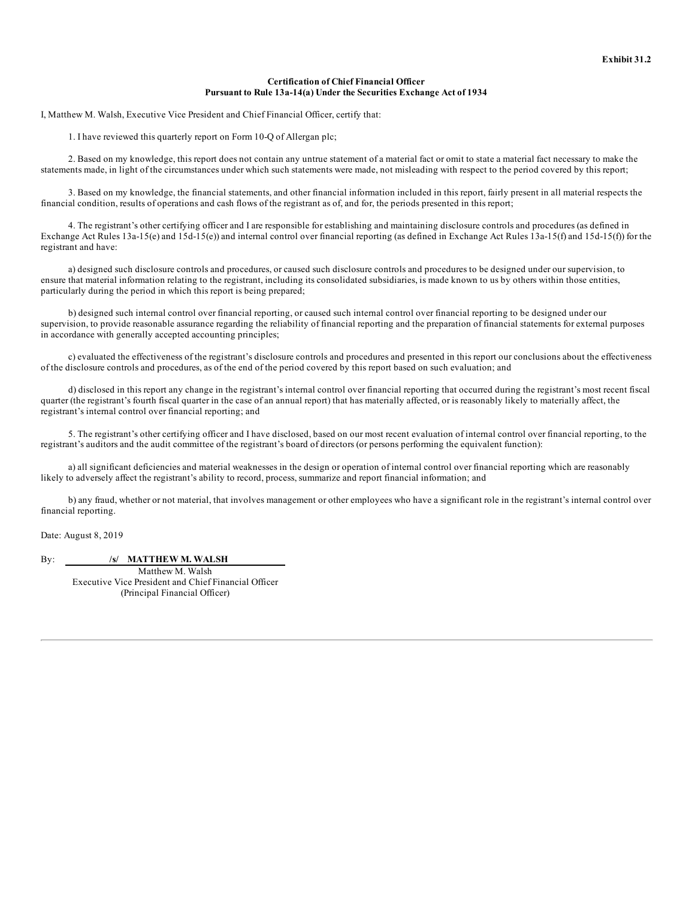## **Certification of Chief Financial Officer Pursuant to Rule 13a-14(a) Under the Securities Exchange Act of 1934**

<span id="page-94-0"></span>I, Matthew M. Walsh, Executive Vice President and Chief Financial Officer, certify that:

1. I have reviewed this quarterly report on Form 10-Q of Allergan plc;

2. Based on my knowledge, this report does not contain any untrue statement of a material fact or omit to state a material fact necessary to make the statements made, in light of the circumstances under which such statements were made, not misleading with respect to the period covered by this report;

3. Based on my knowledge, the financial statements, and other financial information included in this report, fairly present in all material respects the financial condition, results of operations and cash flows of the registrant as of, and for, the periods presented in this report;

4. The registrant's other certifying officer and I are responsible for establishing and maintaining disclosure controls and procedures (as defined in Exchange Act Rules 13a-15(e) and 15d-15(e)) and internal control over financial reporting (as defined in Exchange Act Rules 13a-15(f) and 15d-15(f)) for the registrant and have:

a) designed such disclosure controls and procedures, or caused such disclosure controls and procedures to be designed under our supervision, to ensure that material information relating to the registrant, including its consolidated subsidiaries, is made known to us by others within those entities, particularly during the period in which this report is being prepared;

b) designed such internal control over financial reporting, or caused such internal control over financial reporting to be designed under our supervision, to provide reasonable assurance regarding the reliability of financial reporting and the preparation of financial statements for external purposes in accordance with generally accepted accounting principles;

c) evaluated the effectiveness of the registrant's disclosure controls and procedures and presented in this report our conclusions about the effectiveness of the disclosure controls and procedures, as of the end of the period covered by this report based on such evaluation; and

d) disclosed in this report any change in the registrant's internal control over financial reporting that occurred during the registrant's most recent fiscal quarter (the registrant's fourth fiscal quarter in the case of an annual report) that has materially affected, or is reasonably likely to materially affect, the registrant's internal control over financial reporting; and

5. The registrant's other certifying officer and I have disclosed, based on our most recent evaluation of internal control over financial reporting, to the registrant's auditors and the audit committee of the registrant's board of directors (or persons performing the equivalent function):

a) all significant deficiencies and material weaknesses in the design or operation of internal control over financial reporting which are reasonably likely to adversely affect the registrant's ability to record, process, summarize and report financial information; and

b) any fraud, whether or not material, that involves management or other employees who have a significant role in the registrant's internal control over financial reporting.

Date: August 8, 2019

By: **/s/ MATTHEW M. WALSH**

Matthew M. Walsh Executive Vice President and Chief Financial Officer (Principal Financial Officer)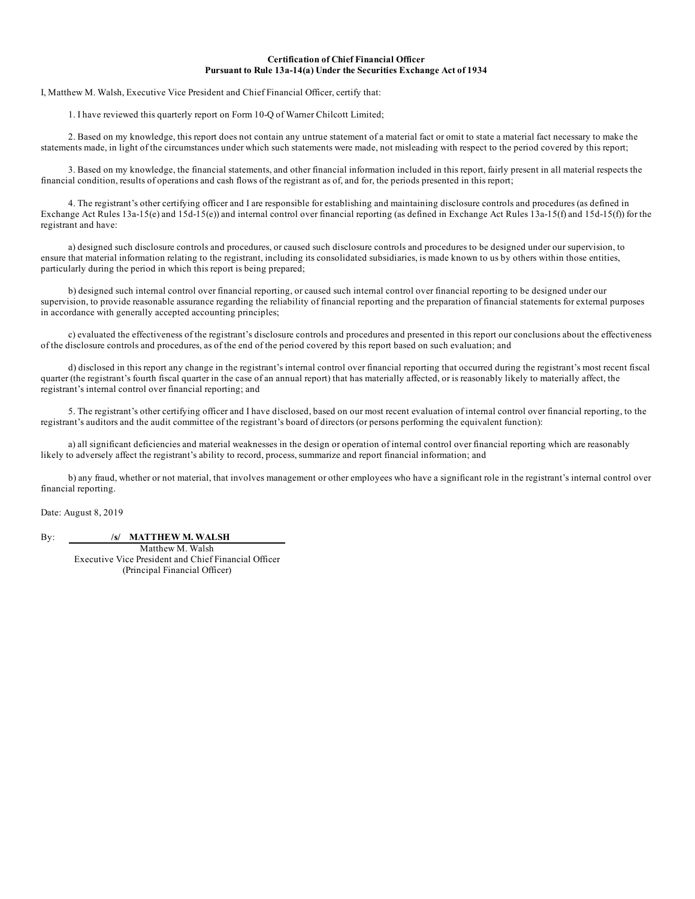## **Certification of Chief Financial Officer Pursuant to Rule 13a-14(a) Under the Securities Exchange Act of 1934**

I, Matthew M. Walsh, Executive Vice President and Chief Financial Officer, certify that:

1. I have reviewed this quarterly report on Form 10-Q of Warner Chilcott Limited;

2. Based on my knowledge, this report does not contain any untrue statement of a material fact or omit to state a material fact necessary to make the statements made, in light of the circumstances under which such statements were made, not misleading with respect to the period covered by this report;

3. Based on my knowledge, the financial statements, and other financial information included in this report, fairly present in all material respects the financial condition, results of operations and cash flows of the registrant as of, and for, the periods presented in this report;

4. The registrant's other certifying officer and I are responsible for establishing and maintaining disclosure controls and procedures (as defined in Exchange Act Rules  $13a-15(e)$  and  $15d-15(e)$  and internal control over financial reporting (as defined in Exchange Act Rules  $13a-15(f)$ ) and  $15d-15(f)$ ) for the registrant and have:

a) designed such disclosure controls and procedures, or caused such disclosure controls and procedures to be designed under our supervision, to ensure that material information relating to the registrant, including its consolidated subsidiaries, is made known to us by others within those entities, particularly during the period in which this report is being prepared;

b) designed such internal control over financial reporting, or caused such internal control over financial reporting to be designed under our supervision, to provide reasonable assurance regarding the reliability of financial reporting and the preparation of financial statements for external purposes in accordance with generally accepted accounting principles;

c) evaluated the effectiveness of the registrant's disclosure controls and procedures and presented in this report our conclusions about the effectiveness of the disclosure controls and procedures, as of the end of the period covered by this report based on such evaluation; and

d) disclosed in this report any change in the registrant's internal control over financial reporting that occurred during the registrant's most recent fiscal quarter (the registrant's fourth fiscal quarter in the case of an annual report) that has materially affected, or is reasonably likely to materially affect, the registrant's internal control over financial reporting; and

5. The registrant's other certifying officer and I have disclosed, based on our most recent evaluation of internal control over financial reporting, to the registrant's auditors and the audit committee of the registrant's board of directors (or persons performing the equivalent function):

a) all significant deficiencies and material weaknesses in the design or operation of internal control over financial reporting which are reasonably likely to adversely affect the registrant's ability to record, process, summarize and report financial information; and

b) any fraud, whether or not material, that involves management or other employees who have a significant role in the registrant's internal control over financial reporting.

Date: August 8, 2019

By: **/s/ MATTHEW M. WALSH**

Matthew M. Walsh Executive Vice President and Chief Financial Officer (Principal Financial Officer)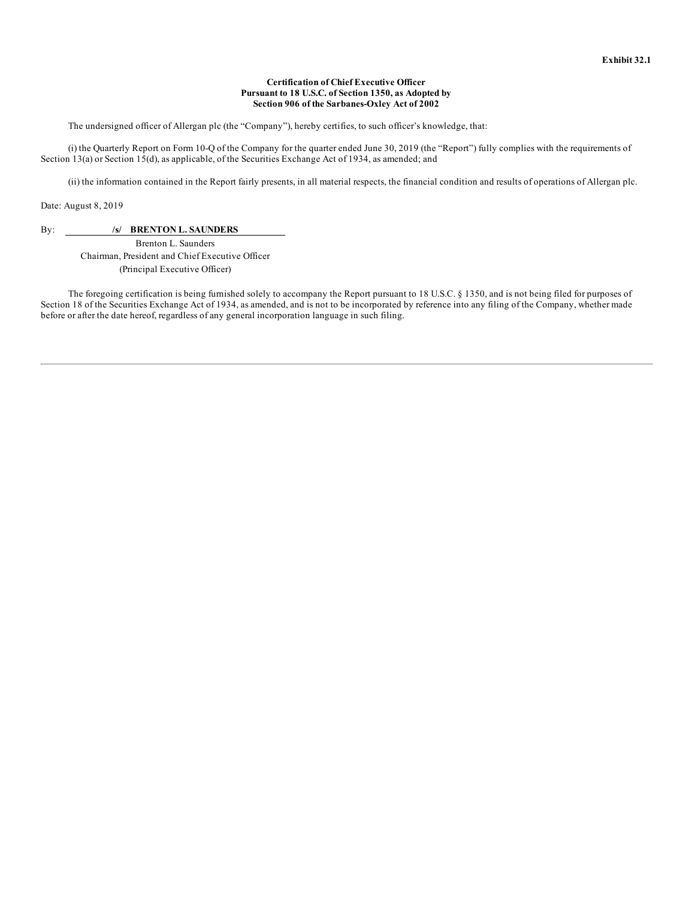## **Certification of Chief Executive Officer Pursuant to 18 U.S.C. of Section 1350, as Adopted by Section 906 of the Sarbanes-Oxley Act of 2002**

<span id="page-96-0"></span>The undersigned officer of Allergan plc (the "Company"), hereby certifies, to such officer's knowledge, that:

(i) the Quarterly Report on Form 10-Q of the Company for the quarter ended June 30, 2019 (the "Report") fully complies with the requirements of Section 13(a) or Section 15(d), as applicable, of the Securities Exchange Act of 1934, as amended; and

(ii) the information contained in the Report fairly presents, in all material respects, the financial condition and results of operations of Allergan plc.

Date: August 8, 2019

By: **/s/ BRENTON L. SAUNDERS**

Brenton L. Saunders Chairman, President and Chief Executive Officer (Principal Executive Officer)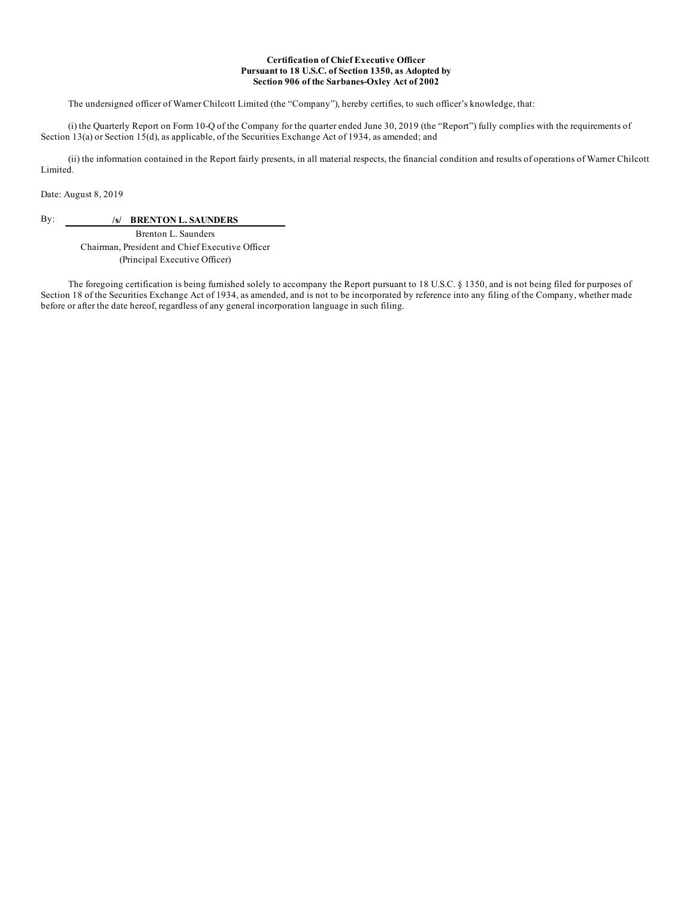## **Certification of Chief Executive Officer Pursuant to 18 U.S.C. of Section 1350, as Adopted by Section 906 of the Sarbanes-Oxley Act of 2002**

The undersigned officer of Warner Chilcott Limited (the "Company"), hereby certifies, to such officer's knowledge, that:

(i) the Quarterly Report on Form 10-Q of the Company for the quarter ended June 30, 2019 (the "Report") fully complies with the requirements of Section 13(a) or Section 15(d), as applicable, of the Securities Exchange Act of 1934, as amended; and

(ii) the information contained in the Report fairly presents, in all material respects, the financial condition and results of operations of Warner Chilcott Limited.

Date: August 8, 2019

By: **/s/ BRENTON L. SAUNDERS**

Brenton L. Saunders Chairman, President and Chief Executive Officer (Principal Executive Officer)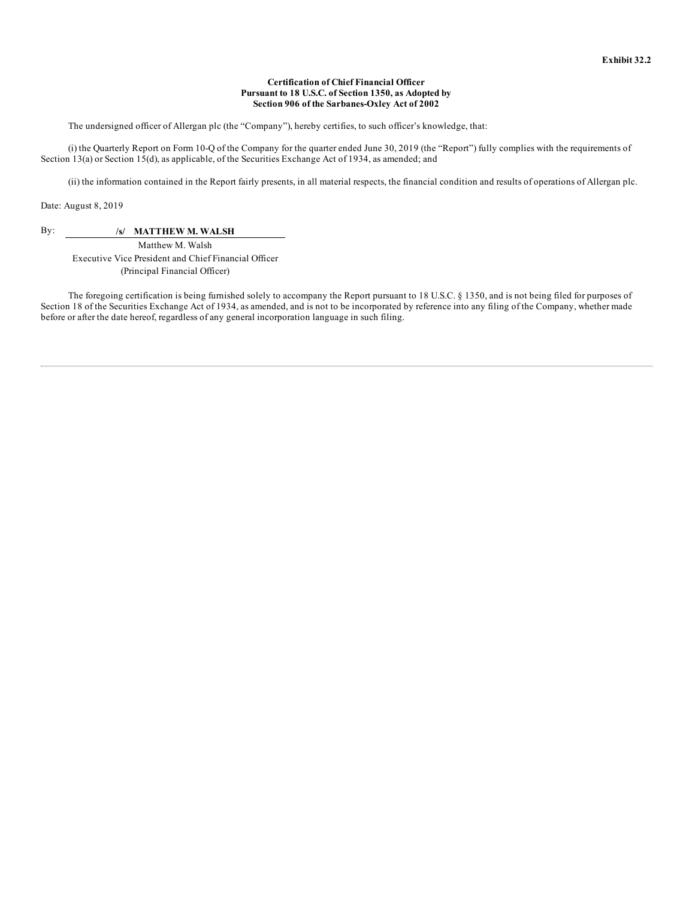## **Certification of Chief Financial Officer Pursuant to 18 U.S.C. of Section 1350, as Adopted by Section 906 of the Sarbanes-Oxley Act of 2002**

<span id="page-98-0"></span>The undersigned officer of Allergan plc (the "Company"), hereby certifies, to such officer's knowledge, that:

(i) the Quarterly Report on Form 10-Q of the Company for the quarter ended June 30, 2019 (the "Report") fully complies with the requirements of Section 13(a) or Section 15(d), as applicable, of the Securities Exchange Act of 1934, as amended; and

(ii) the information contained in the Report fairly presents, in all material respects, the financial condition and results of operations of Allergan plc.

Date: August 8, 2019

By: **/s/ MATTHEW M. WALSH**

Matthew M. Walsh Executive Vice President and Chief Financial Officer (Principal Financial Officer)